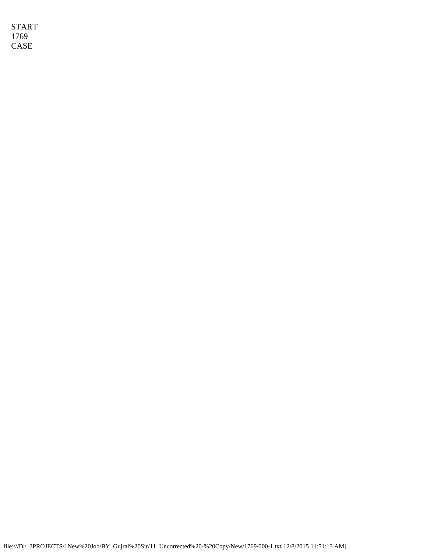START 1769 CASE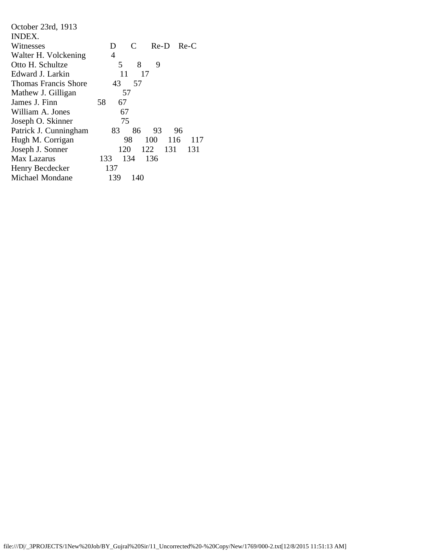| October 23rd, 1913          |                          |  |  |  |
|-----------------------------|--------------------------|--|--|--|
| INDEX.                      |                          |  |  |  |
| Witnesses                   | C<br>$Re-D$ $Re-C$<br>D  |  |  |  |
| Walter H. Volckening        | 4                        |  |  |  |
| Otto H. Schultze            | 8<br>9<br>5              |  |  |  |
| Edward J. Larkin            | 11<br>17                 |  |  |  |
| <b>Thomas Francis Shore</b> | 43<br>57                 |  |  |  |
| Mathew J. Gilligan          | 57                       |  |  |  |
| James J. Finn               | 58<br>67                 |  |  |  |
| William A. Jones            | 67                       |  |  |  |
| Joseph O. Skinner           | 75                       |  |  |  |
| Patrick J. Cunningham       | 86<br>83<br>93<br>96     |  |  |  |
| Hugh M. Corrigan            | 116<br>117<br>98<br>100  |  |  |  |
| Joseph J. Sonner            | 122<br>131<br>131<br>120 |  |  |  |
| Max Lazarus                 | 134<br>136<br>133        |  |  |  |
| Henry Becdecker             | 137                      |  |  |  |
| Michael Mondane             | 139<br>140               |  |  |  |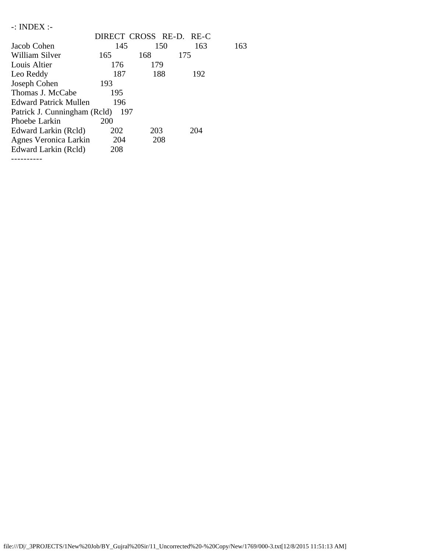| $-$ : INDEX :-               |                         |     |     |     |
|------------------------------|-------------------------|-----|-----|-----|
|                              | DIRECT CROSS RE-D. RE-C |     |     |     |
| Jacob Cohen                  | 145                     | 150 | 163 | 163 |
| William Silver               | 165                     | 168 | 175 |     |
| Louis Altier                 | 176                     | 179 |     |     |
| Leo Reddy                    | 187                     | 188 | 192 |     |
| Joseph Cohen                 | 193                     |     |     |     |
| Thomas J. McCabe             | 195                     |     |     |     |
| Edward Patrick Mullen        | 196                     |     |     |     |
| Patrick J. Cunningham (Rcld) | 197                     |     |     |     |
| Phoebe Larkin                | <b>200</b>              |     |     |     |
| Edward Larkin (Rcld)         | 202                     | 203 | 204 |     |
| Agnes Veronica Larkin        | 204                     | 208 |     |     |
| Edward Larkin (Reld)         | 208                     |     |     |     |
|                              |                         |     |     |     |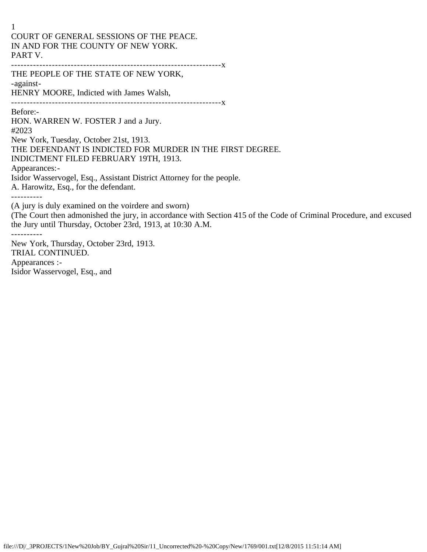1 COURT OF GENERAL SESSIONS OF THE PEACE. IN AND FOR THE COUNTY OF NEW YORK. PART V. -------------------------------------------------------------------x

THE PEOPLE OF THE STATE OF NEW YORK, -against-HENRY MOORE, Indicted with James Walsh,

-------------------------------------------------------------------x Before:-

----------

HON. WARREN W. FOSTER J and a Jury. #2023 New York, Tuesday, October 21st, 1913. THE DEFENDANT IS INDICTED FOR MURDER IN THE FIRST DEGREE. INDICTMENT FILED FEBRUARY 19TH, 1913. Appearances:- Isidor Wasservogel, Esq., Assistant District Attorney for the people. A. Harowitz, Esq., for the defendant. ---------- (A jury is duly examined on the voirdere and sworn)

(The Court then admonished the jury, in accordance with Section 415 of the Code of Criminal Procedure, and excused the Jury until Thursday, October 23rd, 1913, at 10:30 A.M.

New York, Thursday, October 23rd, 1913. TRIAL CONTINUED. Appearances :- Isidor Wasservogel, Esq., and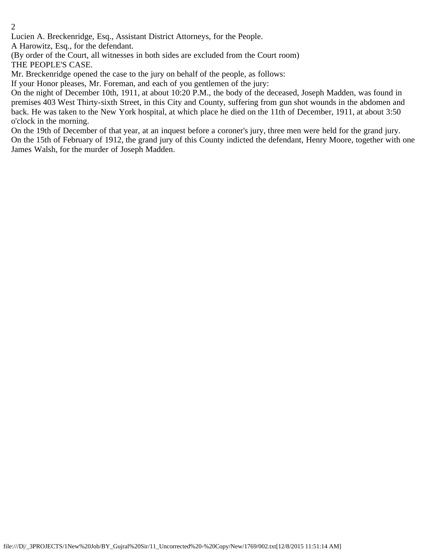Lucien A. Breckenridge, Esq., Assistant District Attorneys, for the People.

A Harowitz, Esq., for the defendant.

(By order of the Court, all witnesses in both sides are excluded from the Court room) THE PEOPLE'S CASE.

Mr. Breckenridge opened the case to the jury on behalf of the people, as follows:

If your Honor pleases, Mr. Foreman, and each of you gentlemen of the jury:

On the night of December 10th, 1911, at about 10:20 P.M., the body of the deceased, Joseph Madden, was found in premises 403 West Thirty-sixth Street, in this City and County, suffering from gun shot wounds in the abdomen and back. He was taken to the New York hospital, at which place he died on the 11th of December, 1911, at about 3:50 o'clock in the morning.

On the 19th of December of that year, at an inquest before a coroner's jury, three men were held for the grand jury. On the 15th of February of 1912, the grand jury of this County indicted the defendant, Henry Moore, together with one James Walsh, for the murder of Joseph Madden.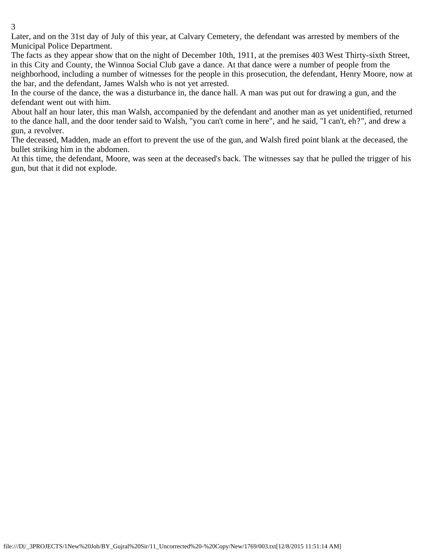Later, and on the 31st day of July of this year, at Calvary Cemetery, the defendant was arrested by members of the Municipal Police Department.

The facts as they appear show that on the night of December 10th, 1911, at the premises 403 West Thirty-sixth Street, in this City and County, the Winnoa Social Club gave a dance. At that dance were a number of people from the neighborhood, including a number of witnesses for the people in this prosecution, the defendant, Henry Moore, now at the bar, and the defendant, James Walsh who is not yet arrested.

In the course of the dance, the was a disturbance in, the dance hall. A man was put out for drawing a gun, and the defendant went out with him.

About half an hour later, this man Walsh, accompanied by the defendant and another man as yet unidentified, returned to the dance hall, and the door tender said to Walsh, "you can't come in here", and he said, "I can't, eh?", and drew a gun, a revolver.

The deceased, Madden, made an effort to prevent the use of the gun, and Walsh fired point blank at the deceased, the bullet striking him in the abdomen.

At this time, the defendant, Moore, was seen at the deceased's back. The witnesses say that he pulled the trigger of his gun, but that it did not explode.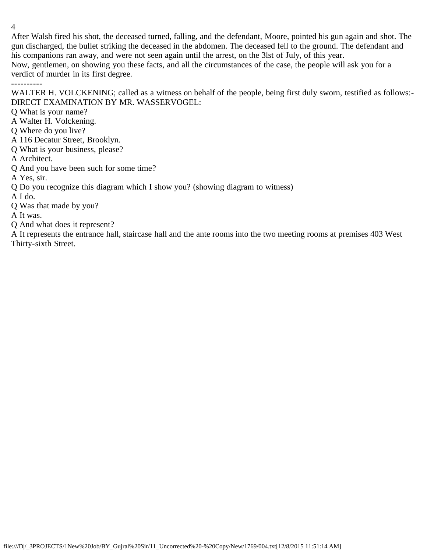After Walsh fired his shot, the deceased turned, falling, and the defendant, Moore, pointed his gun again and shot. The gun discharged, the bullet striking the deceased in the abdomen. The deceased fell to the ground. The defendant and his companions ran away, and were not seen again until the arrest, on the 3lst of July, of this year. Now, gentlemen, on showing you these facts, and all the circumstances of the case, the people will ask you for a verdict of murder in its first degree. ----------

WALTER H. VOLCKENING; called as a witness on behalf of the people, being first duly sworn, testified as follows:-DIRECT EXAMINATION BY MR. WASSERVOGEL:

Q What is your name?

- A Walter H. Volckening.
- Q Where do you live?
- A 116 Decatur Street, Brooklyn.
- Q What is your business, please?

A Architect.

Q And you have been such for some time?

A Yes, sir.

Q Do you recognize this diagram which I show you? (showing diagram to witness)

A I do.

Q Was that made by you?

A It was.

Q And what does it represent?

A It represents the entrance hall, staircase hall and the ante rooms into the two meeting rooms at premises 403 West Thirty-sixth Street.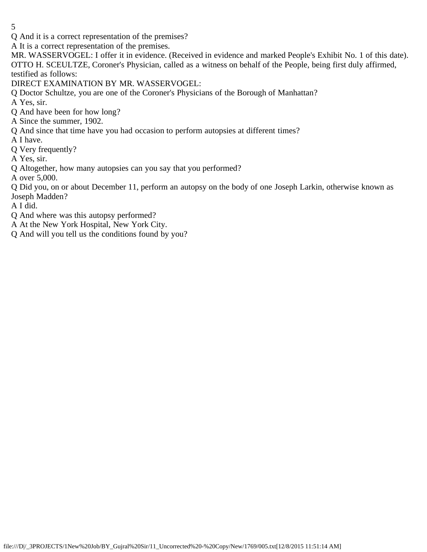Q And it is a correct representation of the premises?

A It is a correct representation of the premises.

MR. WASSERVOGEL: I offer it in evidence. (Received in evidence and marked People's Exhibit No. 1 of this date). OTTO H. SCEULTZE, Coroner's Physician, called as a witness on behalf of the People, being first duly affirmed, testified as follows:

DIRECT EXAMINATION BY MR. WASSERVOGEL:

Q Doctor Schultze, you are one of the Coroner's Physicians of the Borough of Manhattan?

A Yes, sir.

Q And have been for how long?

A Since the summer, 1902.

Q And since that time have you had occasion to perform autopsies at different times?

A I have.

Q Very frequently?

A Yes, sir.

Q Altogether, how many autopsies can you say that you performed?

A over 5,000.

Q Did you, on or about December 11, perform an autopsy on the body of one Joseph Larkin, otherwise known as Joseph Madden?

A I did.

Q And where was this autopsy performed?

A At the New York Hospital, New York City.

Q And will you tell us the conditions found by you?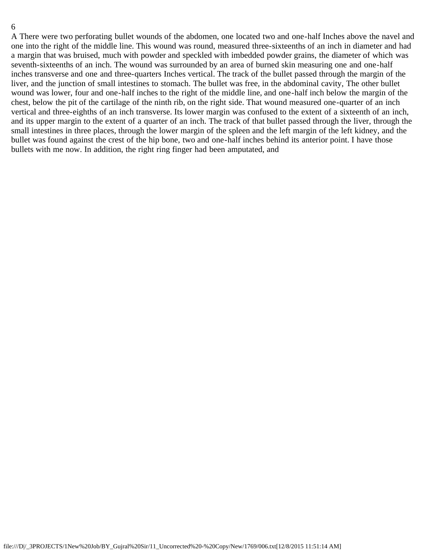A There were two perforating bullet wounds of the abdomen, one located two and one-half Inches above the navel and one into the right of the middle line. This wound was round, measured three-sixteenths of an inch in diameter and had a margin that was bruised, much with powder and speckled with imbedded powder grains, the diameter of which was seventh-sixteenths of an inch. The wound was surrounded by an area of burned skin measuring one and one-half inches transverse and one and three-quarters Inches vertical. The track of the bullet passed through the margin of the liver, and the junction of small intestines to stomach. The bullet was free, in the abdominal cavity, The other bullet wound was lower, four and one-half inches to the right of the middle line, and one-half inch below the margin of the chest, below the pit of the cartilage of the ninth rib, on the right side. That wound measured one-quarter of an inch vertical and three-eighths of an inch transverse. Its lower margin was confused to the extent of a sixteenth of an inch, and its upper margin to the extent of a quarter of an inch. The track of that bullet passed through the liver, through the small intestines in three places, through the lower margin of the spleen and the left margin of the left kidney, and the bullet was found against the crest of the hip bone, two and one-half inches behind its anterior point. I have those bullets with me now. In addition, the right ring finger had been amputated, and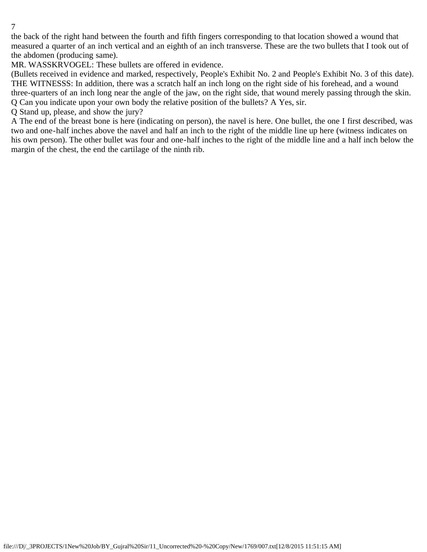the back of the right hand between the fourth and fifth fingers corresponding to that location showed a wound that measured a quarter of an inch vertical and an eighth of an inch transverse. These are the two bullets that I took out of the abdomen (producing same).

MR. WASSKRVOGEL: These bullets are offered in evidence.

(Bullets received in evidence and marked, respectively, People's Exhibit No. 2 and People's Exhibit No. 3 of this date). THE WITNESSS: In addition, there was a scratch half an inch long on the right side of his forehead, and a wound three-quarters of an inch long near the angle of the jaw, on the right side, that wound merely passing through the skin. Q Can you indicate upon your own body the relative position of the bullets? A Yes, sir.

Q Stand up, please, and show the jury?

A The end of the breast bone is here (indicating on person), the navel is here. One bullet, the one I first described, was two and one-half inches above the navel and half an inch to the right of the middle line up here (witness indicates on his own person). The other bullet was four and one-half inches to the right of the middle line and a half inch below the margin of the chest, the end the cartilage of the ninth rib.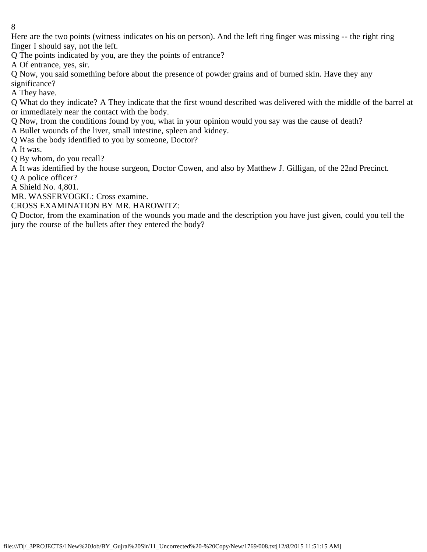Here are the two points (witness indicates on his on person). And the left ring finger was missing -- the right ring finger I should say, not the left.

Q The points indicated by you, are they the points of entrance?

A Of entrance, yes, sir.

Q Now, you said something before about the presence of powder grains and of burned skin. Have they any significance?

A They have.

Q What do they indicate? A They indicate that the first wound described was delivered with the middle of the barrel at or immediately near the contact with the body.

Q Now, from the conditions found by you, what in your opinion would you say was the cause of death?

A Bullet wounds of the liver, small intestine, spleen and kidney.

Q Was the body identified to you by someone, Doctor?

A It was.

Q By whom, do you recall?

A It was identified by the house surgeon, Doctor Cowen, and also by Matthew J. Gilligan, of the 22nd Precinct.

Q A police officer?

A Shield No. 4,801.

MR. WASSERVOGKL: Cross examine.

CROSS EXAMINATION BY MR. HAROWITZ:

Q Doctor, from the examination of the wounds you made and the description you have just given, could you tell the jury the course of the bullets after they entered the body?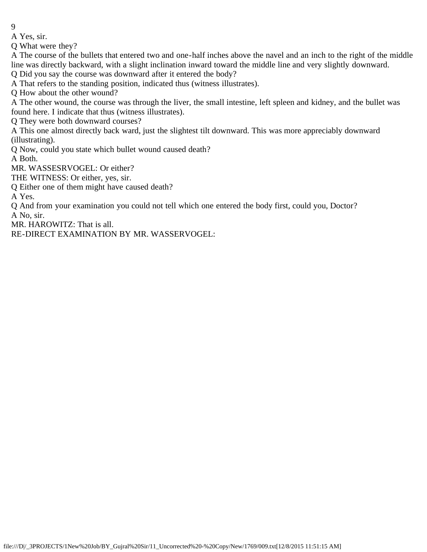A Yes, sir.

Q What were they?

A The course of the bullets that entered two and one-half inches above the navel and an inch to the right of the middle line was directly backward, with a slight inclination inward toward the middle line and very slightly downward.

Q Did you say the course was downward after it entered the body?

A That refers to the standing position, indicated thus (witness illustrates).

Q How about the other wound?

A The other wound, the course was through the liver, the small intestine, left spleen and kidney, and the bullet was found here. I indicate that thus (witness illustrates).

Q They were both downward courses?

A This one almost directly back ward, just the slightest tilt downward. This was more appreciably downward (illustrating).

Q Now, could you state which bullet wound caused death?

A Both.

MR. WASSESRVOGEL: Or either?

THE WITNESS: Or either, yes, sir.

Q Either one of them might have caused death?

A Yes.

Q And from your examination you could not tell which one entered the body first, could you, Doctor? A No, sir.

MR. HAROWITZ: That is all.

RE-DIRECT EXAMINATION BY MR. WASSERVOGEL: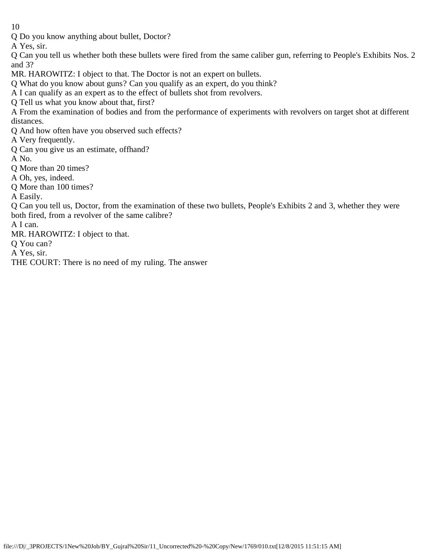Q Do you know anything about bullet, Doctor?

A Yes, sir.

Q Can you tell us whether both these bullets were fired from the same caliber gun, referring to People's Exhibits Nos. 2 and 3?

MR. HAROWITZ: I object to that. The Doctor is not an expert on bullets.

Q What do you know about guns? Can you qualify as an expert, do you think?

A I can qualify as an expert as to the effect of bullets shot from revolvers.

Q Tell us what you know about that, first?

A From the examination of bodies and from the performance of experiments with revolvers on target shot at different distances.

Q And how often have you observed such effects?

A Very frequently.

Q Can you give us an estimate, offhand?

A No.

Q More than 20 times?

A Oh, yes, indeed.

Q More than 100 times?

A Easily.

Q Can you tell us, Doctor, from the examination of these two bullets, People's Exhibits 2 and 3, whether they were both fired, from a revolver of the same calibre?

A I can.

MR. HAROWITZ: I object to that.

Q You can?

A Yes, sir.

THE COURT: There is no need of my ruling. The answer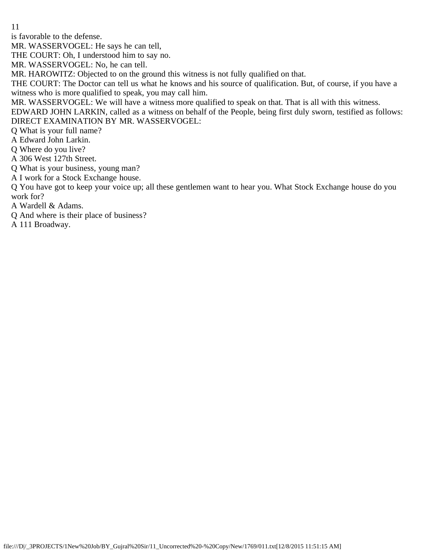is favorable to the defense.

MR. WASSERVOGEL: He says he can tell,

THE COURT: Oh, I understood him to say no.

MR. WASSERVOGEL: No, he can tell.

MR. HAROWITZ: Objected to on the ground this witness is not fully qualified on that.

THE COURT: The Doctor can tell us what he knows and his source of qualification. But, of course, if you have a witness who is more qualified to speak, you may call him.

MR. WASSERVOGEL: We will have a witness more qualified to speak on that. That is all with this witness.

EDWARD JOHN LARKIN, called as a witness on behalf of the People, being first duly sworn, testified as follows: DIRECT EXAMINATION BY MR. WASSERVOGEL:

Q What is your full name?

A Edward John Larkin.

Q Where do you live?

A 306 West 127th Street.

Q What is your business, young man?

A I work for a Stock Exchange house.

Q You have got to keep your voice up; all these gentlemen want to hear you. What Stock Exchange house do you work for?

A Wardell & Adams.

Q And where is their place of business?

A 111 Broadway.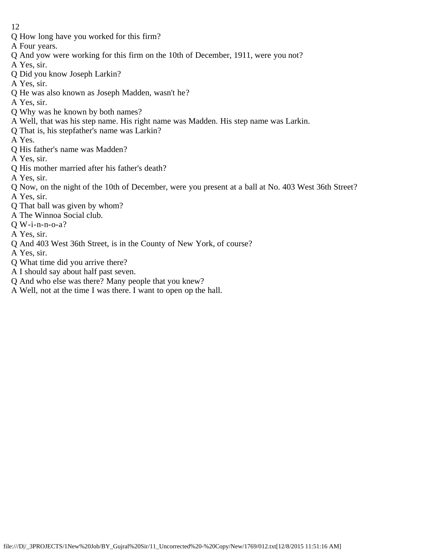- Q How long have you worked for this firm?
- A Four years.
- Q And yow were working for this firm on the 10th of December, 1911, were you not?
- A Yes, sir.
- Q Did you know Joseph Larkin?
- A Yes, sir.
- Q He was also known as Joseph Madden, wasn't he?
- A Yes, sir.
- Q Why was he known by both names?
- A Well, that was his step name. His right name was Madden. His step name was Larkin.
- Q That is, his stepfather's name was Larkin?
- A Yes.
- Q His father's name was Madden?
- A Yes, sir.
- Q His mother married after his father's death?
- A Yes, sir.
- Q Now, on the night of the 10th of December, were you present at a ball at No. 403 West 36th Street?
- A Yes, sir.
- Q That ball was given by whom?
- A The Winnoa Social club.
- Q W-i-n-n-o-a?
- A Yes, sir.
- Q And 403 West 36th Street, is in the County of New York, of course?
- A Yes, sir.
- Q What time did you arrive there?
- A I should say about half past seven.
- Q And who else was there? Many people that you knew?
- A Well, not at the time I was there. I want to open op the hall.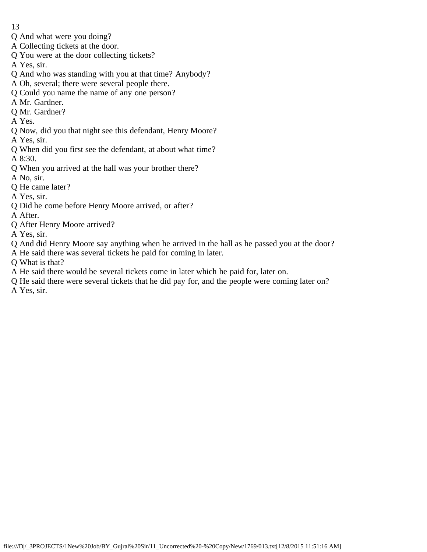- 13
- Q And what were you doing?
- A Collecting tickets at the door.
- Q You were at the door collecting tickets?
- A Yes, sir.
- Q And who was standing with you at that time? Anybody?
- A Oh, several; there were several people there.
- Q Could you name the name of any one person?
- A Mr. Gardner.
- Q Mr. Gardner?
- A Yes.
- Q Now, did you that night see this defendant, Henry Moore?
- A Yes, sir.
- Q When did you first see the defendant, at about what time?
- A 8:30.
- Q When you arrived at the hall was your brother there?
- A No, sir.
- Q He came later?
- A Yes, sir.
- Q Did he come before Henry Moore arrived, or after?
- A After.
- Q After Henry Moore arrived?
- A Yes, sir.
- Q And did Henry Moore say anything when he arrived in the hall as he passed you at the door?
- A He said there was several tickets he paid for coming in later.
- Q What is that?
- A He said there would be several tickets come in later which he paid for, later on.
- Q He said there were several tickets that he did pay for, and the people were coming later on? A Yes, sir.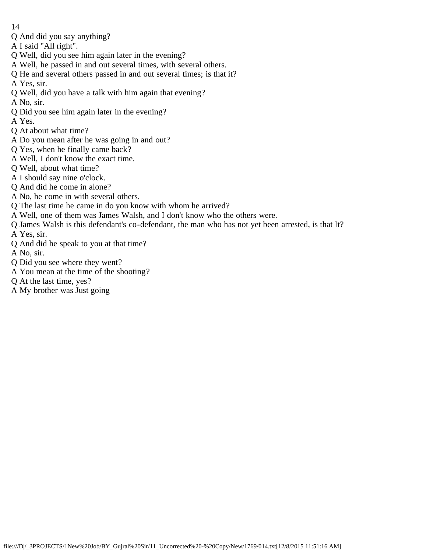- 14
- Q And did you say anything?
- A I said "All right".
- Q Well, did you see him again later in the evening?
- A Well, he passed in and out several times, with several others.
- Q He and several others passed in and out several times; is that it?
- A Yes, sir.
- Q Well, did you have a talk with him again that evening?
- A No, sir.
- Q Did you see him again later in the evening?
- A Yes.
- Q At about what time?
- A Do you mean after he was going in and out?
- Q Yes, when he finally came back?
- A Well, I don't know the exact time.
- Q Well, about what time?
- A I should say nine o'clock.
- Q And did he come in alone?
- A No, he come in with several others.
- Q The last time he came in do you know with whom he arrived?
- A Well, one of them was James Walsh, and I don't know who the others were.
- Q James Walsh is this defendant's co-defendant, the man who has not yet been arrested, is that It? A Yes, sir.
- Q And did he speak to you at that time?
- A No, sir.
- Q Did you see where they went?
- A You mean at the time of the shooting?
- Q At the last time, yes?
- A My brother was Just going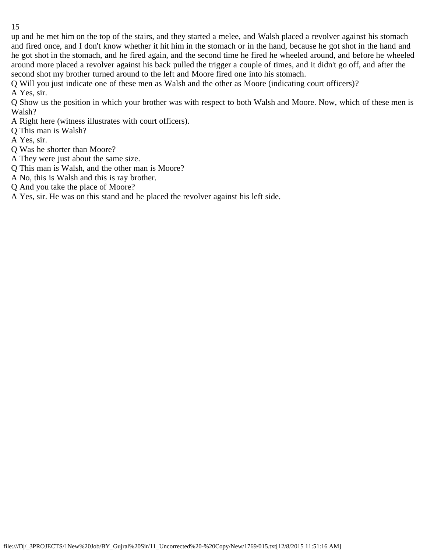up and he met him on the top of the stairs, and they started a melee, and Walsh placed a revolver against his stomach and fired once, and I don't know whether it hit him in the stomach or in the hand, because he got shot in the hand and he got shot in the stomach, and he fired again, and the second time he fired he wheeled around, and before he wheeled around more placed a revolver against his back pulled the trigger a couple of times, and it didn't go off, and after the second shot my brother turned around to the left and Moore fired one into his stomach.

Q Will you just indicate one of these men as Walsh and the other as Moore (indicating court officers)?

A Yes, sir.

Q Show us the position in which your brother was with respect to both Walsh and Moore. Now, which of these men is Walsh?

- A Right here (witness illustrates with court officers).
- Q This man is Walsh?
- A Yes, sir.
- Q Was he shorter than Moore?
- A They were just about the same size.
- Q This man is Walsh, and the other man is Moore?
- A No, this is Walsh and this is ray brother.
- Q And you take the place of Moore?

A Yes, sir. He was on this stand and he placed the revolver against his left side.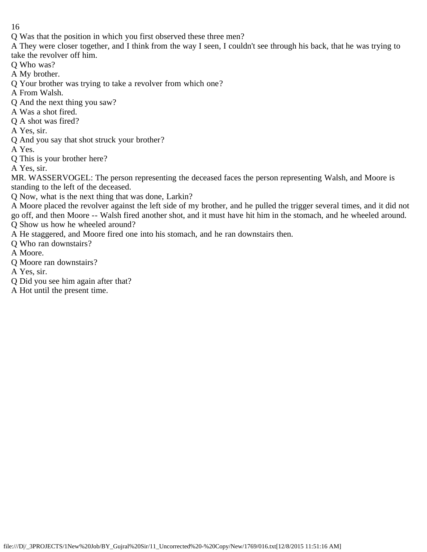Q Was that the position in which you first observed these three men?

A They were closer together, and I think from the way I seen, I couldn't see through his back, that he was trying to take the revolver off him.

Q Who was?

- A My brother.
- Q Your brother was trying to take a revolver from which one?
- A From Walsh.
- Q And the next thing you saw?
- A Was a shot fired.
- Q A shot was fired?
- A Yes, sir.
- Q And you say that shot struck your brother?

A Yes.

Q This is your brother here?

A Yes, sir.

MR. WASSERVOGEL: The person representing the deceased faces the person representing Walsh, and Moore is standing to the left of the deceased.

Q Now, what is the next thing that was done, Larkin?

A Moore placed the revolver against the left side of my brother, and he pulled the trigger several times, and it did not go off, and then Moore -- Walsh fired another shot, and it must have hit him in the stomach, and he wheeled around. Q Show us how he wheeled around?

A He staggered, and Moore fired one into his stomach, and he ran downstairs then.

Q Who ran downstairs?

A Moore.

Q Moore ran downstairs?

A Yes, sir.

Q Did you see him again after that?

A Hot until the present time.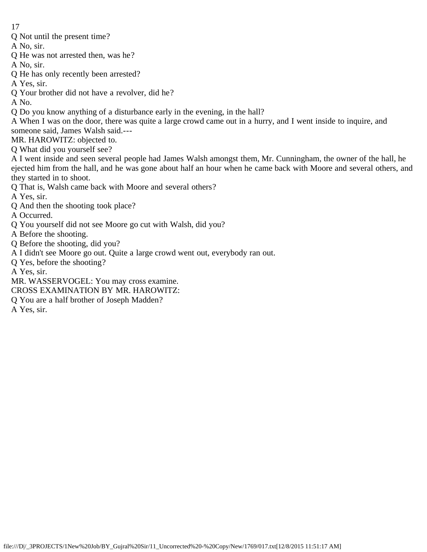Q Not until the present time?

A No, sir.

- Q He was not arrested then, was he?
- A No, sir.
- Q He has only recently been arrested?
- A Yes, sir.
- Q Your brother did not have a revolver, did he?

A No.

- Q Do you know anything of a disturbance early in the evening, in the hall?
- A When I was on the door, there was quite a large crowd came out in a hurry, and I went inside to inquire, and someone said, James Walsh said.---

MR. HAROWITZ: objected to.

Q What did you yourself see?

A I went inside and seen several people had James Walsh amongst them, Mr. Cunningham, the owner of the hall, he ejected him from the hall, and he was gone about half an hour when he came back with Moore and several others, and they started in to shoot.

Q That is, Walsh came back with Moore and several others?

A Yes, sir.

Q And then the shooting took place?

A Occurred.

- Q You yourself did not see Moore go cut with Walsh, did you?
- A Before the shooting.
- Q Before the shooting, did you?
- A I didn't see Moore go out. Quite a large crowd went out, everybody ran out.

Q Yes, before the shooting?

A Yes, sir.

MR. WASSERVOGEL: You may cross examine.

- CROSS EXAMINATION BY MR. HAROWITZ:
- Q You are a half brother of Joseph Madden?

A Yes, sir.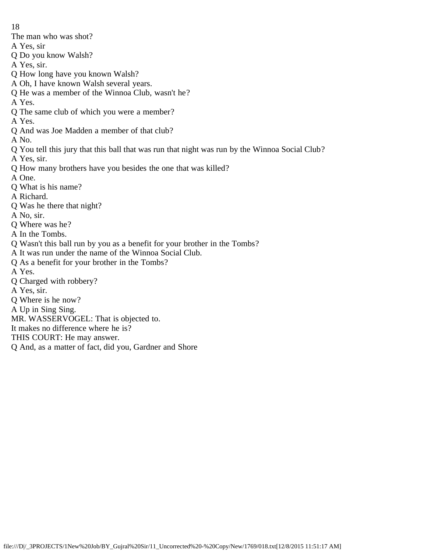The man who was shot?

- A Yes, sir
- Q Do you know Walsh?
- A Yes, sir.
- Q How long have you known Walsh?
- A Oh, I have known Walsh several years.
- Q He was a member of the Winnoa Club, wasn't he?
- A Yes.
- Q The same club of which you were a member?
- A Yes.
- Q And was Joe Madden a member of that club?
- A No.
- Q You tell this jury that this ball that was run that night was run by the Winnoa Social Club?
- A Yes, sir.
- Q How many brothers have you besides the one that was killed?
- A One.
- Q What is his name?
- A Richard.
- Q Was he there that night?
- A No, sir.
- Q Where was he?
- A In the Tombs.
- Q Wasn't this ball run by you as a benefit for your brother in the Tombs?
- A It was run under the name of the Winnoa Social Club.
- Q As a benefit for your brother in the Tombs?
- A Yes.
- Q Charged with robbery?
- A Yes, sir.
- Q Where is he now?
- A Up in Sing Sing.
- MR. WASSERVOGEL: That is objected to.
- It makes no difference where he is?
- THIS COURT: He may answer.
- Q And, as a matter of fact, did you, Gardner and Shore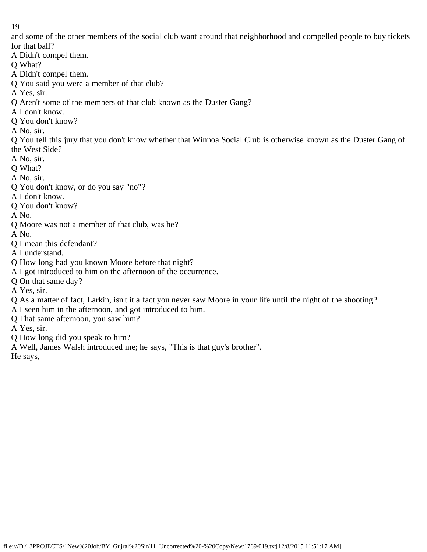and some of the other members of the social club want around that neighborhood and compelled people to buy tickets for that ball?

A Didn't compel them.

Q What?

A Didn't compel them.

Q You said you were a member of that club?

A Yes, sir.

Q Aren't some of the members of that club known as the Duster Gang?

A I don't know.

Q You don't know?

A No, sir.

Q You tell this jury that you don't know whether that Winnoa Social Club is otherwise known as the Duster Gang of the West Side?

A No, sir.

Q What?

A No, sir.

Q You don't know, or do you say "no"?

A I don't know.

Q You don't know?

A No.

Q Moore was not a member of that club, was he?

A No.

Q I mean this defendant?

A I understand.

Q How long had you known Moore before that night?

A I got introduced to him on the afternoon of the occurrence.

Q On that same day?

A Yes, sir.

Q As a matter of fact, Larkin, isn't it a fact you never saw Moore in your life until the night of the shooting?

A I seen him in the afternoon, and got introduced to him.

Q That same afternoon, you saw him?

A Yes, sir.

Q How long did you speak to him?

A Well, James Walsh introduced me; he says, "This is that guy's brother".

He says,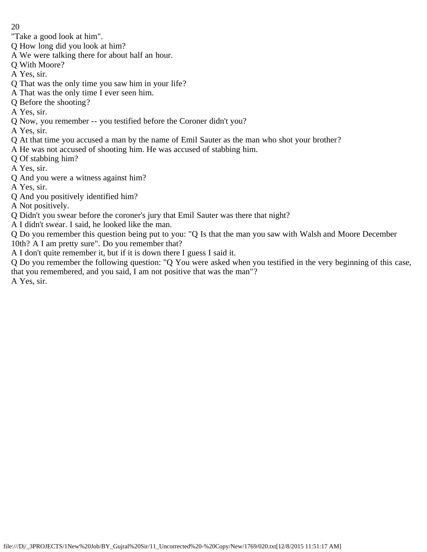"Take a good look at him".

Q How long did you look at him?

- A We were talking there for about half an hour.
- Q With Moore?
- A Yes, sir.
- Q That was the only time you saw him in your life?
- A That was the only time I ever seen him.
- Q Before the shooting?
- A Yes, sir.
- Q Now, you remember -- you testified before the Coroner didn't you?
- A Yes, sir.
- Q At that time you accused a man by the name of Emil Sauter as the man who shot your brother?
- A He was not accused of shooting him. He was accused of stabbing him.
- Q Of stabbing him?
- A Yes, sir.
- Q And you were a witness against him?
- A Yes, sir.
- Q And you positively identified him?
- A Not positively.
- Q Didn't you swear before the coroner's jury that Emil Sauter was there that night?
- A I didn't swear. I said, he looked like the man.

Q Do you remember this question being put to you: "Q Is that the man you saw with Walsh and Moore December 10th? A I am pretty sure". Do you remember that?

A I don't quite remember it, but if it is down there I guess I said it.

Q Do you remember the following question: "Q You were asked when you testified in the very beginning of this case, that you remembered, and you said, I am not positive that was the man"? A Yes, sir.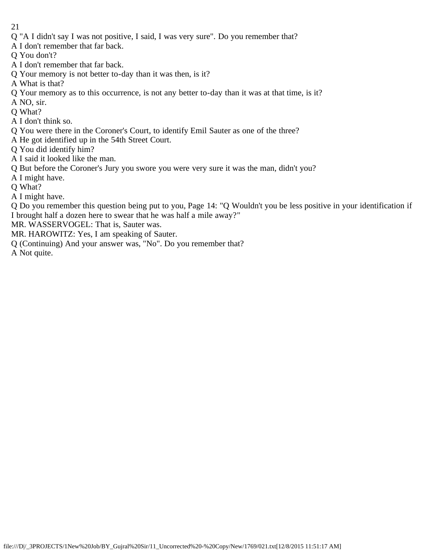- Q "A I didn't say I was not positive, I said, I was very sure". Do you remember that?
- A I don't remember that far back.
- Q You don't?
- A I don't remember that far back.
- Q Your memory is not better to-day than it was then, is it?
- A What is that?
- Q Your memory as to this occurrence, is not any better to-day than it was at that time, is it?
- A NO, sir.
- Q What?
- A I don't think so.
- Q You were there in the Coroner's Court, to identify Emil Sauter as one of the three?
- A He got identified up in the 54th Street Court.
- Q You did identify him?
- A I said it looked like the man.
- Q But before the Coroner's Jury you swore you were very sure it was the man, didn't you?
- A I might have.
- Q What?
- A I might have.

Q Do you remember this question being put to you, Page 14: "Q Wouldn't you be less positive in your identification if I brought half a dozen here to swear that he was half a mile away?"

MR. WASSERVOGEL: That is, Sauter was.

- MR. HAROWITZ: Yes, I am speaking of Sauter.
- Q (Continuing) And your answer was, "No". Do you remember that?

A Not quite.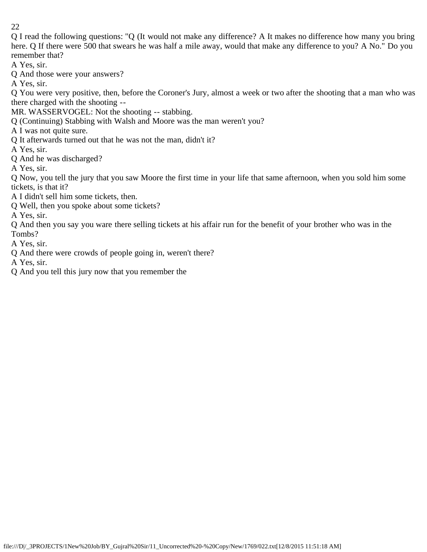Q I read the following questions: "Q (It would not make any difference? A It makes no difference how many you bring here. Q If there were 500 that swears he was half a mile away, would that make any difference to you? A No." Do you remember that?

A Yes, sir.

Q And those were your answers?

A Yes, sir.

Q You were very positive, then, before the Coroner's Jury, almost a week or two after the shooting that a man who was there charged with the shooting --

MR. WASSERVOGEL: Not the shooting -- stabbing.

Q (Continuing) Stabbing with Walsh and Moore was the man weren't you?

A I was not quite sure.

Q It afterwards turned out that he was not the man, didn't it?

A Yes, sir.

Q And he was discharged?

A Yes, sir.

Q Now, you tell the jury that you saw Moore the first time in your life that same afternoon, when you sold him some tickets, is that it?

A I didn't sell him some tickets, then.

Q Well, then you spoke about some tickets?

A Yes, sir.

Q And then you say you ware there selling tickets at his affair run for the benefit of your brother who was in the Tombs?

A Yes, sir.

Q And there were crowds of people going in, weren't there?

A Yes, sir.

Q And you tell this jury now that you remember the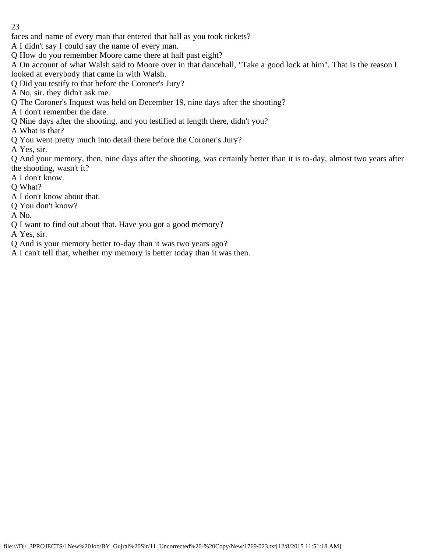faces and name of every man that entered that hall as you took tickets?

A I didn't say I could say the name of every man.

Q How do you remember Moore came there at half past eight?

A On account of what Walsh said to Moore over in that dancehall, "Take a good lock at him". That is the reason I looked at everybody that came in with Walsh.

Q Did you testify to that before the Coroner's Jury?

A No, sir. they didn't ask me.

Q The Coroner's Inquest was held on December 19, nine days after the shooting?

A I don't remember the date.

Q Nine days after the shooting, and you testified at length there, didn't you?

A What is that?

Q You went pretty much into detail there before the Coroner's Jury?

A Yes, sir.

Q And your memory, then, nine days after the shooting, was certainly better than it is to-day, almost two years after the shooting, wasn't it?

A I don't know.

Q What?

A I don't know about that.

Q You don't know?

A No.

Q I want to find out about that. Have you got a good memory?

A Yes, sir.

Q And is your memory better to-day than it was two years ago?

A I can't tell that, whether my memory is better today than it was then.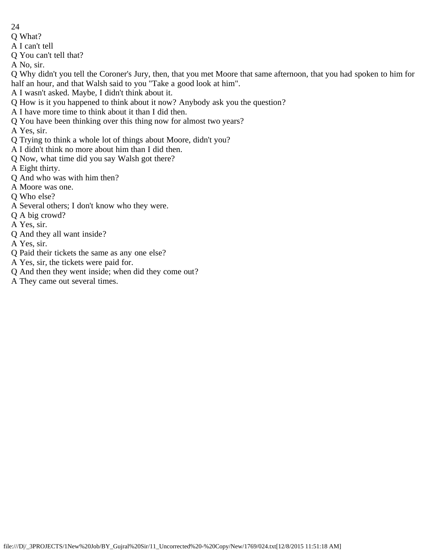- 24
- Q What?
- A I can't tell
- Q You can't tell that?
- A No, sir.

Q Why didn't you tell the Coroner's Jury, then, that you met Moore that same afternoon, that you had spoken to him for half an hour, and that Walsh said to you "Take a good look at him".

- A I wasn't asked. Maybe, I didn't think about it.
- Q How is it you happened to think about it now? Anybody ask you the question?
- A I have more time to think about it than I did then.
- Q You have been thinking over this thing now for almost two years?
- A Yes, sir.
- Q Trying to think a whole lot of things about Moore, didn't you?
- A I didn't think no more about him than I did then.
- Q Now, what time did you say Walsh got there?
- A Eight thirty.
- Q And who was with him then?
- A Moore was one.
- Q Who else?
- A Several others; I don't know who they were.
- Q A big crowd?
- A Yes, sir.
- Q And they all want inside?
- A Yes, sir.
- Q Paid their tickets the same as any one else?
- A Yes, sir, the tickets were paid for.
- Q And then they went inside; when did they come out?
- A They came out several times.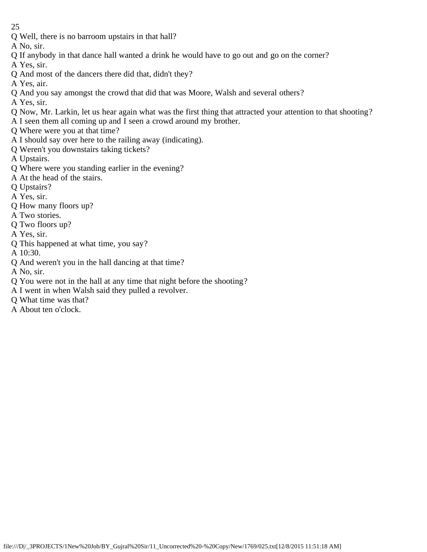Q Well, there is no barroom upstairs in that hall?

A No, sir.

- Q If anybody in that dance hall wanted a drink he would have to go out and go on the corner?
- A Yes, sir.
- Q And most of the dancers there did that, didn't they?
- A Yes, air.
- Q And you say amongst the crowd that did that was Moore, Walsh and several others?
- A Yes, sir.
- Q Now, Mr. Larkin, let us hear again what was the first thing that attracted your attention to that shooting?
- A I seen them all coming up and I seen a crowd around my brother.
- Q Where were you at that time?
- A I should say over here to the railing away (indicating).
- Q Weren't you downstairs taking tickets?
- A Upstairs.
- Q Where were you standing earlier in the evening?
- A At the head of the stairs.
- Q Upstairs?
- A Yes, sir.
- Q How many floors up?
- A Two stories.
- Q Two floors up?
- A Yes, sir.
- Q This happened at what time, you say?
- A 10:30.
- Q And weren't you in the hall dancing at that time?
- A No, sir.
- Q You were not in the hall at any time that night before the shooting?
- A I went in when Walsh said they pulled a revolver.
- Q What time was that?
- A About ten o'clock.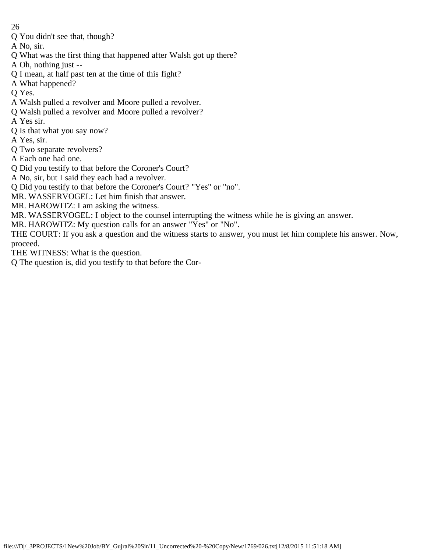- 26
- Q You didn't see that, though?
- A No, sir.
- Q What was the first thing that happened after Walsh got up there?
- A Oh, nothing just --
- Q I mean, at half past ten at the time of this fight?
- A What happened?
- Q Yes.
- A Walsh pulled a revolver and Moore pulled a revolver.
- Q Walsh pulled a revolver and Moore pulled a revolver?
- A Yes sir.
- Q Is that what you say now?
- A Yes, sir.
- Q Two separate revolvers?
- A Each one had one.
- Q Did you testify to that before the Coroner's Court?
- A No, sir, but I said they each had a revolver.
- Q Did you testify to that before the Coroner's Court? "Yes" or "no".
- MR. WASSERVOGEL: Let him finish that answer.
- MR. HAROWITZ: I am asking the witness.
- MR. WASSERVOGEL: I object to the counsel interrupting the witness while he is giving an answer.
- MR. HAROWITZ: My question calls for an answer "Yes" or "No".
- THE COURT: If you ask a question and the witness starts to answer, you must let him complete his answer. Now, proceed.
- THE WITNESS: What is the question.
- Q The question is, did you testify to that before the Cor-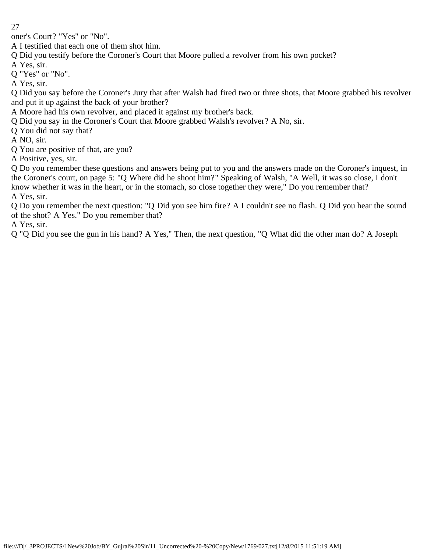oner's Court? "Yes" or "No".

A I testified that each one of them shot him.

Q Did you testify before the Coroner's Court that Moore pulled a revolver from his own pocket?

A Yes, sir.

Q "Yes" or "No".

A Yes, sir.

Q Did you say before the Coroner's Jury that after Walsh had fired two or three shots, that Moore grabbed his revolver and put it up against the back of your brother?

A Moore had his own revolver, and placed it against my brother's back.

Q Did you say in the Coroner's Court that Moore grabbed Walsh's revolver? A No, sir.

Q You did not say that?

A NO, sir.

Q You are positive of that, are you?

A Positive, yes, sir.

Q Do you remember these questions and answers being put to you and the answers made on the Coroner's inquest, in the Coroner's court, on page 5: "Q Where did he shoot him?" Speaking of Walsh, "A Well, it was so close, I don't know whether it was in the heart, or in the stomach, so close together they were," Do you remember that? A Yes, sir.

Q Do you remember the next question: "Q Did you see him fire? A I couldn't see no flash. Q Did you hear the sound of the shot? A Yes." Do you remember that?

A Yes, sir.

Q "Q Did you see the gun in his hand? A Yes," Then, the next question, "Q What did the other man do? A Joseph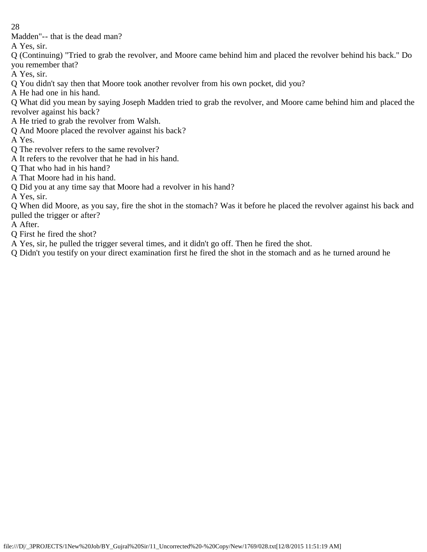Madden"-- that is the dead man?

A Yes, sir.

Q (Continuing) "Tried to grab the revolver, and Moore came behind him and placed the revolver behind his back." Do you remember that?

A Yes, sir.

Q You didn't say then that Moore took another revolver from his own pocket, did you?

A He had one in his hand.

Q What did you mean by saying Joseph Madden tried to grab the revolver, and Moore came behind him and placed the revolver against his back?

A He tried to grab the revolver from Walsh.

Q And Moore placed the revolver against his back?

A Yes.

Q The revolver refers to the same revolver?

A It refers to the revolver that he had in his hand.

Q That who had in his hand?

A That Moore had in his hand.

Q Did you at any time say that Moore had a revolver in his hand?

A Yes, sir.

Q When did Moore, as you say, fire the shot in the stomach? Was it before he placed the revolver against his back and pulled the trigger or after?

A After.

Q First he fired the shot?

A Yes, sir, he pulled the trigger several times, and it didn't go off. Then he fired the shot.

Q Didn't you testify on your direct examination first he fired the shot in the stomach and as he turned around he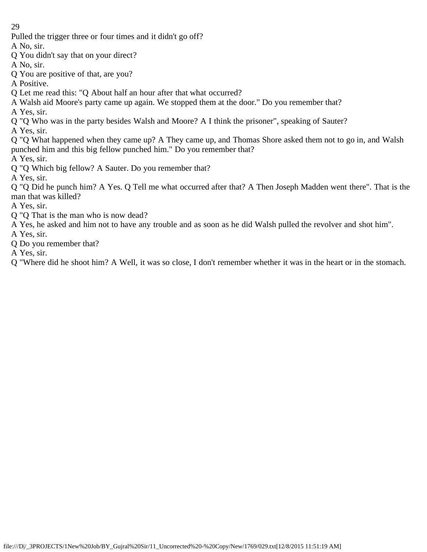Pulled the trigger three or four times and it didn't go off?

A No, sir.

- Q You didn't say that on your direct?
- A No, sir.
- Q You are positive of that, are you?

A Positive.

- Q Let me read this: "Q About half an hour after that what occurred?
- A Walsh aid Moore's party came up again. We stopped them at the door." Do you remember that? A Yes, sir.
- Q "Q Who was in the party besides Walsh and Moore? A I think the prisoner", speaking of Sauter?

A Yes, sir.

Q "Q What happened when they came up? A They came up, and Thomas Shore asked them not to go in, and Walsh punched him and this big fellow punched him." Do you remember that?

A Yes, sir.

Q "Q Which big fellow? A Sauter. Do you remember that?

A Yes, sir.

Q "Q Did he punch him? A Yes. Q Tell me what occurred after that? A Then Joseph Madden went there". That is the man that was killed?

A Yes, sir.

- Q "Q That is the man who is now dead?
- A Yes, he asked and him not to have any trouble and as soon as he did Walsh pulled the revolver and shot him".
- A Yes, sir.
- Q Do you remember that?

A Yes, sir.

Q "Where did he shoot him? A Well, it was so close, I don't remember whether it was in the heart or in the stomach.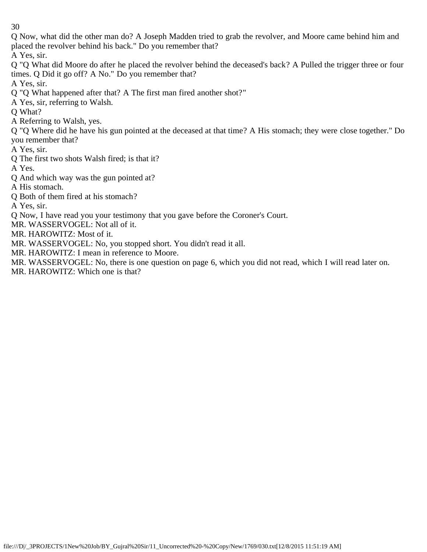Q Now, what did the other man do? A Joseph Madden tried to grab the revolver, and Moore came behind him and placed the revolver behind his back." Do you remember that?

A Yes, sir.

Q "Q What did Moore do after he placed the revolver behind the deceased's back? A Pulled the trigger three or four times. Q Did it go off? A No." Do you remember that?

A Yes, sir.

Q "Q What happened after that? A The first man fired another shot?"

A Yes, sir, referring to Walsh.

Q What?

A Referring to Walsh, yes.

Q "Q Where did he have his gun pointed at the deceased at that time? A His stomach; they were close together." Do you remember that?

A Yes, sir.

Q The first two shots Walsh fired; is that it?

A Yes.

Q And which way was the gun pointed at?

A His stomach.

Q Both of them fired at his stomach?

A Yes, sir.

Q Now, I have read you your testimony that you gave before the Coroner's Court.

MR. WASSERVOGEL: Not all of it.

MR. HAROWITZ: Most of it.

MR. WASSERVOGEL: No, you stopped short. You didn't read it all.

MR. HAROWITZ: I mean in reference to Moore.

MR. WASSERVOGEL: No, there is one question on page 6, which you did not read, which I will read later on. MR. HAROWITZ: Which one is that?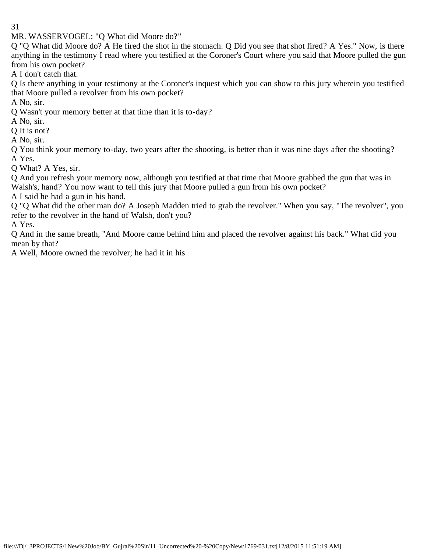MR. WASSERVOGEL: "Q What did Moore do?"

Q "Q What did Moore do? A He fired the shot in the stomach. Q Did you see that shot fired? A Yes." Now, is there anything in the testimony I read where you testified at the Coroner's Court where you said that Moore pulled the gun from his own pocket?

A I don't catch that.

Q Is there anything in your testimony at the Coroner's inquest which you can show to this jury wherein you testified that Moore pulled a revolver from his own pocket?

A No, sir.

Q Wasn't your memory better at that time than it is to-day?

A No, sir.

Q It is not?

A No, sir.

Q You think your memory to-day, two years after the shooting, is better than it was nine days after the shooting? A Yes.

Q What? A Yes, sir.

Q And you refresh your memory now, although you testified at that time that Moore grabbed the gun that was in Walsh's, hand? You now want to tell this jury that Moore pulled a gun from his own pocket?

A I said he had a gun in his hand.

Q "Q What did the other man do? A Joseph Madden tried to grab the revolver." When you say, "The revolver", you refer to the revolver in the hand of Walsh, don't you?

A Yes.

Q And in the same breath, "And Moore came behind him and placed the revolver against his back." What did you mean by that?

A Well, Moore owned the revolver; he had it in his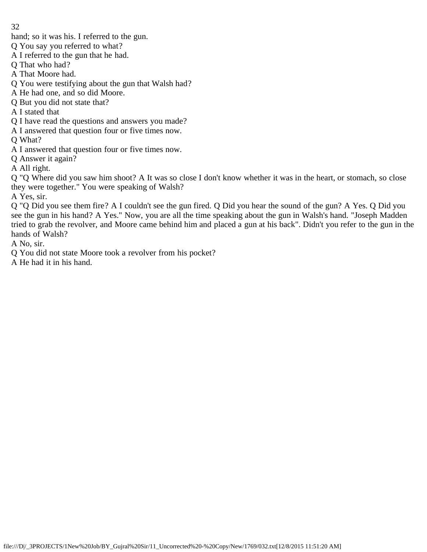hand; so it was his. I referred to the gun.

Q You say you referred to what?

A I referred to the gun that he had.

Q That who had?

A That Moore had.

Q You were testifying about the gun that Walsh had?

A He had one, and so did Moore.

Q But you did not state that?

A I stated that

Q I have read the questions and answers you made?

A I answered that question four or five times now.

Q What?

A I answered that question four or five times now.

Q Answer it again?

A All right.

Q "Q Where did you saw him shoot? A It was so close I don't know whether it was in the heart, or stomach, so close they were together." You were speaking of Walsh?

A Yes, sir.

Q "Q Did you see them fire? A I couldn't see the gun fired. Q Did you hear the sound of the gun? A Yes. Q Did you see the gun in his hand? A Yes." Now, you are all the time speaking about the gun in Walsh's hand. "Joseph Madden tried to grab the revolver, and Moore came behind him and placed a gun at his back". Didn't you refer to the gun in the hands of Walsh?

A No, sir.

Q You did not state Moore took a revolver from his pocket?

A He had it in his hand.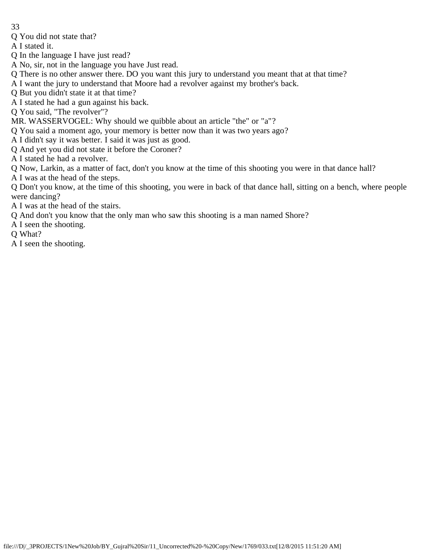- 33
- Q You did not state that?

A I stated it.

- Q In the language I have just read?
- A No, sir, not in the language you have Just read.
- Q There is no other answer there. DO you want this jury to understand you meant that at that time?
- A I want the jury to understand that Moore had a revolver against my brother's back.
- Q But you didn't state it at that time?
- A I stated he had a gun against his back.
- Q You said, "The revolver"?
- MR. WASSERVOGEL: Why should we quibble about an article "the" or "a"?
- Q You said a moment ago, your memory is better now than it was two years ago?
- A I didn't say it was better. I said it was just as good.
- Q And yet you did not state it before the Coroner?
- A I stated he had a revolver.
- Q Now, Larkin, as a matter of fact, don't you know at the time of this shooting you were in that dance hall?
- A I was at the head of the steps.
- Q Don't you know, at the time of this shooting, you were in back of that dance hall, sitting on a bench, where people were dancing?
- A I was at the head of the stairs.
- Q And don't you know that the only man who saw this shooting is a man named Shore?
- A I seen the shooting.
- Q What?
- A I seen the shooting.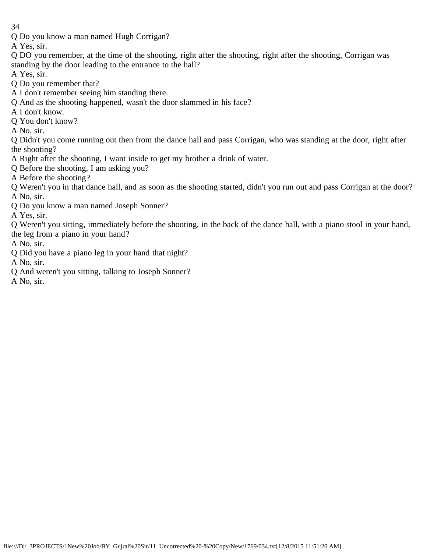Q Do you know a man named Hugh Corrigan?

A Yes, sir.

- Q DO you remember, at the time of the shooting, right after the shooting, right after the shooting, Corrigan was standing by the door leading to the entrance to the hall?
- A Yes, sir.
- Q Do you remember that?
- A I don't remember seeing him standing there.
- Q And as the shooting happened, wasn't the door slammed in his face?
- A I don't know.
- Q You don't know?
- A No, sir.

Q Didn't you come running out then from the dance hall and pass Corrigan, who was standing at the door, right after the shooting?

- A Right after the shooting, I want inside to get my brother a drink of water.
- Q Before the shooting, I am asking you?
- A Before the shooting?
- Q Weren't you in that dance hall, and as soon as the shooting started, didn't you run out and pass Corrigan at the door? A No, sir.
- Q Do you know a man named Joseph Sonner?

A Yes, sir.

Q Weren't you sitting, immediately before the shooting, in the back of the dance hall, with a piano stool in your hand, the leg from a piano in your hand?

A No, sir.

Q Did you have a piano leg in your hand that night?

A No, sir.

Q And weren't you sitting, talking to Joseph Sonner?

A No, sir.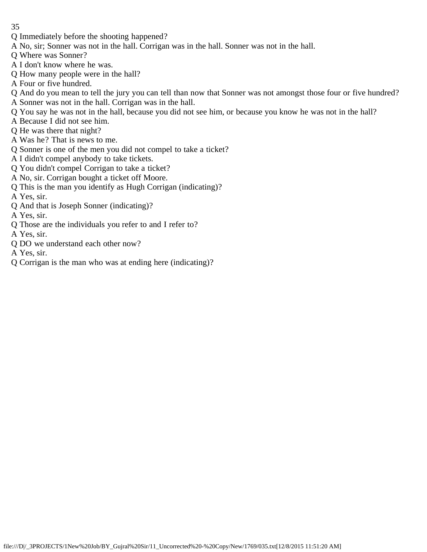- 35
- Q Immediately before the shooting happened?
- A No, sir; Sonner was not in the hall. Corrigan was in the hall. Sonner was not in the hall.
- Q Where was Sonner?
- A I don't know where he was.
- Q How many people were in the hall?
- A Four or five hundred.
- Q And do you mean to tell the jury you can tell than now that Sonner was not amongst those four or five hundred?
- A Sonner was not in the hall. Corrigan was in the hall.
- Q You say he was not in the hall, because you did not see him, or because you know he was not in the hall?
- A Because I did not see him.
- Q He was there that night?
- A Was he? That is news to me.
- Q Sonner is one of the men you did not compel to take a ticket?
- A I didn't compel anybody to take tickets.
- Q You didn't compel Corrigan to take a ticket?
- A No, sir. Corrigan bought a ticket off Moore.
- Q This is the man you identify as Hugh Corrigan (indicating)?
- A Yes, sir.
- Q And that is Joseph Sonner (indicating)?
- A Yes, sir.
- Q Those are the individuals you refer to and I refer to?
- A Yes, sir.
- Q DO we understand each other now?
- A Yes, sir.
- Q Corrigan is the man who was at ending here (indicating)?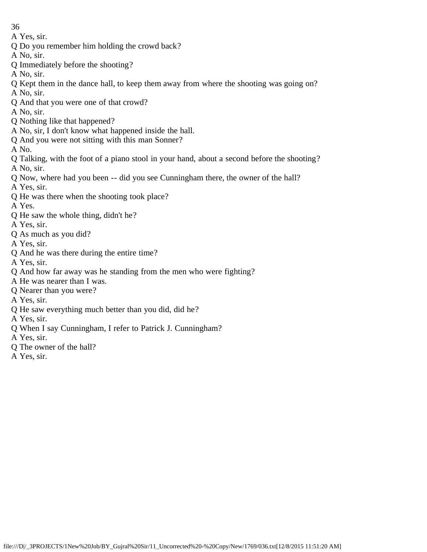- A Yes, sir.
- Q Do you remember him holding the crowd back?
- A No, sir.
- Q Immediately before the shooting?
- A No, sir.
- Q Kept them in the dance hall, to keep them away from where the shooting was going on? A No, sir.
- Q And that you were one of that crowd?
- A No, sir.
- Q Nothing like that happened?
- A No, sir, I don't know what happened inside the hall.
- Q And you were not sitting with this man Sonner?
- A No.
- Q Talking, with the foot of a piano stool in your hand, about a second before the shooting? A No, sir.
- Q Now, where had you been -- did you see Cunningham there, the owner of the hall?
- A Yes, sir.
- Q He was there when the shooting took place?
- A Yes.
- Q He saw the whole thing, didn't he?
- A Yes, sir.
- Q As much as you did?
- A Yes, sir.
- Q And he was there during the entire time?
- A Yes, sir.
- Q And how far away was he standing from the men who were fighting?
- A He was nearer than I was.
- Q Nearer than you were?
- A Yes, sir.
- Q He saw everything much better than you did, did he?
- A Yes, sir.
- Q When I say Cunningham, I refer to Patrick J. Cunningham?
- A Yes, sir.
- Q The owner of the hall?
- A Yes, sir.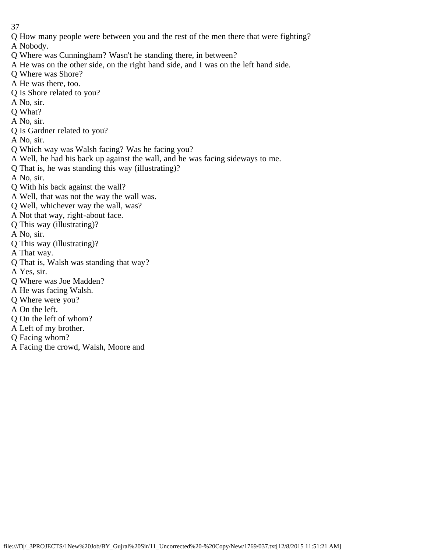Q How many people were between you and the rest of the men there that were fighting?

A Nobody.

- Q Where was Cunningham? Wasn't he standing there, in between?
- A He was on the other side, on the right hand side, and I was on the left hand side.
- Q Where was Shore?
- A He was there, too.
- Q Is Shore related to you?
- A No, sir.
- Q What?
- A No, sir.
- Q Is Gardner related to you?
- A No, sir.
- Q Which way was Walsh facing? Was he facing you?
- A Well, he had his back up against the wall, and he was facing sideways to me.
- Q That is, he was standing this way (illustrating)?
- A No, sir.
- Q With his back against the wall?
- A Well, that was not the way the wall was.
- Q Well, whichever way the wall, was?
- A Not that way, right-about face.
- Q This way (illustrating)?
- A No, sir.
- Q This way (illustrating)?
- A That way.
- Q That is, Walsh was standing that way?
- A Yes, sir.
- Q Where was Joe Madden?
- A He was facing Walsh.
- Q Where were you?
- A On the left.
- Q On the left of whom?
- A Left of my brother.
- Q Facing whom?
- A Facing the crowd, Walsh, Moore and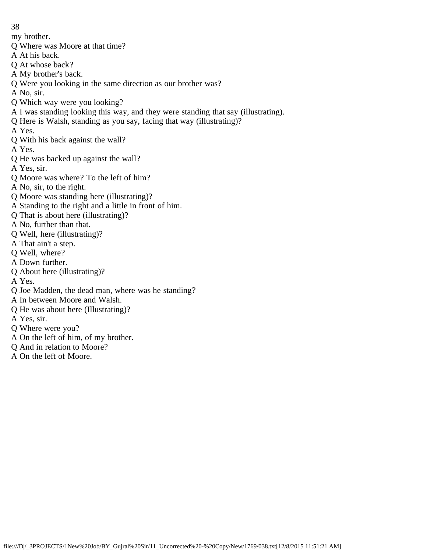- 38
- my brother.
- Q Where was Moore at that time?
- A At his back.
- Q At whose back?
- A My brother's back.
- Q Were you looking in the same direction as our brother was?
- A No, sir.
- Q Which way were you looking?
- A I was standing looking this way, and they were standing that say (illustrating).
- Q Here is Walsh, standing as you say, facing that way (illustrating)?
- A Yes.
- Q With his back against the wall?
- A Yes.
- Q He was backed up against the wall?
- A Yes, sir.
- Q Moore was where? To the left of him?
- A No, sir, to the right.
- Q Moore was standing here (illustrating)?
- A Standing to the right and a little in front of him.
- Q That is about here (illustrating)?
- A No, further than that.
- Q Well, here (illustrating)?
- A That ain't a step.
- Q Well, where?
- A Down further.
- Q About here (illustrating)?
- A Yes.
- Q Joe Madden, the dead man, where was he standing?
- A In between Moore and Walsh.
- Q He was about here (Illustrating)?
- A Yes, sir.
- Q Where were you?
- A On the left of him, of my brother.
- Q And in relation to Moore?
- A On the left of Moore.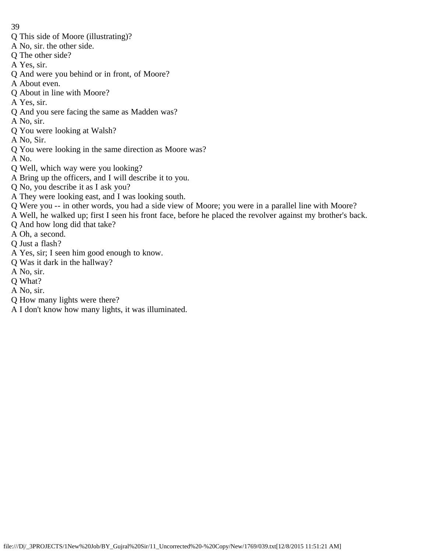- Q This side of Moore (illustrating)?
- A No, sir. the other side.
- Q The other side?
- A Yes, sir.
- Q And were you behind or in front, of Moore?
- A About even.
- Q About in line with Moore?
- A Yes, sir.
- Q And you sere facing the same as Madden was?
- A No, sir.
- Q You were looking at Walsh?
- A No, Sir.
- Q You were looking in the same direction as Moore was?
- A No.
- Q Well, which way were you looking?
- A Bring up the officers, and I will describe it to you.
- Q No, you describe it as I ask you?
- A They were looking east, and I was looking south.
- Q Were you -- in other words, you had a side view of Moore; you were in a parallel line with Moore?
- A Well, he walked up; first I seen his front face, before he placed the revolver against my brother's back.
- Q And how long did that take?
- A Oh, a second.
- Q Just a flash?
- A Yes, sir; I seen him good enough to know.
- Q Was it dark in the hallway?
- A No, sir.
- Q What?
- A No, sir.
- Q How many lights were there?
- A I don't know how many lights, it was illuminated.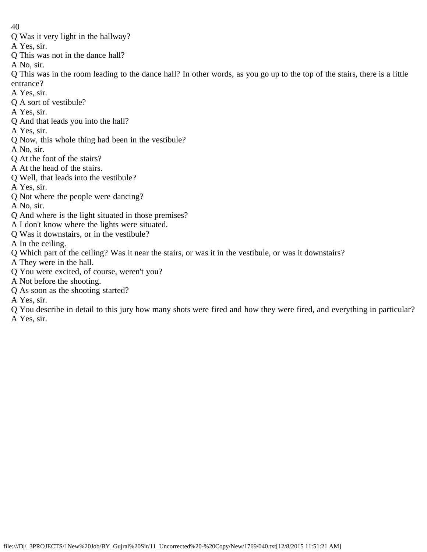- Q Was it very light in the hallway?
- A Yes, sir.
- Q This was not in the dance hall?

A No, sir.

Q This was in the room leading to the dance hall? In other words, as you go up to the top of the stairs, there is a little entrance?

- A Yes, sir.
- Q A sort of vestibule?
- A Yes, sir.
- Q And that leads you into the hall?
- A Yes, sir.
- Q Now, this whole thing had been in the vestibule?
- A No, sir.
- Q At the foot of the stairs?
- A At the head of the stairs.
- Q Well, that leads into the vestibule?
- A Yes, sir.
- Q Not where the people were dancing?
- A No, sir.
- Q And where is the light situated in those premises?
- A I don't know where the lights were situated.
- Q Was it downstairs, or in the vestibule?
- A In the ceiling.
- Q Which part of the ceiling? Was it near the stairs, or was it in the vestibule, or was it downstairs?
- A They were in the hall.
- Q You were excited, of course, weren't you?
- A Not before the shooting.
- Q As soon as the shooting started?
- A Yes, sir.
- Q You describe in detail to this jury how many shots were fired and how they were fired, and everything in particular? A Yes, sir.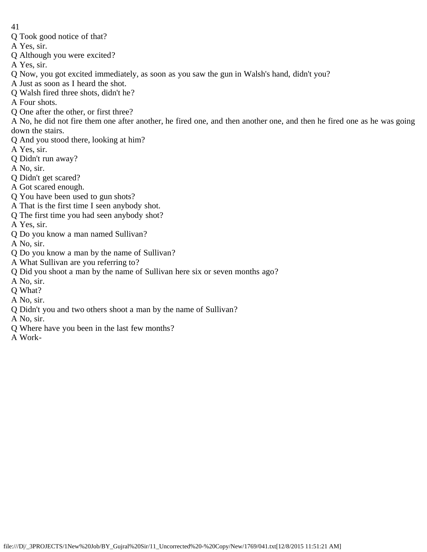- 41
- Q Took good notice of that?
- A Yes, sir.
- Q Although you were excited?
- A Yes, sir.
- Q Now, you got excited immediately, as soon as you saw the gun in Walsh's hand, didn't you?
- A Just as soon as I heard the shot.
- Q Walsh fired three shots, didn't he?
- A Four shots.
- Q One after the other, or first three?
- A No, he did not fire them one after another, he fired one, and then another one, and then he fired one as he was going down the stairs.
- Q And you stood there, looking at him?
- A Yes, sir.
- Q Didn't run away?
- A No, sir.
- Q Didn't get scared?
- A Got scared enough.
- Q You have been used to gun shots?
- A That is the first time I seen anybody shot.
- Q The first time you had seen anybody shot?
- A Yes, sir.
- Q Do you know a man named Sullivan?
- A No, sir.
- Q Do you know a man by the name of Sullivan?
- A What Sullivan are you referring to?
- Q Did you shoot a man by the name of Sullivan here six or seven months ago?
- A No, sir.
- Q What?
- A No, sir.
- Q Didn't you and two others shoot a man by the name of Sullivan?
- A No, sir.
- Q Where have you been in the last few months?
- A Work-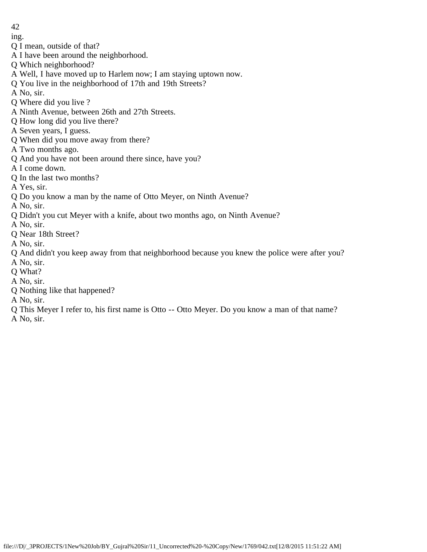- ing.
- Q I mean, outside of that?
- A I have been around the neighborhood.
- Q Which neighborhood?
- A Well, I have moved up to Harlem now; I am staying uptown now.
- Q You live in the neighborhood of 17th and 19th Streets?
- A No, sir.
- Q Where did you live ?
- A Ninth Avenue, between 26th and 27th Streets.
- Q How long did you live there?
- A Seven years, I guess.
- Q When did you move away from there?
- A Two months ago.
- Q And you have not been around there since, have you?
- A I come down.
- Q In the last two months?
- A Yes, sir.
- Q Do you know a man by the name of Otto Meyer, on Ninth Avenue?
- A No, sir.
- Q Didn't you cut Meyer with a knife, about two months ago, on Ninth Avenue?
- A No, sir.
- Q Near 18th Street?
- A No, sir.
- Q And didn't you keep away from that neighborhood because you knew the police were after you?
- A No, sir.
- Q What?
- A No, sir.
- Q Nothing like that happened?
- A No, sir.
- Q This Meyer I refer to, his first name is Otto -- Otto Meyer. Do you know a man of that name?
- A No, sir.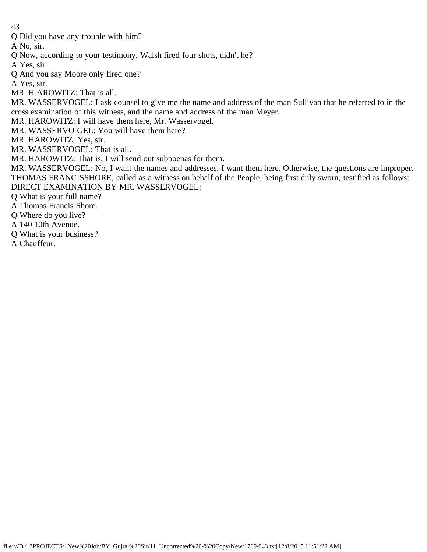Q Did you have any trouble with him?

A No, sir.

Q Now, according to your testimony, Walsh fired four shots, didn't he?

A Yes, sir.

Q And you say Moore only fired one?

A Yes, sir.

MR. H AROWITZ: That is all.

MR. WASSERVOGEL: I ask counsel to give me the name and address of the man Sullivan that he referred to in the cross examination of this witness, and the name and address of the man Meyer.

MR. HAROWITZ: I will have them here, Mr. Wasservogel.

MR. WASSERVO GEL: You will have them here?

MR. HAROWITZ: Yes, sir.

MR. WASSERVOGEL: That is all.

MR. HAROWITZ: That is, I will send out subpoenas for them.

MR. WASSERVOGEL: No, I want the names and addresses. I want them here. Otherwise, the questions are improper. THOMAS FRANCISSHORE, called as a witness on behalf of the People, being first duly sworn, testified as follows: DIRECT EXAMINATION BY MR. WASSERVOGEL:

Q What is your full name?

A Thomas Francis Shore.

Q Where do you live?

A 140 10th Avenue.

Q What is your business?

A Chauffeur.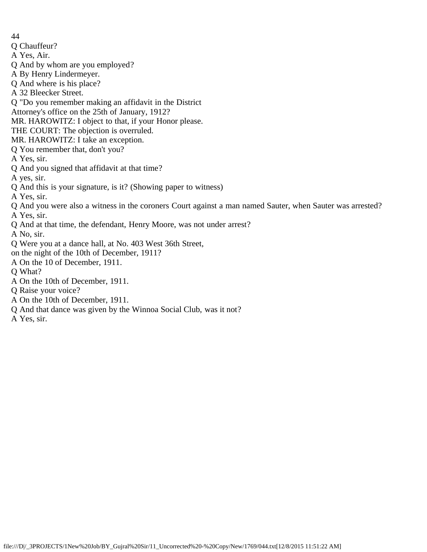- 44
- Q Chauffeur?
- A Yes, Air.
- Q And by whom are you employed?
- A By Henry Lindermeyer.
- Q And where is his place?
- A 32 Bleecker Street.
- Q "Do you remember making an affidavit in the District
- Attorney's office on the 25th of January, 1912?
- MR. HAROWITZ: I object to that, if your Honor please.
- THE COURT: The objection is overruled.
- MR. HAROWITZ: I take an exception.
- Q You remember that, don't you?
- A Yes, sir.
- Q And you signed that affidavit at that time?
- A yes, sir.
- Q And this is your signature, is it? (Showing paper to witness)
- A Yes, sir.
- Q And you were also a witness in the coroners Court against a man named Sauter, when Sauter was arrested? A Yes, sir.
- Q And at that time, the defendant, Henry Moore, was not under arrest?
- A No, sir.
- Q Were you at a dance hall, at No. 403 West 36th Street,
- on the night of the 10th of December, 1911?
- A On the 10 of December, 1911.
- Q What?
- A On the 10th of December, 1911.
- Q Raise your voice?
- A On the 10th of December, 1911.
- Q And that dance was given by the Winnoa Social Club, was it not?
- A Yes, sir.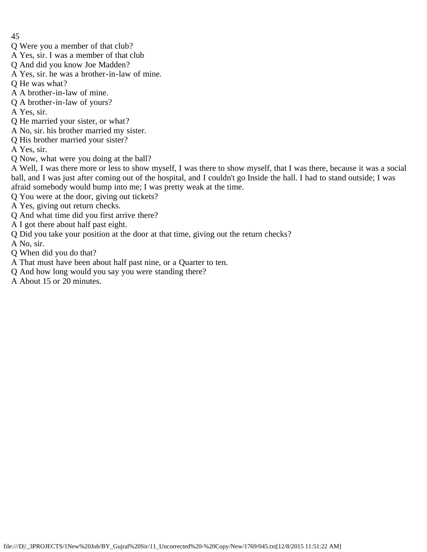- 45
- Q Were you a member of that club?
- A Yes, sir. I was a member of that club
- Q And did you know Joe Madden?
- A Yes, sir. he was a brother-in-law of mine.
- Q He was what?
- A A brother-in-law of mine.
- Q A brother-in-law of yours?
- A Yes, sir.
- Q He married your sister, or what?
- A No, sir. his brother married my sister.
- Q His brother married your sister?
- A Yes, sir.
- Q Now, what were you doing at the ball?

A Well, I was there more or less to show myself, I was there to show myself, that I was there, because it was a social ball, and I was just after coming out of the hospital, and I couldn't go Inside the hall. I had to stand outside; I was afraid somebody would bump into me; I was pretty weak at the time.

- Q You were at the door, giving out tickets?
- A Yes, giving out return checks.
- Q And what time did you first arrive there?
- A I got there about half past eight.
- Q Did you take your position at the door at that time, giving out the return checks?
- A No, sir.
- Q When did you do that?
- A That must have been about half past nine, or a Quarter to ten.
- Q And how long would you say you were standing there?
- A About 15 or 20 minutes.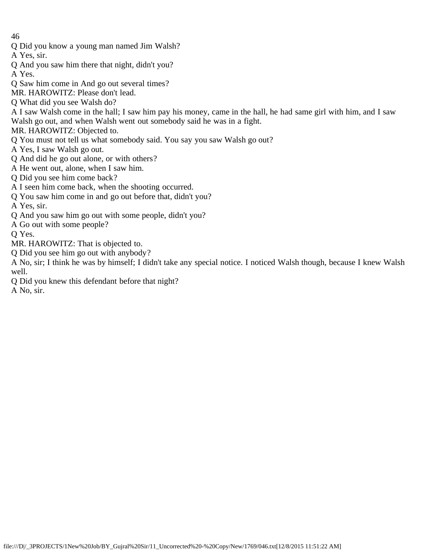- Q Did you know a young man named Jim Walsh?
- A Yes, sir.
- Q And you saw him there that night, didn't you?

A Yes.

- Q Saw him come in And go out several times?
- MR. HAROWITZ: Please don't lead.
- Q What did you see Walsh do?
- A I saw Walsh come in the hall; I saw him pay his money, came in the hall, he had same girl with him, and I saw Walsh go out, and when Walsh went out somebody said he was in a fight.
- MR. HAROWITZ: Objected to.
- Q You must not tell us what somebody said. You say you saw Walsh go out?
- A Yes, I saw Walsh go out.
- Q And did he go out alone, or with others?
- A He went out, alone, when I saw him.
- Q Did you see him come back?
- A I seen him come back, when the shooting occurred.
- Q You saw him come in and go out before that, didn't you?
- A Yes, sir.
- Q And you saw him go out with some people, didn't you?
- A Go out with some people?
- Q Yes.
- MR. HAROWITZ: That is objected to.
- Q Did you see him go out with anybody?
- A No, sir; I think he was by himself; I didn't take any special notice. I noticed Walsh though, because I knew Walsh well.
- Q Did you knew this defendant before that night?
- A No, sir.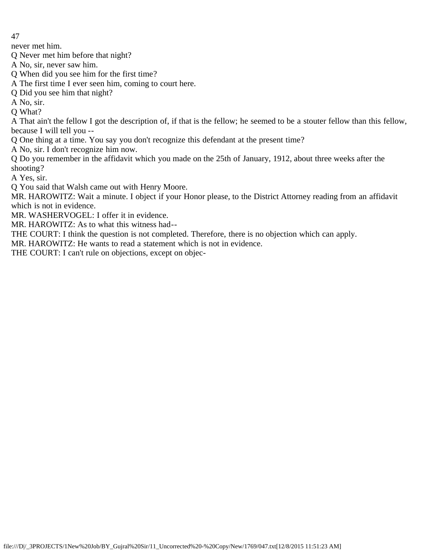never met him.

Q Never met him before that night?

- A No, sir, never saw him.
- Q When did you see him for the first time?
- A The first time I ever seen him, coming to court here.
- Q Did you see him that night?
- A No, sir.
- Q What?

A That ain't the fellow I got the description of, if that is the fellow; he seemed to be a stouter fellow than this fellow, because I will tell you --

Q One thing at a time. You say you don't recognize this defendant at the present time?

A No, sir. I don't recognize him now.

Q Do you remember in the affidavit which you made on the 25th of January, 1912, about three weeks after the shooting?

A Yes, sir.

Q You said that Walsh came out with Henry Moore.

MR. HAROWITZ: Wait a minute. I object if your Honor please, to the District Attorney reading from an affidavit which is not in evidence.

MR. WASHERVOGEL: I offer it in evidence.

MR. HAROWITZ: As to what this witness had--

THE COURT: I think the question is not completed. Therefore, there is no objection which can apply.

MR. HAROWITZ: He wants to read a statement which is not in evidence.

THE COURT: I can't rule on objections, except on objec-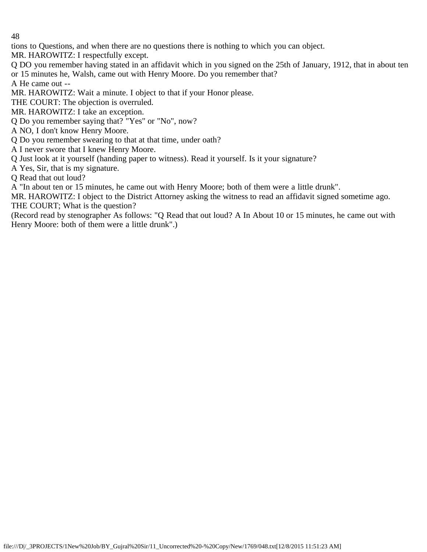tions to Questions, and when there are no questions there is nothing to which you can object.

MR. HAROWITZ: I respectfully except.

Q DO you remember having stated in an affidavit which in you signed on the 25th of January, 1912, that in about ten or 15 minutes he, Walsh, came out with Henry Moore. Do you remember that?

A He came out --

MR. HAROWITZ: Wait a minute. I object to that if your Honor please.

THE COURT: The objection is overruled.

MR. HAROWITZ: I take an exception.

Q Do you remember saying that? "Yes" or "No", now?

A NO, I don't know Henry Moore.

Q Do you remember swearing to that at that time, under oath?

A I never swore that I knew Henry Moore.

Q Just look at it yourself (handing paper to witness). Read it yourself. Is it your signature?

A Yes, Sir, that is my signature.

Q Read that out loud?

A "In about ten or 15 minutes, he came out with Henry Moore; both of them were a little drunk".

MR. HAROWITZ: I object to the District Attorney asking the witness to read an affidavit signed sometime ago. THE COURT; What is the question?

(Record read by stenographer As follows: "Q Read that out loud? A In About 10 or 15 minutes, he came out with Henry Moore: both of them were a little drunk".)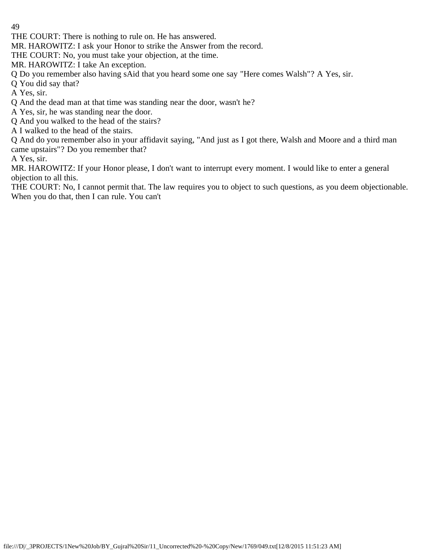THE COURT: There is nothing to rule on. He has answered.

MR. HAROWITZ: I ask your Honor to strike the Answer from the record.

THE COURT: No, you must take your objection, at the time.

MR. HAROWITZ: I take An exception.

Q Do you remember also having sAid that you heard some one say "Here comes Walsh"? A Yes, sir.

Q You did say that?

A Yes, sir.

Q And the dead man at that time was standing near the door, wasn't he?

A Yes, sir, he was standing near the door.

Q And you walked to the head of the stairs?

A I walked to the head of the stairs.

Q And do you remember also in your affidavit saying, "And just as I got there, Walsh and Moore and a third man came upstairs"? Do you remember that?

A Yes, sir.

MR. HAROWITZ: If your Honor please, I don't want to interrupt every moment. I would like to enter a general objection to all this.

THE COURT: No, I cannot permit that. The law requires you to object to such questions, as you deem objectionable. When you do that, then I can rule. You can't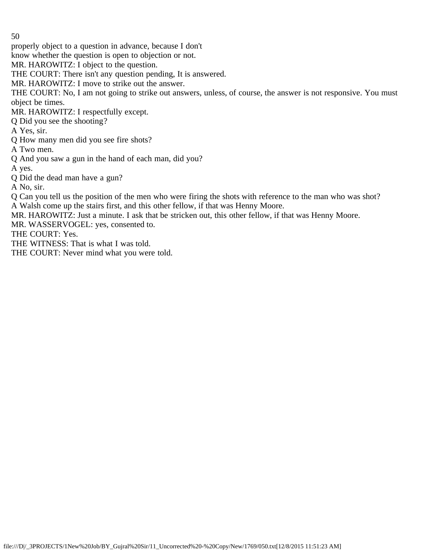properly object to a question in advance, because I don't

know whether the question is open to objection or not.

MR. HAROWITZ: I object to the question.

THE COURT: There isn't any question pending, It is answered.

MR. HAROWITZ: I move to strike out the answer.

THE COURT: No, I am not going to strike out answers, unless, of course, the answer is not responsive. You must object be times.

MR. HAROWITZ: I respectfully except.

Q Did you see the shooting?

A Yes, sir.

Q How many men did you see fire shots?

A Two men.

Q And you saw a gun in the hand of each man, did you?

A yes.

Q Did the dead man have a gun?

A No, sir.

Q Can you tell us the position of the men who were firing the shots with reference to the man who was shot? A Walsh come up the stairs first, and this other fellow, if that was Henny Moore.

MR. HAROWITZ: Just a minute. I ask that be stricken out, this other fellow, if that was Henny Moore.

MR. WASSERVOGEL: yes, consented to.

THE COURT: Yes.

THE WITNESS: That is what I was told.

THE COURT: Never mind what you were told.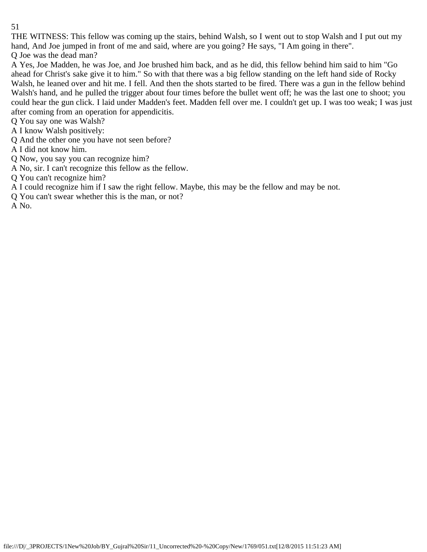THE WITNESS: This fellow was coming up the stairs, behind Walsh, so I went out to stop Walsh and I put out my hand, And Joe jumped in front of me and said, where are you going? He says, "I Am going in there".

Q Joe was the dead man?

A Yes, Joe Madden, he was Joe, and Joe brushed him back, and as he did, this fellow behind him said to him "Go ahead for Christ's sake give it to him." So with that there was a big fellow standing on the left hand side of Rocky Walsh, he leaned over and hit me. I fell. And then the shots started to be fired. There was a gun in the fellow behind Walsh's hand, and he pulled the trigger about four times before the bullet went off; he was the last one to shoot; you could hear the gun click. I laid under Madden's feet. Madden fell over me. I couldn't get up. I was too weak; I was just after coming from an operation for appendicitis.

Q You say one was Walsh?

A I know Walsh positively:

Q And the other one you have not seen before?

A I did not know him.

Q Now, you say you can recognize him?

A No, sir. I can't recognize this fellow as the fellow.

Q You can't recognize him?

A I could recognize him if I saw the right fellow. Maybe, this may be the fellow and may be not.

Q You can't swear whether this is the man, or not?

A No.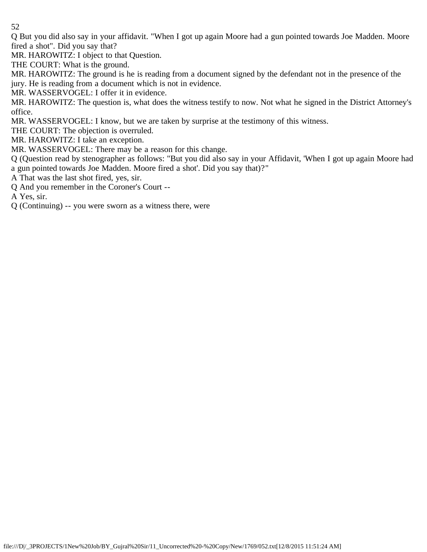Q But you did also say in your affidavit. "When I got up again Moore had a gun pointed towards Joe Madden. Moore fired a shot". Did you say that?

MR. HAROWITZ: I object to that Question.

THE COURT: What is the ground.

MR. HAROWITZ: The ground is he is reading from a document signed by the defendant not in the presence of the jury. He is reading from a document which is not in evidence.

MR. WASSERVOGEL: I offer it in evidence.

MR. HAROWITZ: The question is, what does the witness testify to now. Not what he signed in the District Attorney's office.

MR. WASSERVOGEL: I know, but we are taken by surprise at the testimony of this witness.

THE COURT: The objection is overruled.

MR. HAROWITZ: I take an exception.

MR. WASSERVOGEL: There may be a reason for this change.

Q (Question read by stenographer as follows: "But you did also say in your Affidavit, 'When I got up again Moore had a gun pointed towards Joe Madden. Moore fired a shot'. Did you say that)?"

A That was the last shot fired, yes, sir.

Q And you remember in the Coroner's Court --

A Yes, sir.

Q (Continuing) -- you were sworn as a witness there, were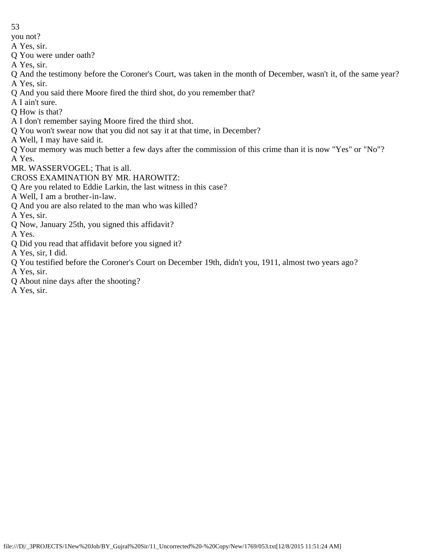you not?

- A Yes, sir.
- Q You were under oath?
- A Yes, sir.
- Q And the testimony before the Coroner's Court, was taken in the month of December, wasn't it, of the same year? A Yes, sir.
- Q And you said there Moore fired the third shot, do you remember that?
- A I ain't sure.
- Q How is that?
- A I don't remember saying Moore fired the third shot.
- Q You won't swear now that you did not say it at that time, in December?
- A Well, I may have said it.
- Q Your memory was much better a few days after the commission of this crime than it is now "Yes" or "No"? A Yes.
- MR. WASSERVOGEL; That is all.
- CROSS EXAMINATION BY MR. HAROWITZ:
- Q Are you related to Eddie Larkin, the last witness in this case?
- A Well, I am a brother-in-law.
- Q And you are also related to the man who was killed?
- A Yes, sir.
- Q Now, January 25th, you signed this affidavit?
- A Yes.
- Q Did you read that affidavit before you signed it?
- A Yes, sir, I did.
- Q You testified before the Coroner's Court on December 19th, didn't you, 1911, almost two years ago?
- A Yes, sir.
- Q About nine days after the shooting?
- A Yes, sir.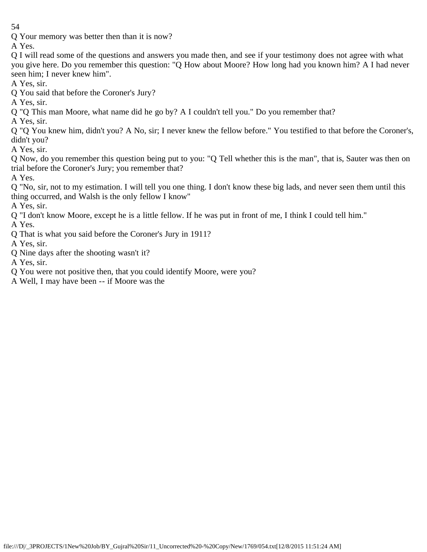Q Your memory was better then than it is now?

A Yes.

Q I will read some of the questions and answers you made then, and see if your testimony does not agree with what you give here. Do you remember this question: "Q How about Moore? How long had you known him? A I had never seen him; I never knew him".

A Yes, sir.

Q You said that before the Coroner's Jury?

A Yes, sir.

Q "Q This man Moore, what name did he go by? A I couldn't tell you." Do you remember that?

A Yes, sir.

Q "Q You knew him, didn't you? A No, sir; I never knew the fellow before." You testified to that before the Coroner's, didn't you?

A Yes, sir.

Q Now, do you remember this question being put to you: "Q Tell whether this is the man", that is, Sauter was then on trial before the Coroner's Jury; you remember that?

A Yes.

Q "No, sir, not to my estimation. I will tell you one thing. I don't know these big lads, and never seen them until this thing occurred, and Walsh is the only fellow I know"

A Yes, sir.

Q "I don't know Moore, except he is a little fellow. If he was put in front of me, I think I could tell him."

A Yes.

Q That is what you said before the Coroner's Jury in 1911?

A Yes, sir.

Q Nine days after the shooting wasn't it?

A Yes, sir.

Q You were not positive then, that you could identify Moore, were you?

A Well, I may have been -- if Moore was the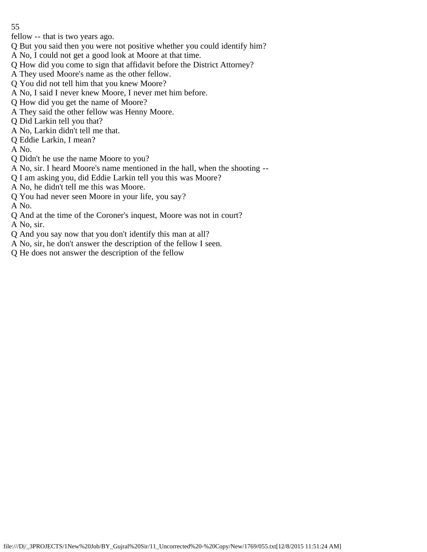fellow -- that is two years ago.

- Q But you said then you were not positive whether you could identify him?
- A No, I could not get a good look at Moore at that time.
- Q How did you come to sign that affidavit before the District Attorney?
- A They used Moore's name as the other fellow.
- Q You did not tell him that you knew Moore?
- A No, I said I never knew Moore, I never met him before.
- Q How did you get the name of Moore?
- A They said the other fellow was Henny Moore.
- Q Did Larkin tell you that?
- A No, Larkin didn't tell me that.
- Q Eddie Larkin, I mean?
- A No.
- Q Didn't he use the name Moore to you?
- A No, sir. I heard Moore's name mentioned in the hall, when the shooting --
- Q I am asking you, did Eddie Larkin tell you this was Moore?
- A No, he didn't tell me this was Moore.
- Q You had never seen Moore in your life, you say?

A No.

Q And at the time of the Coroner's inquest, Moore was not in court?

A No, sir.

- Q And you say now that you don't identify this man at all?
- A No, sir, he don't answer the description of the fellow I seen.
- Q He does not answer the description of the fellow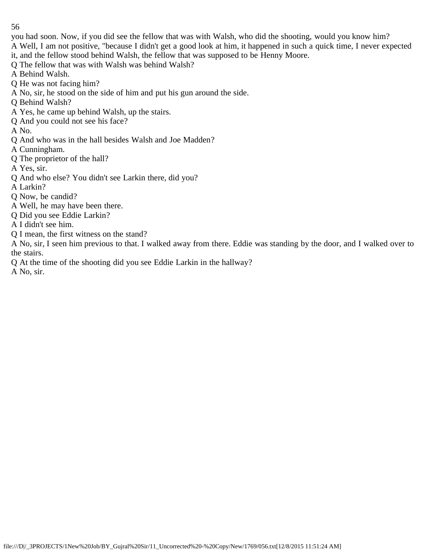you had soon. Now, if you did see the fellow that was with Walsh, who did the shooting, would you know him? A Well, I am not positive, "because I didn't get a good look at him, it happened in such a quick time, I never expected it, and the fellow stood behind Walsh, the fellow that was supposed to be Henny Moore.

Q The fellow that was with Walsh was behind Walsh?

A Behind Walsh.

Q He was not facing him?

- A No, sir, he stood on the side of him and put his gun around the side.
- Q Behind Walsh?
- A Yes, he came up behind Walsh, up the stairs.
- Q And you could not see his face?
- A No.
- Q And who was in the hall besides Walsh and Joe Madden?

A Cunningham.

Q The proprietor of the hall?

A Yes, sir.

- Q And who else? You didn't see Larkin there, did you?
- A Larkin?

Q Now, be candid?

A Well, he may have been there.

Q Did you see Eddie Larkin?

A I didn't see him.

Q I mean, the first witness on the stand?

A No, sir, I seen him previous to that. I walked away from there. Eddie was standing by the door, and I walked over to the stairs.

Q At the time of the shooting did you see Eddie Larkin in the hallway?

A No, sir.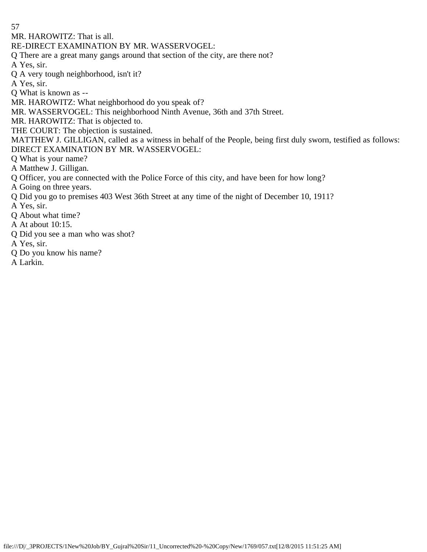MR. HAROWITZ: That is all.

RE-DIRECT EXAMINATION BY MR. WASSERVOGEL:

Q There are a great many gangs around that section of the city, are there not?

A Yes, sir.

Q A very tough neighborhood, isn't it?

A Yes, sir.

Q What is known as --

MR. HAROWITZ: What neighborhood do you speak of?

MR. WASSERVOGEL: This neighborhood Ninth Avenue, 36th and 37th Street.

MR. HAROWITZ: That is objected to.

THE COURT: The objection is sustained.

MATTHEW J. GILLIGAN, called as a witness in behalf of the People, being first duly sworn, testified as follows: DIRECT EXAMINATION BY MR. WASSERVOGEL:

Q What is your name?

A Matthew J. Gilligan.

Q Officer, you are connected with the Police Force of this city, and have been for how long?

A Going on three years.

Q Did you go to premises 403 West 36th Street at any time of the night of December 10, 1911?

A Yes, sir.

Q About what time?

A At about 10:15.

Q Did you see a man who was shot?

A Yes, sir.

Q Do you know his name?

A Larkin.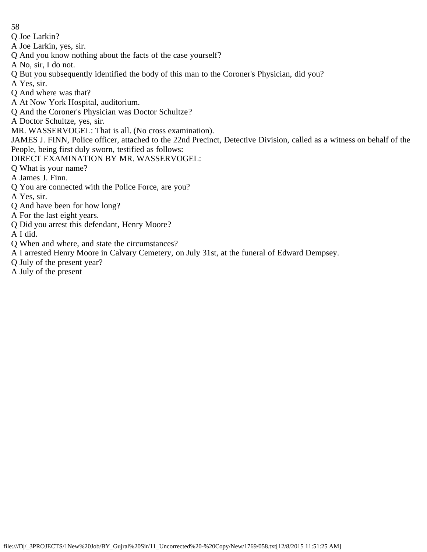- 58
- Q Joe Larkin?
- A Joe Larkin, yes, sir.
- Q And you know nothing about the facts of the case yourself?
- A No, sir, I do not.
- Q But you subsequently identified the body of this man to the Coroner's Physician, did you?
- A Yes, sir.
- Q And where was that?
- A At Now York Hospital, auditorium.
- Q And the Coroner's Physician was Doctor Schultze?
- A Doctor Schultze, yes, sir.
- MR. WASSERVOGEL: That is all. (No cross examination).
- JAMES J. FINN, Police officer, attached to the 22nd Precinct, Detective Division, called as a witness on behalf of the People, being first duly sworn, testified as follows:
- DIRECT EXAMINATION BY MR. WASSERVOGEL:
- Q What is your name?
- A James J. Finn.
- Q You are connected with the Police Force, are you?
- A Yes, sir.
- Q And have been for how long?
- A For the last eight years.
- Q Did you arrest this defendant, Henry Moore?
- A I did.
- Q When and where, and state the circumstances?
- A I arrested Henry Moore in Calvary Cemetery, on July 31st, at the funeral of Edward Dempsey.
- Q July of the present year?
- A July of the present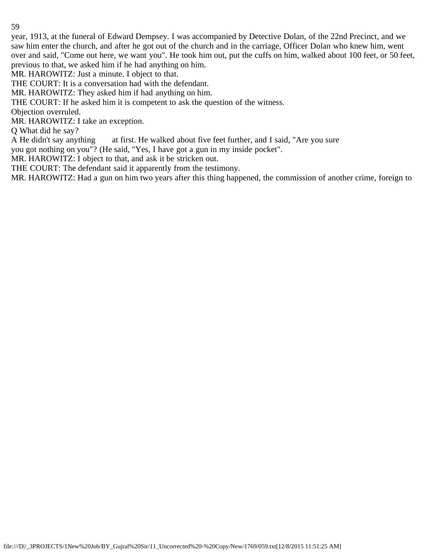year, 1913, at the funeral of Edward Dempsey. I was accompanied by Detective Dolan, of the 22nd Precinct, and we saw him enter the church, and after he got out of the church and in the carriage, Officer Dolan who knew him, went over and said, "Come out here, we want you". He took him out, put the cuffs on him, walked about 100 feet, or 50 feet, previous to that, we asked him if he had anything on him.

MR. HAROWITZ: Just a minute. I object to that.

THE COURT: It is a conversation had with the defendant.

MR. HAROWITZ: They asked him if had anything on him.

THE COURT: If he asked him it is competent to ask the question of the witness.

Objection overruled.

MR. HAROWITZ: I take an exception.

Q What did he say?

A He didn't say anything at first. He walked about five feet further, and I said, "Are you sure

you got nothing on you"? (He said, "Yes, I have got a gun in my inside pocket".

MR. HAROWITZ: I object to that, and ask it be stricken out.

THE COURT: The defendant said it apparently from the testimony.

MR. HAROWITZ: Had a gun on him two years after this thing happened, the commission of another crime, foreign to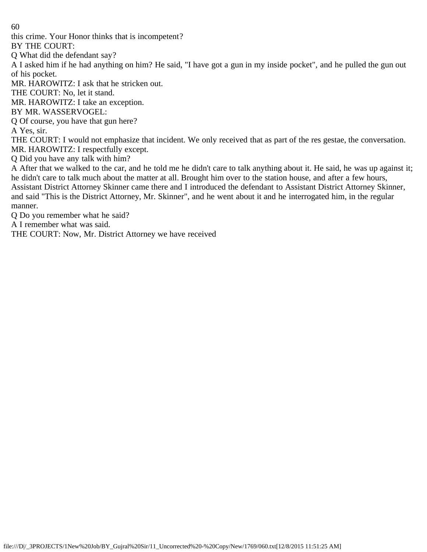this crime. Your Honor thinks that is incompetent?

BY THE COURT:

Q What did the defendant say?

A I asked him if he had anything on him? He said, "I have got a gun in my inside pocket", and he pulled the gun out of his pocket.

MR. HAROWITZ: I ask that he stricken out.

THE COURT: No, let it stand.

MR. HAROWITZ: I take an exception.

BY MR. WASSERVOGEL:

Q Of course, you have that gun here?

A Yes, sir.

THE COURT: I would not emphasize that incident. We only received that as part of the res gestae, the conversation. MR. HAROWITZ: I respectfully except.

Q Did you have any talk with him?

A After that we walked to the car, and he told me he didn't care to talk anything about it. He said, he was up against it; he didn't care to talk much about the matter at all. Brought him over to the station house, and after a few hours, Assistant District Attorney Skinner came there and I introduced the defendant to Assistant District Attorney Skinner, and said "This is the District Attorney, Mr. Skinner", and he went about it and he interrogated him, in the regular manner.

Q Do you remember what he said?

A I remember what was said.

THE COURT: Now, Mr. District Attorney we have received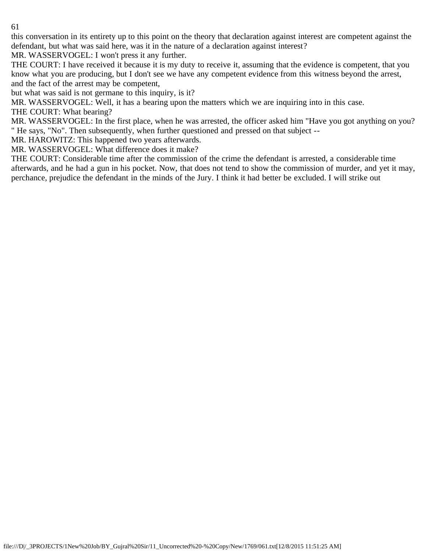this conversation in its entirety up to this point on the theory that declaration against interest are competent against the defendant, but what was said here, was it in the nature of a declaration against interest?

MR. WASSERVOGEL: I won't press it any further.

THE COURT: I have received it because it is my duty to receive it, assuming that the evidence is competent, that you know what you are producing, but I don't see we have any competent evidence from this witness beyond the arrest, and the fact of the arrest may be competent,

but what was said is not germane to this inquiry, is it?

MR. WASSERVOGEL: Well, it has a bearing upon the matters which we are inquiring into in this case.

THE COURT: What bearing?

MR. WASSERVOGEL: In the first place, when he was arrested, the officer asked him "Have you got anything on you? " He says, "No". Then subsequently, when further questioned and pressed on that subject --

MR. HAROWITZ: This happened two years afterwards.

MR. WASSERVOGEL: What difference does it make?

THE COURT: Considerable time after the commission of the crime the defendant is arrested, a considerable time afterwards, and he had a gun in his pocket. Now, that does not tend to show the commission of murder, and yet it may, perchance, prejudice the defendant in the minds of the Jury. I think it had better be excluded. I will strike out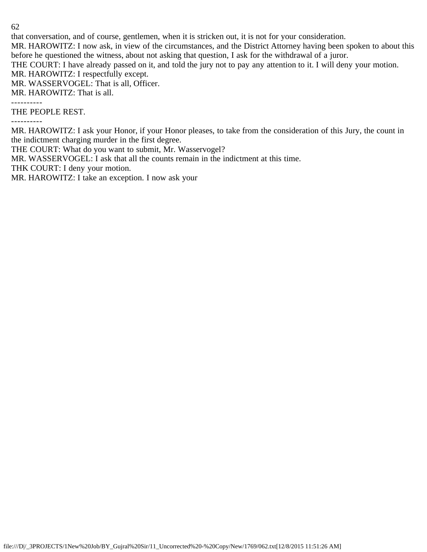that conversation, and of course, gentlemen, when it is stricken out, it is not for your consideration.

MR. HAROWITZ: I now ask, in view of the circumstances, and the District Attorney having been spoken to about this before he questioned the witness, about not asking that question, I ask for the withdrawal of a juror.

THE COURT: I have already passed on it, and told the jury not to pay any attention to it. I will deny your motion.

MR. HAROWITZ: I respectfully except.

MR. WASSERVOGEL: That is all, Officer.

MR. HAROWITZ: That is all.

----------

THE PEOPLE REST.

----------

MR. HAROWITZ: I ask your Honor, if your Honor pleases, to take from the consideration of this Jury, the count in the indictment charging murder in the first degree.

THE COURT: What do you want to submit, Mr. Wasservogel?

MR. WASSERVOGEL: I ask that all the counts remain in the indictment at this time.

THK COURT: I deny your motion.

MR. HAROWITZ: I take an exception. I now ask your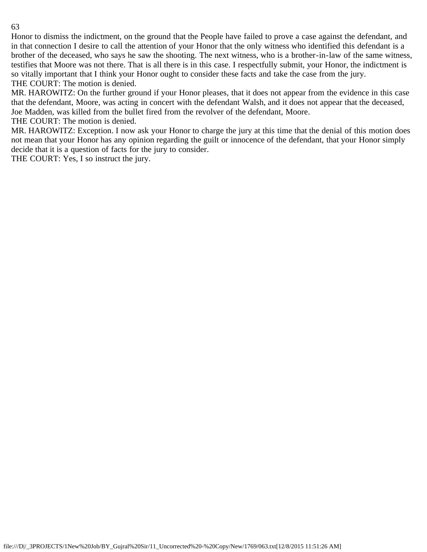Honor to dismiss the indictment, on the ground that the People have failed to prove a case against the defendant, and in that connection I desire to call the attention of your Honor that the only witness who identified this defendant is a brother of the deceased, who says he saw the shooting. The next witness, who is a brother-in-law of the same witness, testifies that Moore was not there. That is all there is in this case. I respectfully submit, your Honor, the indictment is so vitally important that I think your Honor ought to consider these facts and take the case from the jury. THE COURT: The motion is denied.

MR. HAROWITZ: On the further ground if your Honor pleases, that it does not appear from the evidence in this case that the defendant, Moore, was acting in concert with the defendant Walsh, and it does not appear that the deceased, Joe Madden, was killed from the bullet fired from the revolver of the defendant, Moore.

THE COURT: The motion is denied.

MR. HAROWITZ: Exception. I now ask your Honor to charge the jury at this time that the denial of this motion does not mean that your Honor has any opinion regarding the guilt or innocence of the defendant, that your Honor simply decide that it is a question of facts for the jury to consider.

THE COURT: Yes, I so instruct the jury.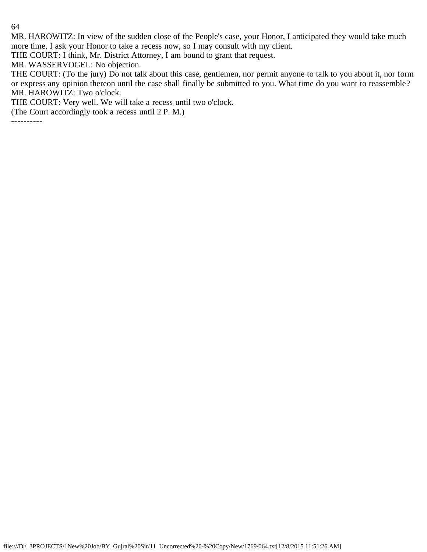MR. HAROWITZ: In view of the sudden close of the People's case, your Honor, I anticipated they would take much more time, I ask your Honor to take a recess now, so I may consult with my client.

THE COURT: I think, Mr. District Attorney, I am bound to grant that request.

MR. WASSERVOGEL: No objection.

THE COURT: (To the jury) Do not talk about this case, gentlemen, nor permit anyone to talk to you about it, nor form or express any opinion thereon until the case shall finally be submitted to you. What time do you want to reassemble? MR. HAROWITZ: Two o'clock.

THE COURT: Very well. We will take a recess until two o'clock.

(The Court accordingly took a recess until 2 P. M.)

----------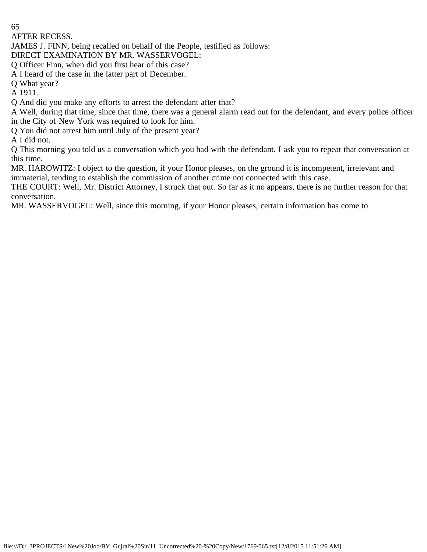AFTER RECESS.

JAMES J. FINN, being recalled on behalf of the People, testified as follows:

DIRECT EXAMINATION BY MR. WASSERVOGEL:

Q Officer Finn, when did you first hear of this case?

A I heard of the case in the latter part of December.

Q What year?

A 1911.

Q And did you make any efforts to arrest the defendant after that?

A Well, during that time, since that time, there was a general alarm read out for the defendant, and every police officer in the City of New York was required to look for him.

Q You did not arrest him until July of the present year?

A I did not.

Q This morning you told us a conversation which you had with the defendant. I ask you to repeat that conversation at this time.

MR. HAROWITZ: I object to the question, if your Honor pleases, on the ground it is incompetent, irrelevant and immaterial, tending to establish the commission of another crime not connected with this case.

THE COURT: Well, Mr. District Attorney, I struck that out. So far as it no appears, there is no further reason for that conversation.

MR. WASSERVOGEL: Well, since this morning, if your Honor pleases, certain information has come to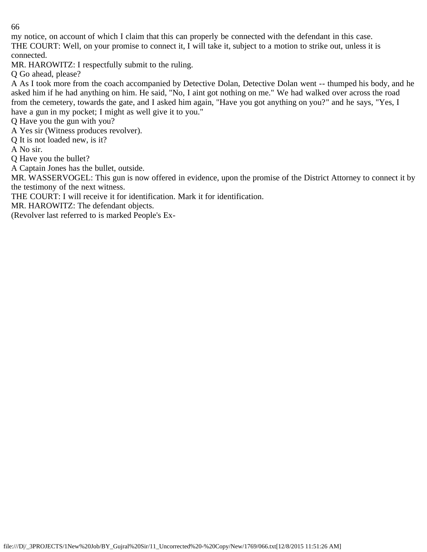my notice, on account of which I claim that this can properly be connected with the defendant in this case. THE COURT: Well, on your promise to connect it, I will take it, subject to a motion to strike out, unless it is connected.

MR. HAROWITZ: I respectfully submit to the ruling.

Q Go ahead, please?

A As I took more from the coach accompanied by Detective Dolan, Detective Dolan went -- thumped his body, and he asked him if he had anything on him. He said, "No, I aint got nothing on me." We had walked over across the road from the cemetery, towards the gate, and I asked him again, "Have you got anything on you?" and he says, "Yes, I have a gun in my pocket; I might as well give it to you."

Q Have you the gun with you?

A Yes sir (Witness produces revolver).

Q It is not loaded new, is it?

A No sir.

Q Have you the bullet?

A Captain Jones has the bullet, outside.

MR. WASSERVOGEL: This gun is now offered in evidence, upon the promise of the District Attorney to connect it by the testimony of the next witness.

THE COURT: I will receive it for identification. Mark it for identification.

MR. HAROWITZ: The defendant objects.

(Revolver last referred to is marked People's Ex-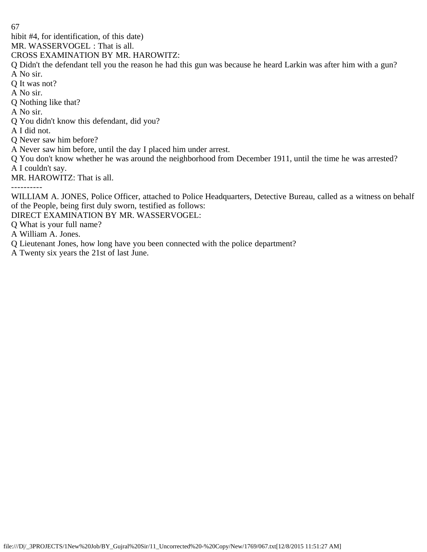hibit #4, for identification, of this date)

MR. WASSERVOGEL : That is all.

CROSS EXAMINATION BY MR. HAROWITZ:

Q Didn't the defendant tell you the reason he had this gun was because he heard Larkin was after him with a gun? A No sir.

Q It was not?

A No sir.

Q Nothing like that?

A No sir.

Q You didn't know this defendant, did you?

A I did not.

Q Never saw him before?

A Never saw him before, until the day I placed him under arrest.

Q You don't know whether he was around the neighborhood from December 1911, until the time he was arrested? A I couldn't say.

MR. HAROWITZ: That is all.

----------

WILLIAM A. JONES, Police Officer, attached to Police Headquarters, Detective Bureau, called as a witness on behalf of the People, being first duly sworn, testified as follows:

DIRECT EXAMINATION BY MR. WASSERVOGEL:

Q What is your full name?

A William A. Jones.

Q Lieutenant Jones, how long have you been connected with the police department?

A Twenty six years the 21st of last June.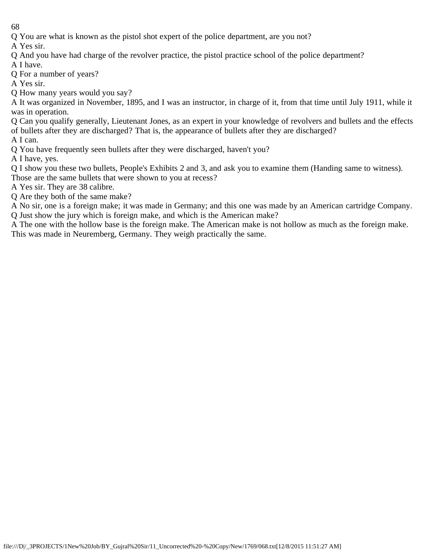Q You are what is known as the pistol shot expert of the police department, are you not?

A Yes sir.

Q And you have had charge of the revolver practice, the pistol practice school of the police department?

A I have. Q For a number of years?

A Yes sir.

Q How many years would you say?

A It was organized in November, 1895, and I was an instructor, in charge of it, from that time until July 1911, while it was in operation.

Q Can you qualify generally, Lieutenant Jones, as an expert in your knowledge of revolvers and bullets and the effects of bullets after they are discharged? That is, the appearance of bullets after they are discharged?

A I can.

Q You have frequently seen bullets after they were discharged, haven't you?

A I have, yes.

Q I show you these two bullets, People's Exhibits 2 and 3, and ask you to examine them (Handing same to witness).

Those are the same bullets that were shown to you at recess?

A Yes sir. They are 38 calibre.

Q Are they both of the same make?

A No sir, one is a foreign make; it was made in Germany; and this one was made by an American cartridge Company. Q Just show the jury which is foreign make, and which is the American make?

A The one with the hollow base is the foreign make. The American make is not hollow as much as the foreign make. This was made in Neuremberg, Germany. They weigh practically the same.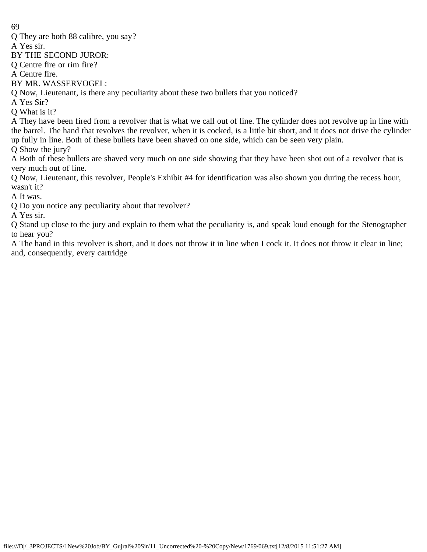Q They are both 88 calibre, you say?

A Yes sir.

BY THE SECOND JUROR:

Q Centre fire or rim fire?

A Centre fire.

BY MR. WASSERVOGEL:

Q Now, Lieutenant, is there any peculiarity about these two bullets that you noticed?

A Yes Sir?

Q What is it?

A They have been fired from a revolver that is what we call out of line. The cylinder does not revolve up in line with the barrel. The hand that revolves the revolver, when it is cocked, is a little bit short, and it does not drive the cylinder up fully in line. Both of these bullets have been shaved on one side, which can be seen very plain.

Q Show the jury?

A Both of these bullets are shaved very much on one side showing that they have been shot out of a revolver that is very much out of line.

Q Now, Lieutenant, this revolver, People's Exhibit #4 for identification was also shown you during the recess hour, wasn't it?

A It was.

Q Do you notice any peculiarity about that revolver?

A Yes sir.

Q Stand up close to the jury and explain to them what the peculiarity is, and speak loud enough for the Stenographer to hear you?

A The hand in this revolver is short, and it does not throw it in line when I cock it. It does not throw it clear in line; and, consequently, every cartridge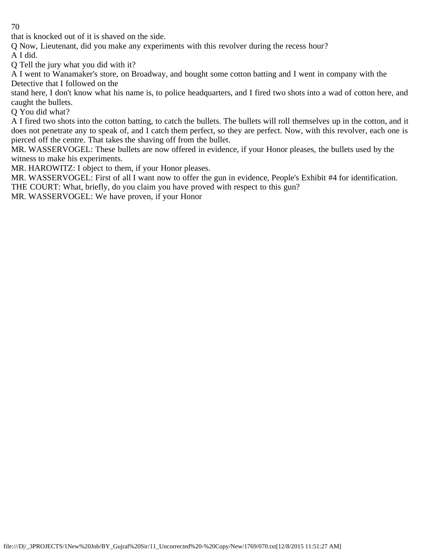that is knocked out of it is shaved on the side.

Q Now, Lieutenant, did you make any experiments with this revolver during the recess hour? A I did.

Q Tell the jury what you did with it?

A I went to Wanamaker's store, on Broadway, and bought some cotton batting and I went in company with the Detective that I followed on the

stand here, I don't know what his name is, to police headquarters, and I fired two shots into a wad of cotton here, and caught the bullets.

Q You did what?

A I fired two shots into the cotton batting, to catch the bullets. The bullets will roll themselves up in the cotton, and it does not penetrate any to speak of, and I catch them perfect, so they are perfect. Now, with this revolver, each one is pierced off the centre. That takes the shaving off from the bullet.

MR. WASSERVOGEL: These bullets are now offered in evidence, if your Honor pleases, the bullets used by the witness to make his experiments.

MR. HAROWITZ: I object to them, if your Honor pleases.

MR. WASSERVOGEL: First of all I want now to offer the gun in evidence, People's Exhibit #4 for identification. THE COURT: What, briefly, do you claim you have proved with respect to this gun?

MR. WASSERVOGEL: We have proven, if your Honor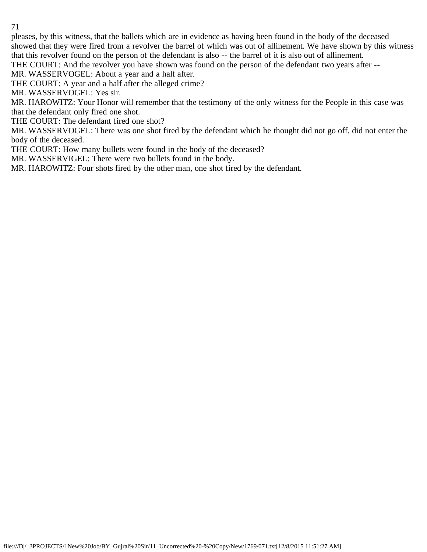pleases, by this witness, that the ballets which are in evidence as having been found in the body of the deceased showed that they were fired from a revolver the barrel of which was out of allinement. We have shown by this witness that this revolver found on the person of the defendant is also -- the barrel of it is also out of allinement.

THE COURT: And the revolver you have shown was found on the person of the defendant two years after --

MR. WASSERVOGEL: About a year and a half after.

THE COURT: A year and a half after the alleged crime?

MR. WASSERVOGEL: Yes sir.

MR. HAROWITZ: Your Honor will remember that the testimony of the only witness for the People in this case was that the defendant only fired one shot.

THE COURT: The defendant fired one shot?

MR. WASSERVOGEL: There was one shot fired by the defendant which he thought did not go off, did not enter the body of the deceased.

THE COURT: How many bullets were found in the body of the deceased?

MR. WASSERVIGEL: There were two bullets found in the body.

MR. HAROWITZ: Four shots fired by the other man, one shot fired by the defendant.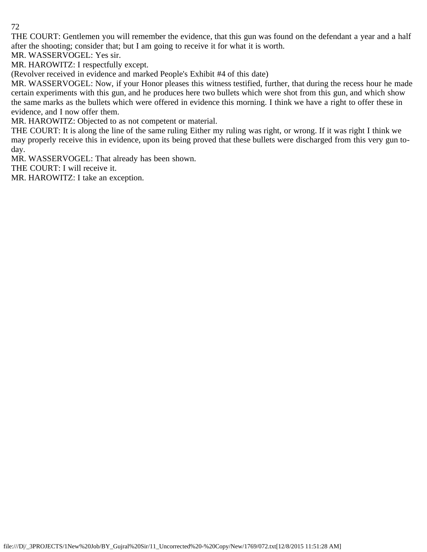THE COURT: Gentlemen you will remember the evidence, that this gun was found on the defendant a year and a half after the shooting; consider that; but I am going to receive it for what it is worth.

MR. WASSERVOGEL: Yes sir.

MR. HAROWITZ: I respectfully except.

(Revolver received in evidence and marked People's Exhibit #4 of this date)

MR. WASSERVOGEL: Now, if your Honor pleases this witness testified, further, that during the recess hour he made certain experiments with this gun, and he produces here two bullets which were shot from this gun, and which show the same marks as the bullets which were offered in evidence this morning. I think we have a right to offer these in evidence, and I now offer them.

MR. HAROWITZ: Objected to as not competent or material.

THE COURT: It is along the line of the same ruling Either my ruling was right, or wrong. If it was right I think we may properly receive this in evidence, upon its being proved that these bullets were discharged from this very gun today.

MR. WASSERVOGEL: That already has been shown.

THE COURT: I will receive it.

MR. HAROWITZ: I take an exception.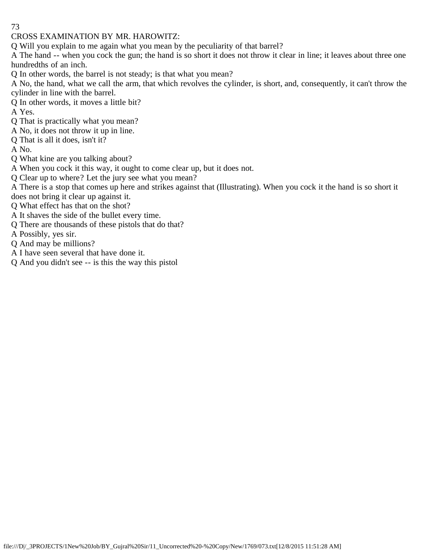# CROSS EXAMINATION BY MR. HAROWITZ:

Q Will you explain to me again what you mean by the peculiarity of that barrel?

A The hand -- when you cock the gun; the hand is so short it does not throw it clear in line; it leaves about three one hundredths of an inch.

Q In other words, the barrel is not steady; is that what you mean?

A No, the hand, what we call the arm, that which revolves the cylinder, is short, and, consequently, it can't throw the cylinder in line with the barrel.

Q In other words, it moves a little bit?

A Yes.

- Q That is practically what you mean?
- A No, it does not throw it up in line.
- Q That is all it does, isn't it?

A No.

Q What kine are you talking about?

A When you cock it this way, it ought to come clear up, but it does not.

Q Clear up to where? Let the jury see what you mean?

A There is a stop that comes up here and strikes against that (Illustrating). When you cock it the hand is so short it does not bring it clear up against it.

Q What effect has that on the shot?

A It shaves the side of the bullet every time.

Q There are thousands of these pistols that do that?

A Possibly, yes sir.

Q And may be millions?

A I have seen several that have done it.

Q And you didn't see -- is this the way this pistol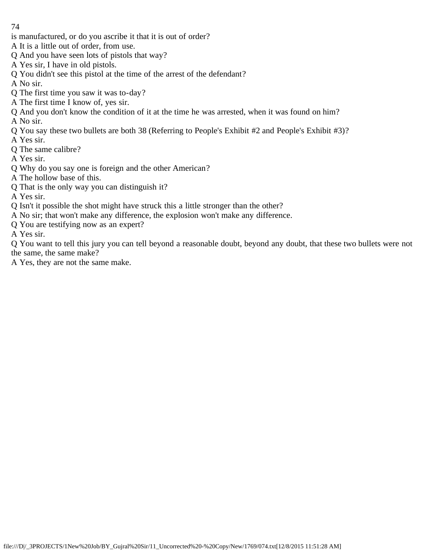is manufactured, or do you ascribe it that it is out of order?

A It is a little out of order, from use.

- Q And you have seen lots of pistols that way?
- A Yes sir, I have in old pistols.
- Q You didn't see this pistol at the time of the arrest of the defendant?
- A No sir.
- Q The first time you saw it was to-day?
- A The first time I know of, yes sir.
- Q And you don't know the condition of it at the time he was arrested, when it was found on him? A No sir.
- Q You say these two bullets are both 38 (Referring to People's Exhibit #2 and People's Exhibit #3)?
- A Yes sir.
- Q The same calibre?
- A Yes sir.
- Q Why do you say one is foreign and the other American?
- A The hollow base of this.
- Q That is the only way you can distinguish it?
- A Yes sir.
- Q Isn't it possible the shot might have struck this a little stronger than the other?
- A No sir; that won't make any difference, the explosion won't make any difference.
- Q You are testifying now as an expert?
- A Yes sir.

Q You want to tell this jury you can tell beyond a reasonable doubt, beyond any doubt, that these two bullets were not the same, the same make?

A Yes, they are not the same make.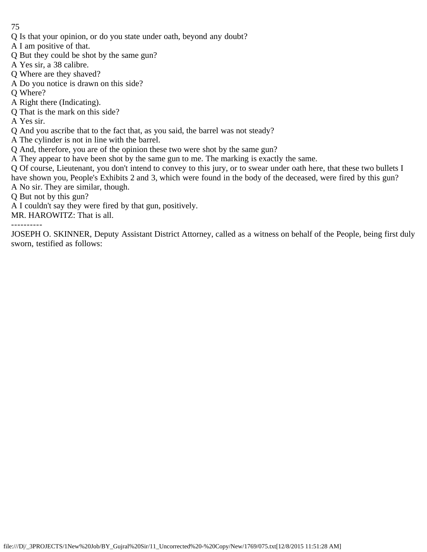- Q Is that your opinion, or do you state under oath, beyond any doubt?
- A I am positive of that.
- Q But they could be shot by the same gun?
- A Yes sir, a 38 calibre.
- Q Where are they shaved?
- A Do you notice is drawn on this side?
- Q Where?
- A Right there (Indicating).
- Q That is the mark on this side?
- A Yes sir.
- Q And you ascribe that to the fact that, as you said, the barrel was not steady?
- A The cylinder is not in line with the barrel.
- Q And, therefore, you are of the opinion these two were shot by the same gun?
- A They appear to have been shot by the same gun to me. The marking is exactly the same.
- Q Of course, Lieutenant, you don't intend to convey to this jury, or to swear under oath here, that these two bullets I have shown you, People's Exhibits 2 and 3, which were found in the body of the deceased, were fired by this gun? A No sir. They are similar, though.
- Q But not by this gun?
- A I couldn't say they were fired by that gun, positively.
- MR. HAROWITZ: That is all.
- ----------

JOSEPH O. SKINNER, Deputy Assistant District Attorney, called as a witness on behalf of the People, being first duly sworn, testified as follows: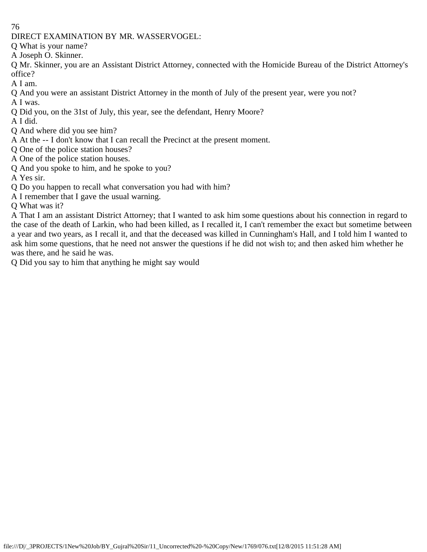DIRECT EXAMINATION BY MR. WASSERVOGEL:

Q What is your name?

A Joseph O. Skinner.

Q Mr. Skinner, you are an Assistant District Attorney, connected with the Homicide Bureau of the District Attorney's office?

A I am.

Q And you were an assistant District Attorney in the month of July of the present year, were you not? A I was.

Q Did you, on the 31st of July, this year, see the defendant, Henry Moore?

A I did.

Q And where did you see him?

A At the -- I don't know that I can recall the Precinct at the present moment.

Q One of the police station houses?

A One of the police station houses.

Q And you spoke to him, and he spoke to you?

A Yes sir.

Q Do you happen to recall what conversation you had with him?

A I remember that I gave the usual warning.

Q What was it?

A That I am an assistant District Attorney; that I wanted to ask him some questions about his connection in regard to the case of the death of Larkin, who had been killed, as I recalled it, I can't remember the exact but sometime between a year and two years, as I recall it, and that the deceased was killed in Cunningham's Hall, and I told him I wanted to ask him some questions, that he need not answer the questions if he did not wish to; and then asked him whether he was there, and he said he was.

Q Did you say to him that anything he might say would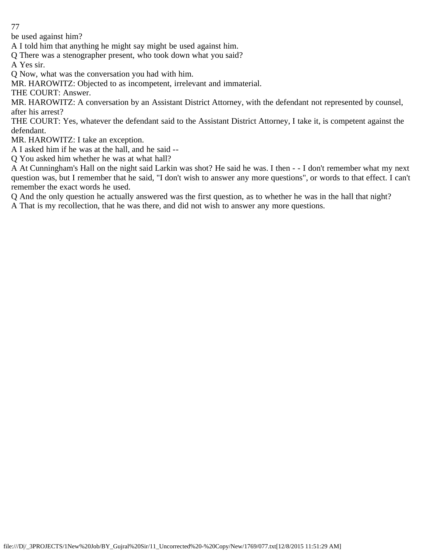be used against him?

A I told him that anything he might say might be used against him.

Q There was a stenographer present, who took down what you said?

A Yes sir.

Q Now, what was the conversation you had with him.

MR. HAROWITZ: Objected to as incompetent, irrelevant and immaterial.

THE COURT: Answer.

MR. HAROWITZ: A conversation by an Assistant District Attorney, with the defendant not represented by counsel, after his arrest?

THE COURT: Yes, whatever the defendant said to the Assistant District Attorney, I take it, is competent against the defendant.

MR. HAROWITZ: I take an exception.

A I asked him if he was at the hall, and he said --

Q You asked him whether he was at what hall?

A At Cunningham's Hall on the night said Larkin was shot? He said he was. I then - - I don't remember what my next question was, but I remember that he said, "I don't wish to answer any more questions", or words to that effect. I can't remember the exact words he used.

Q And the only question he actually answered was the first question, as to whether he was in the hall that night?

A That is my recollection, that he was there, and did not wish to answer any more questions.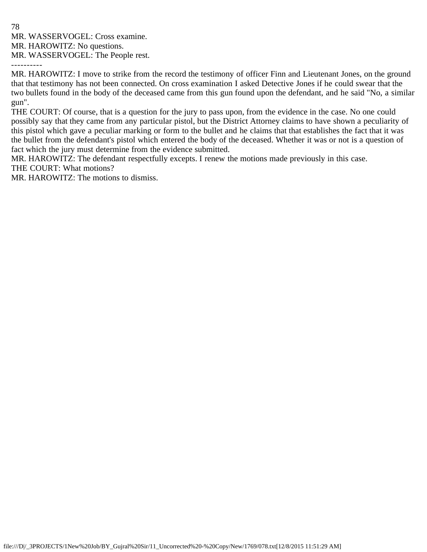MR. WASSERVOGEL: Cross examine.

MR. HAROWITZ: No questions.

MR. WASSERVOGEL: The People rest.

----------

MR. HAROWITZ: I move to strike from the record the testimony of officer Finn and Lieutenant Jones, on the ground that that testimony has not been connected. On cross examination I asked Detective Jones if he could swear that the two bullets found in the body of the deceased came from this gun found upon the defendant, and he said "No, a similar gun".

THE COURT: Of course, that is a question for the jury to pass upon, from the evidence in the case. No one could possibly say that they came from any particular pistol, but the District Attorney claims to have shown a peculiarity of this pistol which gave a peculiar marking or form to the bullet and he claims that that establishes the fact that it was the bullet from the defendant's pistol which entered the body of the deceased. Whether it was or not is a question of fact which the jury must determine from the evidence submitted.

MR. HAROWITZ: The defendant respectfully excepts. I renew the motions made previously in this case. THE COURT: What motions?

MR. HAROWITZ: The motions to dismiss.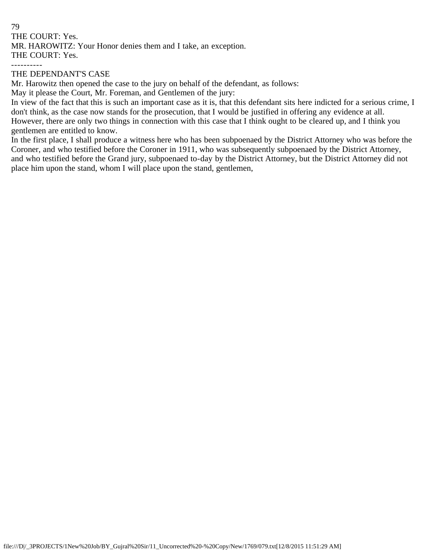79 THE COURT: Yes. MR. HAROWITZ: Your Honor denies them and I take, an exception. THE COURT: Yes. ----------

## THE DEPENDANT'S CASE

Mr. Harowitz then opened the case to the jury on behalf of the defendant, as follows:

May it please the Court, Mr. Foreman, and Gentlemen of the jury:

In view of the fact that this is such an important case as it is, that this defendant sits here indicted for a serious crime, I don't think, as the case now stands for the prosecution, that I would be justified in offering any evidence at all. However, there are only two things in connection with this case that I think ought to be cleared up, and I think you gentlemen are entitled to know.

In the first place, I shall produce a witness here who has been subpoenaed by the District Attorney who was before the Coroner, and who testified before the Coroner in 1911, who was subsequently subpoenaed by the District Attorney, and who testified before the Grand jury, subpoenaed to-day by the District Attorney, but the District Attorney did not place him upon the stand, whom I will place upon the stand, gentlemen,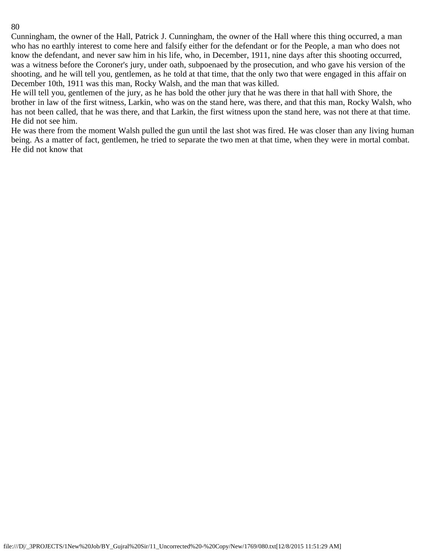Cunningham, the owner of the Hall, Patrick J. Cunningham, the owner of the Hall where this thing occurred, a man who has no earthly interest to come here and falsify either for the defendant or for the People, a man who does not know the defendant, and never saw him in his life, who, in December, 1911, nine days after this shooting occurred, was a witness before the Coroner's jury, under oath, subpoenaed by the prosecution, and who gave his version of the shooting, and he will tell you, gentlemen, as he told at that time, that the only two that were engaged in this affair on December 10th, 1911 was this man, Rocky Walsh, and the man that was killed.

He will tell you, gentlemen of the jury, as he has bold the other jury that he was there in that hall with Shore, the brother in law of the first witness, Larkin, who was on the stand here, was there, and that this man, Rocky Walsh, who has not been called, that he was there, and that Larkin, the first witness upon the stand here, was not there at that time. He did not see him.

He was there from the moment Walsh pulled the gun until the last shot was fired. He was closer than any living human being. As a matter of fact, gentlemen, he tried to separate the two men at that time, when they were in mortal combat. He did not know that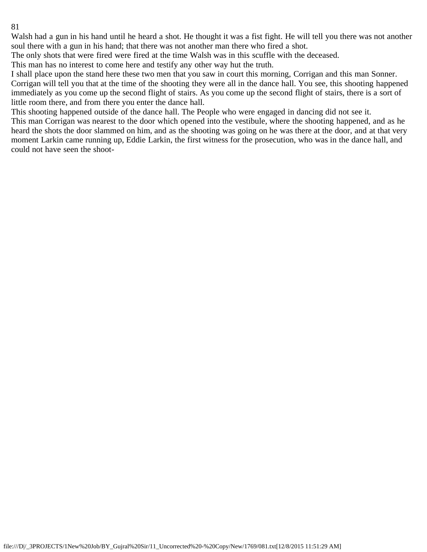Walsh had a gun in his hand until he heard a shot. He thought it was a fist fight. He will tell you there was not another soul there with a gun in his hand; that there was not another man there who fired a shot.

The only shots that were fired were fired at the time Walsh was in this scuffle with the deceased.

This man has no interest to come here and testify any other way hut the truth.

I shall place upon the stand here these two men that you saw in court this morning, Corrigan and this man Sonner. Corrigan will tell you that at the time of the shooting they were all in the dance hall. You see, this shooting happened immediately as you come up the second flight of stairs. As you come up the second flight of stairs, there is a sort of little room there, and from there you enter the dance hall.

This shooting happened outside of the dance hall. The People who were engaged in dancing did not see it.

This man Corrigan was nearest to the door which opened into the vestibule, where the shooting happened, and as he heard the shots the door slammed on him, and as the shooting was going on he was there at the door, and at that very moment Larkin came running up, Eddie Larkin, the first witness for the prosecution, who was in the dance hall, and could not have seen the shoot-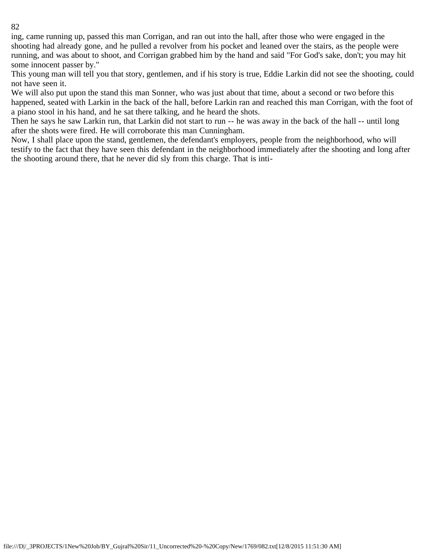ing, came running up, passed this man Corrigan, and ran out into the hall, after those who were engaged in the shooting had already gone, and he pulled a revolver from his pocket and leaned over the stairs, as the people were running, and was about to shoot, and Corrigan grabbed him by the hand and said "For God's sake, don't; you may hit some innocent passer by."

This young man will tell you that story, gentlemen, and if his story is true, Eddie Larkin did not see the shooting, could not have seen it.

We will also put upon the stand this man Sonner, who was just about that time, about a second or two before this happened, seated with Larkin in the back of the hall, before Larkin ran and reached this man Corrigan, with the foot of a piano stool in his hand, and he sat there talking, and he heard the shots.

Then he says he saw Larkin run, that Larkin did not start to run -- he was away in the back of the hall -- until long after the shots were fired. He will corroborate this man Cunningham.

Now, I shall place upon the stand, gentlemen, the defendant's employers, people from the neighborhood, who will testify to the fact that they have seen this defendant in the neighborhood immediately after the shooting and long after the shooting around there, that he never did sly from this charge. That is inti-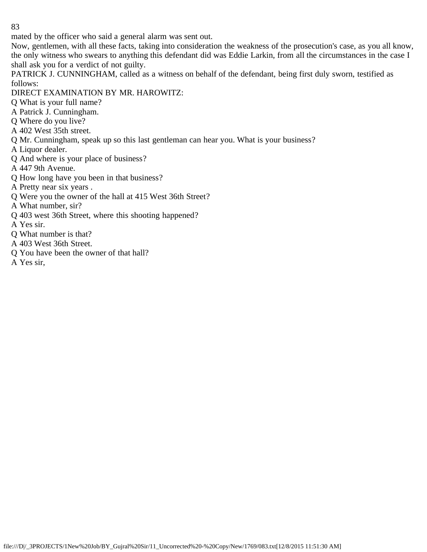mated by the officer who said a general alarm was sent out.

Now, gentlemen, with all these facts, taking into consideration the weakness of the prosecution's case, as you all know, the only witness who swears to anything this defendant did was Eddie Larkin, from all the circumstances in the case I shall ask you for a verdict of not guilty.

PATRICK J. CUNNINGHAM, called as a witness on behalf of the defendant, being first duly sworn, testified as follows:

DIRECT EXAMINATION BY MR. HAROWITZ:

Q What is your full name?

A Patrick J. Cunningham.

- Q Where do you live?
- A 402 West 35th street.
- Q Mr. Cunningham, speak up so this last gentleman can hear you. What is your business?

A Liquor dealer.

Q And where is your place of business?

A 447 9th Avenue.

Q How long have you been in that business?

A Pretty near six years .

Q Were you the owner of the hall at 415 West 36th Street?

A What number, sir?

- Q 403 west 36th Street, where this shooting happened?
- A Yes sir.
- Q What number is that?
- A 403 West 36th Street.
- Q You have been the owner of that hall?
- A Yes sir,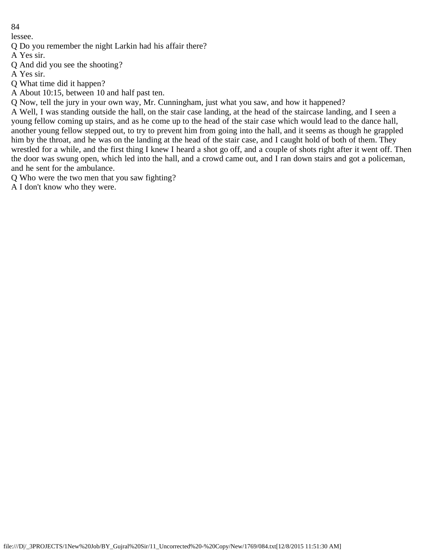lessee.

Q Do you remember the night Larkin had his affair there?

A Yes sir.

Q And did you see the shooting?

A Yes sir.

Q What time did it happen?

A About 10:15, between 10 and half past ten.

Q Now, tell the jury in your own way, Mr. Cunningham, just what you saw, and how it happened?

A Well, I was standing outside the hall, on the stair case landing, at the head of the staircase landing, and I seen a young fellow coming up stairs, and as he come up to the head of the stair case which would lead to the dance hall, another young fellow stepped out, to try to prevent him from going into the hall, and it seems as though he grappled him by the throat, and he was on the landing at the head of the stair case, and I caught hold of both of them. They wrestled for a while, and the first thing I knew I heard a shot go off, and a couple of shots right after it went off. Then the door was swung open, which led into the hall, and a crowd came out, and I ran down stairs and got a policeman, and he sent for the ambulance.

Q Who were the two men that you saw fighting?

A I don't know who they were.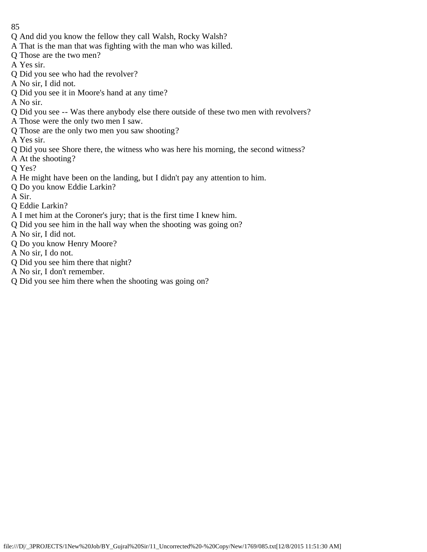- 85
- Q And did you know the fellow they call Walsh, Rocky Walsh?
- A That is the man that was fighting with the man who was killed.
- Q Those are the two men?
- A Yes sir.
- Q Did you see who had the revolver?
- A No sir, I did not.
- Q Did you see it in Moore's hand at any time?
- A No sir.
- Q Did you see -- Was there anybody else there outside of these two men with revolvers?
- A Those were the only two men I saw.
- Q Those are the only two men you saw shooting?
- A Yes sir.
- Q Did you see Shore there, the witness who was here his morning, the second witness?
- A At the shooting?
- Q Yes?
- A He might have been on the landing, but I didn't pay any attention to him.
- Q Do you know Eddie Larkin?
- A Sir.
- Q Eddie Larkin?
- A I met him at the Coroner's jury; that is the first time I knew him.
- Q Did you see him in the hall way when the shooting was going on?
- A No sir, I did not.
- Q Do you know Henry Moore?
- A No sir, I do not.
- Q Did you see him there that night?
- A No sir, I don't remember.
- Q Did you see him there when the shooting was going on?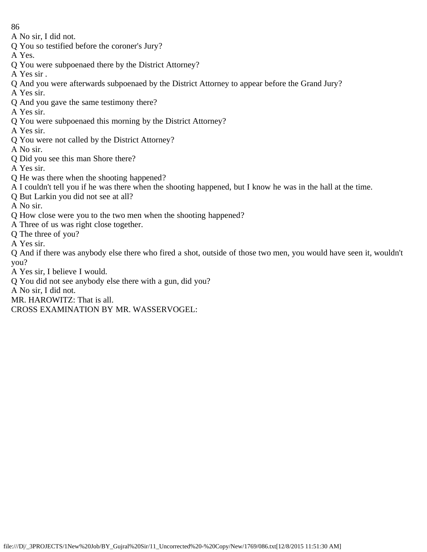A No sir, I did not.

- Q You so testified before the coroner's Jury?
- A Yes.
- Q You were subpoenaed there by the District Attorney?
- A Yes sir .
- Q And you were afterwards subpoenaed by the District Attorney to appear before the Grand Jury?
- A Yes sir.
- Q And you gave the same testimony there?
- A Yes sir.
- Q You were subpoenaed this morning by the District Attorney?
- A Yes sir.
- Q You were not called by the District Attorney?
- A No sir.
- Q Did you see this man Shore there?
- A Yes sir.
- Q He was there when the shooting happened?
- A I couldn't tell you if he was there when the shooting happened, but I know he was in the hall at the time.
- Q But Larkin you did not see at all?
- A No sir.
- Q How close were you to the two men when the shooting happened?
- A Three of us was right close together.
- Q The three of you?
- A Yes sir.

Q And if there was anybody else there who fired a shot, outside of those two men, you would have seen it, wouldn't you?

A Yes sir, I believe I would.

- Q You did not see anybody else there with a gun, did you?
- A No sir, I did not.
- MR. HAROWITZ: That is all.

CROSS EXAMINATION BY MR. WASSERVOGEL: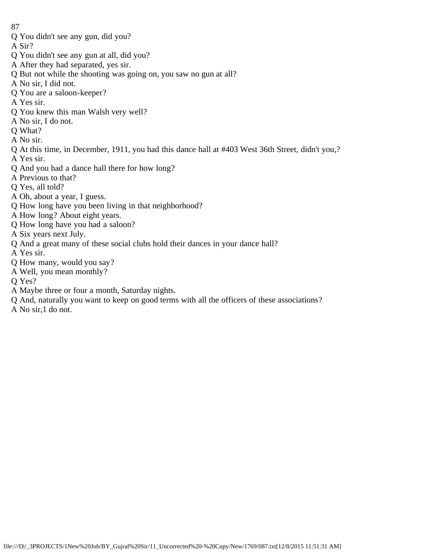- Q You didn't see any gun, did you?
- A Sir?
- Q You didn't see any gun at all, did you?
- A After they had separated, yes sir.
- Q But not while the shooting was going on, you saw no gun at all?
- A No sir, I did not.
- Q You are a saloon-keeper?
- A Yes sir.
- Q You knew this man Walsh very well?
- A No sir, I do not.
- Q What?
- A No sir.
- Q At this time, in December, 1911, you had this dance hall at #403 West 36th Street, didn't you,?
- A Yes sir.
- Q And you had a dance hall there for how long?
- A Previous to that?
- Q Yes, all told?
- A Oh, about a year, I guess.
- Q How long have you been living in that neighborhood?
- A How long? About eight years.
- Q How long have you had a saloon?
- A Six years next July.
- Q And a great many of these social clubs hold their dances in your dance hall?
- A Yes sir.
- Q How many, would you say?
- A Well, you mean monthly?
- Q Yes?
- A Maybe three or four a month, Saturday nights.
- Q And, naturally you want to keep on good terms with all the officers of these associations?
- A No sir,1 do not.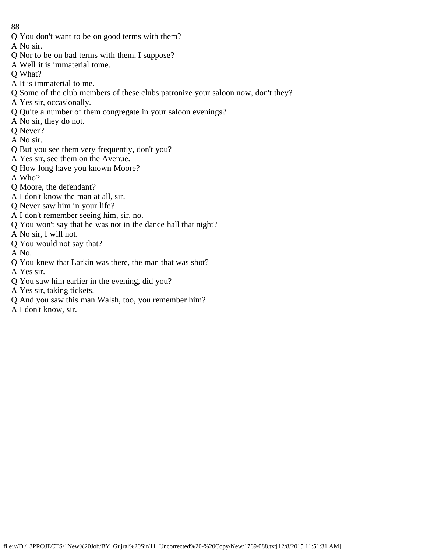- Q You don't want to be on good terms with them?
- A No sir.
- Q Nor to be on bad terms with them, I suppose?
- A Well it is immaterial tome.
- Q What?
- A It is immaterial to me.
- Q Some of the club members of these clubs patronize your saloon now, don't they?
- A Yes sir, occasionally.
- Q Quite a number of them congregate in your saloon evenings?
- A No sir, they do not.
- Q Never?
- A No sir.
- Q But you see them very frequently, don't you?
- A Yes sir, see them on the Avenue.
- Q How long have you known Moore?
- A Who?
- Q Moore, the defendant?
- A I don't know the man at all, sir.
- Q Never saw him in your life?
- A I don't remember seeing him, sir, no.
- Q You won't say that he was not in the dance hall that night?
- A No sir, I will not.
- Q You would not say that?
- A No.
- Q You knew that Larkin was there, the man that was shot?
- A Yes sir.
- Q You saw him earlier in the evening, did you?
- A Yes sir, taking tickets.
- Q And you saw this man Walsh, too, you remember him?
- A I don't know, sir.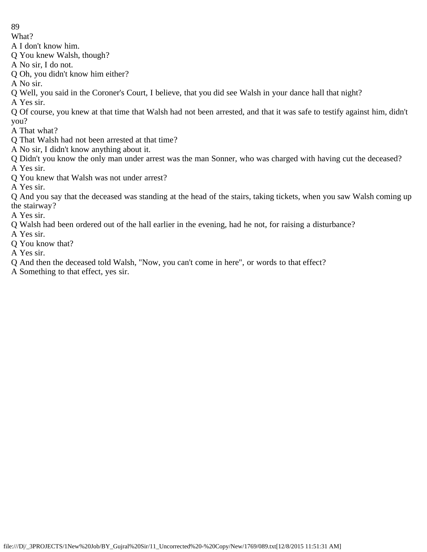What?

A I don't know him.

Q You knew Walsh, though?

A No sir, I do not.

Q Oh, you didn't know him either?

A No sir.

Q Well, you said in the Coroner's Court, I believe, that you did see Walsh in your dance hall that night?

A Yes sir.

Q Of course, you knew at that time that Walsh had not been arrested, and that it was safe to testify against him, didn't you?

A That what?

Q That Walsh had not been arrested at that time?

A No sir, I didn't know anything about it.

Q Didn't you know the only man under arrest was the man Sonner, who was charged with having cut the deceased? A Yes sir.

Q You knew that Walsh was not under arrest?

A Yes sir.

Q And you say that the deceased was standing at the head of the stairs, taking tickets, when you saw Walsh coming up the stairway?

A Yes sir.

Q Walsh had been ordered out of the hall earlier in the evening, had he not, for raising a disturbance?

A Yes sir.

Q You know that?

A Yes sir.

Q And then the deceased told Walsh, "Now, you can't come in here", or words to that effect?

A Something to that effect, yes sir.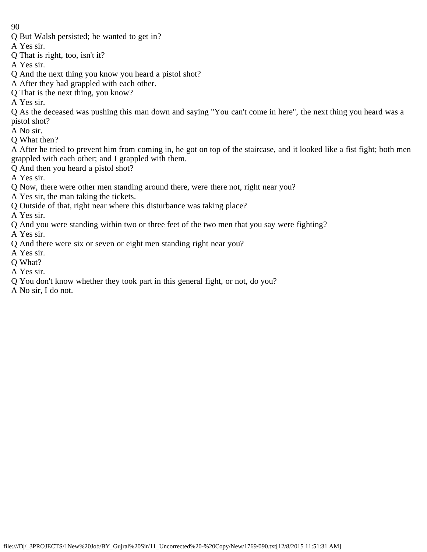- Q But Walsh persisted; he wanted to get in?
- A Yes sir.
- Q That is right, too, isn't it?
- A Yes sir.
- Q And the next thing you know you heard a pistol shot?
- A After they had grappled with each other.
- Q That is the next thing, you know?
- A Yes sir.
- Q As the deceased was pushing this man down and saying "You can't come in here", the next thing you heard was a pistol shot?
- A No sir.
- Q What then?
- A After he tried to prevent him from coming in, he got on top of the staircase, and it looked like a fist fight; both men grappled with each other; and I grappled with them.
- Q And then you heard a pistol shot?
- A Yes sir.
- Q Now, there were other men standing around there, were there not, right near you?
- A Yes sir, the man taking the tickets.
- Q Outside of that, right near where this disturbance was taking place?
- A Yes sir.
- Q And you were standing within two or three feet of the two men that you say were fighting?
- A Yes sir.
- Q And there were six or seven or eight men standing right near you?
- A Yes sir.
- Q What?
- A Yes sir.
- Q You don't know whether they took part in this general fight, or not, do you?
- A No sir, I do not.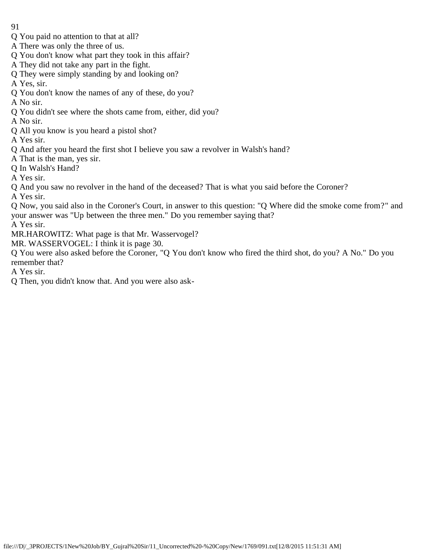- 91
- Q You paid no attention to that at all?
- A There was only the three of us.
- Q You don't know what part they took in this affair?
- A They did not take any part in the fight.
- Q They were simply standing by and looking on?
- A Yes, sir.
- Q You don't know the names of any of these, do you?
- A No sir.
- Q You didn't see where the shots came from, either, did you?
- A No sir.
- Q All you know is you heard a pistol shot?
- A Yes sir.
- Q And after you heard the first shot I believe you saw a revolver in Walsh's hand?
- A That is the man, yes sir.
- Q In Walsh's Hand?
- A Yes sir.
- Q And you saw no revolver in the hand of the deceased? That is what you said before the Coroner?
- A Yes sir.
- Q Now, you said also in the Coroner's Court, in answer to this question: "Q Where did the smoke come from?" and your answer was "Up between the three men." Do you remember saying that?
- A Yes sir.
- MR.HAROWITZ: What page is that Mr. Wasservogel?
- MR. WASSERVOGEL: I think it is page 30.
- Q You were also asked before the Coroner, "Q You don't know who fired the third shot, do you? A No." Do you remember that?
- A Yes sir.
- Q Then, you didn't know that. And you were also ask-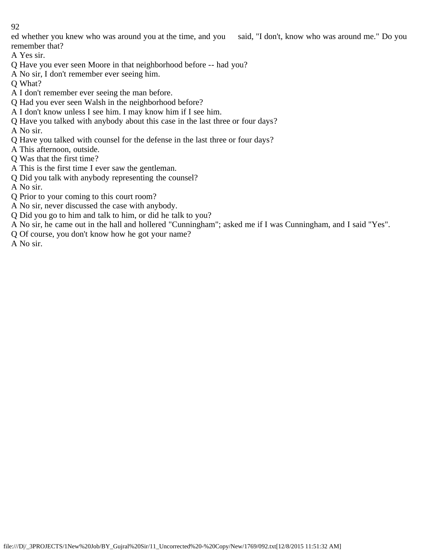ed whether you knew who was around you at the time, and you said, "I don't, know who was around me." Do you remember that?

A Yes sir.

- Q Have you ever seen Moore in that neighborhood before -- had you?
- A No sir, I don't remember ever seeing him.
- Q What?
- A I don't remember ever seeing the man before.
- Q Had you ever seen Walsh in the neighborhood before?
- A I don't know unless I see him. I may know him if I see him.
- Q Have you talked with anybody about this case in the last three or four days?
- A No sir.
- Q Have you talked with counsel for the defense in the last three or four days?
- A This afternoon, outside.
- Q Was that the first time?
- A This is the first time I ever saw the gentleman.
- Q Did you talk with anybody representing the counsel?
- A No sir.
- Q Prior to your coming to this court room?
- A No sir, never discussed the case with anybody.
- Q Did you go to him and talk to him, or did he talk to you?
- A No sir, he came out in the hall and hollered "Cunningham"; asked me if I was Cunningham, and I said "Yes".
- Q Of course, you don't know how he got your name?

A No sir.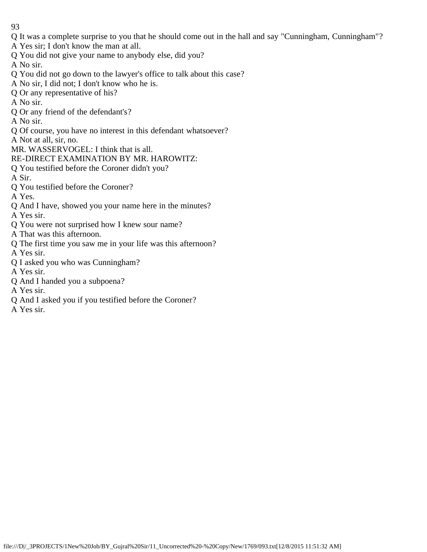- 93
- Q It was a complete surprise to you that he should come out in the hall and say "Cunningham, Cunningham"?
- A Yes sir; I don't know the man at all.
- Q You did not give your name to anybody else, did you?
- A No sir.
- Q You did not go down to the lawyer's office to talk about this case?
- A No sir, I did not; I don't know who he is.
- Q Or any representative of his?
- A No sir.
- Q Or any friend of the defendant's?
- A No sir.
- Q Of course, you have no interest in this defendant whatsoever?
- A Not at all, sir, no.
- MR. WASSERVOGEL: I think that is all.
- RE-DIRECT EXAMINATION BY MR. HAROWITZ:
- Q You testified before the Coroner didn't you?
- A Sir.
- Q You testified before the Coroner?
- A Yes.
- Q And I have, showed you your name here in the minutes?
- A Yes sir.
- Q You were not surprised how I knew sour name?
- A That was this afternoon.
- Q The first time you saw me in your life was this afternoon?
- A Yes sir.
- Q I asked you who was Cunningham?
- A Yes sir.
- Q And I handed you a subpoena?
- A Yes sir.
- Q And I asked you if you testified before the Coroner?
- A Yes sir.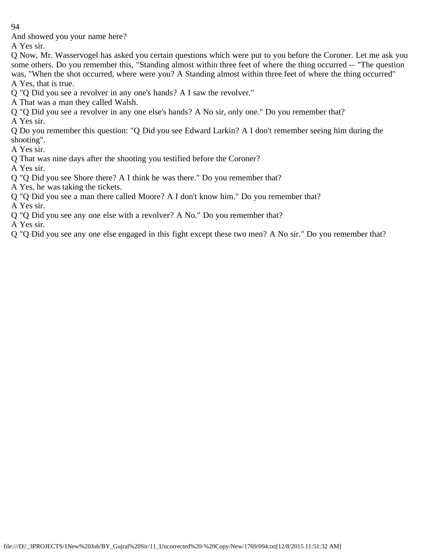And showed you your name here?

A Yes sir.

Q Now, Mr. Wasservogel has asked you certain questions which were put to you before the Coroner. Let me ask you some others. Do you remember this, "Standing almost within three feet of where the thing occurred -- "The question was, "When the shot occurred, where were you? A Standing almost within three feet of where the thing occurred" A Yes, that is true.

Q "Q Did you see a revolver in any one's hands? A I saw the revolver."

- A That was a man they called Walsh.
- Q "Q Did you see a revolver in any one else's hands? A No sir, only one." Do you remember that? A Yes sir.
- Q Do you remember this question: "Q Did you see Edward Larkin? A I don't remember seeing him during the shooting".

A Yes sir.

Q That was nine days after the shooting you testified before the Coroner?

A Yes sir.

- Q "Q Did you see Shore there? A I think he was there." Do you remember that?
- A Yes, he was taking the tickets.
- Q "Q Did you see a man there called Moore? A I don't know him." Do you remember that?

A Yes sir.

Q "Q Did you see any one else with a revolver? A No." Do you remember that?

A Yes sir.

Q "Q Did you see any one else engaged in this fight except these two men? A No sir." Do you remember that?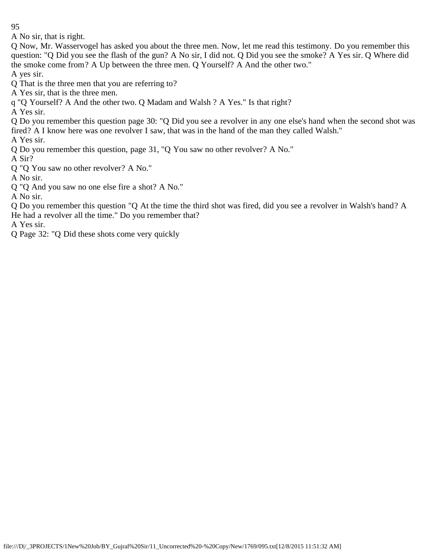A No sir, that is right.

Q Now, Mr. Wasservogel has asked you about the three men. Now, let me read this testimony. Do you remember this question: "Q Did you see the flash of the gun? A No sir, I did not. Q Did you see the smoke? A Yes sir. Q Where did the smoke come from? A Up between the three men. Q Yourself? A And the other two."

A yes sir.

Q That is the three men that you are referring to?

A Yes sir, that is the three men.

q "Q Yourself? A And the other two. Q Madam and Walsh ? A Yes." Is that right?

A Yes sir.

Q Do you remember this question page 30: "Q Did you see a revolver in any one else's hand when the second shot was fired? A I know here was one revolver I saw, that was in the hand of the man they called Walsh."

A Yes sir.

Q Do you remember this question, page 31, "Q You saw no other revolver? A No."

A Sir?

Q "Q You saw no other revolver? A No."

A No sir.

Q "Q And you saw no one else fire a shot? A No."

A No sir.

Q Do you remember this question "Q At the time the third shot was fired, did you see a revolver in Walsh's hand? A He had a revolver all the time." Do you remember that?

A Yes sir.

Q Page 32: "Q Did these shots come very quickly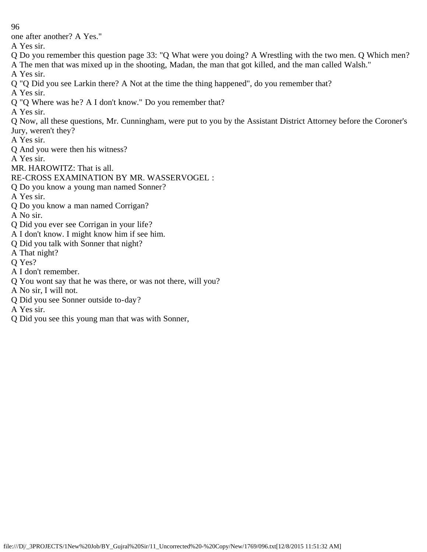one after another? A Yes."

A Yes sir.

- Q Do you remember this question page 33: "Q What were you doing? A Wrestling with the two men. Q Which men?
- A The men that was mixed up in the shooting, Madan, the man that got killed, and the man called Walsh."

A Yes sir.

- Q "Q Did you see Larkin there? A Not at the time the thing happened", do you remember that?
- A Yes sir.
- Q "Q Where was he? A I don't know." Do you remember that?
- A Yes sir.
- Q Now, all these questions, Mr. Cunningham, were put to you by the Assistant District Attorney before the Coroner's Jury, weren't they?
- A Yes sir.
- Q And you were then his witness?
- A Yes sir.
- MR. HAROWITZ: That is all.
- RE-CROSS EXAMINATION BY MR. WASSERVOGEL :
- Q Do you know a young man named Sonner?
- A Yes sir.
- Q Do you know a man named Corrigan?
- A No sir.
- Q Did you ever see Corrigan in your life?
- A I don't know. I might know him if see him.
- Q Did you talk with Sonner that night?
- A That night?
- Q Yes?
- A I don't remember.
- Q You wont say that he was there, or was not there, will you?
- A No sir, I will not.
- Q Did you see Sonner outside to-day?
- A Yes sir.
- Q Did you see this young man that was with Sonner,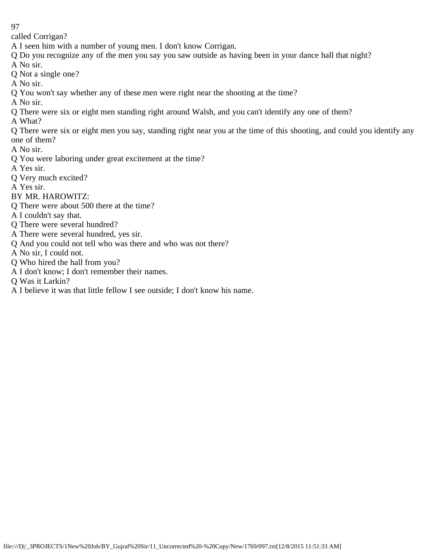called Corrigan?

A I seen him with a number of young men. I don't know Corrigan.

Q Do you recognize any of the men you say you saw outside as having been in your dance hall that night? A No sir.

Q Not a single one?

A No sir.

Q You won't say whether any of these men were right near the shooting at the time?

A No sir.

Q There were six or eight men standing right around Walsh, and you can't identify any one of them?

A What?

Q There were six or eight men you say, standing right near you at the time of this shooting, and could you identify any one of them?

A No sir.

- Q You were laboring under great excitement at the time?
- A Yes sir.
- Q Very much excited?

A Yes sir.

BY MR. HAROWITZ:

Q There were about 500 there at the time?

A I couldn't say that.

- Q There were several hundred?
- A There were several hundred, yes sir.
- Q And you could not tell who was there and who was not there?

A No sir, I could not.

- Q Who hired the hall from you?
- A I don't know; I don't remember their names.

Q Was it Larkin?

A I believe it was that little fellow I see outside; I don't know his name.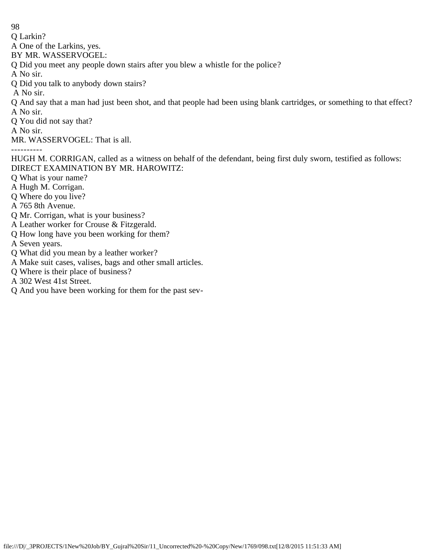Q Larkin?

A One of the Larkins, yes.

BY MR. WASSERVOGEL:

Q Did you meet any people down stairs after you blew a whistle for the police?

A No sir.

Q Did you talk to anybody down stairs?

A No sir.

Q And say that a man had just been shot, and that people had been using blank cartridges, or something to that effect? A No sir.

Q You did not say that?

A No sir.

MR. WASSERVOGEL: That is all.

----------

HUGH M. CORRIGAN, called as a witness on behalf of the defendant, being first duly sworn, testified as follows: DIRECT EXAMINATION BY MR. HAROWITZ:

Q What is your name?

A Hugh M. Corrigan.

Q Where do you live?

A 765 8th Avenue.

Q Mr. Corrigan, what is your business?

A Leather worker for Crouse & Fitzgerald.

Q How long have you been working for them?

A Seven years.

Q What did you mean by a leather worker?

A Make suit cases, valises, bags and other small articles.

Q Where is their place of business?

A 302 West 41st Street.

Q And you have been working for them for the past sev-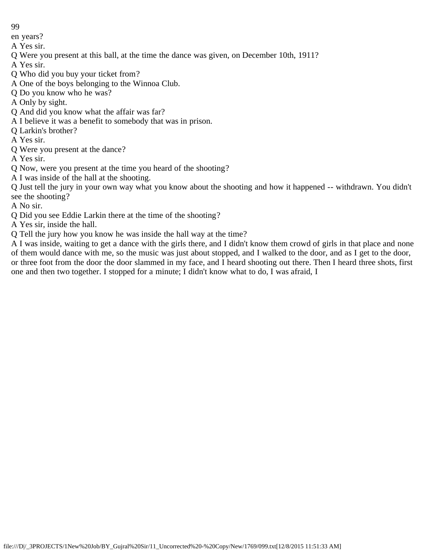en years?

A Yes sir.

- Q Were you present at this ball, at the time the dance was given, on December 10th, 1911?
- A Yes sir.
- Q Who did you buy your ticket from?
- A One of the boys belonging to the Winnoa Club.
- Q Do you know who he was?
- A Only by sight.
- Q And did you know what the affair was far?
- A I believe it was a benefit to somebody that was in prison.
- Q Larkin's brother?
- A Yes sir.
- Q Were you present at the dance?
- A Yes sir.
- Q Now, were you present at the time you heard of the shooting?
- A I was inside of the hall at the shooting.

Q Just tell the jury in your own way what you know about the shooting and how it happened -- withdrawn. You didn't see the shooting?

- A No sir.
- Q Did you see Eddie Larkin there at the time of the shooting?
- A Yes sir, inside the hall.
- Q Tell the jury how you know he was inside the hall way at the time?

A I was inside, waiting to get a dance with the girls there, and I didn't know them crowd of girls in that place and none of them would dance with me, so the music was just about stopped, and I walked to the door, and as I get to the door, or three foot from the door the door slammed in my face, and I heard shooting out there. Then I heard three shots, first one and then two together. I stopped for a minute; I didn't know what to do, I was afraid, I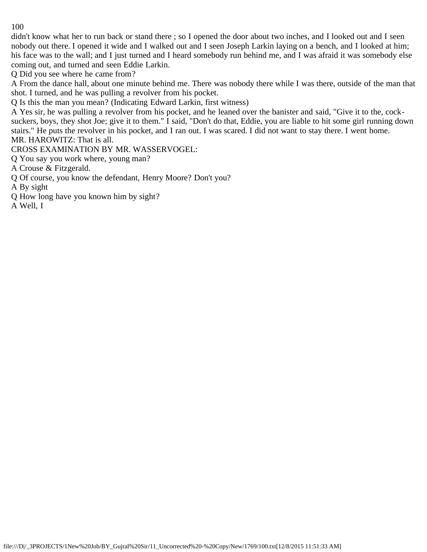didn't know what her to run back or stand there ; so I opened the door about two inches, and I looked out and I seen nobody out there. I opened it wide and I walked out and I seen Joseph Larkin laying on a bench, and I looked at him; his face was to the wall; and I just turned and I heard somebody run behind me, and I was afraid it was somebody else coming out, and turned and seen Eddie Larkin.

Q Did you see where he came from?

A From the dance hall, about one minute behind me. There was nobody there while I was there, outside of the man that shot. I turned, and he was pulling a revolver from his pocket.

Q Is this the man you mean? (Indicating Edward Larkin, first witness)

A Yes sir, he was pulling a revolver from his pocket, and he leaned over the banister and said, "Give it to the, cocksuckers, boys, they shot Joe; give it to them." I said, "Don't do that, Eddie, you are liable to hit some girl running down stairs." He puts the revolver in his pocket, and I ran out. I was scared. I did not want to stay there. I went home. MR. HAROWITZ: That is all.

CROSS EXAMINATION BY MR. WASSERVOGEL:

Q You say you work where, young man?

A Crouse & Fitzgerald.

Q Of course, you know the defendant, Henry Moore? Don't you?

A By sight

Q How long have you known him by sight?

A Well, I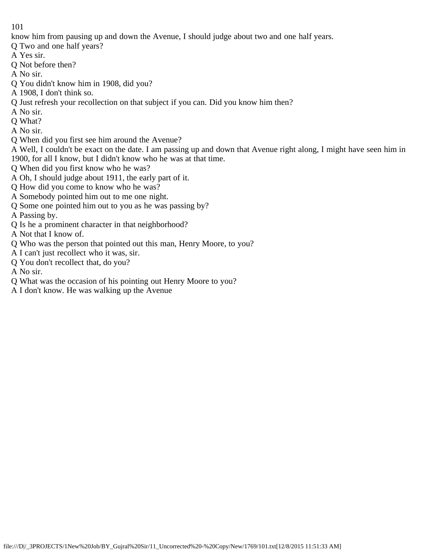know him from pausing up and down the Avenue, I should judge about two and one half years.

- Q Two and one half years?
- A Yes sir.
- Q Not before then?
- A No sir.
- Q You didn't know him in 1908, did you?
- A 1908, I don't think so.
- Q Just refresh your recollection on that subject if you can. Did you know him then?
- A No sir.
- Q What?
- A No sir.
- Q When did you first see him around the Avenue?
- A Well, I couldn't be exact on the date. I am passing up and down that Avenue right along, I might have seen him in 1900, for all I know, but I didn't know who he was at that time.
- Q When did you first know who he was?
- A Oh, I should judge about 1911, the early part of it.
- Q How did you come to know who he was?
- A Somebody pointed him out to me one night.
- Q Some one pointed him out to you as he was passing by?
- A Passing by.
- Q Is he a prominent character in that neighborhood?
- A Not that I know of.
- Q Who was the person that pointed out this man, Henry Moore, to you?
- A I can't just recollect who it was, sir.
- Q You don't recollect that, do you?
- A No sir.
- Q What was the occasion of his pointing out Henry Moore to you?
- A I don't know. He was walking up the Avenue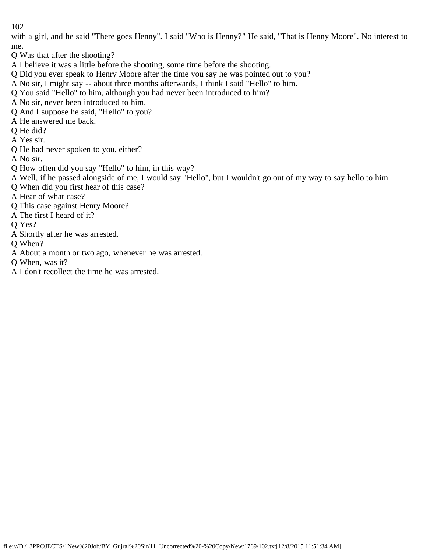with a girl, and he said "There goes Henny". I said "Who is Henny?" He said, "That is Henny Moore". No interest to me.

- Q Was that after the shooting?
- A I believe it was a little before the shooting, some time before the shooting.
- Q Did you ever speak to Henry Moore after the time you say he was pointed out to you?
- A No sir, I might say -- about three months afterwards, I think I said "Hello" to him.
- Q You said "Hello" to him, although you had never been introduced to him?
- A No sir, never been introduced to him.
- Q And I suppose he said, "Hello" to you?
- A He answered me back.
- Q He did?
- A Yes sir.
- Q He had never spoken to you, either?
- A No sir.
- Q How often did you say "Hello" to him, in this way?
- A Well, if he passed alongside of me, I would say "Hello", but I wouldn't go out of my way to say hello to him.
- Q When did you first hear of this case?
- A Hear of what case?
- Q This case against Henry Moore?
- A The first I heard of it?
- Q Yes?
- A Shortly after he was arrested.
- Q When?
- A About a month or two ago, whenever he was arrested.
- Q When, was it?
- A I don't recollect the time he was arrested.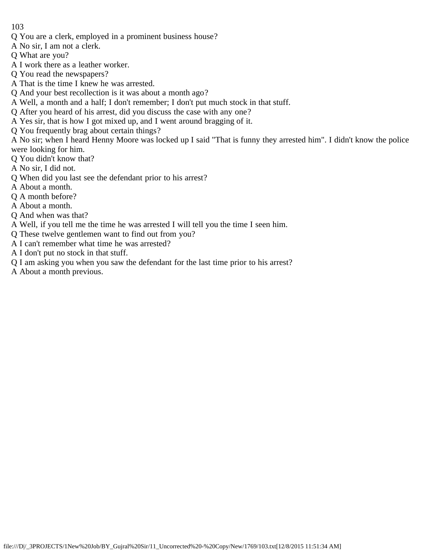- Q You are a clerk, employed in a prominent business house?
- A No sir, I am not a clerk.
- Q What are you?
- A I work there as a leather worker.
- Q You read the newspapers?
- A That is the time I knew he was arrested.
- Q And your best recollection is it was about a month ago?
- A Well, a month and a half; I don't remember; I don't put much stock in that stuff.
- Q After you heard of his arrest, did you discuss the case with any one?
- A Yes sir, that is how I got mixed up, and I went around bragging of it.
- Q You frequently brag about certain things?

A No sir; when I heard Henny Moore was locked up I said "That is funny they arrested him". I didn't know the police were looking for him.

- Q You didn't know that?
- A No sir, I did not.
- Q When did you last see the defendant prior to his arrest?
- A About a month.
- Q A month before?
- A About a month.
- Q And when was that?
- A Well, if you tell me the time he was arrested I will tell you the time I seen him.
- Q These twelve gentlemen want to find out from you?
- A I can't remember what time he was arrested?
- A I don't put no stock in that stuff.
- Q I am asking you when you saw the defendant for the last time prior to his arrest?
- A About a month previous.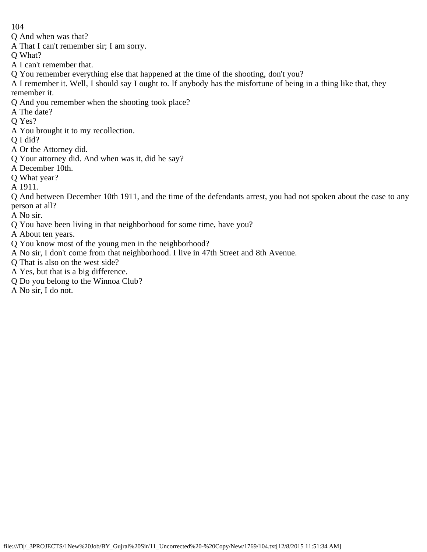Q And when was that?

A That I can't remember sir; I am sorry.

Q What?

- A I can't remember that.
- Q You remember everything else that happened at the time of the shooting, don't you?

A I remember it. Well, I should say I ought to. If anybody has the misfortune of being in a thing like that, they remember it.

- Q And you remember when the shooting took place?
- A The date?
- Q Yes?
- A You brought it to my recollection.
- Q I did?
- A Or the Attorney did.
- Q Your attorney did. And when was it, did he say?
- A December 10th.
- Q What year?
- A 1911.
- Q And between December 10th 1911, and the time of the defendants arrest, you had not spoken about the case to any person at all?
- A No sir.
- Q You have been living in that neighborhood for some time, have you?
- A About ten years.
- Q You know most of the young men in the neighborhood?
- A No sir, I don't come from that neighborhood. I live in 47th Street and 8th Avenue.
- Q That is also on the west side?
- A Yes, but that is a big difference.
- Q Do you belong to the Winnoa Club?
- A No sir, I do not.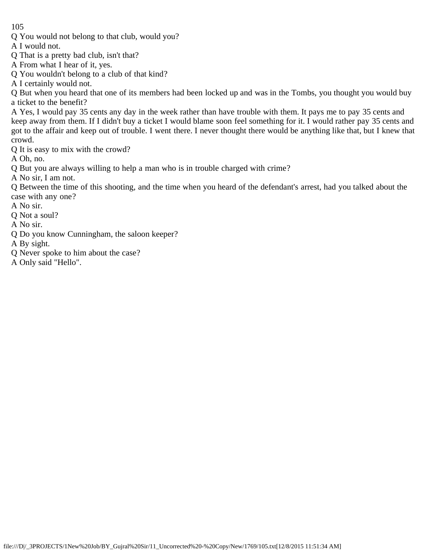Q You would not belong to that club, would you?

A I would not.

- Q That is a pretty bad club, isn't that?
- A From what I hear of it, yes.
- Q You wouldn't belong to a club of that kind?
- A I certainly would not.

Q But when you heard that one of its members had been locked up and was in the Tombs, you thought you would buy a ticket to the benefit?

A Yes, I would pay 35 cents any day in the week rather than have trouble with them. It pays me to pay 35 cents and keep away from them. If I didn't buy a ticket I would blame soon feel something for it. I would rather pay 35 cents and got to the affair and keep out of trouble. I went there. I never thought there would be anything like that, but I knew that crowd.

Q It is easy to mix with the crowd?

A Oh, no.

Q But you are always willing to help a man who is in trouble charged with crime?

A No sir, I am not.

Q Between the time of this shooting, and the time when you heard of the defendant's arrest, had you talked about the case with any one?

A No sir.

Q Not a soul?

A No sir.

Q Do you know Cunningham, the saloon keeper?

A By sight.

- Q Never spoke to him about the case?
- A Only said "Hello".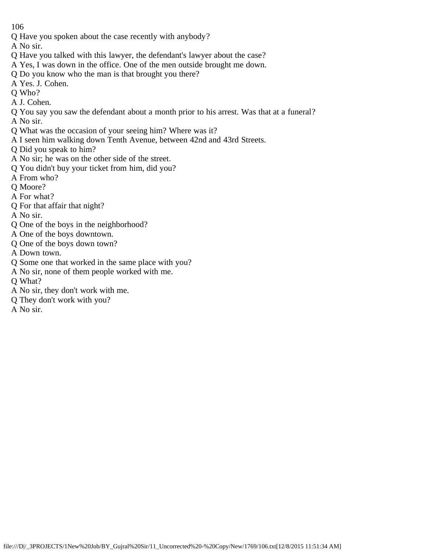Q Have you spoken about the case recently with anybody?

A No sir.

- Q Have you talked with this lawyer, the defendant's lawyer about the case?
- A Yes, I was down in the office. One of the men outside brought me down.
- Q Do you know who the man is that brought you there?
- A Yes. J. Cohen.
- Q Who?
- A J. Cohen.
- Q You say you saw the defendant about a month prior to his arrest. Was that at a funeral?
- A No sir.
- Q What was the occasion of your seeing him? Where was it?
- A I seen him walking down Tenth Avenue, between 42nd and 43rd Streets.
- Q Did you speak to him?
- A No sir; he was on the other side of the street.
- Q You didn't buy your ticket from him, did you?
- A From who?
- Q Moore?
- A For what?
- Q For that affair that night?
- A No sir.
- Q One of the boys in the neighborhood?
- A One of the boys downtown.
- Q One of the boys down town?
- A Down town.
- Q Some one that worked in the same place with you?
- A No sir, none of them people worked with me.
- Q What?
- A No sir, they don't work with me.
- Q They don't work with you?
- A No sir.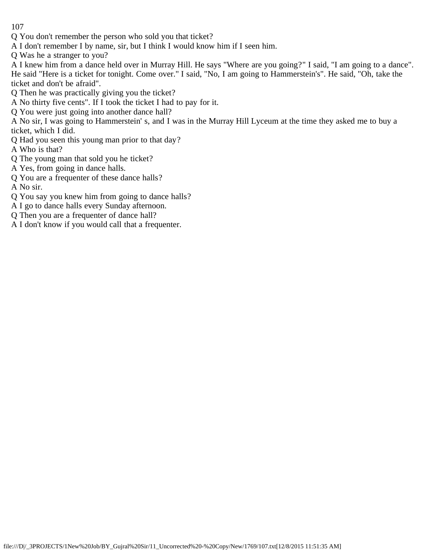Q You don't remember the person who sold you that ticket?

A I don't remember I by name, sir, but I think I would know him if I seen him.

Q Was he a stranger to you?

A I knew him from a dance held over in Murray Hill. He says "Where are you going?" I said, "I am going to a dance". He said "Here is a ticket for tonight. Come over." I said, "No, I am going to Hammerstein's". He said, "Oh, take the ticket and don't be afraid".

Q Then he was practically giving you the ticket?

A No thirty five cents". If I took the ticket I had to pay for it.

Q You were just going into another dance hall?

A No sir, I was going to Hammerstein' s, and I was in the Murray Hill Lyceum at the time they asked me to buy a ticket, which I did.

Q Had you seen this young man prior to that day?

A Who is that?

Q The young man that sold you he ticket?

A Yes, from going in dance halls.

Q You are a frequenter of these dance halls?

A No sir.

Q You say you knew him from going to dance halls?

A I go to dance halls every Sunday afternoon.

Q Then you are a frequenter of dance hall?

A I don't know if you would call that a frequenter.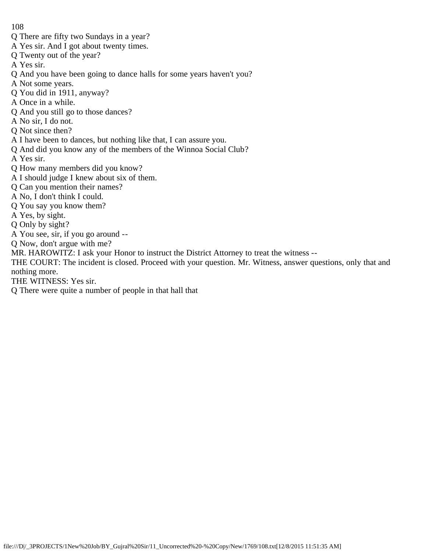- Q There are fifty two Sundays in a year?
- A Yes sir. And I got about twenty times.
- Q Twenty out of the year?
- A Yes sir.
- Q And you have been going to dance halls for some years haven't you?
- A Not some years.
- Q You did in 1911, anyway?
- A Once in a while.
- Q And you still go to those dances?
- A No sir, I do not.
- Q Not since then?
- A I have been to dances, but nothing like that, I can assure you.
- Q And did you know any of the members of the Winnoa Social Club?
- A Yes sir.
- Q How many members did you know?
- A I should judge I knew about six of them.
- Q Can you mention their names?
- A No, I don't think I could.
- Q You say you know them?
- A Yes, by sight.
- Q Only by sight?
- A You see, sir, if you go around --
- Q Now, don't argue with me?
- MR. HAROWITZ: I ask your Honor to instruct the District Attorney to treat the witness --
- THE COURT: The incident is closed. Proceed with your question. Mr. Witness, answer questions, only that and nothing more.
- THE WITNESS: Yes sir.
- Q There were quite a number of people in that hall that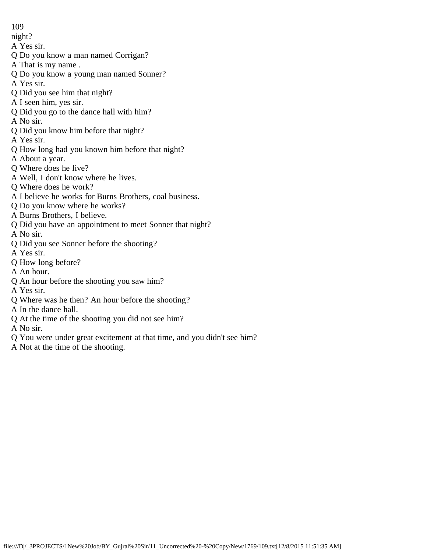- 109
- night?
- A Yes sir.
- Q Do you know a man named Corrigan?
- A That is my name .
- Q Do you know a young man named Sonner?
- A Yes sir.
- Q Did you see him that night?
- A I seen him, yes sir.
- Q Did you go to the dance hall with him?
- A No sir.
- Q Did you know him before that night?
- A Yes sir.
- Q How long had you known him before that night?
- A About a year.
- Q Where does he live?
- A Well, I don't know where he lives.
- Q Where does he work?
- A I believe he works for Burns Brothers, coal business.
- Q Do you know where he works?
- A Burns Brothers, I believe.
- Q Did you have an appointment to meet Sonner that night?
- A No sir.
- Q Did you see Sonner before the shooting?
- A Yes sir.
- Q How long before?
- A An hour.
- Q An hour before the shooting you saw him?
- A Yes sir.
- Q Where was he then? An hour before the shooting?
- A In the dance hall.
- Q At the time of the shooting you did not see him?
- A No sir.
- Q You were under great excitement at that time, and you didn't see him?
- A Not at the time of the shooting.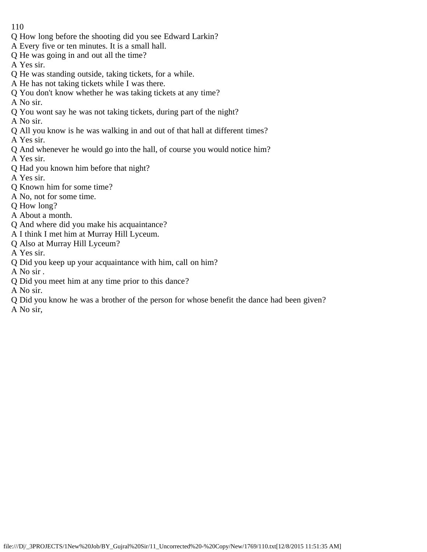- 110
- Q How long before the shooting did you see Edward Larkin?
- A Every five or ten minutes. It is a small hall.
- Q He was going in and out all the time?
- A Yes sir.
- Q He was standing outside, taking tickets, for a while.
- A He has not taking tickets while I was there.
- Q You don't know whether he was taking tickets at any time?
- A No sir.
- Q You wont say he was not taking tickets, during part of the night?
- A No sir.
- Q All you know is he was walking in and out of that hall at different times?
- A Yes sir.
- Q And whenever he would go into the hall, of course you would notice him?
- A Yes sir.
- Q Had you known him before that night?
- A Yes sir.
- Q Known him for some time?
- A No, not for some time.
- Q How long?
- A About a month.
- Q And where did you make his acquaintance?
- A I think I met him at Murray Hill Lyceum.
- Q Also at Murray Hill Lyceum?
- A Yes sir.
- Q Did you keep up your acquaintance with him, call on him?
- A No sir .
- Q Did you meet him at any time prior to this dance?
- A No sir.
- Q Did you know he was a brother of the person for whose benefit the dance had been given?
- A No sir,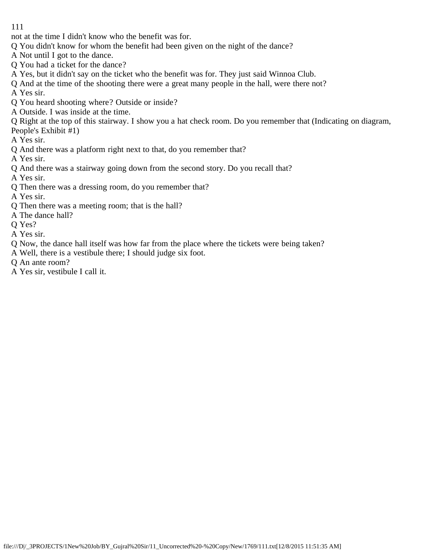not at the time I didn't know who the benefit was for.

- Q You didn't know for whom the benefit had been given on the night of the dance?
- A Not until I got to the dance.
- Q You had a ticket for the dance?
- A Yes, but it didn't say on the ticket who the benefit was for. They just said Winnoa Club.
- Q And at the time of the shooting there were a great many people in the hall, were there not?
- A Yes sir.
- Q You heard shooting where? Outside or inside?
- A Outside. I was inside at the time.
- Q Right at the top of this stairway. I show you a hat check room. Do you remember that (Indicating on diagram, People's Exhibit #1)
- A Yes sir.
- Q And there was a platform right next to that, do you remember that?
- A Yes sir.
- Q And there was a stairway going down from the second story. Do you recall that?
- A Yes sir.
- Q Then there was a dressing room, do you remember that?
- A Yes sir.
- Q Then there was a meeting room; that is the hall?
- A The dance hall?
- Q Yes?
- A Yes sir.
- Q Now, the dance hall itself was how far from the place where the tickets were being taken?
- A Well, there is a vestibule there; I should judge six foot.
- Q An ante room?
- A Yes sir, vestibule I call it.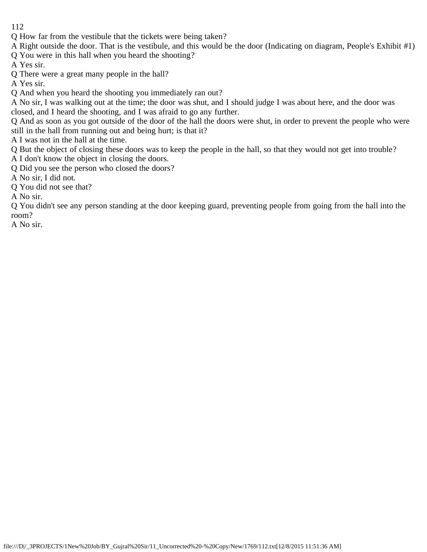- 112
- Q How far from the vestibule that the tickets were being taken?
- A Right outside the door. That is the vestibule, and this would be the door (Indicating on diagram, People's Exhibit #1) Q You were in this hall when you heard the shooting?
- A Yes sir.
- Q There were a great many people in the hall?
- A Yes sir.
- Q And when you heard the shooting you immediately ran out?
- A No sir, I was walking out at the time; the door was shut, and I should judge I was about here, and the door was closed, and I heard the shooting, and I was afraid to go any further.
- Q And as soon as you got outside of the door of the hall the doors were shut, in order to prevent the people who were still in the hall from running out and being hurt; is that it?
- A I was not in the hall at the time.
- Q But the object of closing these doors was to keep the people in the hall, so that they would not get into trouble? A I don't know the object in closing the doors.
- Q Did you see the person who closed the doors?
- A No sir, I did not.
- Q You did not see that?
- A No sir.

Q You didn't see any person standing at the door keeping guard, preventing people from going from the hall into the room?

A No sir.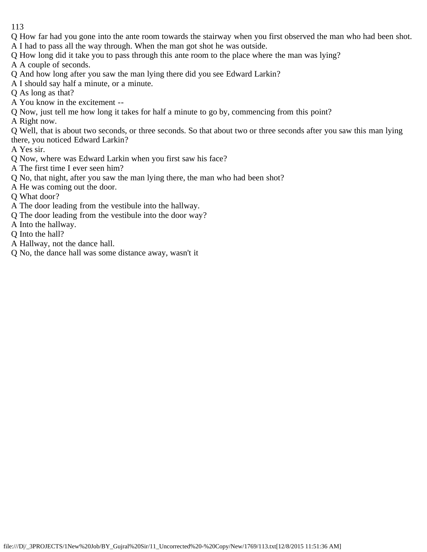- 113
- Q How far had you gone into the ante room towards the stairway when you first observed the man who had been shot.
- A I had to pass all the way through. When the man got shot he was outside.
- Q How long did it take you to pass through this ante room to the place where the man was lying?

A A couple of seconds.

- Q And how long after you saw the man lying there did you see Edward Larkin?
- A I should say half a minute, or a minute.
- Q As long as that?
- A You know in the excitement --
- Q Now, just tell me how long it takes for half a minute to go by, commencing from this point?

A Right now.

Q Well, that is about two seconds, or three seconds. So that about two or three seconds after you saw this man lying there, you noticed Edward Larkin?

A Yes sir.

- Q Now, where was Edward Larkin when you first saw his face?
- A The first time I ever seen him?
- Q No, that night, after you saw the man lying there, the man who had been shot?
- A He was coming out the door.
- Q What door?
- A The door leading from the vestibule into the hallway.
- Q The door leading from the vestibule into the door way?
- A Into the hallway.
- Q Into the hall?
- A Hallway, not the dance hall.
- Q No, the dance hall was some distance away, wasn't it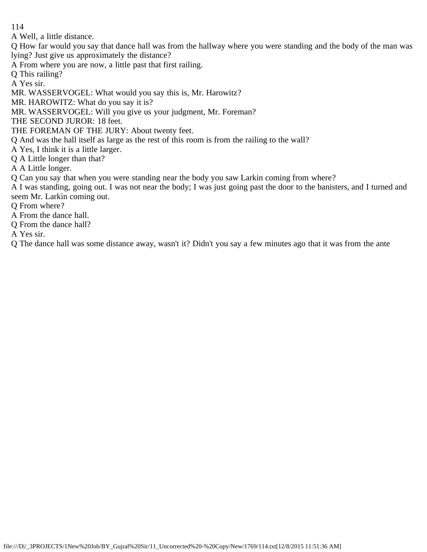A Well, a little distance.

Q How far would you say that dance hall was from the hallway where you were standing and the body of the man was lying? Just give us approximately the distance?

A From where you are now, a little past that first railing.

Q This railing?

A Yes sir.

MR. WASSERVOGEL: What would you say this is, Mr. Harowitz?

MR. HAROWITZ: What do you say it is?

MR. WASSERVOGEL: Will you give us your judgment, Mr. Foreman?

THE SECOND JUROR: 18 feet.

THE FOREMAN OF THE JURY: About twenty feet.

Q And was the hall itself as large as the rest of this room is from the railing to the wall?

A Yes, I think it is a little larger.

Q A Little longer than that?

A A Little longer.

Q Can you say that when you were standing near the body you saw Larkin coming from where?

A I was standing, going out. I was not near the body; I was just going past the door to the banisters, and I turned and seem Mr. Larkin coming out.

Q From where?

A From the dance hall.

Q From the dance hall?

A Yes sir.

Q The dance hall was some distance away, wasn't it? Didn't you say a few minutes ago that it was from the ante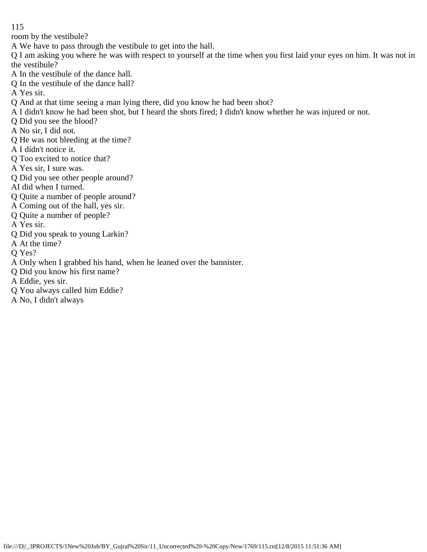room by the vestibule?

A We have to pass through the vestibule to get into the hall.

Q I am asking you where he was with respect to yourself at the time when you first laid your eyes on him. It was not in the vestibule?

A In the vestibule of the dance hall.

Q In the vestibule of the dance hall?

A Yes sir.

Q And at that time seeing a man lying there, did you know he had been shot?

- A I didn't know he had been shot, but I heard the shots fired; I didn't know whether he was injured or not.
- Q Did you see the blood?
- A No sir, I did not.
- Q He was not bleeding at the time?
- A I didn't notice it.
- Q Too excited to notice that?
- A Yes sir, I sure was.
- Q Did you see other people around?
- AI did when I turned.
- Q Quite a number of people around?
- A Coming out of the hall, yes sir.
- Q Quite a number of people?
- A Yes sir.
- Q Did you speak to young Larkin?
- A At the time?
- Q Yes?
- A Only when I grabbed his hand, when he leaned over the bannister.
- Q Did you know his first name?
- A Eddie, yes sir.
- Q You always called him Eddie?
- A No, I didn't always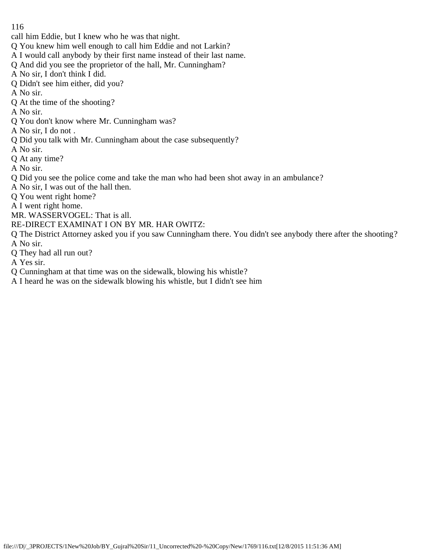- call him Eddie, but I knew who he was that night.
- Q You knew him well enough to call him Eddie and not Larkin?
- A I would call anybody by their first name instead of their last name.
- Q And did you see the proprietor of the hall, Mr. Cunningham?
- A No sir, I don't think I did.
- Q Didn't see him either, did you?
- A No sir.
- Q At the time of the shooting?
- A No sir.
- Q You don't know where Mr. Cunningham was?
- A No sir, I do not .
- Q Did you talk with Mr. Cunningham about the case subsequently?
- A No sir.
- Q At any time?
- A No sir.
- Q Did you see the police come and take the man who had been shot away in an ambulance?
- A No sir, I was out of the hall then.
- Q You went right home?
- A I went right home.
- MR. WASSERVOGEL: That is all.
- RE-DIRECT EXAMINAT I ON BY MR. HAR OWITZ:
- Q The District Attorney asked you if you saw Cunningham there. You didn't see anybody there after the shooting? A No sir.
- Q They had all run out?
- A Yes sir.
- Q Cunningham at that time was on the sidewalk, blowing his whistle?
- A I heard he was on the sidewalk blowing his whistle, but I didn't see him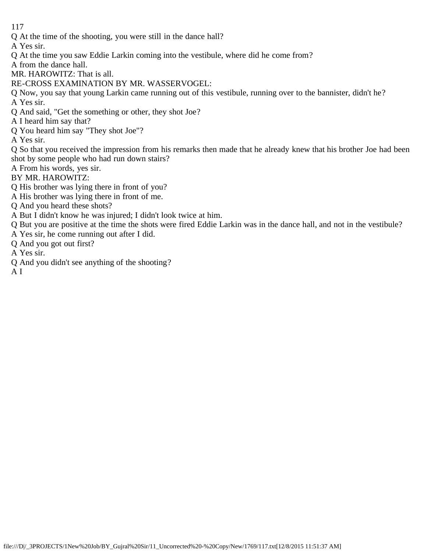Q At the time of the shooting, you were still in the dance hall?

A Yes sir.

Q At the time you saw Eddie Larkin coming into the vestibule, where did he come from?

A from the dance hall.

- MR. HAROWITZ: That is all.
- RE-CROSS EXAMINATION BY MR. WASSERVOGEL:
- Q Now, you say that young Larkin came running out of this vestibule, running over to the bannister, didn't he? A Yes sir.
- Q And said, "Get the something or other, they shot Joe?
- A I heard him say that?
- Q You heard him say "They shot Joe"?

A Yes sir.

Q So that you received the impression from his remarks then made that he already knew that his brother Joe had been shot by some people who had run down stairs?

- A From his words, yes sir.
- BY MR. HAROWITZ:
- Q His brother was lying there in front of you?
- A His brother was lying there in front of me.
- Q And you heard these shots?
- A But I didn't know he was injured; I didn't look twice at him.
- Q But you are positive at the time the shots were fired Eddie Larkin was in the dance hall, and not in the vestibule?
- A Yes sir, he come running out after I did.
- Q And you got out first?
- A Yes sir.
- Q And you didn't see anything of the shooting?
- A I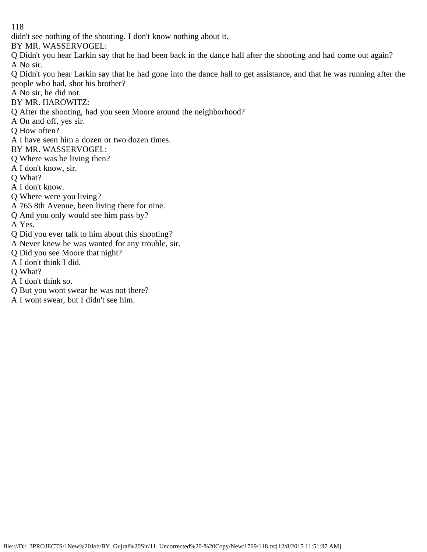didn't see nothing of the shooting. I don't know nothing about it.

BY MR. WASSERVOGEL:

Q Didn't you hear Larkin say that he had been back in the dance hall after the shooting and had come out again? A No sir.

Q Didn't you hear Larkin say that he had gone into the dance hall to get assistance, and that he was running after the people who had, shot his brother?

A No sir, he did not.

BY MR. HAROWITZ:

Q After the shooting, had you seen Moore around the neighborhood?

A On and off, yes sir.

Q How often?

A I have seen him a dozen or two dozen times.

BY MR. WASSERVOGEL:

Q Where was he living then?

A I don't know, sir.

Q What?

A I don't know.

Q Where were you living?

A 765 8th Avenue, been living there for nine.

Q And you only would see him pass by?

A Yes.

Q Did you ever talk to him about this shooting?

A Never knew he was wanted for any trouble, sir.

Q Did you see Moore that night?

A I don't think I did.

Q What?

A I don't think so.

Q But you wont swear he was not there?

A I wont swear, but I didn't see him.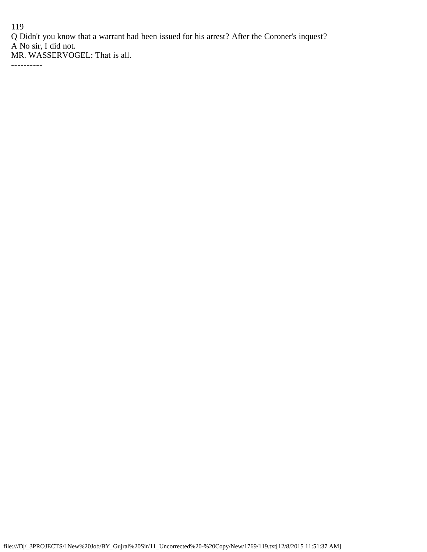Q Didn't you know that a warrant had been issued for his arrest? After the Coroner's inquest? A No sir, I did not.

MR. WASSERVOGEL: That is all.

----------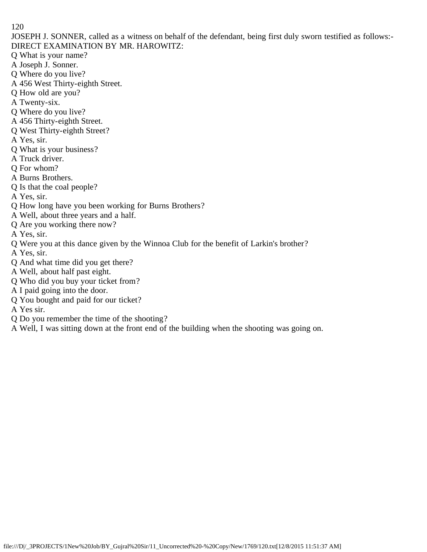JOSEPH J. SONNER, called as a witness on behalf of the defendant, being first duly sworn testified as follows:- DIRECT EXAMINATION BY MR. HAROWITZ:

- Q What is your name?
- A Joseph J. Sonner.
- Q Where do you live?
- A 456 West Thirty-eighth Street.
- Q How old are you?
- A Twenty-six.
- Q Where do you live?
- A 456 Thirty-eighth Street.
- Q West Thirty-eighth Street?
- A Yes, sir.
- Q What is your business?
- A Truck driver.
- Q For whom?
- A Burns Brothers.
- Q Is that the coal people?
- A Yes, sir.
- Q How long have you been working for Burns Brothers?
- A Well, about three years and a half.
- Q Are you working there now?
- A Yes, sir.
- Q Were you at this dance given by the Winnoa Club for the benefit of Larkin's brother?
- A Yes, sir.
- Q And what time did you get there?
- A Well, about half past eight.
- Q Who did you buy your ticket from?
- A I paid going into the door.
- Q You bought and paid for our ticket?
- A Yes sir.
- Q Do you remember the time of the shooting?
- A Well, I was sitting down at the front end of the building when the shooting was going on.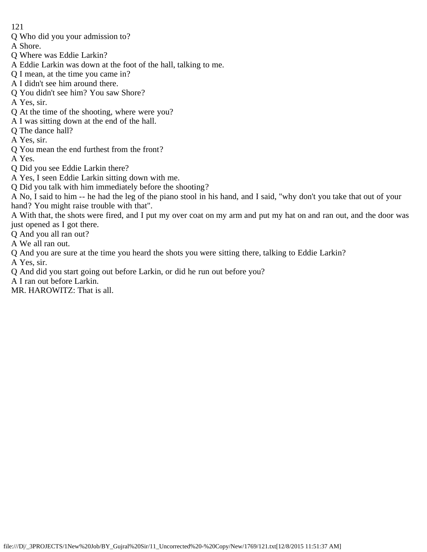- Q Who did you your admission to?
- A Shore.
- Q Where was Eddie Larkin?
- A Eddie Larkin was down at the foot of the hall, talking to me.
- Q I mean, at the time you came in?
- A I didn't see him around there.
- Q You didn't see him? You saw Shore?

A Yes, sir.

- Q At the time of the shooting, where were you?
- A I was sitting down at the end of the hall.
- Q The dance hall?

A Yes, sir.

Q You mean the end furthest from the front?

A Yes.

- Q Did you see Eddie Larkin there?
- A Yes, I seen Eddie Larkin sitting down with me.
- Q Did you talk with him immediately before the shooting?

A No, I said to him -- he had the leg of the piano stool in his hand, and I said, "why don't you take that out of your hand? You might raise trouble with that".

A With that, the shots were fired, and I put my over coat on my arm and put my hat on and ran out, and the door was just opened as I got there.

Q And you all ran out?

- A We all ran out.
- Q And you are sure at the time you heard the shots you were sitting there, talking to Eddie Larkin?

A Yes, sir.

Q And did you start going out before Larkin, or did he run out before you?

A I ran out before Larkin.

MR. HAROWITZ: That is all.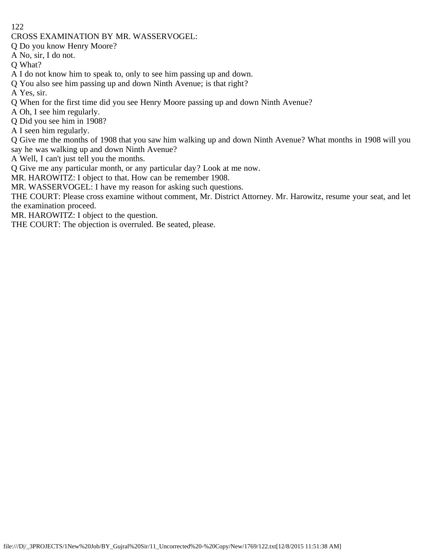CROSS EXAMINATION BY MR. WASSERVOGEL:

Q Do you know Henry Moore?

A No, sir, I do not.

Q What?

A I do not know him to speak to, only to see him passing up and down.

Q You also see him passing up and down Ninth Avenue; is that right?

A Yes, sir.

Q When for the first time did you see Henry Moore passing up and down Ninth Avenue?

A Oh, I see him regularly.

Q Did you see him in 1908?

A I seen him regularly.

Q Give me the months of 1908 that you saw him walking up and down Ninth Avenue? What months in 1908 will you say he was walking up and down Ninth Avenue?

A Well, I can't just tell you the months.

Q Give me any particular month, or any particular day? Look at me now.

MR. HAROWITZ: I object to that. How can be remember 1908.

MR. WASSERVOGEL: I have my reason for asking such questions.

THE COURT: Please cross examine without comment, Mr. District Attorney. Mr. Harowitz, resume your seat, and let the examination proceed.

MR. HAROWITZ: I object to the question.

THE COURT: The objection is overruled. Be seated, please.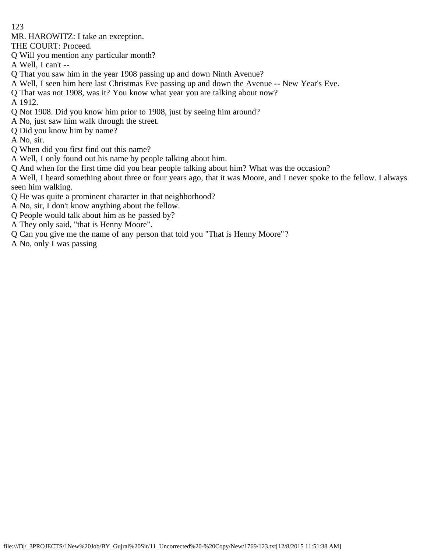MR. HAROWITZ: I take an exception.

THE COURT: Proceed.

Q Will you mention any particular month?

A Well, I can't --

- Q That you saw him in the year 1908 passing up and down Ninth Avenue?
- A Well, I seen him here last Christmas Eve passing up and down the Avenue -- New Year's Eve.
- Q That was not 1908, was it? You know what year you are talking about now?

A 1912.

- Q Not 1908. Did you know him prior to 1908, just by seeing him around?
- A No, just saw him walk through the street.
- Q Did you know him by name?

A No, sir.

- Q When did you first find out this name?
- A Well, I only found out his name by people talking about him.
- Q And when for the first time did you hear people talking about him? What was the occasion?

A Well, I heard something about three or four years ago, that it was Moore, and I never spoke to the fellow. I always seen him walking.

- Q He was quite a prominent character in that neighborhood?
- A No, sir, I don't know anything about the fellow.
- Q People would talk about him as he passed by?
- A They only said, "that is Henny Moore".
- Q Can you give me the name of any person that told you "That is Henny Moore"?
- A No, only I was passing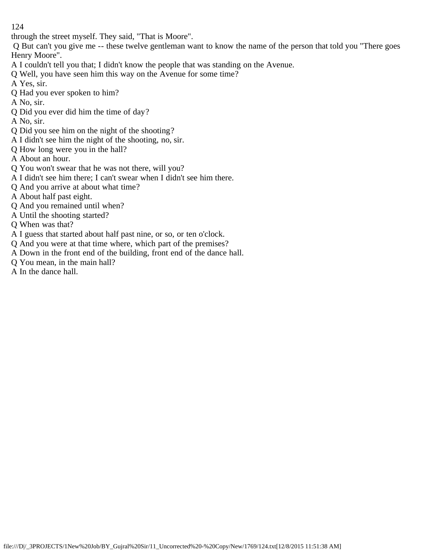through the street myself. They said, "That is Moore".

 Q But can't you give me -- these twelve gentleman want to know the name of the person that told you "There goes Henry Moore".

- A I couldn't tell you that; I didn't know the people that was standing on the Avenue.
- Q Well, you have seen him this way on the Avenue for some time?
- A Yes, sir.
- Q Had you ever spoken to him?
- A No, sir.
- Q Did you ever did him the time of day?
- A No, sir.
- Q Did you see him on the night of the shooting?
- A I didn't see him the night of the shooting, no, sir.
- Q How long were you in the hall?
- A About an hour.
- Q You won't swear that he was not there, will you?
- A I didn't see him there; I can't swear when I didn't see him there.
- Q And you arrive at about what time?
- A About half past eight.
- Q And you remained until when?
- A Until the shooting started?
- Q When was that?
- A I guess that started about half past nine, or so, or ten o'clock.
- Q And you were at that time where, which part of the premises?
- A Down in the front end of the building, front end of the dance hall.
- Q You mean, in the main hall?
- A In the dance hall.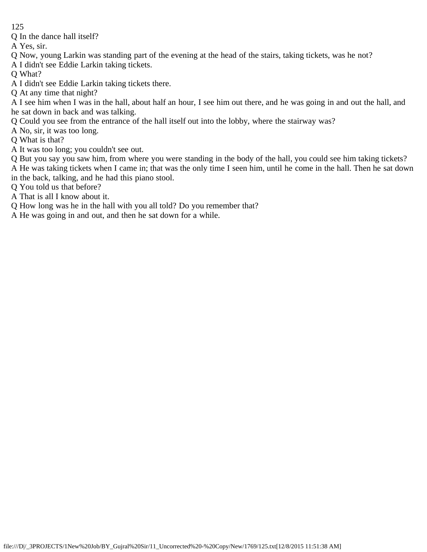Q In the dance hall itself?

A Yes, sir.

Q Now, young Larkin was standing part of the evening at the head of the stairs, taking tickets, was he not?

A I didn't see Eddie Larkin taking tickets.

Q What?

A I didn't see Eddie Larkin taking tickets there.

Q At any time that night?

A I see him when I was in the hall, about half an hour, I see him out there, and he was going in and out the hall, and he sat down in back and was talking.

Q Could you see from the entrance of the hall itself out into the lobby, where the stairway was?

A No, sir, it was too long.

Q What is that?

A It was too long; you couldn't see out.

Q But you say you saw him, from where you were standing in the body of the hall, you could see him taking tickets? A He was taking tickets when I came in; that was the only time I seen him, until he come in the hall. Then he sat down

in the back, talking, and he had this piano stool.

Q You told us that before?

A That is all I know about it.

Q How long was he in the hall with you all told? Do you remember that?

A He was going in and out, and then he sat down for a while.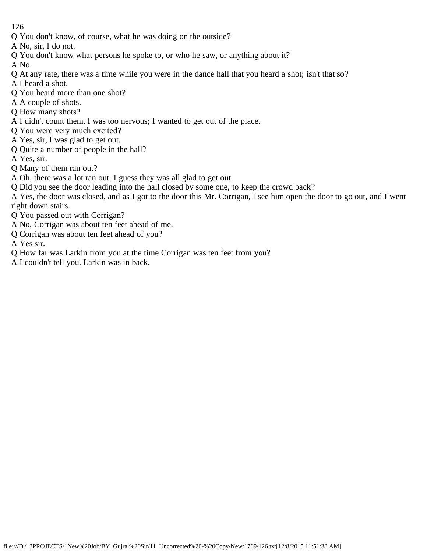- Q You don't know, of course, what he was doing on the outside?
- A No, sir, I do not.
- Q You don't know what persons he spoke to, or who he saw, or anything about it?

A No.

- Q At any rate, there was a time while you were in the dance hall that you heard a shot; isn't that so?
- A I heard a shot.
- Q You heard more than one shot?
- A A couple of shots.
- Q How many shots?
- A I didn't count them. I was too nervous; I wanted to get out of the place.
- Q You were very much excited?
- A Yes, sir, I was glad to get out.
- Q Quite a number of people in the hall?
- A Yes, sir.
- Q Many of them ran out?
- A Oh, there was a lot ran out. I guess they was all glad to get out.
- Q Did you see the door leading into the hall closed by some one, to keep the crowd back?
- A Yes, the door was closed, and as I got to the door this Mr. Corrigan, I see him open the door to go out, and I went right down stairs.
- Q You passed out with Corrigan?
- A No, Corrigan was about ten feet ahead of me.
- Q Corrigan was about ten feet ahead of you?
- A Yes sir.
- Q How far was Larkin from you at the time Corrigan was ten feet from you?
- A I couldn't tell you. Larkin was in back.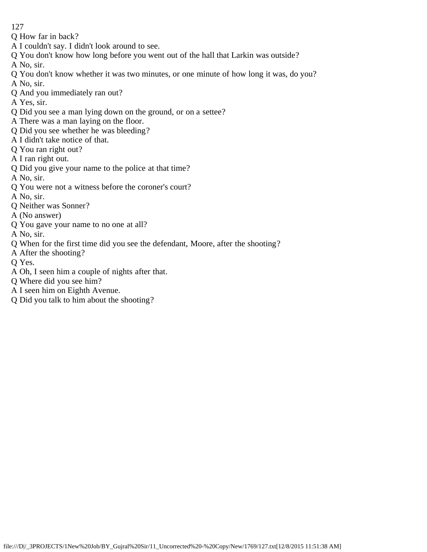- 127
- Q How far in back?
- A I couldn't say. I didn't look around to see.
- Q You don't know how long before you went out of the hall that Larkin was outside?
- A No, sir.
- Q You don't know whether it was two minutes, or one minute of how long it was, do you? A No, sir.
- Q And you immediately ran out?
- A Yes, sir.
- Q Did you see a man lying down on the ground, or on a settee?
- A There was a man laying on the floor.
- Q Did you see whether he was bleeding?
- A I didn't take notice of that.
- Q You ran right out?
- A I ran right out.
- Q Did you give your name to the police at that time?
- A No, sir.
- Q You were not a witness before the coroner's court?
- A No, sir.
- Q Neither was Sonner?
- A (No answer)
- Q You gave your name to no one at all?
- A No, sir.
- Q When for the first time did you see the defendant, Moore, after the shooting?
- A After the shooting?
- Q Yes.
- A Oh, I seen him a couple of nights after that.
- Q Where did you see him?
- A I seen him on Eighth Avenue.
- Q Did you talk to him about the shooting?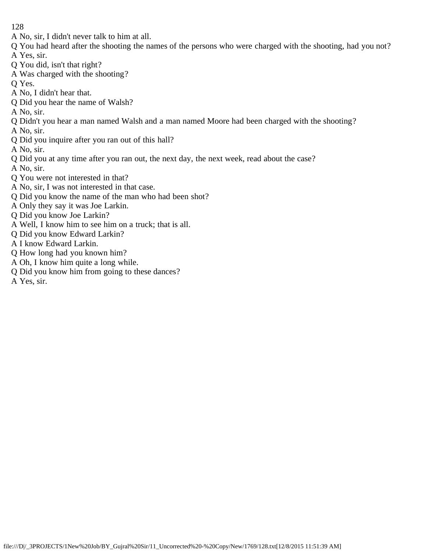- A No, sir, I didn't never talk to him at all.
- Q You had heard after the shooting the names of the persons who were charged with the shooting, had you not? A Yes, sir.
- Q You did, isn't that right?
- A Was charged with the shooting?
- Q Yes.
- A No, I didn't hear that.
- Q Did you hear the name of Walsh?

A No, sir.

Q Didn't you hear a man named Walsh and a man named Moore had been charged with the shooting?

A No, sir.

Q Did you inquire after you ran out of this hall?

A No, sir.

- Q Did you at any time after you ran out, the next day, the next week, read about the case?
- A No, sir.
- Q You were not interested in that?
- A No, sir, I was not interested in that case.
- Q Did you know the name of the man who had been shot?
- A Only they say it was Joe Larkin.
- Q Did you know Joe Larkin?
- A Well, I know him to see him on a truck; that is all.
- Q Did you know Edward Larkin?
- A I know Edward Larkin.
- Q How long had you known him?
- A Oh, I know him quite a long while.
- Q Did you know him from going to these dances?
- A Yes, sir.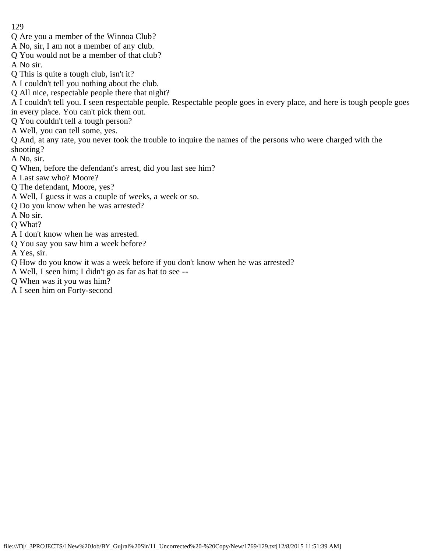- 129
- Q Are you a member of the Winnoa Club?
- A No, sir, I am not a member of any club.
- Q You would not be a member of that club?
- A No sir.
- Q This is quite a tough club, isn't it?
- A I couldn't tell you nothing about the club.
- Q All nice, respectable people there that night?
- A I couldn't tell you. I seen respectable people. Respectable people goes in every place, and here is tough people goes in every place. You can't pick them out.
- Q You couldn't tell a tough person?
- A Well, you can tell some, yes.
- Q And, at any rate, you never took the trouble to inquire the names of the persons who were charged with the shooting?
- A No, sir.
- Q When, before the defendant's arrest, did you last see him?
- A Last saw who? Moore?
- Q The defendant, Moore, yes?
- A Well, I guess it was a couple of weeks, a week or so.
- Q Do you know when he was arrested?
- A No sir.
- Q What?
- A I don't know when he was arrested.
- Q You say you saw him a week before?
- A Yes, sir.
- Q How do you know it was a week before if you don't know when he was arrested?
- A Well, I seen him; I didn't go as far as hat to see --
- Q When was it you was him?
- A I seen him on Forty-second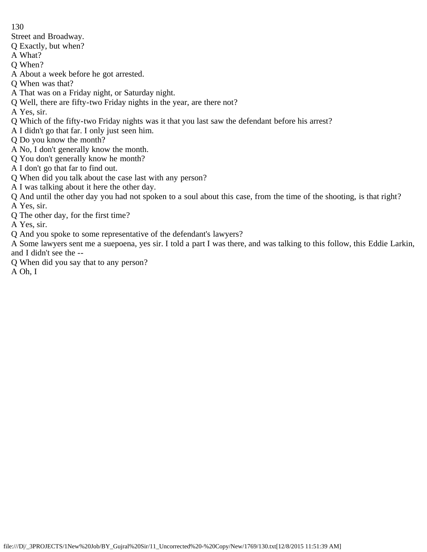Street and Broadway.

Q Exactly, but when?

A What?

Q When?

A About a week before he got arrested.

Q When was that?

A That was on a Friday night, or Saturday night.

Q Well, there are fifty-two Friday nights in the year, are there not?

A Yes, sir.

Q Which of the fifty-two Friday nights was it that you last saw the defendant before his arrest?

A I didn't go that far. I only just seen him.

Q Do you know the month?

A No, I don't generally know the month.

Q You don't generally know he month?

A I don't go that far to find out.

Q When did you talk about the case last with any person?

A I was talking about it here the other day.

Q And until the other day you had not spoken to a soul about this case, from the time of the shooting, is that right? A Yes, sir.

Q The other day, for the first time?

A Yes, sir.

Q And you spoke to some representative of the defendant's lawyers?

A Some lawyers sent me a suepoena, yes sir. I told a part I was there, and was talking to this follow, this Eddie Larkin, and I didn't see the --

Q When did you say that to any person?

A Oh, I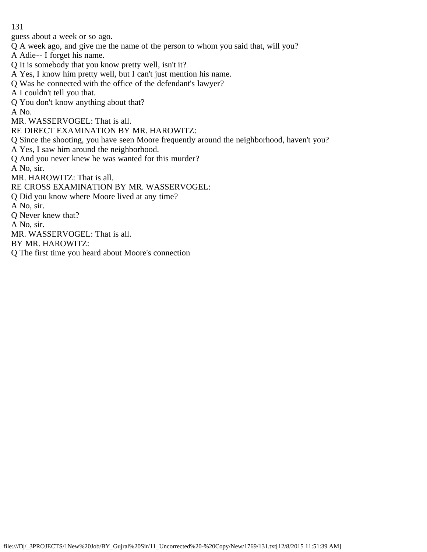guess about a week or so ago.

Q A week ago, and give me the name of the person to whom you said that, will you?

A Adie-- I forget his name.

- Q It is somebody that you know pretty well, isn't it?
- A Yes, I know him pretty well, but I can't just mention his name.
- Q Was he connected with the office of the defendant's lawyer?
- A I couldn't tell you that.
- Q You don't know anything about that?

A No.

MR. WASSERVOGEL: That is all.

RE DIRECT EXAMINATION BY MR. HAROWITZ:

Q Since the shooting, you have seen Moore frequently around the neighborhood, haven't you?

A Yes, I saw him around the neighborhood.

Q And you never knew he was wanted for this murder?

A No, sir.

MR. HAROWITZ: That is all.

RE CROSS EXAMINATION BY MR. WASSERVOGEL:

Q Did you know where Moore lived at any time?

A No, sir.

Q Never knew that?

A No, sir.

MR. WASSERVOGEL: That is all.

BY MR. HAROWITZ:

Q The first time you heard about Moore's connection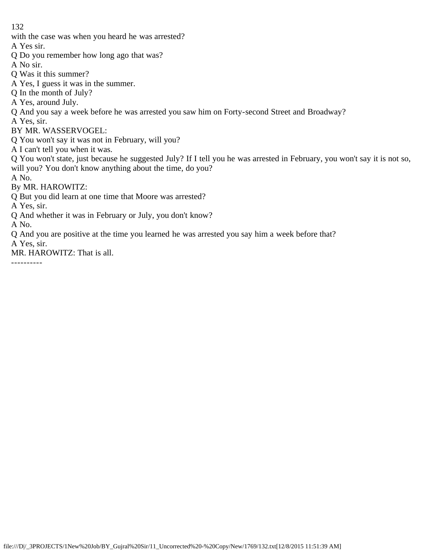with the case was when you heard he was arrested?

A Yes sir.

- Q Do you remember how long ago that was?
- A No sir.
- Q Was it this summer?
- A Yes, I guess it was in the summer.
- Q In the month of July?
- A Yes, around July.
- Q And you say a week before he was arrested you saw him on Forty-second Street and Broadway?
- A Yes, sir.
- BY MR. WASSERVOGEL:
- Q You won't say it was not in February, will you?
- A I can't tell you when it was.
- Q You won't state, just because he suggested July? If I tell you he was arrested in February, you won't say it is not so, will you? You don't know anything about the time, do you?
- A No.
- By MR. HAROWITZ:
- Q But you did learn at one time that Moore was arrested?
- A Yes, sir.
- Q And whether it was in February or July, you don't know?
- A No.
- Q And you are positive at the time you learned he was arrested you say him a week before that?
- A Yes, sir.
- MR. HAROWITZ: That is all.
- ----------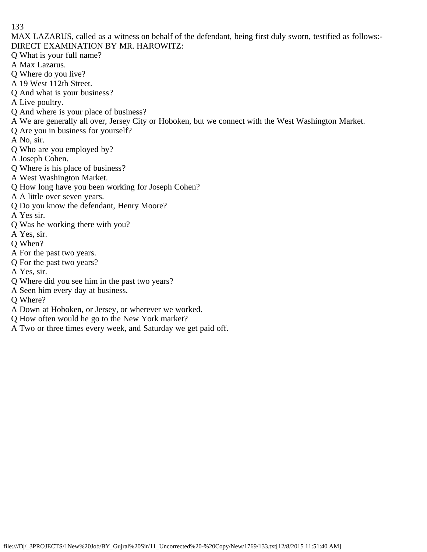MAX LAZARUS, called as a witness on behalf of the defendant, being first duly sworn, testified as follows:- DIRECT EXAMINATION BY MR. HAROWITZ:

- Q What is your full name?
- A Max Lazarus.
- Q Where do you live?
- A 19 West 112th Street.
- Q And what is your business?
- A Live poultry.
- Q And where is your place of business?
- A We are generally all over, Jersey City or Hoboken, but we connect with the West Washington Market.
- Q Are you in business for yourself?
- A No, sir.
- Q Who are you employed by?
- A Joseph Cohen.
- Q Where is his place of business?
- A West Washington Market.
- Q How long have you been working for Joseph Cohen?
- A A little over seven years.
- Q Do you know the defendant, Henry Moore?
- A Yes sir.
- Q Was he working there with you?
- A Yes, sir.
- Q When?
- A For the past two years.
- Q For the past two years?
- A Yes, sir.
- Q Where did you see him in the past two years?
- A Seen him every day at business.
- Q Where?
- A Down at Hoboken, or Jersey, or wherever we worked.
- Q How often would he go to the New York market?
- A Two or three times every week, and Saturday we get paid off.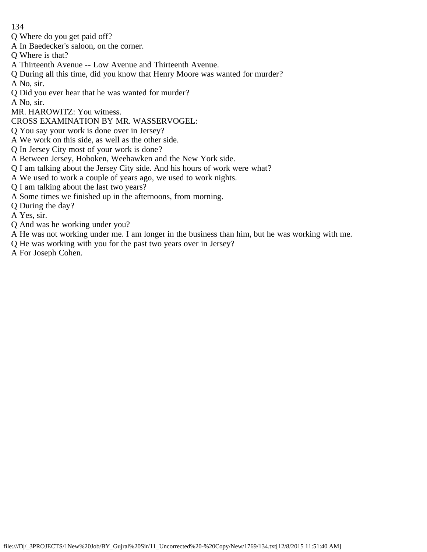- Q Where do you get paid off?
- A In Baedecker's saloon, on the corner.
- Q Where is that?
- A Thirteenth Avenue -- Low Avenue and Thirteenth Avenue.
- Q During all this time, did you know that Henry Moore was wanted for murder?
- A No, sir.
- Q Did you ever hear that he was wanted for murder?
- A No, sir.
- MR. HAROWITZ: You witness.
- CROSS EXAMINATION BY MR. WASSERVOGEL:
- Q You say your work is done over in Jersey?
- A We work on this side, as well as the other side.
- Q In Jersey City most of your work is done?
- A Between Jersey, Hoboken, Weehawken and the New York side.
- Q I am talking about the Jersey City side. And his hours of work were what?
- A We used to work a couple of years ago, we used to work nights.
- Q I am talking about the last two years?
- A Some times we finished up in the afternoons, from morning.
- Q During the day?
- A Yes, sir.
- Q And was he working under you?
- A He was not working under me. I am longer in the business than him, but he was working with me.
- Q He was working with you for the past two years over in Jersey?
- A For Joseph Cohen.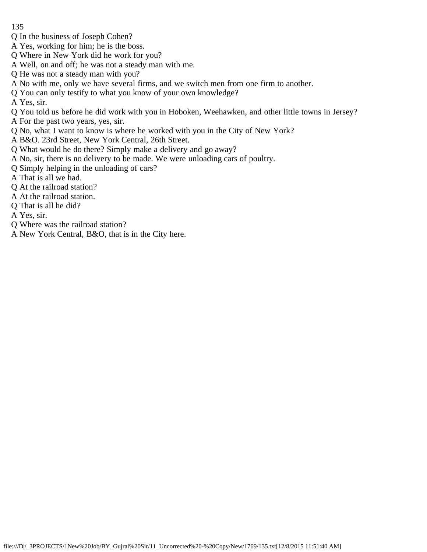- 135
- Q In the business of Joseph Cohen?
- A Yes, working for him; he is the boss.
- Q Where in New York did he work for you?
- A Well, on and off; he was not a steady man with me.
- Q He was not a steady man with you?
- A No with me, only we have several firms, and we switch men from one firm to another.
- Q You can only testify to what you know of your own knowledge?
- A Yes, sir.
- Q You told us before he did work with you in Hoboken, Weehawken, and other little towns in Jersey?
- A For the past two years, yes, sir.
- Q No, what I want to know is where he worked with you in the City of New York?
- A B&O. 23rd Street, New York Central, 26th Street.
- Q What would he do there? Simply make a delivery and go away?
- A No, sir, there is no delivery to be made. We were unloading cars of poultry.
- Q Simply helping in the unloading of cars?
- A That is all we had.
- Q At the railroad station?
- A At the railroad station.
- Q That is all he did?
- A Yes, sir.
- Q Where was the railroad station?
- A New York Central, B&O, that is in the City here.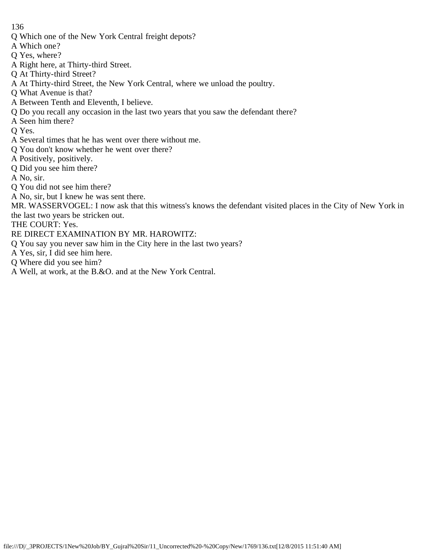- Q Which one of the New York Central freight depots?
- A Which one?
- Q Yes, where?
- A Right here, at Thirty-third Street.
- Q At Thirty-third Street?
- A At Thirty-third Street, the New York Central, where we unload the poultry.
- Q What Avenue is that?
- A Between Tenth and Eleventh, I believe.
- Q Do you recall any occasion in the last two years that you saw the defendant there?
- A Seen him there?
- Q Yes.
- A Several times that he has went over there without me.
- Q You don't know whether he went over there?
- A Positively, positively.
- Q Did you see him there?
- A No, sir.
- Q You did not see him there?
- A No, sir, but I knew he was sent there.
- MR. WASSERVOGEL: I now ask that this witness's knows the defendant visited places in the City of New York in the last two years be stricken out.
- THE COURT: Yes.
- RE DIRECT EXAMINATION BY MR. HAROWITZ:
- Q You say you never saw him in the City here in the last two years?
- A Yes, sir, I did see him here.
- Q Where did you see him?
- A Well, at work, at the B.&O. and at the New York Central.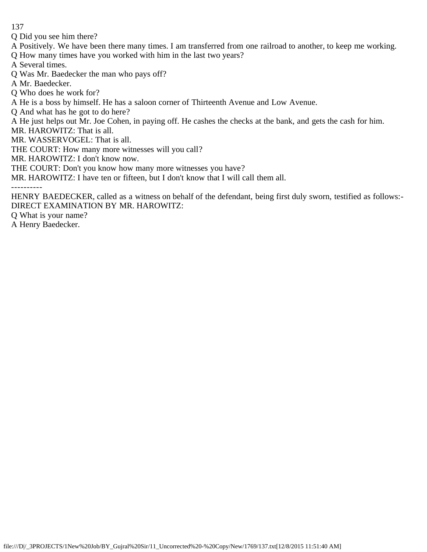Q Did you see him there?

A Positively. We have been there many times. I am transferred from one railroad to another, to keep me working.

Q How many times have you worked with him in the last two years?

A Several times.

Q Was Mr. Baedecker the man who pays off?

A Mr. Baedecker.

Q Who does he work for?

A He is a boss by himself. He has a saloon corner of Thirteenth Avenue and Low Avenue.

Q And what has he got to do here?

A He just helps out Mr. Joe Cohen, in paying off. He cashes the checks at the bank, and gets the cash for him.

MR. HAROWITZ: That is all.

MR. WASSERVOGEL: That is all.

THE COURT: How many more witnesses will you call?

MR. HAROWITZ: I don't know now.

THE COURT: Don't you know how many more witnesses you have?

MR. HAROWITZ: I have ten or fifteen, but I don't know that I will call them all.

----------

HENRY BAEDECKER, called as a witness on behalf of the defendant, being first duly sworn, testified as follows:- DIRECT EXAMINATION BY MR. HAROWITZ:

Q What is your name?

A Henry Baedecker.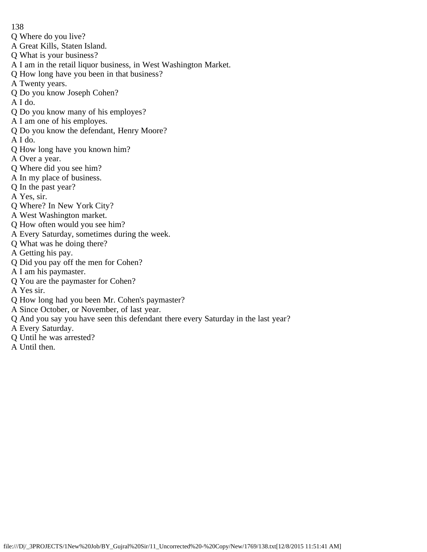- Q Where do you live?
- A Great Kills, Staten Island.
- Q What is your business?
- A I am in the retail liquor business, in West Washington Market.
- Q How long have you been in that business?
- A Twenty years.
- Q Do you know Joseph Cohen?
- A I do.
- Q Do you know many of his employes?
- A I am one of his employes.
- Q Do you know the defendant, Henry Moore?
- A I do.
- Q How long have you known him?
- A Over a year.
- Q Where did you see him?
- A In my place of business.
- Q In the past year?
- A Yes, sir.
- Q Where? In New York City?
- A West Washington market.
- Q How often would you see him?
- A Every Saturday, sometimes during the week.
- Q What was he doing there?
- A Getting his pay.
- Q Did you pay off the men for Cohen?
- A I am his paymaster.
- Q You are the paymaster for Cohen?
- A Yes sir.
- Q How long had you been Mr. Cohen's paymaster?
- A Since October, or November, of last year.
- Q And you say you have seen this defendant there every Saturday in the last year?
- A Every Saturday.
- Q Until he was arrested?
- A Until then.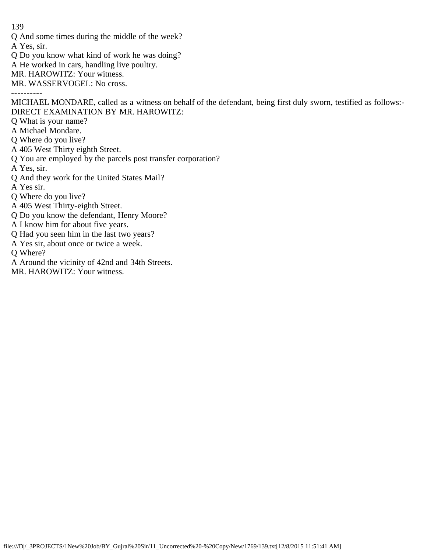Q And some times during the middle of the week?

A Yes, sir.

- Q Do you know what kind of work he was doing?
- A He worked in cars, handling live poultry.
- MR. HAROWITZ: Your witness.
- MR. WASSERVOGEL: No cross.

----------

MICHAEL MONDARE, called as a witness on behalf of the defendant, being first duly sworn, testified as follows:- DIRECT EXAMINATION BY MR. HAROWITZ:

- Q What is your name?
- A Michael Mondare.
- Q Where do you live?
- A 405 West Thirty eighth Street.
- Q You are employed by the parcels post transfer corporation?
- A Yes, sir.
- Q And they work for the United States Mail?
- A Yes sir.
- Q Where do you live?
- A 405 West Thirty-eighth Street.
- Q Do you know the defendant, Henry Moore?
- A I know him for about five years.
- Q Had you seen him in the last two years?
- A Yes sir, about once or twice a week.
- Q Where?
- A Around the vicinity of 42nd and 34th Streets.
- MR. HAROWITZ: Your witness.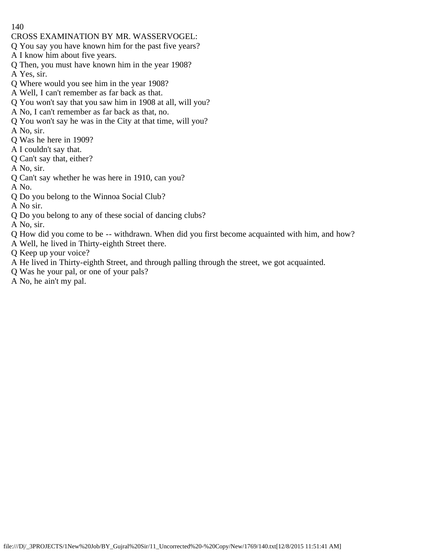- CROSS EXAMINATION BY MR. WASSERVOGEL:
- Q You say you have known him for the past five years?
- A I know him about five years.
- Q Then, you must have known him in the year 1908? A Yes, sir.
- Q Where would you see him in the year 1908?
- A Well, I can't remember as far back as that.
- Q You won't say that you saw him in 1908 at all, will you?
- A No, I can't remember as far back as that, no.
- Q You won't say he was in the City at that time, will you?
- A No, sir.
- Q Was he here in 1909?
- A I couldn't say that.
- Q Can't say that, either?
- A No, sir.
- Q Can't say whether he was here in 1910, can you?
- A No.
- Q Do you belong to the Winnoa Social Club?
- A No sir.
- Q Do you belong to any of these social of dancing clubs?
- A No, sir.
- Q How did you come to be -- withdrawn. When did you first become acquainted with him, and how?
- A Well, he lived in Thirty-eighth Street there.
- Q Keep up your voice?
- A He lived in Thirty-eighth Street, and through palling through the street, we got acquainted.
- Q Was he your pal, or one of your pals?
- A No, he ain't my pal.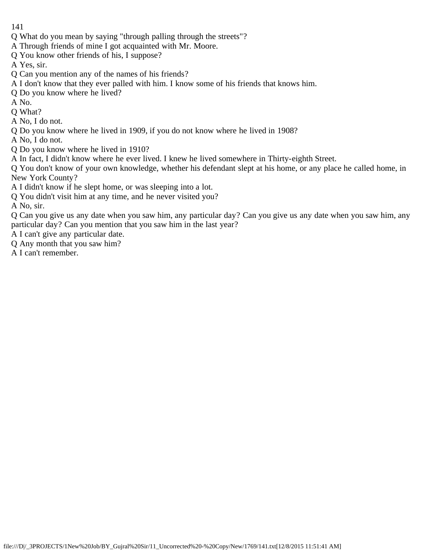- 141
- Q What do you mean by saying "through palling through the streets"?
- A Through friends of mine I got acquainted with Mr. Moore.
- Q You know other friends of his, I suppose?
- A Yes, sir.
- Q Can you mention any of the names of his friends?
- A I don't know that they ever palled with him. I know some of his friends that knows him.
- Q Do you know where he lived?
- A No.
- Q What?
- A No, I do not.
- Q Do you know where he lived in 1909, if you do not know where he lived in 1908?
- A No, I do not.
- Q Do you know where he lived in 1910?
- A In fact, I didn't know where he ever lived. I knew he lived somewhere in Thirty-eighth Street.
- Q You don't know of your own knowledge, whether his defendant slept at his home, or any place he called home, in New York County?
- A I didn't know if he slept home, or was sleeping into a lot.
- Q You didn't visit him at any time, and he never visited you?
- A No, sir.
- Q Can you give us any date when you saw him, any particular day? Can you give us any date when you saw him, any particular day? Can you mention that you saw him in the last year?
- A I can't give any particular date.
- Q Any month that you saw him?
- A I can't remember.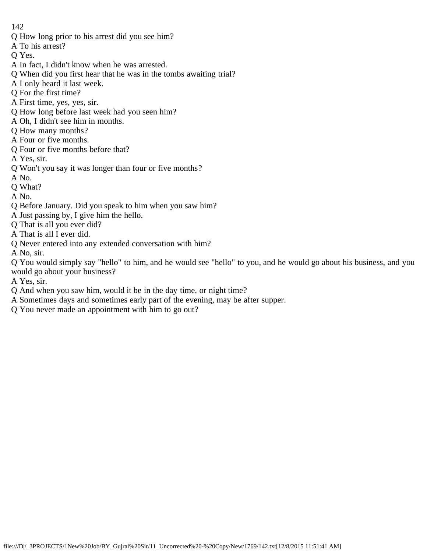Q How long prior to his arrest did you see him?

A To his arrest?

Q Yes.

- A In fact, I didn't know when he was arrested.
- Q When did you first hear that he was in the tombs awaiting trial?
- A I only heard it last week.
- Q For the first time?
- A First time, yes, yes, sir.
- Q How long before last week had you seen him?
- A Oh, I didn't see him in months.
- Q How many months?
- A Four or five months.
- Q Four or five months before that?
- A Yes, sir.
- Q Won't you say it was longer than four or five months?
- A No.
- Q What?
- A No.
- Q Before January. Did you speak to him when you saw him?
- A Just passing by, I give him the hello.
- Q That is all you ever did?
- A That is all I ever did.
- Q Never entered into any extended conversation with him?
- A No, sir.

Q You would simply say "hello" to him, and he would see "hello" to you, and he would go about his business, and you would go about your business?

- A Yes, sir.
- Q And when you saw him, would it be in the day time, or night time?
- A Sometimes days and sometimes early part of the evening, may be after supper.
- Q You never made an appointment with him to go out?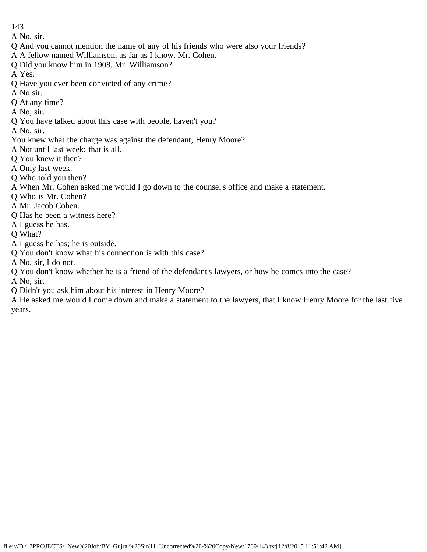A No, sir.

- Q And you cannot mention the name of any of his friends who were also your friends?
- A A fellow named Williamson, as far as I know. Mr. Cohen.
- Q Did you know him in 1908, Mr. Williamson?

A Yes.

- Q Have you ever been convicted of any crime?
- A No sir.
- Q At any time?
- A No, sir.
- Q You have talked about this case with people, haven't you?

A No, sir.

- You knew what the charge was against the defendant, Henry Moore?
- A Not until last week; that is all.
- Q You knew it then?
- A Only last week.
- Q Who told you then?
- A When Mr. Cohen asked me would I go down to the counsel's office and make a statement.
- Q Who is Mr. Cohen?
- A Mr. Jacob Cohen.
- Q Has he been a witness here?
- A I guess he has.

Q What?

- A I guess he has; he is outside.
- Q You don't know what his connection is with this case?
- A No, sir, I do not.
- Q You don't know whether he is a friend of the defendant's lawyers, or how he comes into the case?

A No, sir.

Q Didn't you ask him about his interest in Henry Moore?

A He asked me would I come down and make a statement to the lawyers, that I know Henry Moore for the last five years.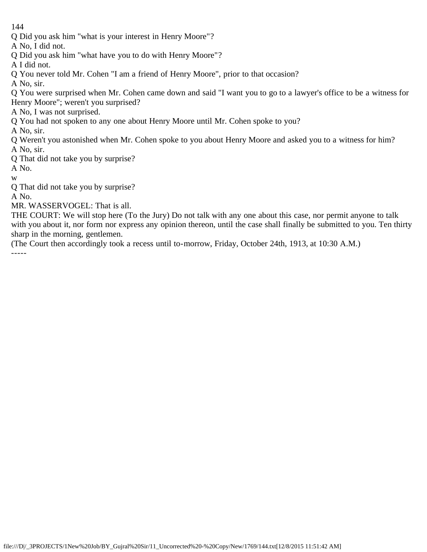Q Did you ask him "what is your interest in Henry Moore"?

A No, I did not.

Q Did you ask him "what have you to do with Henry Moore"?

A I did not.

Q You never told Mr. Cohen "I am a friend of Henry Moore", prior to that occasion?

A No, sir.

- Q You were surprised when Mr. Cohen came down and said "I want you to go to a lawyer's office to be a witness for Henry Moore"; weren't you surprised?
- A No, I was not surprised.
- Q You had not spoken to any one about Henry Moore until Mr. Cohen spoke to you?
- A No, sir.
- Q Weren't you astonished when Mr. Cohen spoke to you about Henry Moore and asked you to a witness for him? A No, sir.
- Q That did not take you by surprise?

A No.

w

Q That did not take you by surprise?

A No.

MR. WASSERVOGEL: That is all.

THE COURT: We will stop here (To the Jury) Do not talk with any one about this case, nor permit anyone to talk with you about it, nor form nor express any opinion thereon, until the case shall finally be submitted to you. Ten thirty sharp in the morning, gentlemen.

(The Court then accordingly took a recess until to-morrow, Friday, October 24th, 1913, at 10:30 A.M.) -----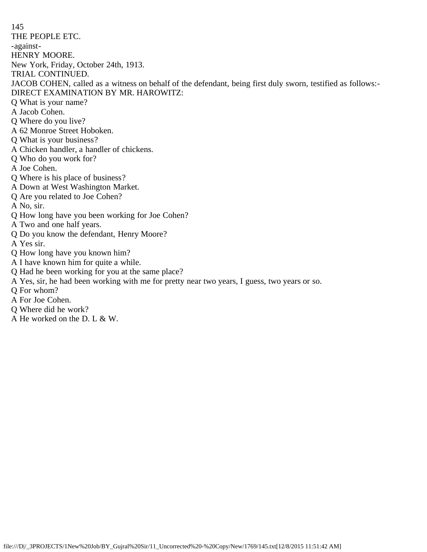145 THE PEOPLE ETC. -against-HENRY MOORE. New York, Friday, October 24th, 1913. TRIAL CONTINUED. JACOB COHEN, called as a witness on behalf of the defendant, being first duly sworn, testified as follows:- DIRECT EXAMINATION BY MR. HAROWITZ: Q What is your name? A Jacob Cohen. Q Where do you live? A 62 Monroe Street Hoboken. Q What is your business? A Chicken handler, a handler of chickens. Q Who do you work for? A Joe Cohen. Q Where is his place of business? A Down at West Washington Market. Q Are you related to Joe Cohen? A No, sir. Q How long have you been working for Joe Cohen? A Two and one half years. Q Do you know the defendant, Henry Moore? A Yes sir. Q How long have you known him? A I have known him for quite a while. Q Had he been working for you at the same place? A Yes, sir, he had been working with me for pretty near two years, I guess, two years or so. Q For whom? A For Joe Cohen.

- Q Where did he work?
- A He worked on the D. L & W.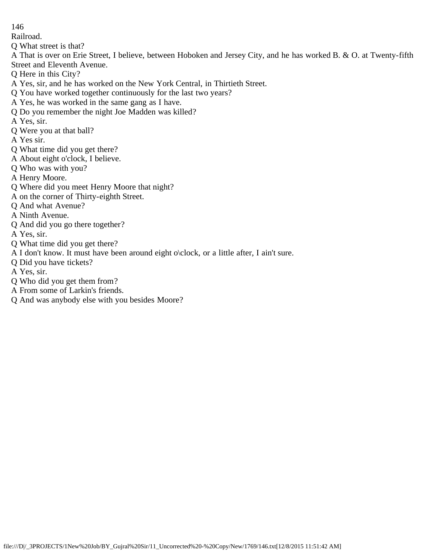Railroad.

Q What street is that?

A That is over on Erie Street, I believe, between Hoboken and Jersey City, and he has worked B. & O. at Twenty-fifth Street and Eleventh Avenue.

- Q Here in this City?
- A Yes, sir, and he has worked on the New York Central, in Thirtieth Street.
- Q You have worked together continuously for the last two years?
- A Yes, he was worked in the same gang as I have.
- Q Do you remember the night Joe Madden was killed?
- A Yes, sir.
- Q Were you at that ball?
- A Yes sir.
- Q What time did you get there?
- A About eight o'clock, I believe.
- Q Who was with you?
- A Henry Moore.
- Q Where did you meet Henry Moore that night?
- A on the corner of Thirty-eighth Street.
- Q And what Avenue?
- A Ninth Avenue.
- Q And did you go there together?
- A Yes, sir.
- Q What time did you get there?
- A I don't know. It must have been around eight o\clock, or a little after, I ain't sure.
- Q Did you have tickets?
- A Yes, sir.
- Q Who did you get them from?
- A From some of Larkin's friends.
- Q And was anybody else with you besides Moore?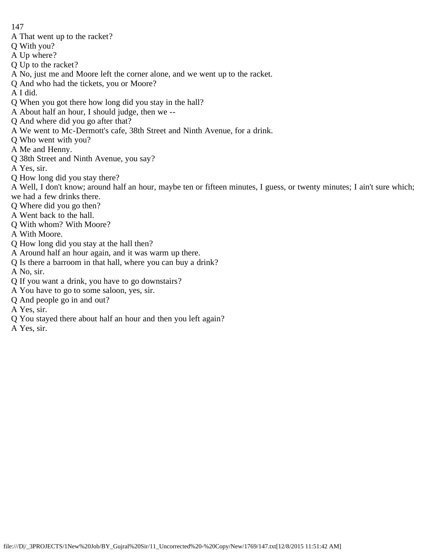- A That went up to the racket?
- Q With you?
- A Up where?
- Q Up to the racket?
- A No, just me and Moore left the corner alone, and we went up to the racket.
- Q And who had the tickets, you or Moore?
- A I did.
- Q When you got there how long did you stay in the hall?
- A About half an hour, I should judge, then we --
- Q And where did you go after that?
- A We went to Mc-Dermott's cafe, 38th Street and Ninth Avenue, for a drink.
- Q Who went with you?
- A Me and Henny.
- Q 38th Street and Ninth Avenue, you say?
- A Yes, sir.
- Q How long did you stay there?
- A Well, I don't know; around half an hour, maybe ten or fifteen minutes, I guess, or twenty minutes; I ain't sure which; we had a few drinks there.
- Q Where did you go then?
- A Went back to the hall.
- Q With whom? With Moore?
- A With Moore.
- Q How long did you stay at the hall then?
- A Around half an hour again, and it was warm up there.
- Q Is there a barroom in that hall, where you can buy a drink?
- A No, sir.
- Q If you want a drink, you have to go downstairs?
- A You have to go to some saloon, yes, sir.
- Q And people go in and out?
- A Yes, sir.
- Q You stayed there about half an hour and then you left again?
- A Yes, sir.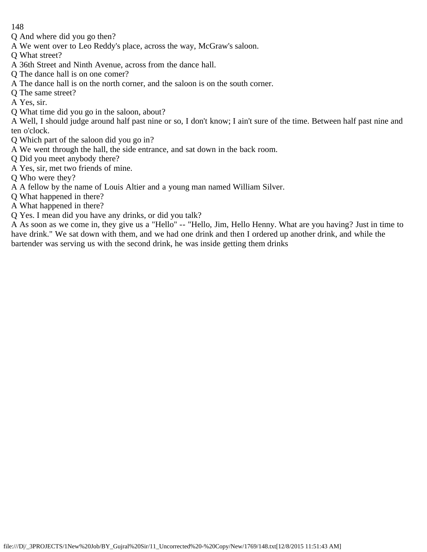- Q And where did you go then?
- A We went over to Leo Reddy's place, across the way, McGraw's saloon.
- Q What street?
- A 36th Street and Ninth Avenue, across from the dance hall.
- Q The dance hall is on one comer?
- A The dance hall is on the north corner, and the saloon is on the south corner.
- Q The same street?
- A Yes, sir.
- Q What time did you go in the saloon, about?
- A Well, I should judge around half past nine or so, I don't know; I ain't sure of the time. Between half past nine and ten o'clock.
- Q Which part of the saloon did you go in?
- A We went through the hall, the side entrance, and sat down in the back room.
- Q Did you meet anybody there?
- A Yes, sir, met two friends of mine.
- Q Who were they?
- A A fellow by the name of Louis Altier and a young man named William Silver.
- Q What happened in there?
- A What happened in there?
- Q Yes. I mean did you have any drinks, or did you talk?

A As soon as we come in, they give us a "Hello" -- "Hello, Jim, Hello Henny. What are you having? Just in time to have drink." We sat down with them, and we had one drink and then I ordered up another drink, and while the bartender was serving us with the second drink, he was inside getting them drinks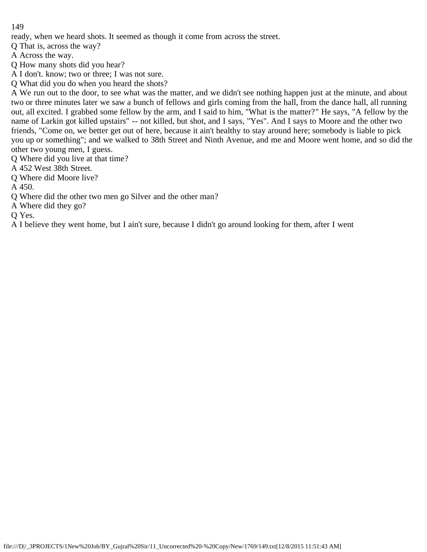ready, when we heard shots. It seemed as though it come from across the street.

Q That is, across the way?

A Across the way.

Q How many shots did you hear?

A I don't. know; two or three; I was not sure.

Q What did you do when you heard the shots?

A We run out to the door, to see what was the matter, and we didn't see nothing happen just at the minute, and about two or three minutes later we saw a bunch of fellows and girls coming from the hall, from the dance hall, all running out, all excited. I grabbed some fellow by the arm, and I said to him, "What is the matter?" He says, "A fellow by the name of Larkin got killed upstairs" -- not killed, but shot, and I says, "Yes". And I says to Moore and the other two friends, "Come on, we better get out of here, because it ain't healthy to stay around here; somebody is liable to pick you up or something"; and we walked to 38th Street and Ninth Avenue, and me and Moore went home, and so did the other two young men, I guess.

Q Where did you live at that time?

A 452 West 38th Street.

Q Where did Moore live?

A 450.

Q Where did the other two men go Silver and the other man?

A Where did they go?

Q Yes.

A I believe they went home, but I ain't sure, because I didn't go around looking for them, after I went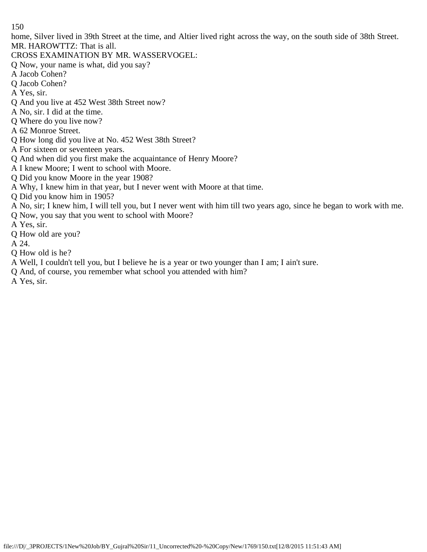home, Silver lived in 39th Street at the time, and Altier lived right across the way, on the south side of 38th Street. MR. HAROWTTZ: That is all.

- CROSS EXAMINATION BY MR. WASSERVOGEL:
- Q Now, your name is what, did you say?
- A Jacob Cohen?
- Q Jacob Cohen?
- A Yes, sir.
- Q And you live at 452 West 38th Street now?
- A No, sir. I did at the time.
- Q Where do you live now?
- A 62 Monroe Street.
- Q How long did you live at No. 452 West 38th Street?
- A For sixteen or seventeen years.
- Q And when did you first make the acquaintance of Henry Moore?
- A I knew Moore; I went to school with Moore.
- Q Did you know Moore in the year 1908?
- A Why, I knew him in that year, but I never went with Moore at that time.
- Q Did you know him in 1905?
- A No, sir; I knew him, I will tell you, but I never went with him till two years ago, since he began to work with me.
- Q Now, you say that you went to school with Moore?
- A Yes, sir.
- Q How old are you?
- A 24.
- Q How old is he?
- A Well, I couldn't tell you, but I believe he is a year or two younger than I am; I ain't sure.
- Q And, of course, you remember what school you attended with him?
- A Yes, sir.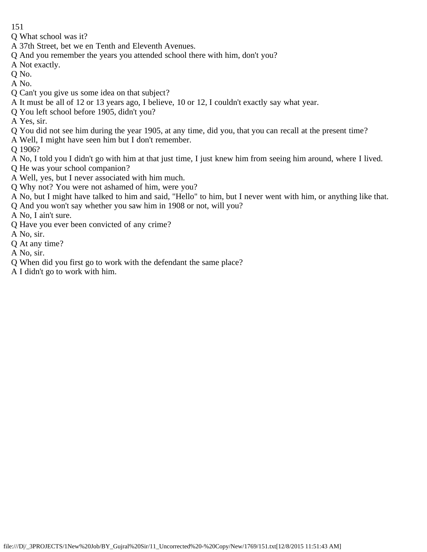- 151
- Q What school was it?
- A 37th Street, bet we en Tenth and Eleventh Avenues.
- Q And you remember the years you attended school there with him, don't you?
- A Not exactly.
- Q No.
- A No.
- Q Can't you give us some idea on that subject?
- A It must be all of 12 or 13 years ago, I believe, 10 or 12, I couldn't exactly say what year.
- Q You left school before 1905, didn't you?
- A Yes, sir.
- Q You did not see him during the year 1905, at any time, did you, that you can recall at the present time?
- A Well, I might have seen him but I don't remember.
- Q 1906?
- A No, I told you I didn't go with him at that just time, I just knew him from seeing him around, where I lived.
- Q He was your school companion?
- A Well, yes, but I never associated with him much.
- Q Why not? You were not ashamed of him, were you?
- A No, but I might have talked to him and said, "Hello" to him, but I never went with him, or anything like that.
- Q And you won't say whether you saw him in 1908 or not, will you?
- A No, I ain't sure.
- Q Have you ever been convicted of any crime?
- A No, sir.
- Q At any time?
- A No, sir.
- Q When did you first go to work with the defendant the same place?
- A I didn't go to work with him.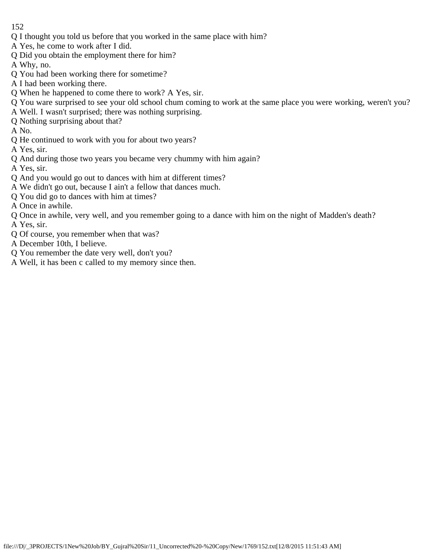- Q I thought you told us before that you worked in the same place with him?
- A Yes, he come to work after I did.
- Q Did you obtain the employment there for him?
- A Why, no.
- Q You had been working there for sometime?
- A I had been working there.
- Q When he happened to come there to work? A Yes, sir.
- Q You ware surprised to see your old school chum coming to work at the same place you were working, weren't you?
- A Well. I wasn't surprised; there was nothing surprising.
- Q Nothing surprising about that?
- A No.
- Q He continued to work with you for about two years?
- A Yes, sir.
- Q And during those two years you became very chummy with him again?
- A Yes, sir.
- Q And you would go out to dances with him at different times?
- A We didn't go out, because I ain't a fellow that dances much.
- Q You did go to dances with him at times?
- A Once in awhile.
- Q Once in awhile, very well, and you remember going to a dance with him on the night of Madden's death?
- A Yes, sir.
- Q Of course, you remember when that was?
- A December 10th, I believe.
- Q You remember the date very well, don't you?
- A Well, it has been c called to my memory since then.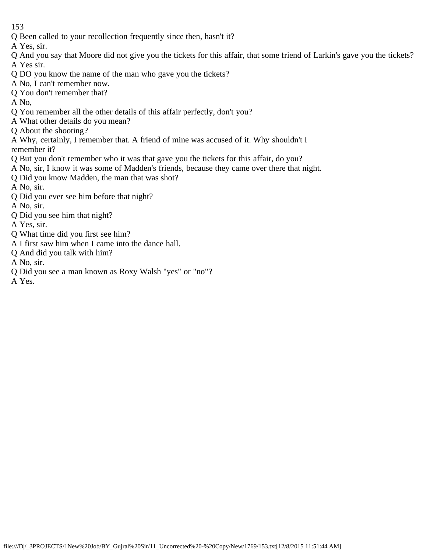Q Been called to your recollection frequently since then, hasn't it?

A Yes, sir.

- Q And you say that Moore did not give you the tickets for this affair, that some friend of Larkin's gave you the tickets? A Yes sir.
- Q DO you know the name of the man who gave you the tickets?
- A No, I can't remember now.
- Q You don't remember that?

A No,

- Q You remember all the other details of this affair perfectly, don't you?
- A What other details do you mean?
- Q About the shooting?
- A Why, certainly, I remember that. A friend of mine was accused of it. Why shouldn't I remember it?
- Q But you don't remember who it was that gave you the tickets for this affair, do you?
- A No, sir, I know it was some of Madden's friends, because they came over there that night.
- Q Did you know Madden, the man that was shot?
- A No, sir.
- Q Did you ever see him before that night?
- A No, sir.
- Q Did you see him that night?
- A Yes, sir.
- Q What time did you first see him?
- A I first saw him when I came into the dance hall.
- Q And did you talk with him?
- A No, sir.
- Q Did you see a man known as Roxy Walsh "yes" or "no"?
- A Yes.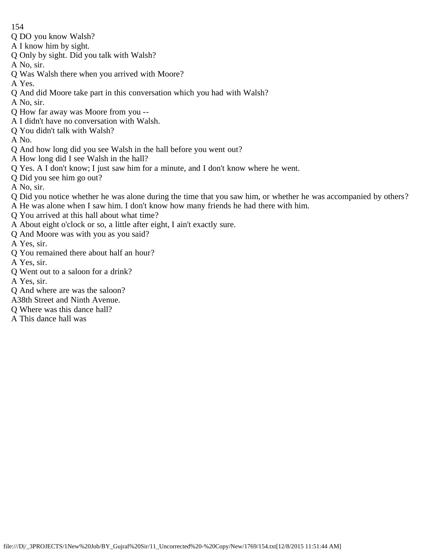- 154
- Q DO you know Walsh?
- A I know him by sight.
- Q Only by sight. Did you talk with Walsh?
- A No, sir.
- Q Was Walsh there when you arrived with Moore?
- A Yes.
- Q And did Moore take part in this conversation which you had with Walsh?
- A No, sir.
- Q How far away was Moore from you --
- A I didn't have no conversation with Walsh.
- Q You didn't talk with Walsh?
- A No.
- Q And how long did you see Walsh in the hall before you went out?
- A How long did I see Walsh in the hall?
- Q Yes. A I don't know; I just saw him for a minute, and I don't know where he went.
- Q Did you see him go out?
- A No, sir.
- Q Did you notice whether he was alone during the time that you saw him, or whether he was accompanied by others? A He was alone when I saw him. I don't know how many friends he had there with him.
- Q You arrived at this hall about what time?
- A About eight o'clock or so, a little after eight, I ain't exactly sure.
- Q And Moore was with you as you said?
- A Yes, sir.
- Q You remained there about half an hour?
- A Yes, sir.
- Q Went out to a saloon for a drink?
- A Yes, sir.
- Q And where are was the saloon?
- A38th Street and Ninth Avenue.
- Q Where was this dance hall?
- A This dance hall was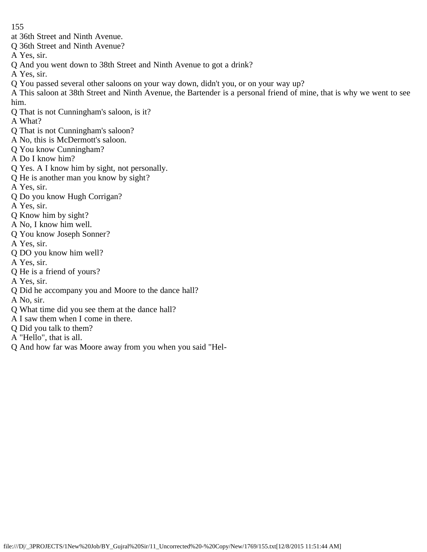- at 36th Street and Ninth Avenue.
- Q 36th Street and Ninth Avenue?
- A Yes, sir.
- Q And you went down to 38th Street and Ninth Avenue to got a drink?
- A Yes, sir.
- Q You passed several other saloons on your way down, didn't you, or on your way up?
- A This saloon at 38th Street and Ninth Avenue, the Bartender is a personal friend of mine, that is why we went to see him.
- Q That is not Cunningham's saloon, is it?
- A What?
- Q That is not Cunningham's saloon?
- A No, this is McDermott's saloon.
- Q You know Cunningham?
- A Do I know him?
- Q Yes. A I know him by sight, not personally.
- Q He is another man you know by sight?
- A Yes, sir.
- Q Do you know Hugh Corrigan?
- A Yes, sir.
- Q Know him by sight?
- A No, I know him well.
- Q You know Joseph Sonner?
- A Yes, sir.
- Q DO you know him well?
- A Yes, sir.
- Q He is a friend of yours?
- A Yes, sir.
- Q Did he accompany you and Moore to the dance hall?
- A No, sir.
- Q What time did you see them at the dance hall?
- A I saw them when I come in there.
- Q Did you talk to them?
- A "Hello", that is all.
- Q And how far was Moore away from you when you said "Hel-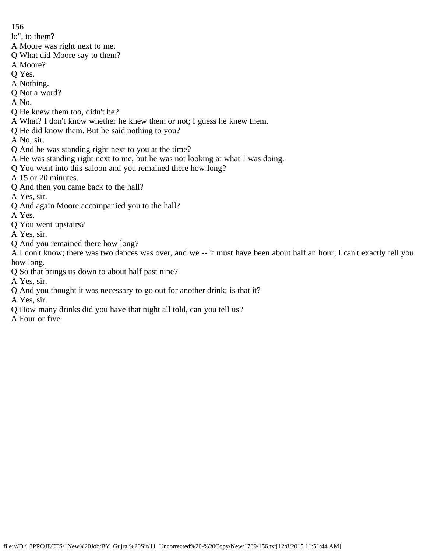lo", to them?

- A Moore was right next to me.
- Q What did Moore say to them?
- A Moore?
- Q Yes.
- A Nothing.
- Q Not a word?
- A No.
- Q He knew them too, didn't he?
- A What? I don't know whether he knew them or not; I guess he knew them.
- Q He did know them. But he said nothing to you?
- A No, sir.
- Q And he was standing right next to you at the time?
- A He was standing right next to me, but he was not looking at what I was doing.
- Q You went into this saloon and you remained there how long?
- A 15 or 20 minutes.
- Q And then you came back to the hall?
- A Yes, sir.
- Q And again Moore accompanied you to the hall?
- A Yes.
- Q You went upstairs?
- A Yes, sir.
- Q And you remained there how long?
- A I don't know; there was two dances was over, and we -- it must have been about half an hour; I can't exactly tell you how long.
- Q So that brings us down to about half past nine?
- A Yes, sir.
- Q And you thought it was necessary to go out for another drink; is that it?
- A Yes, sir.
- Q How many drinks did you have that night all told, can you tell us?
- A Four or five.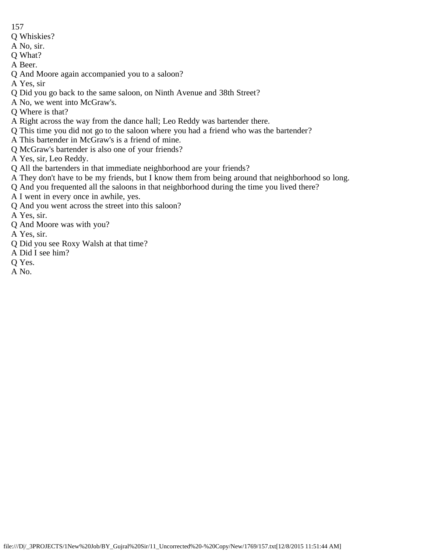- 157
- Q Whiskies?
- A No, sir.
- Q What?
- A Beer.
- Q And Moore again accompanied you to a saloon?
- A Yes, sir
- Q Did you go back to the same saloon, on Ninth Avenue and 38th Street?
- A No, we went into McGraw's.
- Q Where is that?
- A Right across the way from the dance hall; Leo Reddy was bartender there.
- Q This time you did not go to the saloon where you had a friend who was the bartender?
- A This bartender in McGraw's is a friend of mine.
- Q McGraw's bartender is also one of your friends?
- A Yes, sir, Leo Reddy.
- Q All the bartenders in that immediate neighborhood are your friends?
- A They don't have to be my friends, but I know them from being around that neighborhood so long.
- Q And you frequented all the saloons in that neighborhood during the time you lived there?
- A I went in every once in awhile, yes.
- Q And you went across the street into this saloon?
- A Yes, sir.
- Q And Moore was with you?
- A Yes, sir.
- Q Did you see Roxy Walsh at that time?
- A Did I see him?
- Q Yes.
- A No.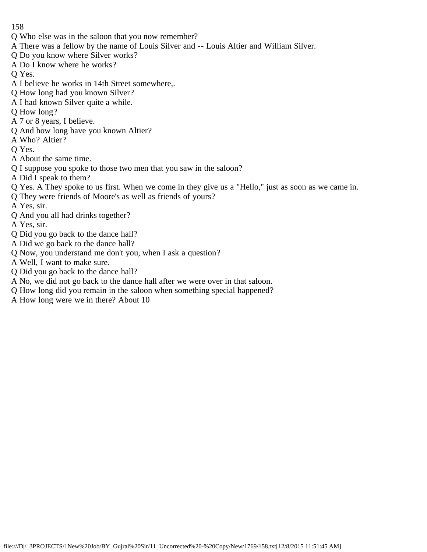- Q Who else was in the saloon that you now remember?
- A There was a fellow by the name of Louis Silver and -- Louis Altier and William Silver.
- Q Do you know where Silver works?
- A Do I know where he works?
- Q Yes.
- A I believe he works in 14th Street somewhere,.
- Q How long had you known Silver?
- A I had known Silver quite a while.
- Q How long?
- A 7 or 8 years, I believe.
- Q And how long have you known Altier?
- A Who? Altier?
- Q Yes.
- A About the same time.
- Q I suppose you spoke to those two men that you saw in the saloon?
- A Did I speak to them?
- Q Yes. A They spoke to us first. When we come in they give us a "Hello," just as soon as we came in.
- Q They were friends of Moore's as well as friends of yours?
- A Yes, sir.
- Q And you all had drinks together?
- A Yes, sir.
- Q Did you go back to the dance hall?
- A Did we go back to the dance hall?
- Q Now, you understand me don't you, when I ask a question?
- A Well, I want to make sure.
- Q Did you go back to the dance hall?
- A No, we did not go back to the dance hall after we were over in that saloon.
- Q How long did you remain in the saloon when something special happened?
- A How long were we in there? About 10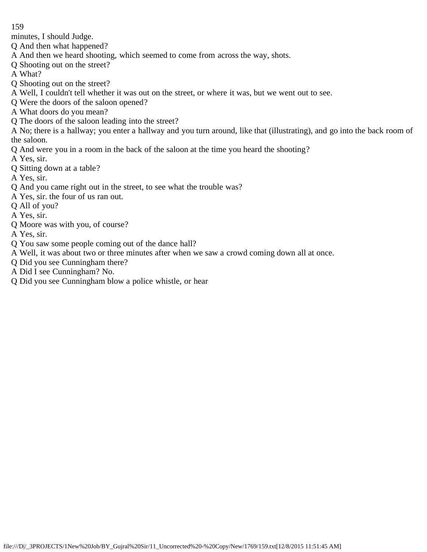minutes, I should Judge.

Q And then what happened?

- A And then we heard shooting, which seemed to come from across the way, shots.
- Q Shooting out on the street?
- A What?
- Q Shooting out on the street?
- A Well, I couldn't tell whether it was out on the street, or where it was, but we went out to see.
- Q Were the doors of the saloon opened?
- A What doors do you mean?
- Q The doors of the saloon leading into the street?

A No; there is a hallway; you enter a hallway and you turn around, like that (illustrating), and go into the back room of the saloon.

- Q And were you in a room in the back of the saloon at the time you heard the shooting?
- A Yes, sir.
- Q Sitting down at a table?
- A Yes, sir.
- Q And you came right out in the street, to see what the trouble was?
- A Yes, sir. the four of us ran out.
- Q All of you?
- A Yes, sir.
- Q Moore was with you, of course?
- A Yes, sir.
- Q You saw some people coming out of the dance hall?
- A Well, it was about two or three minutes after when we saw a crowd coming down all at once.
- Q Did you see Cunningham there?
- A Did I see Cunningham? No.
- Q Did you see Cunningham blow a police whistle, or hear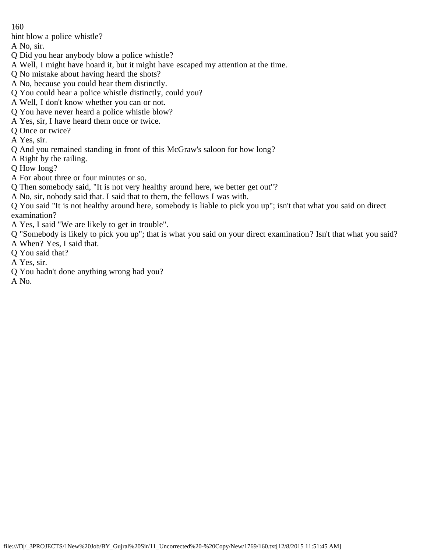hint blow a police whistle?

A No, sir.

- Q Did you hear anybody blow a police whistle?
- A Well, I might have hoard it, but it might have escaped my attention at the time.
- Q No mistake about having heard the shots?
- A No, because you could hear them distinctly.
- Q You could hear a police whistle distinctly, could you?
- A Well, I don't know whether you can or not.
- Q You have never heard a police whistle blow?
- A Yes, sir, I have heard them once or twice.
- Q Once or twice?
- A Yes, sir.
- Q And you remained standing in front of this McGraw's saloon for how long?
- A Right by the railing.
- Q How long?
- A For about three or four minutes or so.
- Q Then somebody said, "It is not very healthy around here, we better get out"?
- A No, sir, nobody said that. I said that to them, the fellows I was with.
- Q You said "It is not healthy around here, somebody is liable to pick you up"; isn't that what you said on direct examination?
- A Yes, I said "We are likely to get in trouble".
- Q "Somebody is likely to pick you up"; that is what you said on your direct examination? Isn't that what you said?
- A When? Yes, I said that.
- Q You said that?
- A Yes, sir.
- Q You hadn't done anything wrong had you?
- A No.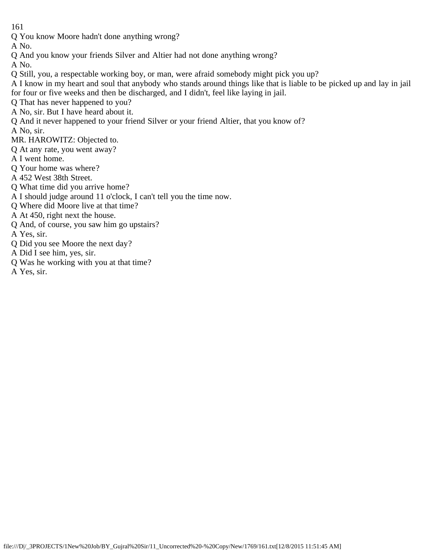Q You know Moore hadn't done anything wrong?

A No.

Q And you know your friends Silver and Altier had not done anything wrong?

A No.

- Q Still, you, a respectable working boy, or man, were afraid somebody might pick you up?
- A I know in my heart and soul that anybody who stands around things like that is liable to be picked up and lay in jail for four or five weeks and then be discharged, and I didn't, feel like laying in jail.
- Q That has never happened to you?
- A No, sir. But I have heard about it.
- Q And it never happened to your friend Silver or your friend Altier, that you know of?
- A No, sir.
- MR. HAROWITZ: Objected to.
- Q At any rate, you went away?
- A I went home.
- Q Your home was where?
- A 452 West 38th Street.
- Q What time did you arrive home?
- A I should judge around 11 o'clock, I can't tell you the time now.
- Q Where did Moore live at that time?
- A At 450, right next the house.
- Q And, of course, you saw him go upstairs?
- A Yes, sir.
- Q Did you see Moore the next day?
- A Did I see him, yes, sir.
- Q Was he working with you at that time?
- A Yes, sir.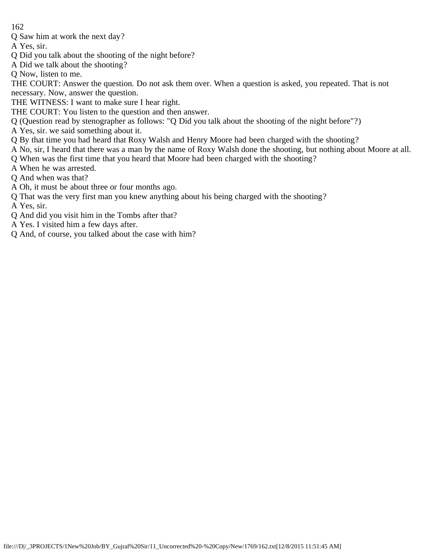Q Saw him at work the next day?

A Yes, sir.

- Q Did you talk about the shooting of the night before?
- A Did we talk about the shooting?
- Q Now, listen to me.

THE COURT: Answer the question. Do not ask them over. When a question is asked, you repeated. That is not necessary. Now, answer the question.

THE WITNESS: I want to make sure I hear right.

- THE COURT: You listen to the question and then answer.
- Q (Question read by stenographer as follows: "Q Did you talk about the shooting of the night before"?)
- A Yes, sir. we said something about it.
- Q By that time you had heard that Roxy Walsh and Henry Moore had been charged with the shooting?
- A No, sir, I heard that there was a man by the name of Roxy Walsh done the shooting, but nothing about Moore at all.
- Q When was the first time that you heard that Moore had been charged with the shooting?
- A When he was arrested.
- Q And when was that?
- A Oh, it must be about three or four months ago.
- Q That was the very first man you knew anything about his being charged with the shooting?

A Yes, sir.

- Q And did you visit him in the Tombs after that?
- A Yes. I visited him a few days after.
- Q And, of course, you talked about the case with him?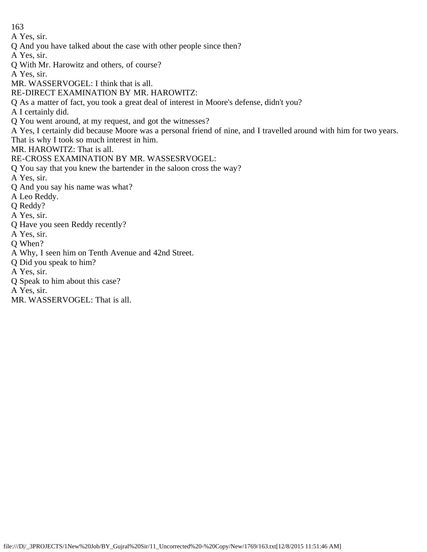A Yes, sir.

Q And you have talked about the case with other people since then?

A Yes, sir.

Q With Mr. Harowitz and others, of course?

A Yes, sir.

MR. WASSERVOGEL: I think that is all.

RE-DIRECT EXAMINATION BY MR. HAROWITZ:

Q As a matter of fact, you took a great deal of interest in Moore's defense, didn't you?

A I certainly did.

Q You went around, at my request, and got the witnesses?

A Yes, I certainly did because Moore was a personal friend of nine, and I travelled around with him for two years. That is why I took so much interest in him.

MR. HAROWITZ: That is all.

RE-CROSS EXAMINATION BY MR. WASSESRVOGEL:

Q You say that you knew the bartender in the saloon cross the way?

A Yes, sir.

Q And you say his name was what?

A Leo Reddy.

Q Reddy?

A Yes, sir.

Q Have you seen Reddy recently?

A Yes, sir.

Q When?

A Why, I seen him on Tenth Avenue and 42nd Street.

Q Did you speak to him?

A Yes, sir.

Q Speak to him about this case?

A Yes, sir.

MR. WASSERVOGEL: That is all.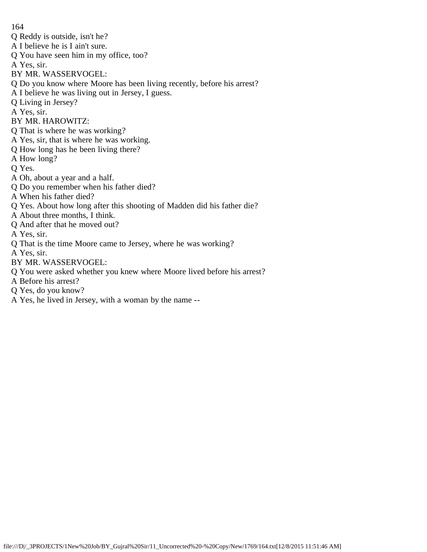164 Q Reddy is outside, isn't he? A I believe he is I ain't sure. Q You have seen him in my office, too? A Yes, sir. BY MR. WASSERVOGEL: Q Do you know where Moore has been living recently, before his arrest? A I believe he was living out in Jersey, I guess. Q Living in Jersey? A Yes, sir. BY MR. HAROWITZ: Q That is where he was working? A Yes, sir, that is where he was working. Q How long has he been living there? A How long? Q Yes. A Oh, about a year and a half. Q Do you remember when his father died? A When his father died? Q Yes. About how long after this shooting of Madden did his father die? A About three months, I think. Q And after that he moved out? A Yes, sir. Q That is the time Moore came to Jersey, where he was working? A Yes, sir. BY MR. WASSERVOGEL: Q You were asked whether you knew where Moore lived before his arrest?

- A Before his arrest?
- Q Yes, do you know?
- A Yes, he lived in Jersey, with a woman by the name --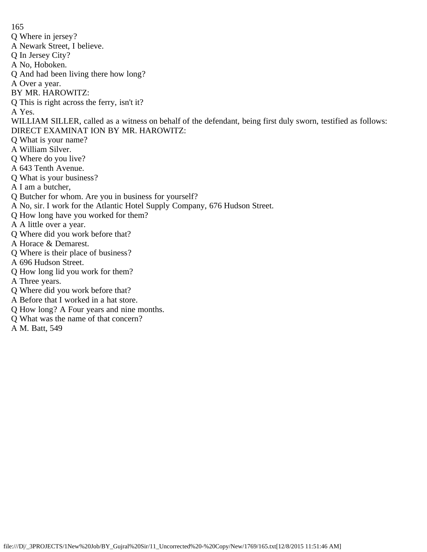165 Q Where in jersey? A Newark Street, I believe. Q In Jersey City? A No, Hoboken. Q And had been living there how long? A Over a year. BY MR. HAROWITZ: Q This is right across the ferry, isn't it? A Yes. WILLIAM SILLER, called as a witness on behalf of the defendant, being first duly sworn, testified as follows: DIRECT EXAMINAT ION BY MR. HAROWITZ: Q What is your name? A William Silver. Q Where do you live? A 643 Tenth Avenue. Q What is your business? A I am a butcher, Q Butcher for whom. Are you in business for yourself? A No, sir. I work for the Atlantic Hotel Supply Company, 676 Hudson Street. Q How long have you worked for them? A A little over a year. Q Where did you work before that? A Horace & Demarest. Q Where is their place of business? A 696 Hudson Street. Q How long lid you work for them? A Three years. Q Where did you work before that? A Before that I worked in a hat store. Q How long? A Four years and nine months.

- Q What was the name of that concern?
- A M. Batt, 549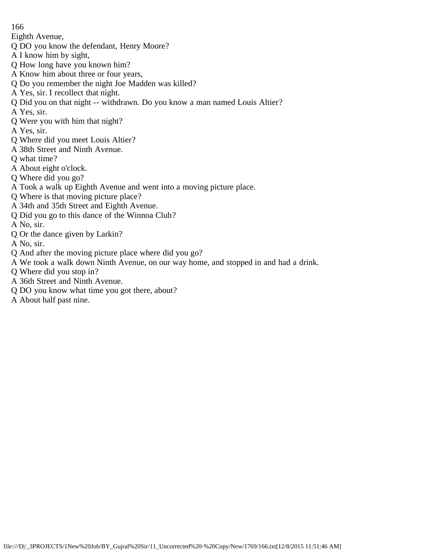Eighth Avenue,

- Q DO you know the defendant, Henry Moore?
- A I know him by sight,
- Q How long have you known him?
- A Know him about three or four years,
- Q Do you remember the night Joe Madden was killed?
- A Yes, sir. I recollect that night.
- Q Did you on that night -- withdrawn. Do you know a man named Louis Altier?
- A Yes, sir.
- Q Were you with him that night?
- A Yes, sir.
- Q Where did you meet Louis Altier?
- A 38th Street and Ninth Avenue.
- Q what time?
- A About eight o'clock.
- Q Where did you go?
- A Took a walk up Eighth Avenue and went into a moving picture place.
- Q Where is that moving picture place?
- A 34th and 35th Street and Eighth Avenue.
- Q Did you go to this dance of the Winnoa Club?
- A No, sir.
- Q Or the dance given by Larkin?
- A No, sir.
- Q And after the moving picture place where did you go?
- A We took a walk down Ninth Avenue, on our way home, and stopped in and had a drink.
- Q Where did you stop in?
- A 36th Street and Ninth Avenue.
- Q DO you know what time you got there, about?
- A About half past nine.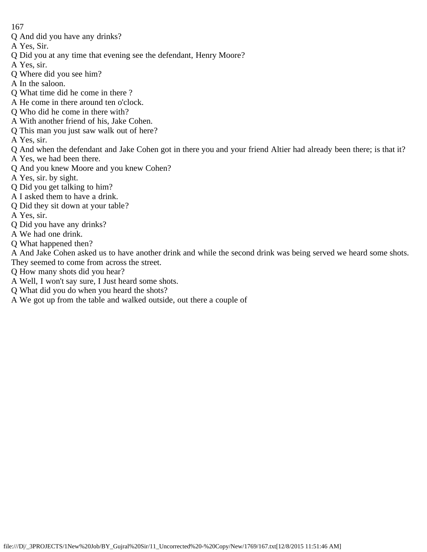- Q And did you have any drinks?
- A Yes, Sir.
- Q Did you at any time that evening see the defendant, Henry Moore?
- A Yes, sir.
- Q Where did you see him?
- A In the saloon.
- Q What time did he come in there ?
- A He come in there around ten o'clock.
- Q Who did he come in there with?
- A With another friend of his, Jake Cohen.
- Q This man you just saw walk out of here?
- A Yes, sir.
- Q And when the defendant and Jake Cohen got in there you and your friend Altier had already been there; is that it?
- A Yes, we had been there.
- Q And you knew Moore and you knew Cohen?
- A Yes, sir. by sight.
- Q Did you get talking to him?
- A I asked them to have a drink.
- Q Did they sit down at your table?
- A Yes, sir.
- Q Did you have any drinks?
- A We had one drink.
- Q What happened then?
- A And Jake Cohen asked us to have another drink and while the second drink was being served we heard some shots. They seemed to come from across the street.
- Q How many shots did you hear?
- A Well, I won't say sure, I Just heard some shots.
- Q What did you do when you heard the shots?
- A We got up from the table and walked outside, out there a couple of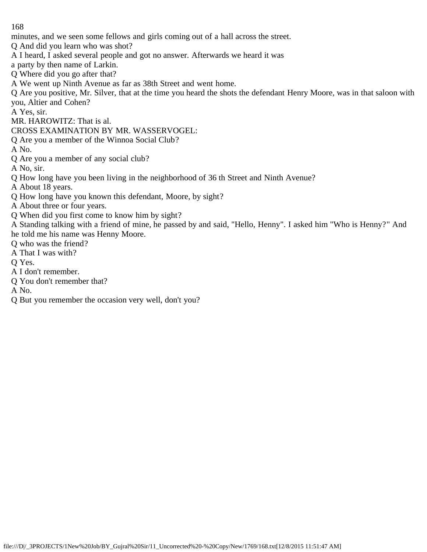minutes, and we seen some fellows and girls coming out of a hall across the street.

Q And did you learn who was shot?

A I heard, I asked several people and got no answer. Afterwards we heard it was

a party by then name of Larkin.

Q Where did you go after that?

A We went up Ninth Avenue as far as 38th Street and went home.

Q Are you positive, Mr. Silver, that at the time you heard the shots the defendant Henry Moore, was in that saloon with you, Altier and Cohen?

A Yes, sir.

MR. HAROWITZ: That is al.

CROSS EXAMINATION BY MR. WASSERVOGEL:

Q Are you a member of the Winnoa Social Club?

A No.

Q Are you a member of any social club?

A No, sir.

Q How long have you been living in the neighborhood of 36 th Street and Ninth Avenue?

A About 18 years.

Q How long have you known this defendant, Moore, by sight?

A About three or four years.

Q When did you first come to know him by sight?

A Standing talking with a friend of mine, he passed by and said, "Hello, Henny". I asked him "Who is Henny?" And he told me his name was Henny Moore.

Q who was the friend?

A That I was with?

Q Yes.

A I don't remember.

Q You don't remember that?

A No.

Q But you remember the occasion very well, don't you?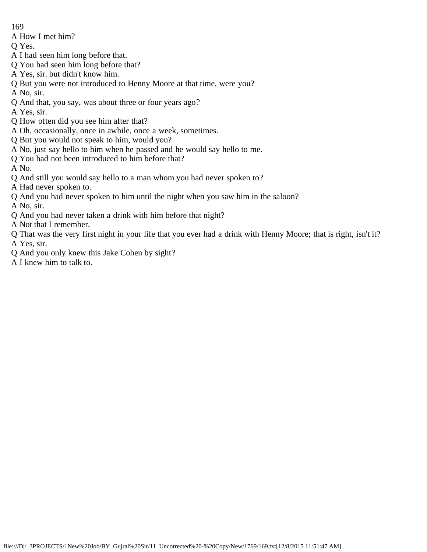A How I met him?

Q Yes.

- A I had seen him long before that.
- Q You had seen him long before that?
- A Yes, sir. but didn't know him.
- Q But you were not introduced to Henny Moore at that time, were you?

A No, sir.

Q And that, you say, was about three or four years ago?

A Yes, sir.

- Q How often did you see him after that?
- A Oh, occasionally, once in awhile, once a week, sometimes.
- Q But you would not speak to him, would you?
- A No, just say hello to him when he passed and he would say hello to me.
- Q You had not been introduced to him before that?

A No.

Q And still you would say hello to a man whom you had never spoken to?

A Had never spoken to.

Q And you had never spoken to him until the night when you saw him in the saloon?

A No, sir.

Q And you had never taken a drink with him before that night?

A Not that I remember.

- Q That was the very first night in your life that you ever had a drink with Henny Moore; that is right, isn't it? A Yes, sir.
- Q And you only knew this Jake Cohen by sight?
- A I knew him to talk to.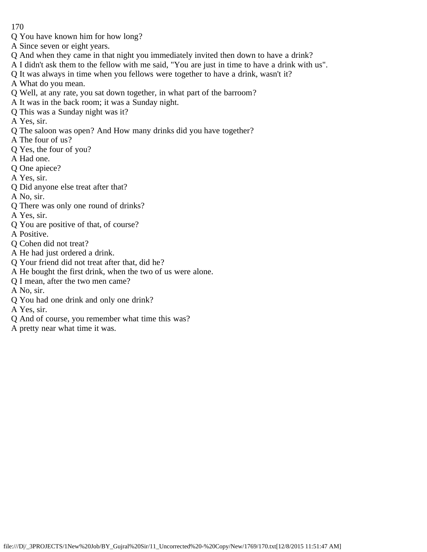- Q You have known him for how long?
- A Since seven or eight years.
- Q And when they came in that night you immediately invited then down to have a drink?
- A I didn't ask them to the fellow with me said, "You are just in time to have a drink with us".
- Q It was always in time when you fellows were together to have a drink, wasn't it?
- A What do you mean.
- Q Well, at any rate, you sat down together, in what part of the barroom?
- A It was in the back room; it was a Sunday night.
- Q This was a Sunday night was it?
- A Yes, sir.
- Q The saloon was open? And How many drinks did you have together?
- A The four of us?
- Q Yes, the four of you?
- A Had one.
- Q One apiece?
- A Yes, sir.
- Q Did anyone else treat after that?
- A No, sir.
- Q There was only one round of drinks?
- A Yes, sir.
- Q You are positive of that, of course?
- A Positive.
- Q Cohen did not treat?
- A He had just ordered a drink.
- Q Your friend did not treat after that, did he?
- A He bought the first drink, when the two of us were alone.
- Q I mean, after the two men came?
- A No, sir.
- Q You had one drink and only one drink?
- A Yes, sir.
- Q And of course, you remember what time this was?
- A pretty near what time it was.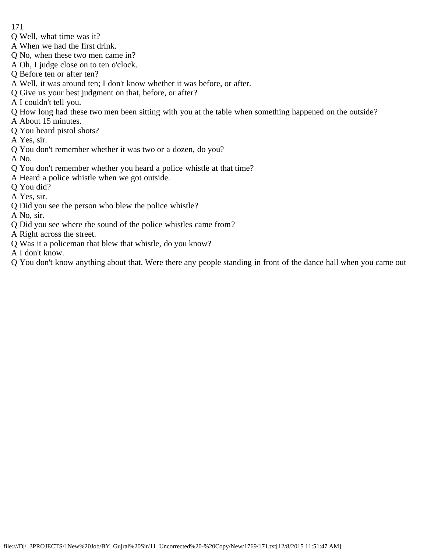- 171
- Q Well, what time was it?
- A When we had the first drink.
- Q No, when these two men came in?
- A Oh, I judge close on to ten o'clock.
- Q Before ten or after ten?
- A Well, it was around ten; I don't know whether it was before, or after.
- Q Give us your best judgment on that, before, or after?
- A I couldn't tell you.
- Q How long had these two men been sitting with you at the table when something happened on the outside?
- A About 15 minutes.
- Q You heard pistol shots?
- A Yes, sir.
- Q You don't remember whether it was two or a dozen, do you?
- A No.
- Q You don't remember whether you heard a police whistle at that time?
- A Heard a police whistle when we got outside.
- Q You did?
- A Yes, sir.
- Q Did you see the person who blew the police whistle?
- A No, sir.
- Q Did you see where the sound of the police whistles came from?
- A Right across the street.
- Q Was it a policeman that blew that whistle, do you know?
- A I don't know.
- Q You don't know anything about that. Were there any people standing in front of the dance hall when you came out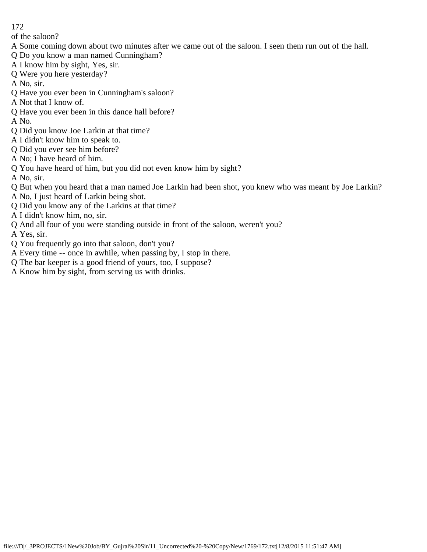of the saloon?

- A Some coming down about two minutes after we came out of the saloon. I seen them run out of the hall.
- Q Do you know a man named Cunningham?
- A I know him by sight, Yes, sir.
- Q Were you here yesterday?
- A No, sir.
- Q Have you ever been in Cunningham's saloon?
- A Not that I know of.
- Q Have you ever been in this dance hall before?
- A No.
- Q Did you know Joe Larkin at that time?
- A I didn't know him to speak to.
- Q Did you ever see him before?
- A No; I have heard of him.
- Q You have heard of him, but you did not even know him by sight?
- A No, sir.
- Q But when you heard that a man named Joe Larkin had been shot, you knew who was meant by Joe Larkin?
- A No, I just heard of Larkin being shot.
- Q Did you know any of the Larkins at that time?
- A I didn't know him, no, sir.
- Q And all four of you were standing outside in front of the saloon, weren't you?
- A Yes, sir.
- Q You frequently go into that saloon, don't you?
- A Every time -- once in awhile, when passing by, I stop in there.
- Q The bar keeper is a good friend of yours, too, I suppose?
- A Know him by sight, from serving us with drinks.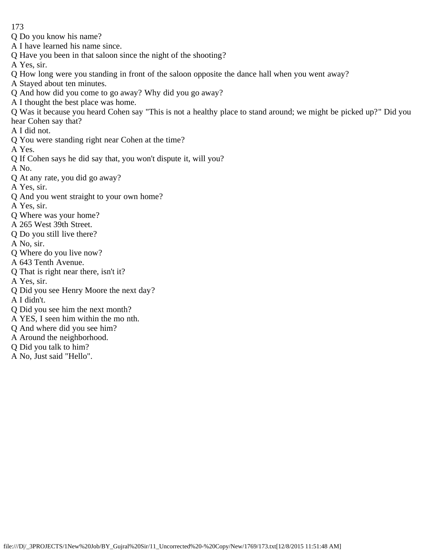- 173
- Q Do you know his name?
- A I have learned his name since.
- Q Have you been in that saloon since the night of the shooting?
- A Yes, sir.
- Q How long were you standing in front of the saloon opposite the dance hall when you went away?
- A Stayed about ten minutes.
- Q And how did you come to go away? Why did you go away?
- A I thought the best place was home.
- Q Was it because you heard Cohen say "This is not a healthy place to stand around; we might be picked up?" Did you hear Cohen say that?
- A I did not.
- Q You were standing right near Cohen at the time?
- A Yes.
- Q If Cohen says he did say that, you won't dispute it, will you?
- A No.
- Q At any rate, you did go away?
- A Yes, sir.
- Q And you went straight to your own home?
- A Yes, sir.
- Q Where was your home?
- A 265 West 39th Street.
- Q Do you still live there?
- A No, sir.
- Q Where do you live now?
- A 643 Tenth Avenue.
- Q That is right near there, isn't it?
- A Yes, sir.
- Q Did you see Henry Moore the next day?
- A I didn't.
- Q Did you see him the next month?
- A YES, I seen him within the mo nth.
- Q And where did you see him?
- A Around the neighborhood.
- Q Did you talk to him?
- A No, Just said "Hello".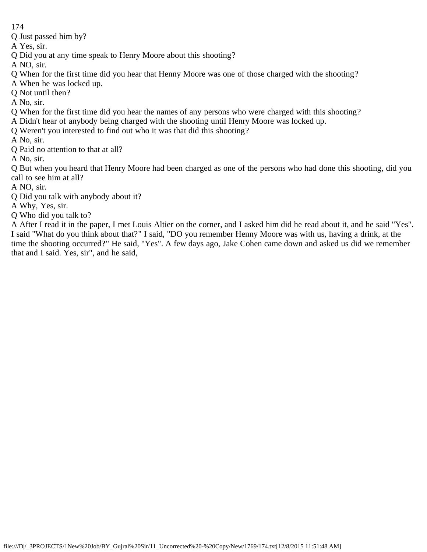Q Just passed him by?

A Yes, sir.

- Q Did you at any time speak to Henry Moore about this shooting?
- A NO, sir.
- Q When for the first time did you hear that Henny Moore was one of those charged with the shooting?
- A When he was locked up.
- Q Not until then?
- A No, sir.
- Q When for the first time did you hear the names of any persons who were charged with this shooting?
- A Didn't hear of anybody being charged with the shooting until Henry Moore was locked up.
- Q Weren't you interested to find out who it was that did this shooting?
- A No, sir.
- Q Paid no attention to that at all?
- A No, sir.

Q But when you heard that Henry Moore had been charged as one of the persons who had done this shooting, did you call to see him at all?

- A NO, sir.
- Q Did you talk with anybody about it?
- A Why, Yes, sir.
- Q Who did you talk to?

A After I read it in the paper, I met Louis Altier on the corner, and I asked him did he read about it, and he said "Yes". I said "What do you think about that?" I said, "DO you remember Henny Moore was with us, having a drink, at the time the shooting occurred?" He said, "Yes". A few days ago, Jake Cohen came down and asked us did we remember that and I said. Yes, sir", and he said,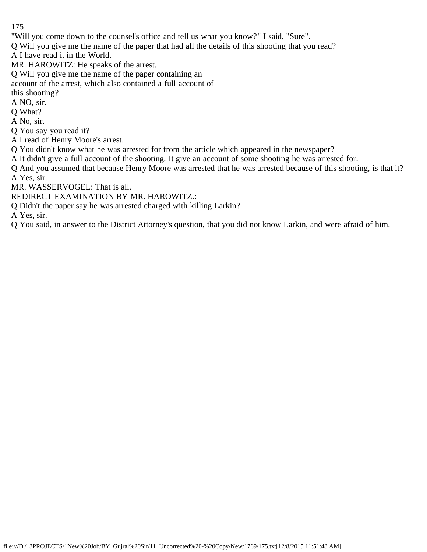"Will you come down to the counsel's office and tell us what you know?" I said, "Sure".

Q Will you give me the name of the paper that had all the details of this shooting that you read?

A I have read it in the World.

MR. HAROWITZ: He speaks of the arrest.

Q Will you give me the name of the paper containing an

account of the arrest, which also contained a full account of

this shooting?

A NO, sir.

Q What?

A No, sir.

Q You say you read it?

A I read of Henry Moore's arrest.

Q You didn't know what he was arrested for from the article which appeared in the newspaper?

A It didn't give a full account of the shooting. It give an account of some shooting he was arrested for.

Q And you assumed that because Henry Moore was arrested that he was arrested because of this shooting, is that it? A Yes, sir.

MR. WASSERVOGEL: That is all.

REDIRECT EXAMINATION BY MR. HAROWITZ.:

Q Didn't the paper say he was arrested charged with killing Larkin?

A Yes, sir.

Q You said, in answer to the District Attorney's question, that you did not know Larkin, and were afraid of him.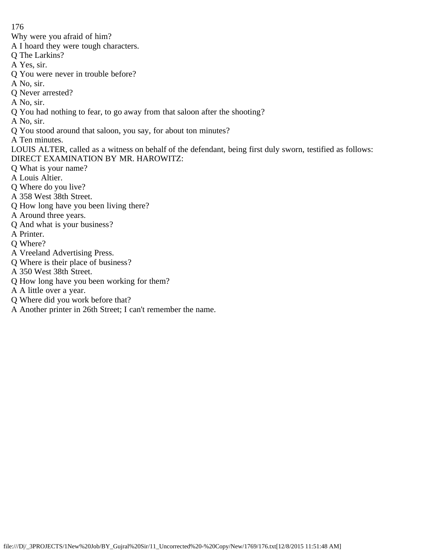Why were you afraid of him?

- A I hoard they were tough characters.
- Q The Larkins?
- A Yes, sir.
- Q You were never in trouble before?
- A No, sir.
- Q Never arrested?
- A No, sir.
- Q You had nothing to fear, to go away from that saloon after the shooting?
- A No, sir.
- Q You stood around that saloon, you say, for about ton minutes?
- A Ten minutes.
- LOUIS ALTER, called as a witness on behalf of the defendant, being first duly sworn, testified as follows: DIRECT EXAMINATION BY MR. HAROWITZ:
- Q What is your name?
- A Louis Altier.
- Q Where do you live?
- A 358 West 38th Street.
- Q How long have you been living there?
- A Around three years.
- Q And what is your business?
- A Printer.
- Q Where?
- A Vreeland Advertising Press.
- Q Where is their place of business?
- A 350 West 38th Street.
- Q How long have you been working for them?
- A A little over a year.
- Q Where did you work before that?
- A Another printer in 26th Street; I can't remember the name.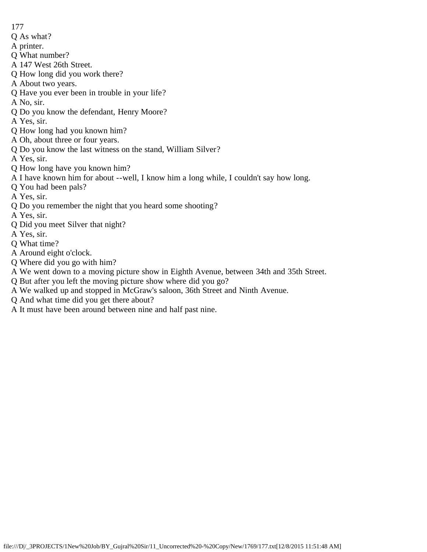- 177
- Q As what?
- A printer.
- Q What number?
- A 147 West 26th Street.
- Q How long did you work there?
- A About two years.
- Q Have you ever been in trouble in your life?
- A No, sir.
- Q Do you know the defendant, Henry Moore?
- A Yes, sir.
- Q How long had you known him?
- A Oh, about three or four years.
- Q Do you know the last witness on the stand, William Silver?
- A Yes, sir.
- Q How long have you known him?
- A I have known him for about --well, I know him a long while, I couldn't say how long.
- Q You had been pals?
- A Yes, sir.
- Q Do you remember the night that you heard some shooting?
- A Yes, sir.
- Q Did you meet Silver that night?
- A Yes, sir.
- Q What time?
- A Around eight o'clock.
- Q Where did you go with him?
- A We went down to a moving picture show in Eighth Avenue, between 34th and 35th Street.
- Q But after you left the moving picture show where did you go?
- A We walked up and stopped in McGraw's saloon, 36th Street and Ninth Avenue.
- Q And what time did you get there about?
- A It must have been around between nine and half past nine.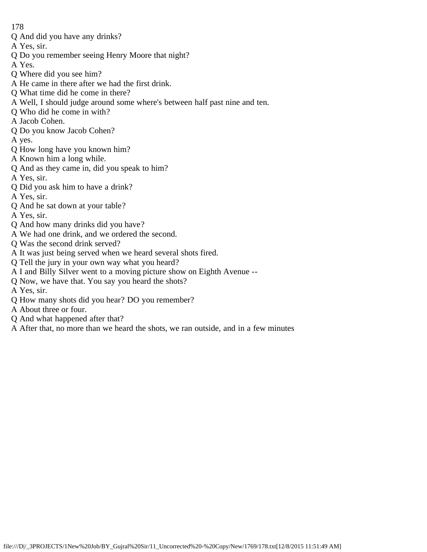- Q And did you have any drinks?
- A Yes, sir.
- Q Do you remember seeing Henry Moore that night?
- A Yes.
- Q Where did you see him?
- A He came in there after we had the first drink.
- Q What time did he come in there?
- A Well, I should judge around some where's between half past nine and ten.
- Q Who did he come in with?
- A Jacob Cohen.
- Q Do you know Jacob Cohen?
- A yes.
- Q How long have you known him?
- A Known him a long while.
- Q And as they came in, did you speak to him?
- A Yes, sir.
- Q Did you ask him to have a drink?
- A Yes, sir.
- Q And he sat down at your table?
- A Yes, sir.
- Q And how many drinks did you have?
- A We had one drink, and we ordered the second.
- Q Was the second drink served?
- A It was just being served when we heard several shots fired.
- Q Tell the jury in your own way what you heard?
- A I and Billy Silver went to a moving picture show on Eighth Avenue --
- Q Now, we have that. You say you heard the shots?
- A Yes, sir.
- Q How many shots did you hear? DO you remember?
- A About three or four.
- Q And what happened after that?
- A After that, no more than we heard the shots, we ran outside, and in a few minutes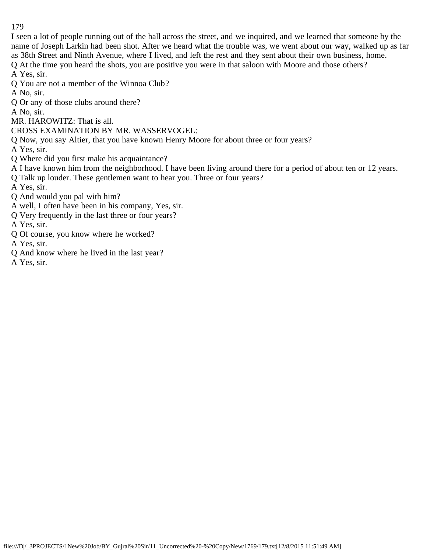I seen a lot of people running out of the hall across the street, and we inquired, and we learned that someone by the name of Joseph Larkin had been shot. After we heard what the trouble was, we went about our way, walked up as far as 38th Street and Ninth Avenue, where I lived, and left the rest and they sent about their own business, home.

Q At the time you heard the shots, you are positive you were in that saloon with Moore and those others?

A Yes, sir.

- Q You are not a member of the Winnoa Club?
- A No, sir.
- Q Or any of those clubs around there?
- A No, sir.
- MR. HAROWITZ: That is all.
- CROSS EXAMINATION BY MR. WASSERVOGEL:
- Q Now, you say Altier, that you have known Henry Moore for about three or four years?

A Yes, sir.

- Q Where did you first make his acquaintance?
- A I have known him from the neighborhood. I have been living around there for a period of about ten or 12 years.
- Q Talk up louder. These gentlemen want to hear you. Three or four years?
- A Yes, sir.
- Q And would you pal with him?
- A well, I often have been in his company, Yes, sir.
- Q Very frequently in the last three or four years?

A Yes, sir.

- Q Of course, you know where he worked?
- A Yes, sir.
- Q And know where he lived in the last year?

A Yes, sir.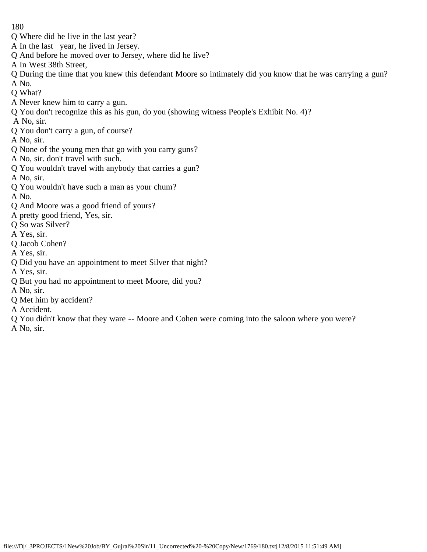- Q Where did he live in the last year?
- A In the last year, he lived in Jersey.
- Q And before he moved over to Jersey, where did he live?
- A In West 38th Street,
- Q During the time that you knew this defendant Moore so intimately did you know that he was carrying a gun? A No.
- Q What?
- A Never knew him to carry a gun.
- Q You don't recognize this as his gun, do you (showing witness People's Exhibit No. 4)?
- A No, sir.
- Q You don't carry a gun, of course?
- A No, sir.
- Q None of the young men that go with you carry guns?
- A No, sir. don't travel with such.
- Q You wouldn't travel with anybody that carries a gun?
- A No, sir.
- Q You wouldn't have such a man as your chum?
- A No.
- Q And Moore was a good friend of yours?
- A pretty good friend, Yes, sir.
- Q So was Silver?
- A Yes, sir.
- Q Jacob Cohen?
- A Yes, sir.
- Q Did you have an appointment to meet Silver that night?
- A Yes, sir.
- Q But you had no appointment to meet Moore, did you?
- A No, sir.
- Q Met him by accident?
- A Accident.
- Q You didn't know that they ware -- Moore and Cohen were coming into the saloon where you were?
- A No, sir.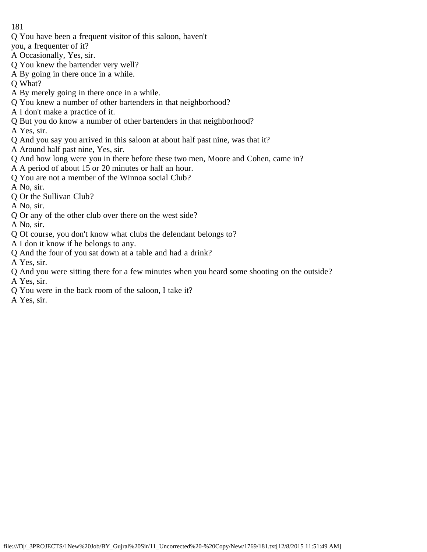- Q You have been a frequent visitor of this saloon, haven't
- you, a frequenter of it?
- A Occasionally, Yes, sir.
- Q You knew the bartender very well?
- A By going in there once in a while.
- Q What?
- A By merely going in there once in a while.
- Q You knew a number of other bartenders in that neighborhood?
- A I don't make a practice of it.
- Q But you do know a number of other bartenders in that neighborhood?
- A Yes, sir.
- Q And you say you arrived in this saloon at about half past nine, was that it?
- A Around half past nine, Yes, sir.
- Q And how long were you in there before these two men, Moore and Cohen, came in?
- A A period of about 15 or 20 minutes or half an hour.
- Q You are not a member of the Winnoa social Club?
- A No, sir.
- Q Or the Sullivan Club?
- A No, sir.
- Q Or any of the other club over there on the west side?
- A No, sir.
- Q Of course, you don't know what clubs the defendant belongs to?
- A I don it know if he belongs to any.
- Q And the four of you sat down at a table and had a drink?
- A Yes, sir.
- Q And you were sitting there for a few minutes when you heard some shooting on the outside? A Yes, sir.
- Q You were in the back room of the saloon, I take it?
- A Yes, sir.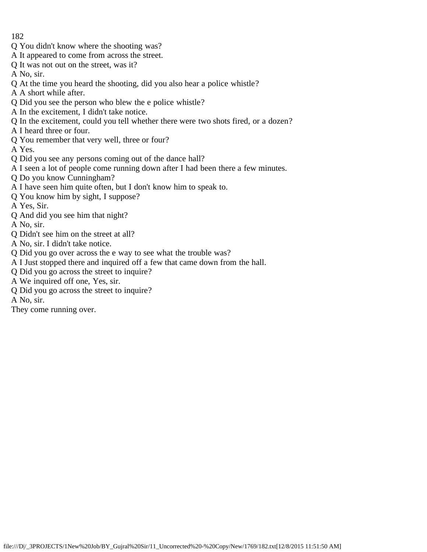- 182
- Q You didn't know where the shooting was?
- A It appeared to come from across the street.
- Q It was not out on the street, was it?
- A No, sir.
- Q At the time you heard the shooting, did you also hear a police whistle?
- A A short while after.
- Q Did you see the person who blew the e police whistle?
- A In the excitement, I didn't take notice.
- Q In the excitement, could you tell whether there were two shots fired, or a dozen?
- A I heard three or four.
- Q You remember that very well, three or four?
- A Yes.
- Q Did you see any persons coming out of the dance hall?
- A I seen a lot of people come running down after I had been there a few minutes.
- Q Do you know Cunningham?
- A I have seen him quite often, but I don't know him to speak to.
- Q You know him by sight, I suppose?
- A Yes, Sir.
- Q And did you see him that night?
- A No, sir.
- Q Didn't see him on the street at all?
- A No, sir. I didn't take notice.
- Q Did you go over across the e way to see what the trouble was?
- A I Just stopped there and inquired off a few that came down from the hall.
- Q Did you go across the street to inquire?
- A We inquired off one, Yes, sir.
- Q Did you go across the street to inquire?
- A No, sir.
- They come running over.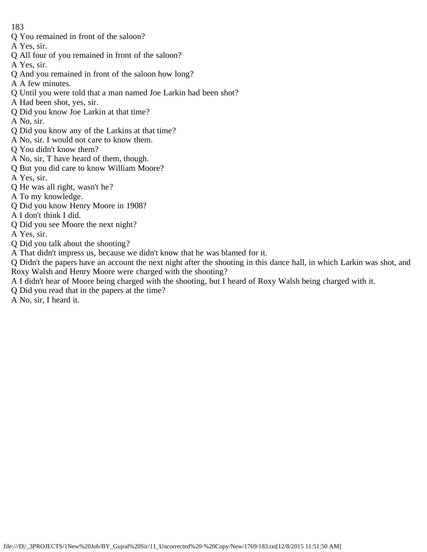- Q You remained in front of the saloon?
- A Yes, sir.
- Q All four of you remained in front of the saloon?
- A Yes, sir.
- Q And you remained in front of the saloon how long?
- A A few minutes.
- Q Until you were told that a man named Joe Larkin had been shot?
- A Had been shot, yes, sir.
- Q Did you know Joe Larkin at that time?
- A No, sir.
- Q Did you know any of the Larkins at that time?
- A No, sir. I would not care to know them.
- Q You didn't know them?
- A No, sir, T have heard of them, though.
- Q But you did care to know William Moore?
- A Yes, sir.
- Q He was all right, wasn't he?
- A To my knowledge.
- Q Did you know Henry Moore in 1908?
- A I don't think I did.
- Q Did you see Moore the next night?
- A Yes, sir.
- Q Did you talk about the shooting?
- A That didn't impress us, because we didn't know that he was blamed for it.
- Q Didn't the papers have an account the next night after the shooting in this dance hall, in which Larkin was shot, and Roxy Walsh and Henry Moore were charged with the shooting?
- A I didn't hear of Moore being charged with the shooting, but I heard of Roxy Walsh being charged with it.
- Q Did you read that in the papers at the time?
- A No, sir, I heard it.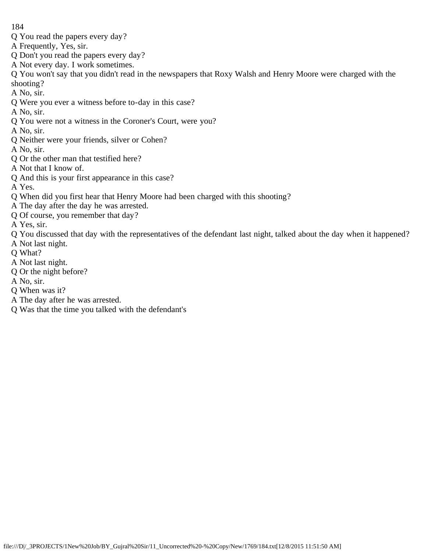- Q You read the papers every day?
- A Frequently, Yes, sir.
- Q Don't you read the papers every day?
- A Not every day. I work sometimes.

Q You won't say that you didn't read in the newspapers that Roxy Walsh and Henry Moore were charged with the shooting?

A No, sir.

- Q Were you ever a witness before to-day in this case?
- A No, sir.
- Q You were not a witness in the Coroner's Court, were you?
- A No, sir.
- Q Neither were your friends, silver or Cohen?
- A No, sir.
- Q Or the other man that testified here?
- A Not that I know of.
- Q And this is your first appearance in this case?

A Yes.

- Q When did you first hear that Henry Moore had been charged with this shooting?
- A The day after the day he was arrested.
- Q Of course, you remember that day?
- A Yes, sir.
- Q You discussed that day with the representatives of the defendant last night, talked about the day when it happened?
- A Not last night.
- Q What?
- A Not last night.
- Q Or the night before?
- A No, sir.
- Q When was it?
- A The day after he was arrested.
- Q Was that the time you talked with the defendant's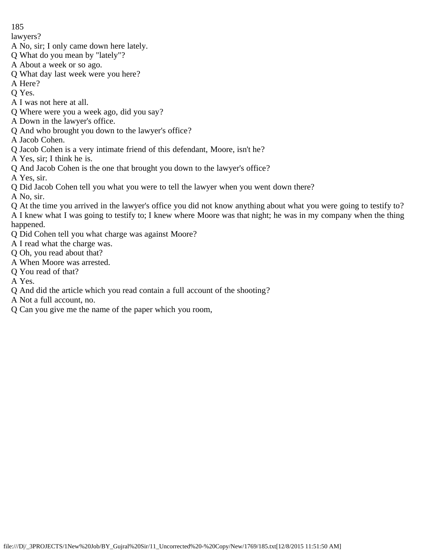lawyers?

- A No, sir; I only came down here lately.
- Q What do you mean by "lately"?
- A About a week or so ago.
- Q What day last week were you here?
- A Here?

Q Yes.

- A I was not here at all.
- Q Where were you a week ago, did you say?
- A Down in the lawyer's office.
- Q And who brought you down to the lawyer's office?

A Jacob Cohen.

- Q Jacob Cohen is a very intimate friend of this defendant, Moore, isn't he?
- A Yes, sir; I think he is.
- Q And Jacob Cohen is the one that brought you down to the lawyer's office?

A Yes, sir.

Q Did Jacob Cohen tell you what you were to tell the lawyer when you went down there?

A No, sir.

- Q At the time you arrived in the lawyer's office you did not know anything about what you were going to testify to? A I knew what I was going to testify to; I knew where Moore was that night; he was in my company when the thing happened.
- Q Did Cohen tell you what charge was against Moore?
- A I read what the charge was.
- Q Oh, you read about that?
- A When Moore was arrested.
- Q You read of that?

A Yes.

- Q And did the article which you read contain a full account of the shooting?
- A Not a full account, no.
- Q Can you give me the name of the paper which you room,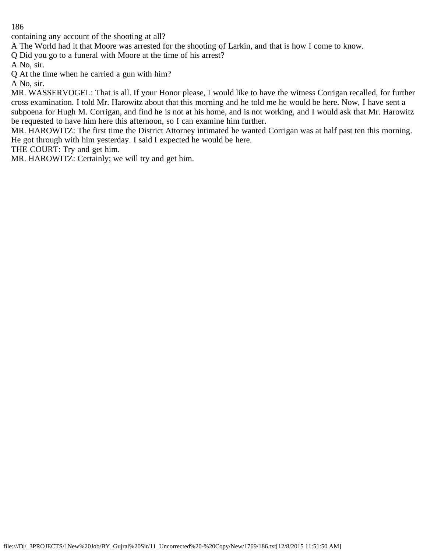containing any account of the shooting at all?

A The World had it that Moore was arrested for the shooting of Larkin, and that is how I come to know.

Q Did you go to a funeral with Moore at the time of his arrest?

A No, sir.

Q At the time when he carried a gun with him?

A No, sir.

MR. WASSERVOGEL: That is all. If your Honor please, I would like to have the witness Corrigan recalled, for further cross examination. I told Mr. Harowitz about that this morning and he told me he would be here. Now, I have sent a subpoena for Hugh M. Corrigan, and find he is not at his home, and is not working, and I would ask that Mr. Harowitz be requested to have him here this afternoon, so I can examine him further.

MR. HAROWITZ: The first time the District Attorney intimated he wanted Corrigan was at half past ten this morning. He got through with him yesterday. I said I expected he would be here.

THE COURT: Try and get him.

MR. HAROWITZ: Certainly; we will try and get him.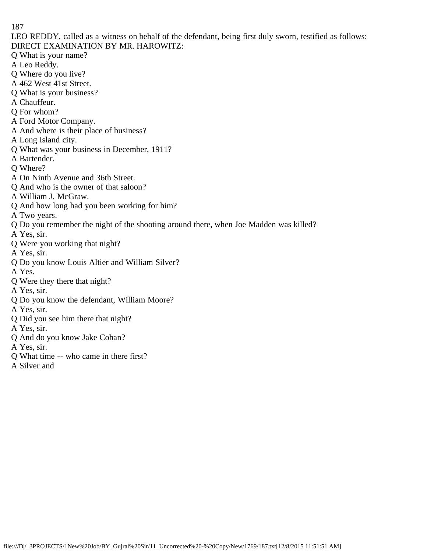LEO REDDY, called as a witness on behalf of the defendant, being first duly sworn, testified as follows: DIRECT EXAMINATION BY MR. HAROWITZ:

Q What is your name?

- A Leo Reddy.
- Q Where do you live?
- A 462 West 41st Street.
- Q What is your business?
- A Chauffeur.
- Q For whom?
- A Ford Motor Company.
- A And where is their place of business?
- A Long Island city.
- Q What was your business in December, 1911?
- A Bartender.
- Q Where?
- A On Ninth Avenue and 36th Street.
- Q And who is the owner of that saloon?
- A William J. McGraw.
- Q And how long had you been working for him?
- A Two years.
- Q Do you remember the night of the shooting around there, when Joe Madden was killed?
- A Yes, sir.
- Q Were you working that night?
- A Yes, sir.
- Q Do you know Louis Altier and William Silver?
- A Yes.
- Q Were they there that night?
- A Yes, sir.
- Q Do you know the defendant, William Moore?
- A Yes, sir.
- Q Did you see him there that night?
- A Yes, sir.
- Q And do you know Jake Cohan?
- A Yes, sir.
- Q What time -- who came in there first?
- A Silver and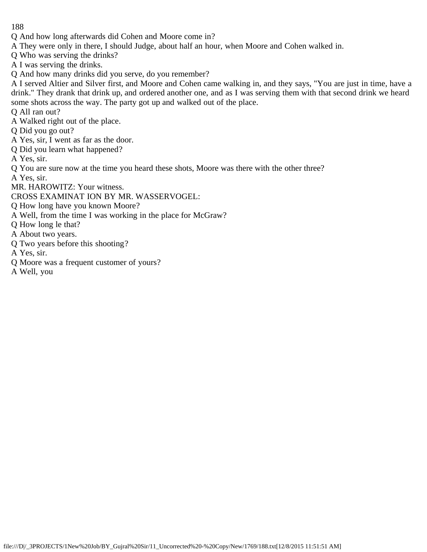- Q And how long afterwards did Cohen and Moore come in?
- A They were only in there, I should Judge, about half an hour, when Moore and Cohen walked in.
- Q Who was serving the drinks?
- A I was serving the drinks.
- Q And how many drinks did you serve, do you remember?

A I served Altier and Silver first, and Moore and Cohen came walking in, and they says, "You are just in time, have a drink." They drank that drink up, and ordered another one, and as I was serving them with that second drink we heard some shots across the way. The party got up and walked out of the place.

Q All ran out?

A Walked right out of the place.

Q Did you go out?

- A Yes, sir, I went as far as the door.
- Q Did you learn what happened?

A Yes, sir.

Q You are sure now at the time you heard these shots, Moore was there with the other three?

A Yes, sir.

MR. HAROWITZ: Your witness.

CROSS EXAMINAT ION BY MR. WASSERVOGEL:

Q How long have you known Moore?

- A Well, from the time I was working in the place for McGraw?
- Q How long le that?

A About two years.

Q Two years before this shooting?

A Yes, sir.

Q Moore was a frequent customer of yours?

A Well, you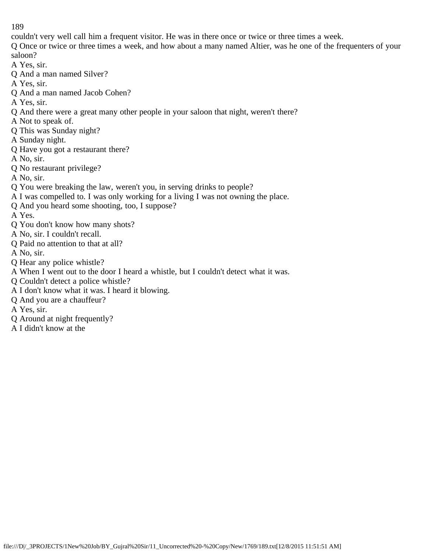couldn't very well call him a frequent visitor. He was in there once or twice or three times a week.

Q Once or twice or three times a week, and how about a many named Altier, was he one of the frequenters of your saloon?

A Yes, sir.

- Q And a man named Silver?
- A Yes, sir.
- Q And a man named Jacob Cohen?

A Yes, sir.

- Q And there were a great many other people in your saloon that night, weren't there?
- A Not to speak of.
- Q This was Sunday night?
- A Sunday night.
- Q Have you got a restaurant there?
- A No, sir.
- Q No restaurant privilege?
- A No, sir.
- Q You were breaking the law, weren't you, in serving drinks to people?
- A I was compelled to. I was only working for a living I was not owning the place.
- Q And you heard some shooting, too, I suppose?

A Yes.

- Q You don't know how many shots?
- A No, sir. I couldn't recall.
- Q Paid no attention to that at all?

A No, sir.

- Q Hear any police whistle?
- A When I went out to the door I heard a whistle, but I couldn't detect what it was.
- Q Couldn't detect a police whistle?
- A I don't know what it was. I heard it blowing.
- Q And you are a chauffeur?
- A Yes, sir.
- Q Around at night frequently?
- A I didn't know at the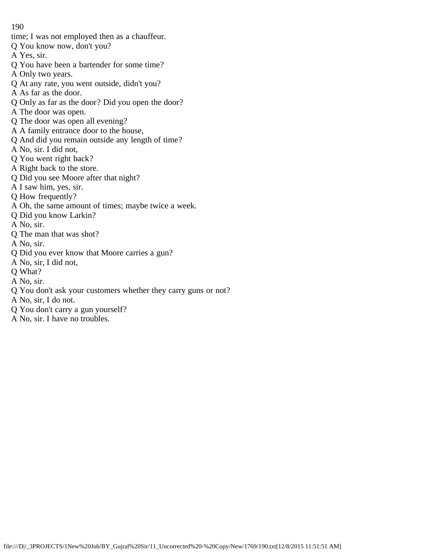- time; I was not employed then as a chauffeur.
- Q You know now, don't you?
- A Yes, sir.
- Q You have been a bartender for some time?
- A Only two years.
- Q At any rate, you went outside, didn't you?
- A As far as the door.
- Q Only as far as the door? Did you open the door?
- A The door was open.
- Q The door was open all evening?
- A A family entrance door to the house,
- Q And did you remain outside any length of time?
- A No, sir. I did not,
- Q You went right back?
- A Right back to the store.
- Q Did you see Moore after that night?
- A I saw him, yes, sir.
- Q How frequently?
- A Oh, the same amount of times; maybe twice a week.
- Q Did you know Larkin?
- A No, sir.
- Q The man that was shot?
- A No, sir.
- Q Did you ever know that Moore carries a gun?
- A No, sir, I did not,
- Q What?
- A No, sir.
- Q You don't ask your customers whether they carry guns or not?
- A No, sir, I do not.
- Q You don't carry a gun yourself?
- A No, sir. I have no troubles.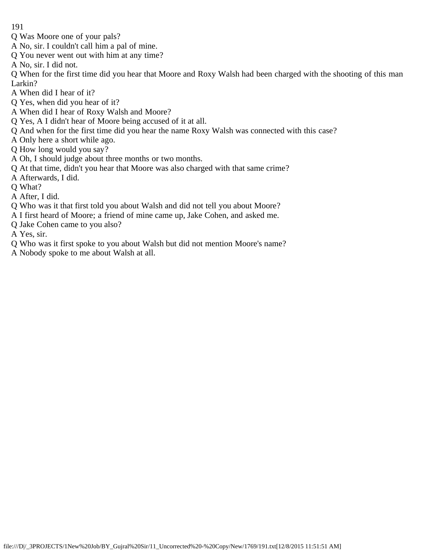- Q Was Moore one of your pals?
- A No, sir. I couldn't call him a pal of mine.
- Q You never went out with him at any time?
- A No, sir. I did not.

Q When for the first time did you hear that Moore and Roxy Walsh had been charged with the shooting of this man Larkin?

- A When did I hear of it?
- Q Yes, when did you hear of it?
- A When did I hear of Roxy Walsh and Moore?
- Q Yes, A I didn't hear of Moore being accused of it at all.
- Q And when for the first time did you hear the name Roxy Walsh was connected with this case?
- A Only here a short while ago.
- Q How long would you say?
- A Oh, I should judge about three months or two months.
- Q At that time, didn't you hear that Moore was also charged with that same crime?
- A Afterwards, I did.
- Q What?
- A After, I did.
- Q Who was it that first told you about Walsh and did not tell you about Moore?
- A I first heard of Moore; a friend of mine came up, Jake Cohen, and asked me.
- Q Jake Cohen came to you also?
- A Yes, sir.
- Q Who was it first spoke to you about Walsh but did not mention Moore's name?
- A Nobody spoke to me about Walsh at all.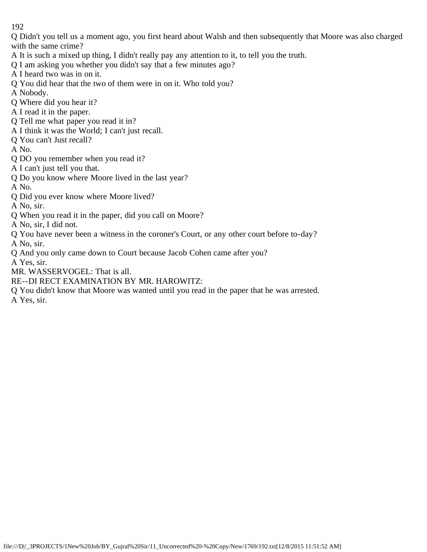Q Didn't you tell us a moment ago, you first heard about Walsh and then subsequently that Moore was also charged with the same crime?

- A It is such a mixed up thing, I didn't really pay any attention to it, to tell you the truth.
- Q I am asking you whether you didn't say that a few minutes ago?
- A I heard two was in on it.
- Q You did hear that the two of them were in on it. Who told you?
- A Nobody.
- Q Where did you hear it?
- A I read it in the paper.
- Q Tell me what paper you read it in?
- A I think it was the World; I can't just recall.
- Q You can't Just recall?
- A No.
- Q DO you remember when you read it?
- A I can't just tell you that.
- Q Do you know where Moore lived in the last year?
- A No.
- Q Did you ever know where Moore lived?
- A No, sir.
- Q When you read it in the paper, did you call on Moore?
- A No, sir, I did not.
- Q You have never been a witness in the coroner's Court, or any other court before to-day?
- A No, sir.
- Q And you only came down to Court because Jacob Cohen came after you?
- A Yes, sir.
- MR. WASSERVOGEL: That is all.
- RE--DI RECT EXAMINATION BY MR. HAROWITZ:
- Q You didn't know that Moore was wanted until you read in the paper that he was arrested.
- A Yes, sir.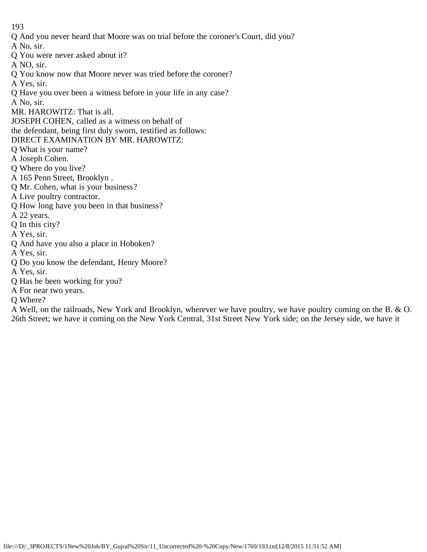Q And you never heard that Moore was on trial before the coroner's Court, did you?

A No, sir.

Q You were never asked about it?

A NO, sir.

- Q You know now that Moore never was tried before the coroner?
- A Yes, sir.
- Q Have you over been a witness before in your life in any case?
- A No, sir.
- MR. HAROWITZ: That is all.
- JOSEPH COHEN, called as a witness on behalf of
- the defendant, being first duly sworn, testified as follows:
- DIRECT EXAMINATION BY MR. HAROWITZ:
- Q What is your name?
- A Joseph Cohen.
- Q Where do you live?
- A 165 Penn Street, Brooklyn .
- Q Mr. Cohen, what is your business?
- A Live poultry contractor.
- Q How long have you been in that business?
- A 22 years.
- Q In this city?
- A Yes, sir.
- Q And have you also a place in Hoboken?
- A Yes, sir.
- Q Do you know the defendant, Henry Moore?
- A Yes, sir.
- Q Has he been working for you?
- A For near two years.
- Q Where?

A Well, on the railroads, New York and Brooklyn, wherever we have poultry, we have poultry coming on the B. & O. 26th Street; we have it coming on the New York Central, 31st Street New York side; on the Jersey side, we have it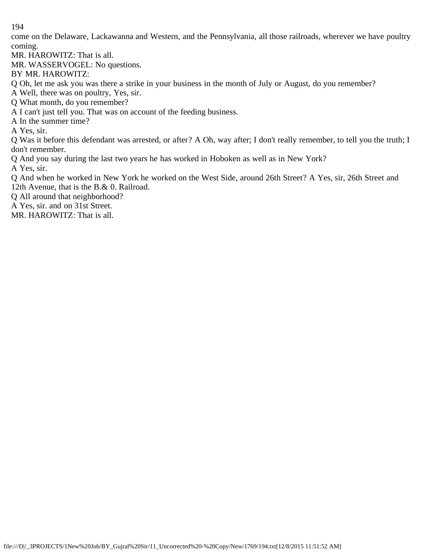come on the Delaware, Lackawanna and Western, and the Pennsylvania, all those railroads, wherever we have poultry coming.

MR. HAROWITZ: That is all.

MR. WASSERVOGEL: No questions.

BY MR. HAROWITZ:

Q Oh, let me ask you was there a strike in your business in the month of July or August, do you remember?

A Well, there was on poultry, Yes, sir.

Q What month, do you remember?

A I can't just tell you. That was on account of the feeding business.

A In the summer time?

A Yes, sir.

Q Was it before this defendant was arrested, or after? A Oh, way after; I don't really remember, to tell you the truth; I don't remember.

Q And you say during the last two years he has worked in Hoboken as well as in New York?

A Yes, sir.

Q And when he worked in New York he worked on the West Side, around 26th Street? A Yes, sir, 26th Street and 12th Avenue, that is the B.& 0. Railroad.

Q All around that neighborhood?

A Yes, sir. and on 31st Street.

MR. HAROWITZ: That is all.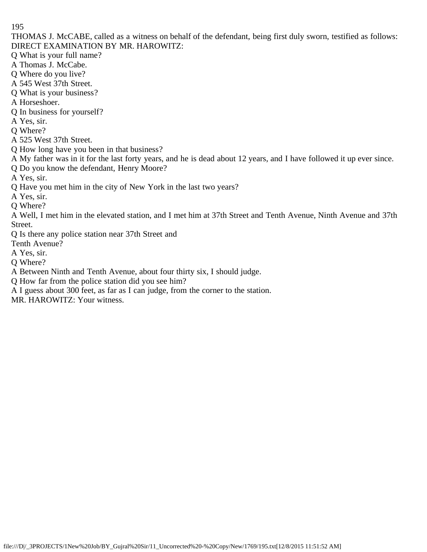THOMAS J. McCABE, called as a witness on behalf of the defendant, being first duly sworn, testified as follows: DIRECT EXAMINATION BY MR. HAROWITZ:

Q What is your full name?

- A Thomas J. McCabe.
- Q Where do you live?
- A 545 West 37th Street.
- Q What is your business?
- A Horseshoer.
- Q In business for yourself?
- A Yes, sir.
- Q Where?
- A 525 West 37th Street.
- Q How long have you been in that business?
- A My father was in it for the last forty years, and he is dead about 12 years, and I have followed it up ever since.
- Q Do you know the defendant, Henry Moore?
- A Yes, sir.
- Q Have you met him in the city of New York in the last two years?
- A Yes, sir.
- Q Where?
- A Well, I met him in the elevated station, and I met him at 37th Street and Tenth Avenue, Ninth Avenue and 37th Street.
- Q Is there any police station near 37th Street and
- Tenth Avenue?
- A Yes, sir.
- Q Where?
- A Between Ninth and Tenth Avenue, about four thirty six, I should judge.
- Q How far from the police station did you see him?
- A I guess about 300 feet, as far as I can judge, from the corner to the station.
- MR. HAROWITZ: Your witness.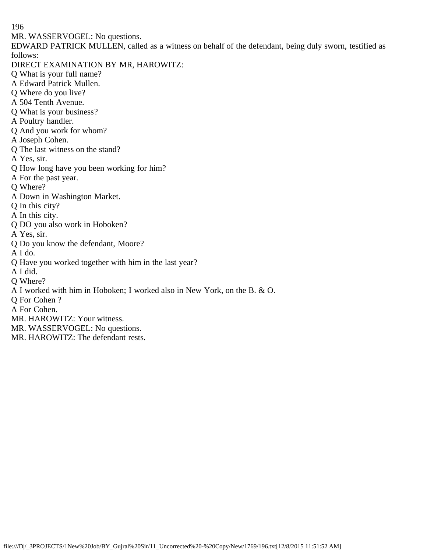MR. WASSERVOGEL: No questions.

EDWARD PATRICK MULLEN, called as a witness on behalf of the defendant, being duly sworn, testified as follows:

- DIRECT EXAMINATION BY MR, HAROWITZ:
- Q What is your full name?
- A Edward Patrick Mullen.
- Q Where do you live?
- A 504 Tenth Avenue.
- Q What is your business?
- A Poultry handler.
- Q And you work for whom?
- A Joseph Cohen.
- Q The last witness on the stand?
- A Yes, sir.
- Q How long have you been working for him?
- A For the past year.
- Q Where?
- A Down in Washington Market.
- Q In this city?
- A In this city.
- Q DO you also work in Hoboken?
- A Yes, sir.
- Q Do you know the defendant, Moore?
- A I do.
- Q Have you worked together with him in the last year?
- A I did.
- Q Where?
- A I worked with him in Hoboken; I worked also in New York, on the B. & O.
- Q For Cohen ?
- A For Cohen.
- MR. HAROWITZ: Your witness.
- MR. WASSERVOGEL: No questions.
- MR. HAROWITZ: The defendant rests.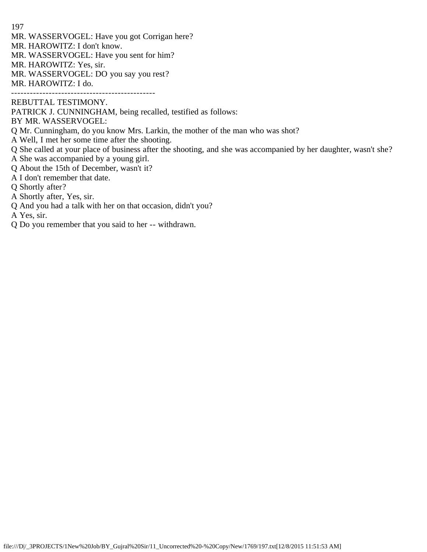- MR. WASSERVOGEL: Have you got Corrigan here?
- MR. HAROWITZ: I don't know.
- MR. WASSERVOGEL: Have you sent for him?
- MR. HAROWITZ: Yes, sir.
- MR. WASSERVOGEL: DO you say you rest?
- MR. HAROWITZ: I do.

----------------------------------------------

REBUTTAL TESTIMONY.

PATRICK J. CUNNINGHAM, being recalled, testified as follows:

BY MR. WASSERVOGEL:

- Q Mr. Cunningham, do you know Mrs. Larkin, the mother of the man who was shot?
- A Well, I met her some time after the shooting.
- Q She called at your place of business after the shooting, and she was accompanied by her daughter, wasn't she? A She was accompanied by a young girl.
- Q About the 15th of December, wasn't it?
- A I don't remember that date.
- Q Shortly after?
- A Shortly after, Yes, sir.
- Q And you had a talk with her on that occasion, didn't you?

A Yes, sir.

Q Do you remember that you said to her -- withdrawn.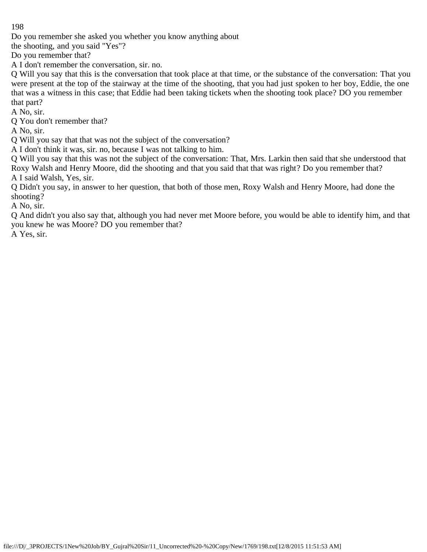Do you remember she asked you whether you know anything about

the shooting, and you said "Yes"?

Do you remember that?

A I don't remember the conversation, sir. no.

Q Will you say that this is the conversation that took place at that time, or the substance of the conversation: That you were present at the top of the stairway at the time of the shooting, that you had just spoken to her boy, Eddie, the one that was a witness in this case; that Eddie had been taking tickets when the shooting took place? DO you remember that part?

A No, sir.

Q You don't remember that?

A No, sir.

Q Will you say that that was not the subject of the conversation?

A I don't think it was, sir. no, because I was not talking to him.

Q Will you say that this was not the subject of the conversation: That, Mrs. Larkin then said that she understood that Roxy Walsh and Henry Moore, did the shooting and that you said that that was right? Do you remember that? A I said Walsh, Yes, sir.

Q Didn't you say, in answer to her question, that both of those men, Roxy Walsh and Henry Moore, had done the shooting?

A No, sir.

Q And didn't you also say that, although you had never met Moore before, you would be able to identify him, and that you knew he was Moore? DO you remember that?

A Yes, sir.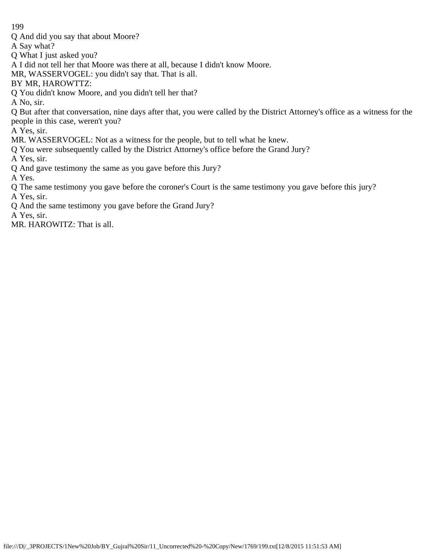Q And did you say that about Moore?

A Say what?

- Q What I just asked you?
- A I did not tell her that Moore was there at all, because I didn't know Moore.
- MR, WASSERVOGEL: you didn't say that. That is all.
- BY MR, HAROWTTZ:
- Q You didn't know Moore, and you didn't tell her that?

A No, sir.

Q But after that conversation, nine days after that, you were called by the District Attorney's office as a witness for the people in this case, weren't you?

A Yes, sir.

- MR. WASSERVOGEL: Not as a witness for the people, but to tell what he knew.
- Q You were subsequently called by the District Attorney's office before the Grand Jury?

A Yes, sir.

Q And gave testimony the same as you gave before this Jury?

A Yes.

- Q The same testimony you gave before the coroner's Court is the same testimony you gave before this jury? A Yes, sir.
- Q And the same testimony you gave before the Grand Jury?

A Yes, sir.

MR. HAROWITZ: That is all.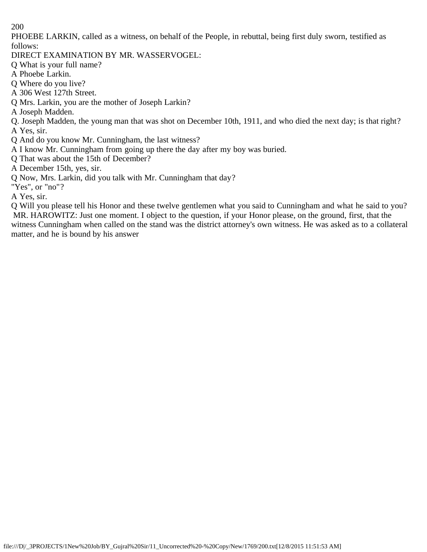PHOEBE LARKIN, called as a witness, on behalf of the People, in rebuttal, being first duly sworn, testified as follows:

DIRECT EXAMINATION BY MR. WASSERVOGEL:

Q What is your full name?

A Phoebe Larkin.

Q Where do you live?

A 306 West 127th Street.

Q Mrs. Larkin, you are the mother of Joseph Larkin?

A Joseph Madden.

Q. Joseph Madden, the young man that was shot on December 10th, 1911, and who died the next day; is that right? A Yes, sir.

Q And do you know Mr. Cunningham, the last witness?

A I know Mr. Cunningham from going up there the day after my boy was buried.

Q That was about the 15th of December?

A December 15th, yes, sir.

Q Now, Mrs. Larkin, did you talk with Mr. Cunningham that day?

"Yes", or "no"?

A Yes, sir.

Q Will you please tell his Honor and these twelve gentlemen what you said to Cunningham and what he said to you? MR. HAROWITZ: Just one moment. I object to the question, if your Honor please, on the ground, first, that the witness Cunningham when called on the stand was the district attorney's own witness. He was asked as to a collateral matter, and he is bound by his answer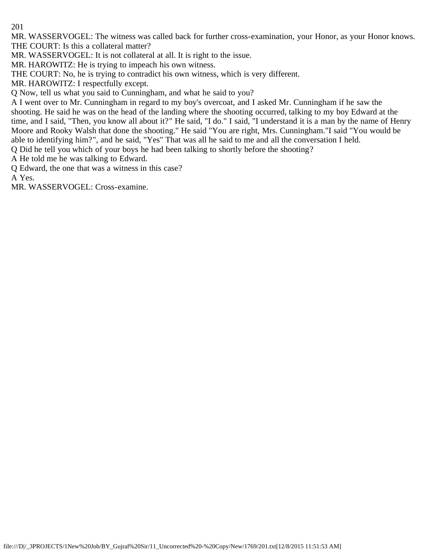MR. WASSERVOGEL: The witness was called back for further cross-examination, your Honor, as your Honor knows. THE COURT: Is this a collateral matter?

MR. WASSERVOGEL: It is not collateral at all. It is right to the issue.

MR. HAROWITZ: He is trying to impeach his own witness.

THE COURT: No, he is trying to contradict his own witness, which is very different.

MR. HAROWITZ: I respectfully except.

Q Now, tell us what you said to Cunningham, and what he said to you?

A I went over to Mr. Cunningham in regard to my boy's overcoat, and I asked Mr. Cunningham if he saw the shooting. He said he was on the head of the landing where the shooting occurred, talking to my boy Edward at the time, and I said, "Then, you know all about it?" He said, "I do." I said, "I understand it is a man by the name of Henry Moore and Rooky Walsh that done the shooting." He said "You are right, Mrs. Cunningham."I said "You would be able to identifying him?", and he said, "Yes" That was all he said to me and all the conversation I held.

Q Did he tell you which of your boys he had been talking to shortly before the shooting?

A He told me he was talking to Edward.

Q Edward, the one that was a witness in this case?

A Yes.

MR. WASSERVOGEL: Cross-examine.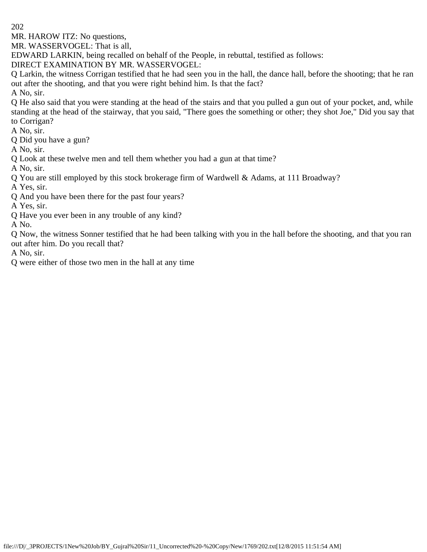MR. HAROW ITZ: No questions,

MR. WASSERVOGEL: That is all,

EDWARD LARKIN, being recalled on behalf of the People, in rebuttal, testified as follows:

DIRECT EXAMINATION BY MR. WASSERVOGEL:

Q Larkin, the witness Corrigan testified that he had seen you in the hall, the dance hall, before the shooting; that he ran out after the shooting, and that you were right behind him. Is that the fact?

A No, sir.

Q He also said that you were standing at the head of the stairs and that you pulled a gun out of your pocket, and, while standing at the head of the stairway, that you said, "There goes the something or other; they shot Joe," Did you say that to Corrigan?

A No, sir.

Q Did you have a gun?

A No, sir.

Q Look at these twelve men and tell them whether you had a gun at that time?

A No, sir.

Q You are still employed by this stock brokerage firm of Wardwell & Adams, at 111 Broadway?

A Yes, sir.

Q And you have been there for the past four years?

A Yes, sir.

Q Have you ever been in any trouble of any kind?

A No.

Q Now, the witness Sonner testified that he had been talking with you in the hall before the shooting, and that you ran out after him. Do you recall that?

A No, sir.

Q were either of those two men in the hall at any time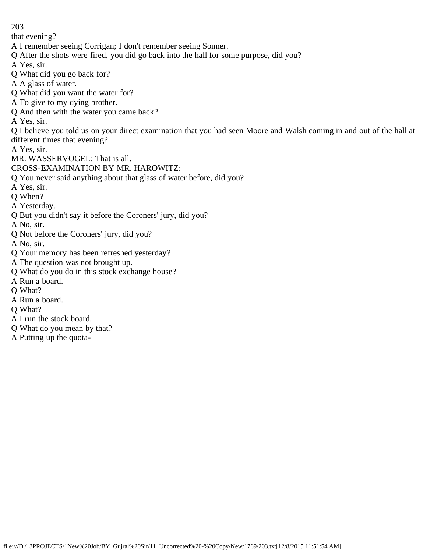that evening?

- A I remember seeing Corrigan; I don't remember seeing Sonner.
- Q After the shots were fired, you did go back into the hall for some purpose, did you?
- A Yes, sir.
- Q What did you go back for?
- A A glass of water.
- Q What did you want the water for?
- A To give to my dying brother.
- Q And then with the water you came back?
- A Yes, sir.

Q I believe you told us on your direct examination that you had seen Moore and Walsh coming in and out of the hall at different times that evening?

- A Yes, sir.
- MR. WASSERVOGEL: That is all.
- CROSS-EXAMINATION BY MR. HAROWITZ:
- Q You never said anything about that glass of water before, did you?
- A Yes, sir.
- Q When?
- A Yesterday.
- Q But you didn't say it before the Coroners' jury, did you?
- A No, sir.
- Q Not before the Coroners' jury, did you?
- A No, sir.
- Q Your memory has been refreshed yesterday?
- A The question was not brought up.
- Q What do you do in this stock exchange house?
- A Run a board.
- Q What?
- A Run a board.
- Q What?
- A I run the stock board.
- Q What do you mean by that?
- A Putting up the quota-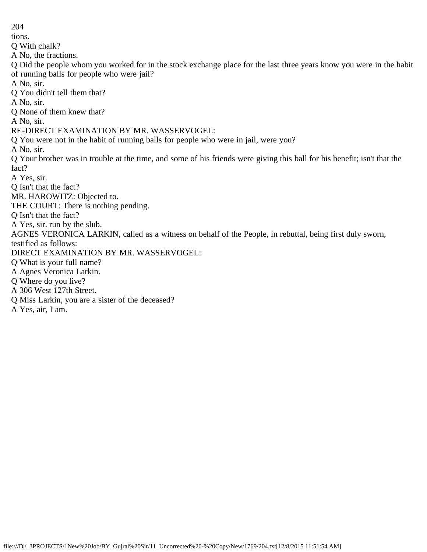tions. Q With chalk? A No, the fractions. Q Did the people whom you worked for in the stock exchange place for the last three years know you were in the habit of running balls for people who were jail? A No, sir. Q You didn't tell them that? A No, sir. Q None of them knew that? A No, sir. RE-DIRECT EXAMINATION BY MR. WASSERVOGEL: Q You were not in the habit of running balls for people who were in jail, were you? A No, sir. Q Your brother was in trouble at the time, and some of his friends were giving this ball for his benefit; isn't that the fact? A Yes, sir. Q Isn't that the fact? MR. HAROWITZ: Objected to. THE COURT: There is nothing pending. Q Isn't that the fact? A Yes, sir. run by the slub. AGNES VERONICA LARKIN, called as a witness on behalf of the People, in rebuttal, being first duly sworn, testified as follows: DIRECT EXAMINATION BY MR. WASSERVOGEL: Q What is your full name? A Agnes Veronica Larkin. Q Where do you live? A 306 West 127th Street. Q Miss Larkin, you are a sister of the deceased? A Yes, air, I am.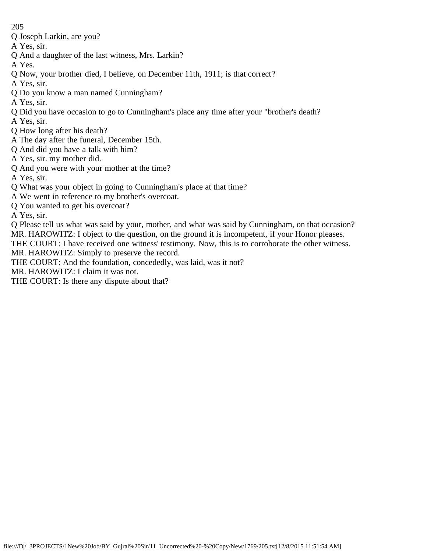- Q Joseph Larkin, are you?
- A Yes, sir.
- Q And a daughter of the last witness, Mrs. Larkin?
- A Yes.
- Q Now, your brother died, I believe, on December 11th, 1911; is that correct?
- A Yes, sir.
- Q Do you know a man named Cunningham?
- A Yes, sir.
- Q Did you have occasion to go to Cunningham's place any time after your "brother's death?
- A Yes, sir.
- Q How long after his death?
- A The day after the funeral, December 15th.
- Q And did you have a talk with him?
- A Yes, sir. my mother did.
- Q And you were with your mother at the time?
- A Yes, sir.
- Q What was your object in going to Cunningham's place at that time?
- A We went in reference to my brother's overcoat.
- Q You wanted to get his overcoat?

A Yes, sir.

Q Please tell us what was said by your, mother, and what was said by Cunningham, on that occasion? MR. HAROWITZ: I object to the question, on the ground it is incompetent, if your Honor pleases. THE COURT: I have received one witness' testimony. Now, this is to corroborate the other witness.

MR. HAROWITZ: Simply to preserve the record.

THE COURT: And the foundation, concededly, was laid, was it not?

MR. HAROWITZ: I claim it was not.

THE COURT: Is there any dispute about that?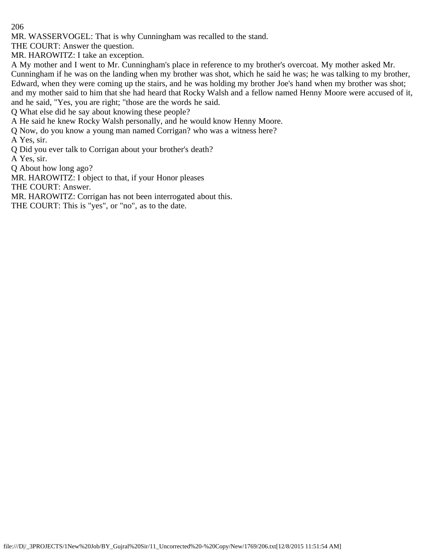MR. WASSERVOGEL: That is why Cunningham was recalled to the stand.

THE COURT: Answer the question.

MR. HAROWITZ: I take an exception.

A My mother and I went to Mr. Cunningham's place in reference to my brother's overcoat. My mother asked Mr. Cunningham if he was on the landing when my brother was shot, which he said he was; he was talking to my brother, Edward, when they were coming up the stairs, and he was holding my brother Joe's hand when my brother was shot; and my mother said to him that she had heard that Rocky Walsh and a fellow named Henny Moore were accused of it, and he said, "Yes, you are right; "those are the words he said.

Q What else did he say about knowing these people?

A He said he knew Rocky Walsh personally, and he would know Henny Moore.

Q Now, do you know a young man named Corrigan? who was a witness here?

A Yes, sir.

Q Did you ever talk to Corrigan about your brother's death?

A Yes, sir.

Q About how long ago?

MR. HAROWITZ: I object to that, if your Honor pleases

THE COURT: Answer.

MR. HAROWITZ: Corrigan has not been interrogated about this.

THE COURT: This is "yes", or "no", as to the date.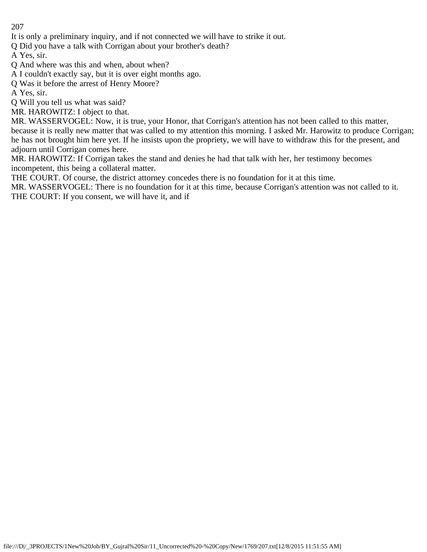It is only a preliminary inquiry, and if not connected we will have to strike it out.

Q Did you have a talk with Corrigan about your brother's death?

A Yes, sir.

Q And where was this and when, about when?

A I couldn't exactly say, but it is over eight months ago.

Q Was it before the arrest of Henry Moore?

A Yes, sir.

Q Will you tell us what was said?

MR. HAROWITZ: I object to that.

MR. WASSERVOGEL: Now, it is true, your Honor, that Corrigan's attention has not been called to this matter, because it is really new matter that was called to my attention this morning. I asked Mr. Harowitz to produce Corrigan; he has not brought him here yet. If he insists upon the propriety, we will have to withdraw this for the present, and adjourn until Corrigan comes here.

MR. HAROWITZ: If Corrigan takes the stand and denies he had that talk with her, her testimony becomes incompetent, this being a collateral matter.

THE COURT. Of course, the district attorney concedes there is no foundation for it at this time.

MR. WASSERVOGEL: There is no foundation for it at this time, because Corrigan's attention was not called to it. THE COURT: If you consent, we will have it, and if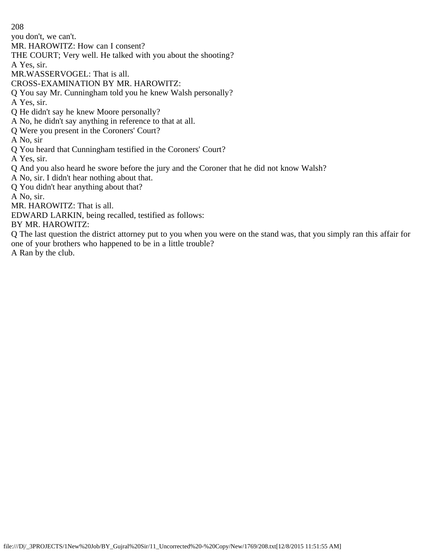you don't, we can't.

MR. HAROWITZ: How can I consent?

THE COURT; Very well. He talked with you about the shooting?

A Yes, sir.

MR.WASSERVOGEL: That is all.

CROSS-EXAMINATION BY MR. HAROWITZ:

Q You say Mr. Cunningham told you he knew Walsh personally?

A Yes, sir.

Q He didn't say he knew Moore personally?

A No, he didn't say anything in reference to that at all.

Q Were you present in the Coroners' Court?

A No, sir

Q You heard that Cunningham testified in the Coroners' Court?

A Yes, sir.

Q And you also heard he swore before the jury and the Coroner that he did not know Walsh?

A No, sir. I didn't hear nothing about that.

Q You didn't hear anything about that?

A No, sir.

MR. HAROWITZ: That is all.

EDWARD LARKIN, being recalled, testified as follows:

BY MR. HAROWITZ:

Q The last question the district attorney put to you when you were on the stand was, that you simply ran this affair for one of your brothers who happened to be in a little trouble?

A Ran by the club.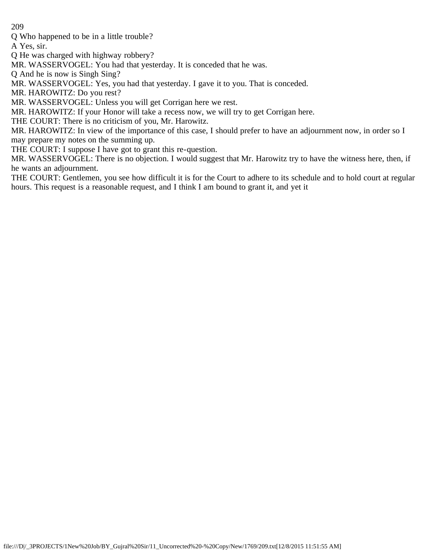Q Who happened to be in a little trouble?

A Yes, sir.

Q He was charged with highway robbery?

MR. WASSERVOGEL: You had that yesterday. It is conceded that he was.

Q And he is now is Singh Sing?

MR. WASSERVOGEL: Yes, you had that yesterday. I gave it to you. That is conceded.

MR. HAROWITZ: Do you rest?

MR. WASSERVOGEL: Unless you will get Corrigan here we rest.

MR. HAROWITZ: If your Honor will take a recess now, we will try to get Corrigan here.

THE COURT: There is no criticism of you, Mr. Harowitz.

MR. HAROWITZ: In view of the importance of this case, I should prefer to have an adjournment now, in order so I may prepare my notes on the summing up.

THE COURT: I suppose I have got to grant this re-question.

MR. WASSERVOGEL: There is no objection. I would suggest that Mr. Harowitz try to have the witness here, then, if he wants an adjournment.

THE COURT: Gentlemen, you see how difficult it is for the Court to adhere to its schedule and to hold court at regular hours. This request is a reasonable request, and I think I am bound to grant it, and yet it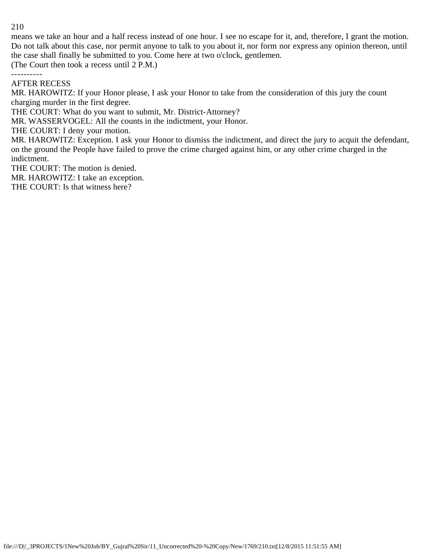means we take an hour and a half recess instead of one hour. I see no escape for it, and, therefore, I grant the motion. Do not talk about this case, nor permit anyone to talk to you about it, nor form nor express any opinion thereon, until the case shall finally be submitted to you. Come here at two o'clock, gentlemen.

(The Court then took a recess until 2 P.M.)

----------

#### AFTER RECESS

MR. HAROWITZ: If your Honor please, I ask your Honor to take from the consideration of this jury the count charging murder in the first degree.

THE COURT: What do you want to submit, Mr. District-Attorney?

MR. WASSERVOGEL: All the counts in the indictment, your Honor.

THE COURT: I deny your motion.

MR. HAROWITZ: Exception. I ask your Honor to dismiss the indictment, and direct the jury to acquit the defendant, on the ground the People have failed to prove the crime charged against him, or any other crime charged in the indictment.

THE COURT: The motion is denied.

MR. HAROWITZ: I take an exception.

THE COURT: Is that witness here?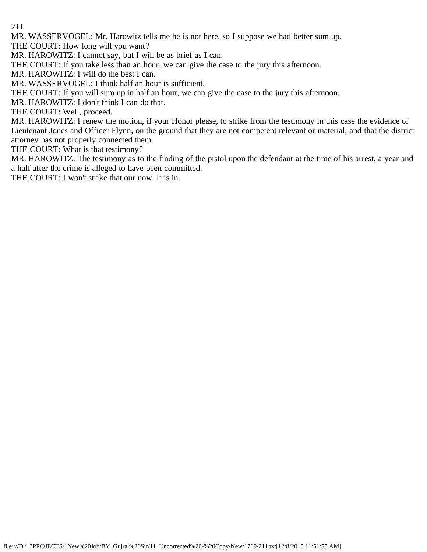MR. WASSERVOGEL: Mr. Harowitz tells me he is not here, so I suppose we had better sum up.

THE COURT: How long will you want?

MR. HAROWITZ: I cannot say, but I will be as brief as I can.

THE COURT: If you take less than an hour, we can give the case to the jury this afternoon.

MR. HAROWITZ: I will do the best I can.

MR. WASSERVOGEL: I think half an hour is sufficient.

THE COURT: If you will sum up in half an hour, we can give the case to the jury this afternoon.

MR. HAROWITZ: I don't think I can do that.

THE COURT: Well, proceed.

MR. HAROWITZ: I renew the motion, if your Honor please, to strike from the testimony in this case the evidence of Lieutenant Jones and Officer Flynn, on the ground that they are not competent relevant or material, and that the district attorney has not properly connected them.

THE COURT: What is that testimony?

MR. HAROWITZ: The testimony as to the finding of the pistol upon the defendant at the time of his arrest, a year and a half after the crime is alleged to have been committed.

THE COURT: I won't strike that our now. It is in.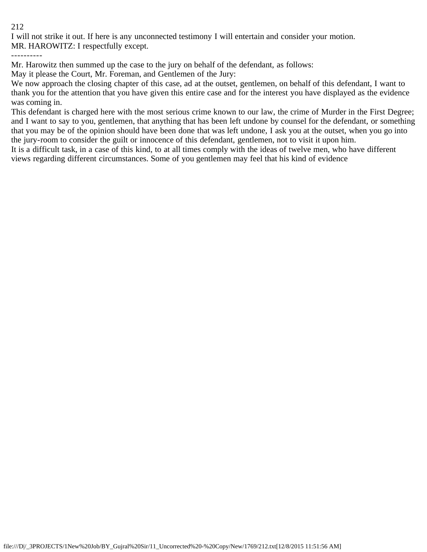I will not strike it out. If here is any unconnected testimony I will entertain and consider your motion. MR. HAROWITZ: I respectfully except.

----------

Mr. Harowitz then summed up the case to the jury on behalf of the defendant, as follows:

May it please the Court, Mr. Foreman, and Gentlemen of the Jury:

We now approach the closing chapter of this case, ad at the outset, gentlemen, on behalf of this defendant, I want to thank you for the attention that you have given this entire case and for the interest you have displayed as the evidence was coming in.

This defendant is charged here with the most serious crime known to our law, the crime of Murder in the First Degree; and I want to say to you, gentlemen, that anything that has been left undone by counsel for the defendant, or something that you may be of the opinion should have been done that was left undone, I ask you at the outset, when you go into the jury-room to consider the guilt or innocence of this defendant, gentlemen, not to visit it upon him.

It is a difficult task, in a case of this kind, to at all times comply with the ideas of twelve men, who have different views regarding different circumstances. Some of you gentlemen may feel that his kind of evidence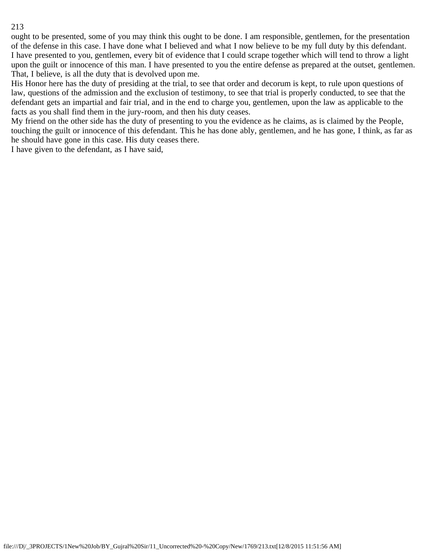ought to be presented, some of you may think this ought to be done. I am responsible, gentlemen, for the presentation of the defense in this case. I have done what I believed and what I now believe to be my full duty by this defendant. I have presented to you, gentlemen, every bit of evidence that I could scrape together which will tend to throw a light upon the guilt or innocence of this man. I have presented to you the entire defense as prepared at the outset, gentlemen. That, I believe, is all the duty that is devolved upon me.

His Honor here has the duty of presiding at the trial, to see that order and decorum is kept, to rule upon questions of law, questions of the admission and the exclusion of testimony, to see that trial is properly conducted, to see that the defendant gets an impartial and fair trial, and in the end to charge you, gentlemen, upon the law as applicable to the facts as you shall find them in the jury-room, and then his duty ceases.

My friend on the other side has the duty of presenting to you the evidence as he claims, as is claimed by the People, touching the guilt or innocence of this defendant. This he has done ably, gentlemen, and he has gone, I think, as far as he should have gone in this case. His duty ceases there.

I have given to the defendant, as I have said,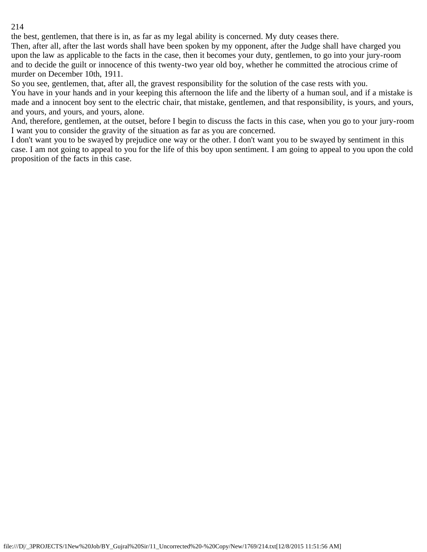the best, gentlemen, that there is in, as far as my legal ability is concerned. My duty ceases there.

Then, after all, after the last words shall have been spoken by my opponent, after the Judge shall have charged you upon the law as applicable to the facts in the case, then it becomes your duty, gentlemen, to go into your jury-room and to decide the guilt or innocence of this twenty-two year old boy, whether he committed the atrocious crime of murder on December 10th, 1911.

So you see, gentlemen, that, after all, the gravest responsibility for the solution of the case rests with you.

You have in your hands and in your keeping this afternoon the life and the liberty of a human soul, and if a mistake is made and a innocent boy sent to the electric chair, that mistake, gentlemen, and that responsibility, is yours, and yours, and yours, and yours, and yours, alone.

And, therefore, gentlemen, at the outset, before I begin to discuss the facts in this case, when you go to your jury-room I want you to consider the gravity of the situation as far as you are concerned.

I don't want you to be swayed by prejudice one way or the other. I don't want you to be swayed by sentiment in this case. I am not going to appeal to you for the life of this boy upon sentiment. I am going to appeal to you upon the cold proposition of the facts in this case.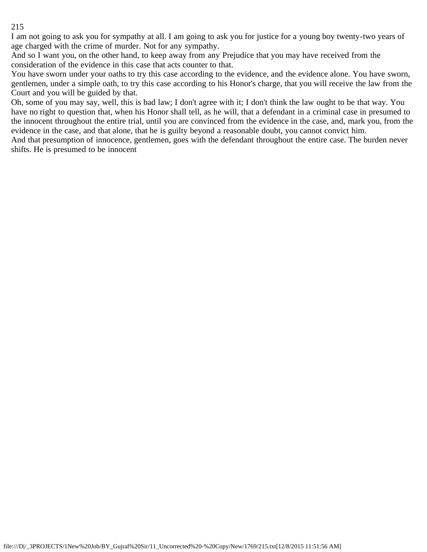I am not going to ask you for sympathy at all. I am going to ask you for justice for a young boy twenty-two years of age charged with the crime of murder. Not for any sympathy.

And so I want you, on the other hand, to keep away from any Prejudice that you may have received from the consideration of the evidence in this case that acts counter to that.

You have sworn under your oaths to try this case according to the evidence, and the evidence alone. You have sworn, gentlemen, under a simple oath, to try this case according to his Honor's charge, that you will receive the law from the Court and you will be guided by that.

Oh, some of you may say, well, this is bad law; I don't agree with it; I don't think the law ought to be that way. You have no right to question that, when his Honor shall tell, as he will, that a defendant in a criminal case in presumed to the innocent throughout the entire trial, until you are convinced from the evidence in the case, and, mark you, from the evidence in the case, and that alone, that he is guilty beyond a reasonable doubt, you cannot convict him.

And that presumption of innocence, gentlemen, goes with the defendant throughout the entire case. The burden never shifts. He is presumed to be innocent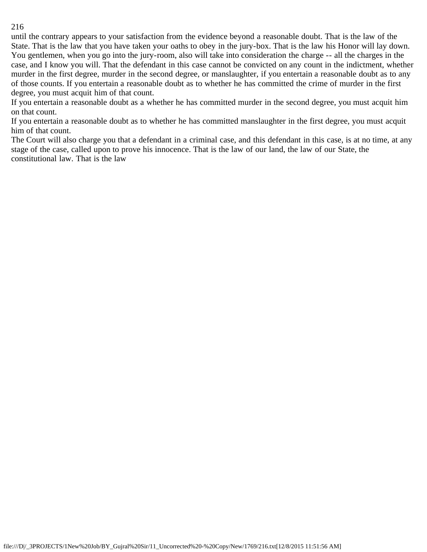until the contrary appears to your satisfaction from the evidence beyond a reasonable doubt. That is the law of the State. That is the law that you have taken your oaths to obey in the jury-box. That is the law his Honor will lay down. You gentlemen, when you go into the jury-room, also will take into consideration the charge -- all the charges in the case, and I know you will. That the defendant in this case cannot be convicted on any count in the indictment, whether murder in the first degree, murder in the second degree, or manslaughter, if you entertain a reasonable doubt as to any of those counts. If you entertain a reasonable doubt as to whether he has committed the crime of murder in the first degree, you must acquit him of that count.

If you entertain a reasonable doubt as a whether he has committed murder in the second degree, you must acquit him on that count.

If you entertain a reasonable doubt as to whether he has committed manslaughter in the first degree, you must acquit him of that count.

The Court will also charge you that a defendant in a criminal case, and this defendant in this case, is at no time, at any stage of the case, called upon to prove his innocence. That is the law of our land, the law of our State, the constitutional law. That is the law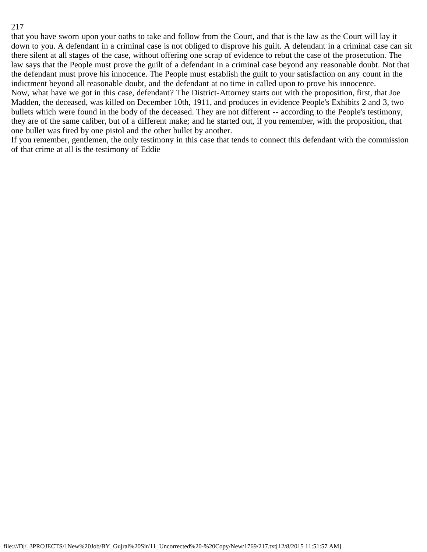that you have sworn upon your oaths to take and follow from the Court, and that is the law as the Court will lay it down to you. A defendant in a criminal case is not obliged to disprove his guilt. A defendant in a criminal case can sit there silent at all stages of the case, without offering one scrap of evidence to rebut the case of the prosecution. The law says that the People must prove the guilt of a defendant in a criminal case beyond any reasonable doubt. Not that the defendant must prove his innocence. The People must establish the guilt to your satisfaction on any count in the indictment beyond all reasonable doubt, and the defendant at no time in called upon to prove his innocence. Now, what have we got in this case, defendant? The District-Attorney starts out with the proposition, first, that Joe Madden, the deceased, was killed on December 10th, 1911, and produces in evidence People's Exhibits 2 and 3, two bullets which were found in the body of the deceased. They are not different -- according to the People's testimony, they are of the same caliber, but of a different make; and he started out, if you remember, with the proposition, that one bullet was fired by one pistol and the other bullet by another.

If you remember, gentlemen, the only testimony in this case that tends to connect this defendant with the commission of that crime at all is the testimony of Eddie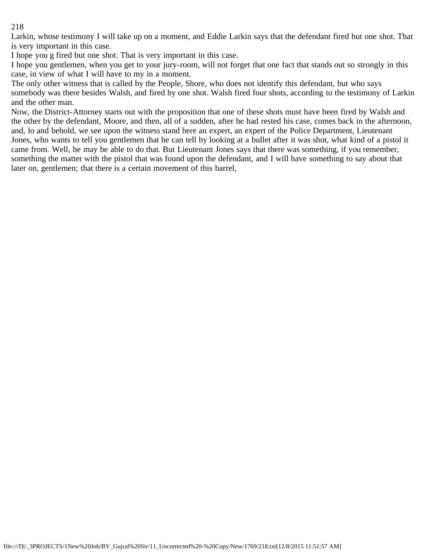Larkin, whose testimony I will take up on a moment, and Eddie Larkin says that the defendant fired but one shot. That is very important in this case.

I hope you g fired but one shot. That is very important in this case.

I hope you gentlemen, when you get to your jury-room, will not forget that one fact that stands out so strongly in this case, in view of what I will have to my in a moment.

The only other witness that is called by the People, Shore, who does not identify this defendant, but who says somebody was there besides Walsh, and fired by one shot. Walsh fired four shots, according to the testimony of Larkin and the other man.

Now, the District-Attorney starts out with the proposition that one of these shots must have been fired by Walsh and the other by the defendant, Moore, and then, all of a sudden, after he had rested his case, comes back in the afternoon, and, lo and behold, we see upon the witness stand here an expert, an expert of the Police Department, Lieutenant Jones, who wants to tell you gentlemen that he can tell by looking at a bullet after it was shot, what kind of a pistol it came from. Well, he may be able to do that. But Lieutenant Jones says that there was something, if you remember, something the matter with the pistol that was found upon the defendant, and I will have something to say about that later on, gentlemen; that there is a certain movement of this barrel,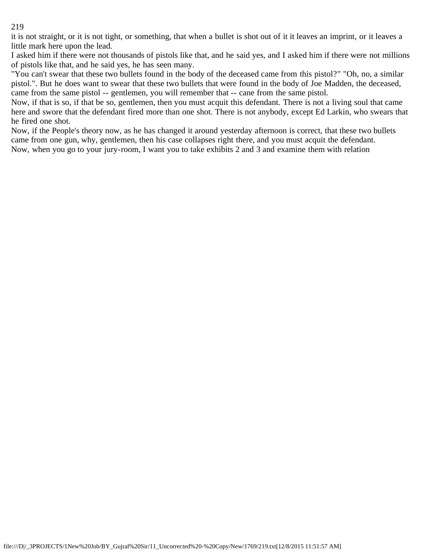it is not straight, or it is not tight, or something, that when a bullet is shot out of it it leaves an imprint, or it leaves a little mark here upon the lead.

I asked him if there were not thousands of pistols like that, and he said yes, and I asked him if there were not millions of pistols like that, and he said yes, he has seen many.

"You can't swear that these two bullets found in the body of the deceased came from this pistol?" "Oh, no, a similar pistol.". But he does want to swear that these two bullets that were found in the body of Joe Madden, the deceased, came from the same pistol -- gentlemen, you will remember that -- cane from the same pistol.

Now, if that is so, if that be so, gentlemen, then you must acquit this defendant. There is not a living soul that came here and swore that the defendant fired more than one shot. There is not anybody, except Ed Larkin, who swears that he fired one shot.

Now, if the People's theory now, as he has changed it around yesterday afternoon is correct, that these two bullets came from one gun, why, gentlemen, then his case collapses right there, and you must acquit the defendant. Now, when you go to your jury-room, I want you to take exhibits 2 and 3 and examine them with relation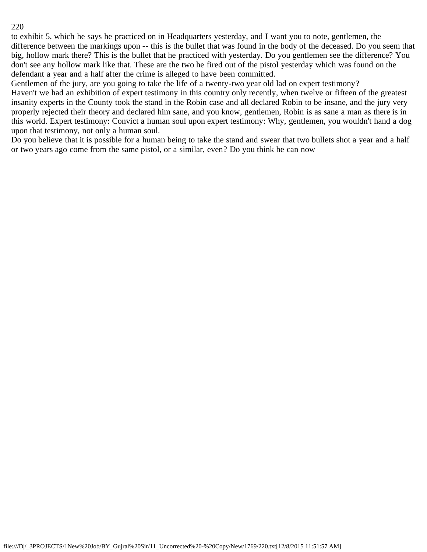to exhibit 5, which he says he practiced on in Headquarters yesterday, and I want you to note, gentlemen, the difference between the markings upon -- this is the bullet that was found in the body of the deceased. Do you seem that big, hollow mark there? This is the bullet that he practiced with yesterday. Do you gentlemen see the difference? You don't see any hollow mark like that. These are the two he fired out of the pistol yesterday which was found on the defendant a year and a half after the crime is alleged to have been committed.

Gentlemen of the jury, are you going to take the life of a twenty-two year old lad on expert testimony?

Haven't we had an exhibition of expert testimony in this country only recently, when twelve or fifteen of the greatest insanity experts in the County took the stand in the Robin case and all declared Robin to be insane, and the jury very properly rejected their theory and declared him sane, and you know, gentlemen, Robin is as sane a man as there is in this world. Expert testimony: Convict a human soul upon expert testimony: Why, gentlemen, you wouldn't hand a dog upon that testimony, not only a human soul.

Do you believe that it is possible for a human being to take the stand and swear that two bullets shot a year and a half or two years ago come from the same pistol, or a similar, even? Do you think he can now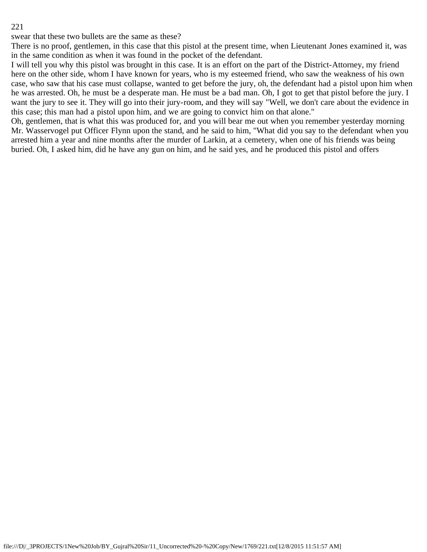swear that these two bullets are the same as these?

There is no proof, gentlemen, in this case that this pistol at the present time, when Lieutenant Jones examined it, was in the same condition as when it was found in the pocket of the defendant.

I will tell you why this pistol was brought in this case. It is an effort on the part of the District-Attorney, my friend here on the other side, whom I have known for years, who is my esteemed friend, who saw the weakness of his own case, who saw that his case must collapse, wanted to get before the jury, oh, the defendant had a pistol upon him when he was arrested. Oh, he must be a desperate man. He must be a bad man. Oh, I got to get that pistol before the jury. I want the jury to see it. They will go into their jury-room, and they will say "Well, we don't care about the evidence in this case; this man had a pistol upon him, and we are going to convict him on that alone."

Oh, gentlemen, that is what this was produced for, and you will bear me out when you remember yesterday morning Mr. Wasservogel put Officer Flynn upon the stand, and he said to him, "What did you say to the defendant when you arrested him a year and nine months after the murder of Larkin, at a cemetery, when one of his friends was being buried. Oh, I asked him, did he have any gun on him, and he said yes, and he produced this pistol and offers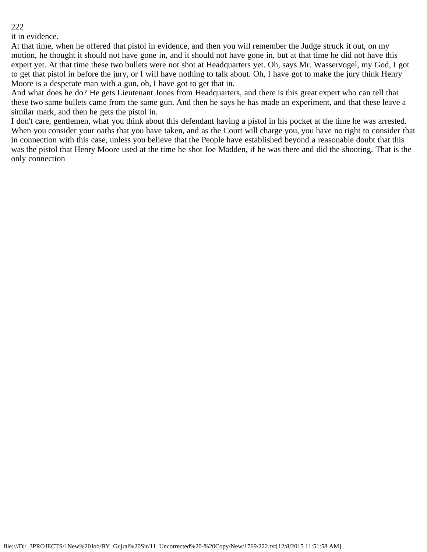it in evidence.

At that time, when he offered that pistol in evidence, and then you will remember the Judge struck it out, on my motion, he thought it should not have gone in, and it should not have gone in, but at that time he did not have this expert yet. At that time these two bullets were not shot at Headquarters yet. Oh, says Mr. Wasservogel, my God, I got to get that pistol in before the jury, or I will have nothing to talk about. Oh, I have got to make the jury think Henry Moore is a desperate man with a gun, oh, I have got to get that in.

And what does he do? He gets Lieutenant Jones from Headquarters, and there is this great expert who can tell that these two same bullets came from the same gun. And then he says he has made an experiment, and that these leave a similar mark, and then he gets the pistol in.

I don't care, gentlemen, what you think about this defendant having a pistol in his pocket at the time he was arrested. When you consider your oaths that you have taken, and as the Court will charge you, you have no right to consider that in connection with this case, unless you believe that the People have established beyond a reasonable doubt that this was the pistol that Henry Moore used at the time he shot Joe Madden, if he was there and did the shooting. That is the only connection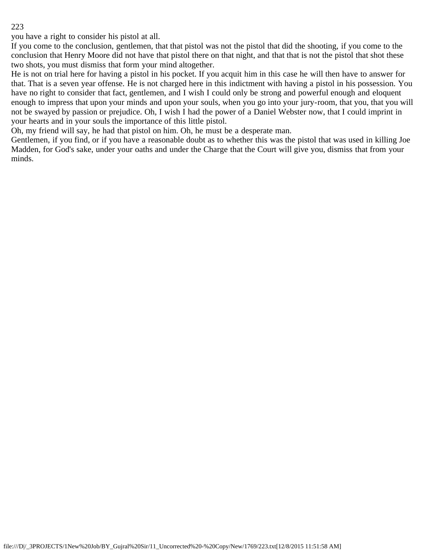you have a right to consider his pistol at all.

If you come to the conclusion, gentlemen, that that pistol was not the pistol that did the shooting, if you come to the conclusion that Henry Moore did not have that pistol there on that night, and that that is not the pistol that shot these two shots, you must dismiss that form your mind altogether.

He is not on trial here for having a pistol in his pocket. If you acquit him in this case he will then have to answer for that. That is a seven year offense. He is not charged here in this indictment with having a pistol in his possession. You have no right to consider that fact, gentlemen, and I wish I could only be strong and powerful enough and eloquent enough to impress that upon your minds and upon your souls, when you go into your jury-room, that you, that you will not be swayed by passion or prejudice. Oh, I wish I had the power of a Daniel Webster now, that I could imprint in your hearts and in your souls the importance of this little pistol.

Oh, my friend will say, he had that pistol on him. Oh, he must be a desperate man.

Gentlemen, if you find, or if you have a reasonable doubt as to whether this was the pistol that was used in killing Joe Madden, for God's sake, under your oaths and under the Charge that the Court will give you, dismiss that from your minds.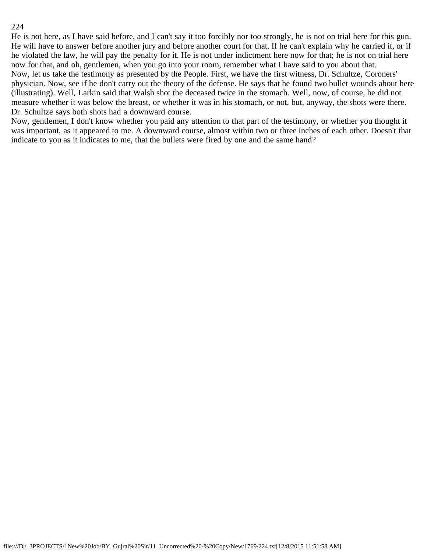He is not here, as I have said before, and I can't say it too forcibly nor too strongly, he is not on trial here for this gun. He will have to answer before another jury and before another court for that. If he can't explain why he carried it, or if he violated the law, he will pay the penalty for it. He is not under indictment here now for that; he is not on trial here now for that, and oh, gentlemen, when you go into your room, remember what I have said to you about that. Now, let us take the testimony as presented by the People. First, we have the first witness, Dr. Schultze, Coroners' physician. Now, see if he don't carry out the theory of the defense. He says that he found two bullet wounds about here (illustrating). Well, Larkin said that Walsh shot the deceased twice in the stomach. Well, now, of course, he did not measure whether it was below the breast, or whether it was in his stomach, or not, but, anyway, the shots were there. Dr. Schultze says both shots had a downward course.

Now, gentlemen, I don't know whether you paid any attention to that part of the testimony, or whether you thought it was important, as it appeared to me. A downward course, almost within two or three inches of each other. Doesn't that indicate to you as it indicates to me, that the bullets were fired by one and the same hand?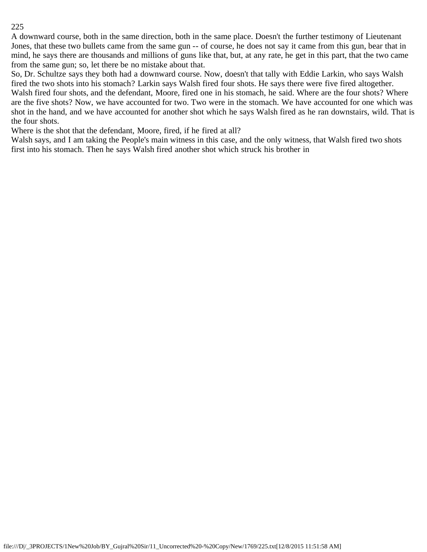A downward course, both in the same direction, both in the same place. Doesn't the further testimony of Lieutenant Jones, that these two bullets came from the same gun -- of course, he does not say it came from this gun, bear that in mind, he says there are thousands and millions of guns like that, but, at any rate, he get in this part, that the two came from the same gun; so, let there be no mistake about that.

So, Dr. Schultze says they both had a downward course. Now, doesn't that tally with Eddie Larkin, who says Walsh fired the two shots into his stomach? Larkin says Walsh fired four shots. He says there were five fired altogether. Walsh fired four shots, and the defendant, Moore, fired one in his stomach, he said. Where are the four shots? Where are the five shots? Now, we have accounted for two. Two were in the stomach. We have accounted for one which was shot in the hand, and we have accounted for another shot which he says Walsh fired as he ran downstairs, wild. That is the four shots.

Where is the shot that the defendant, Moore, fired, if he fired at all?

Walsh says, and I am taking the People's main witness in this case, and the only witness, that Walsh fired two shots first into his stomach. Then he says Walsh fired another shot which struck his brother in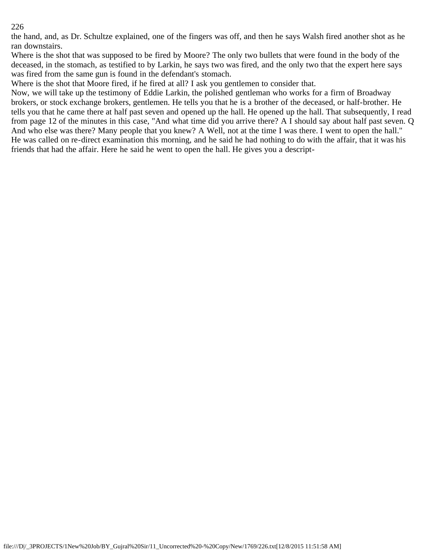the hand, and, as Dr. Schultze explained, one of the fingers was off, and then he says Walsh fired another shot as he ran downstairs.

Where is the shot that was supposed to be fired by Moore? The only two bullets that were found in the body of the deceased, in the stomach, as testified to by Larkin, he says two was fired, and the only two that the expert here says was fired from the same gun is found in the defendant's stomach.

Where is the shot that Moore fired, if he fired at all? I ask you gentlemen to consider that.

Now, we will take up the testimony of Eddie Larkin, the polished gentleman who works for a firm of Broadway brokers, or stock exchange brokers, gentlemen. He tells you that he is a brother of the deceased, or half-brother. He tells you that he came there at half past seven and opened up the hall. He opened up the hall. That subsequently, I read from page 12 of the minutes in this case, "And what time did you arrive there? A I should say about half past seven. Q And who else was there? Many people that you knew? A Well, not at the time I was there. I went to open the hall." He was called on re-direct examination this morning, and he said he had nothing to do with the affair, that it was his friends that had the affair. Here he said he went to open the hall. He gives you a descript-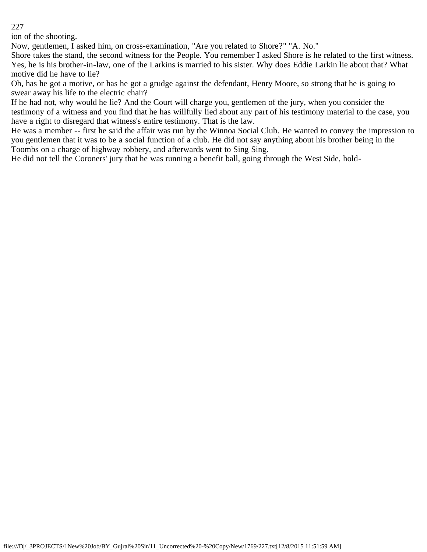ion of the shooting.

Now, gentlemen, I asked him, on cross-examination, "Are you related to Shore?" "A. No."

Shore takes the stand, the second witness for the People. You remember I asked Shore is he related to the first witness. Yes, he is his brother-in-law, one of the Larkins is married to his sister. Why does Eddie Larkin lie about that? What motive did he have to lie?

Oh, has he got a motive, or has he got a grudge against the defendant, Henry Moore, so strong that he is going to swear away his life to the electric chair?

If he had not, why would he lie? And the Court will charge you, gentlemen of the jury, when you consider the testimony of a witness and you find that he has willfully lied about any part of his testimony material to the case, you have a right to disregard that witness's entire testimony. That is the law.

He was a member -- first he said the affair was run by the Winnoa Social Club. He wanted to convey the impression to you gentlemen that it was to be a social function of a club. He did not say anything about his brother being in the Toombs on a charge of highway robbery, and afterwards went to Sing Sing.

He did not tell the Coroners' jury that he was running a benefit ball, going through the West Side, hold-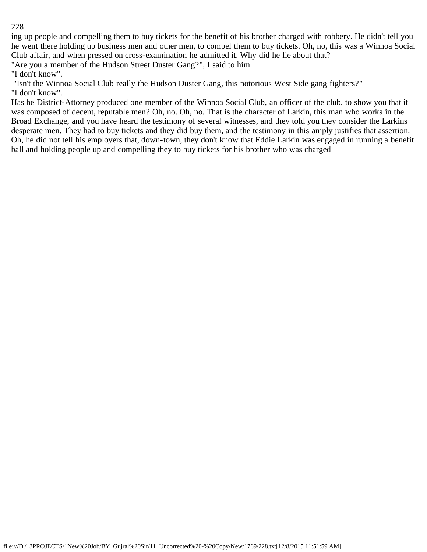ing up people and compelling them to buy tickets for the benefit of his brother charged with robbery. He didn't tell you he went there holding up business men and other men, to compel them to buy tickets. Oh, no, this was a Winnoa Social Club affair, and when pressed on cross-examination he admitted it. Why did he lie about that?

"Are you a member of the Hudson Street Duster Gang?", I said to him.

"I don't know".

 "Isn't the Winnoa Social Club really the Hudson Duster Gang, this notorious West Side gang fighters?" "I don't know".

Has he District-Attorney produced one member of the Winnoa Social Club, an officer of the club, to show you that it was composed of decent, reputable men? Oh, no. Oh, no. That is the character of Larkin, this man who works in the Broad Exchange, and you have heard the testimony of several witnesses, and they told you they consider the Larkins desperate men. They had to buy tickets and they did buy them, and the testimony in this amply justifies that assertion. Oh, he did not tell his employers that, down-town, they don't know that Eddie Larkin was engaged in running a benefit ball and holding people up and compelling they to buy tickets for his brother who was charged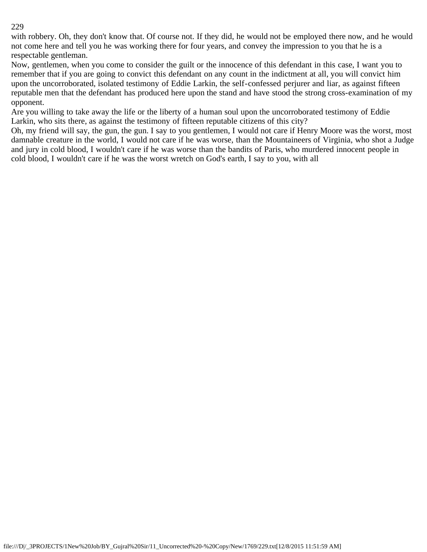with robbery. Oh, they don't know that. Of course not. If they did, he would not be employed there now, and he would not come here and tell you he was working there for four years, and convey the impression to you that he is a respectable gentleman.

Now, gentlemen, when you come to consider the guilt or the innocence of this defendant in this case, I want you to remember that if you are going to convict this defendant on any count in the indictment at all, you will convict him upon the uncorroborated, isolated testimony of Eddie Larkin, the self-confessed perjurer and liar, as against fifteen reputable men that the defendant has produced here upon the stand and have stood the strong cross-examination of my opponent.

Are you willing to take away the life or the liberty of a human soul upon the uncorroborated testimony of Eddie Larkin, who sits there, as against the testimony of fifteen reputable citizens of this city?

Oh, my friend will say, the gun, the gun. I say to you gentlemen, I would not care if Henry Moore was the worst, most damnable creature in the world, I would not care if he was worse, than the Mountaineers of Virginia, who shot a Judge and jury in cold blood, I wouldn't care if he was worse than the bandits of Paris, who murdered innocent people in cold blood, I wouldn't care if he was the worst wretch on God's earth, I say to you, with all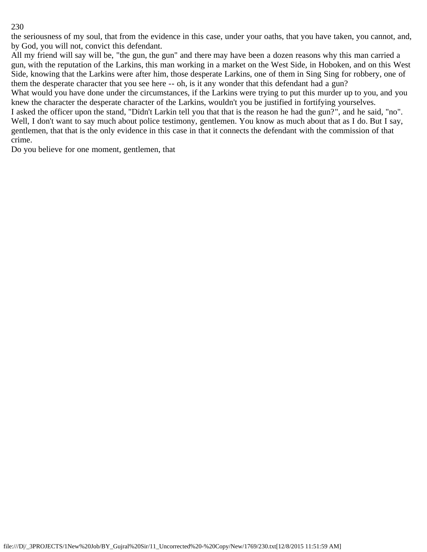the seriousness of my soul, that from the evidence in this case, under your oaths, that you have taken, you cannot, and, by God, you will not, convict this defendant.

All my friend will say will be, "the gun, the gun" and there may have been a dozen reasons why this man carried a gun, with the reputation of the Larkins, this man working in a market on the West Side, in Hoboken, and on this West Side, knowing that the Larkins were after him, those desperate Larkins, one of them in Sing Sing for robbery, one of them the desperate character that you see here -- oh, is it any wonder that this defendant had a gun?

What would you have done under the circumstances, if the Larkins were trying to put this murder up to you, and you knew the character the desperate character of the Larkins, wouldn't you be justified in fortifying yourselves.

I asked the officer upon the stand, "Didn't Larkin tell you that that is the reason he had the gun?", and he said, "no". Well, I don't want to say much about police testimony, gentlemen. You know as much about that as I do. But I say, gentlemen, that that is the only evidence in this case in that it connects the defendant with the commission of that crime.

Do you believe for one moment, gentlemen, that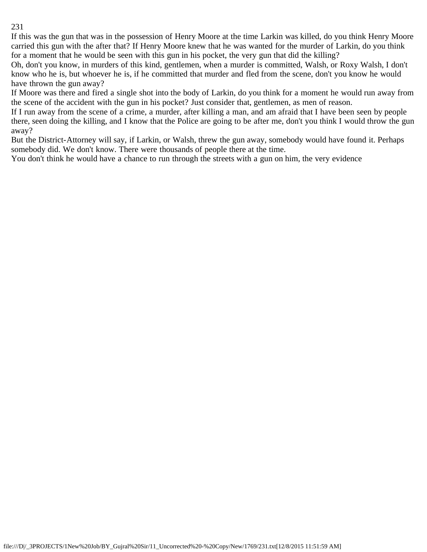If this was the gun that was in the possession of Henry Moore at the time Larkin was killed, do you think Henry Moore carried this gun with the after that? If Henry Moore knew that he was wanted for the murder of Larkin, do you think for a moment that he would be seen with this gun in his pocket, the very gun that did the killing?

Oh, don't you know, in murders of this kind, gentlemen, when a murder is committed, Walsh, or Roxy Walsh, I don't know who he is, but whoever he is, if he committed that murder and fled from the scene, don't you know he would have thrown the gun away?

If Moore was there and fired a single shot into the body of Larkin, do you think for a moment he would run away from the scene of the accident with the gun in his pocket? Just consider that, gentlemen, as men of reason.

If I run away from the scene of a crime, a murder, after killing a man, and am afraid that I have been seen by people there, seen doing the killing, and I know that the Police are going to be after me, don't you think I would throw the gun away?

But the District-Attorney will say, if Larkin, or Walsh, threw the gun away, somebody would have found it. Perhaps somebody did. We don't know. There were thousands of people there at the time.

You don't think he would have a chance to run through the streets with a gun on him, the very evidence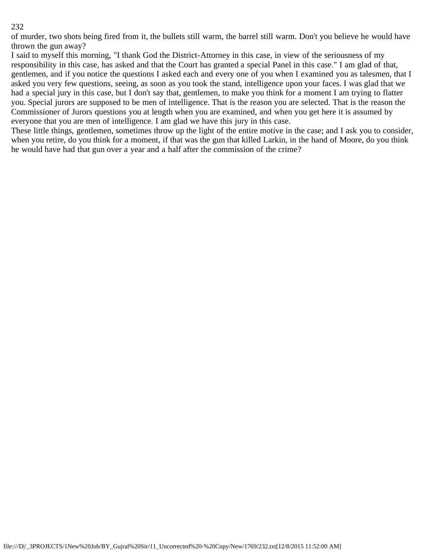of murder, two shots being fired from it, the bullets still warm, the barrel still warm. Don't you believe he would have thrown the gun away?

I said to myself this morning, "I thank God the District-Attorney in this case, in view of the seriousness of my responsibility in this case, has asked and that the Court has granted a special Panel in this case." I am glad of that, gentlemen, and if you notice the questions I asked each and every one of you when I examined you as talesmen, that I asked you very few questions, seeing, as soon as you took the stand, intelligence upon your faces. I was glad that we had a special jury in this case, but I don't say that, gentlemen, to make you think for a moment I am trying to flatter you. Special jurors are supposed to be men of intelligence. That is the reason you are selected. That is the reason the Commissioner of Jurors questions you at length when you are examined, and when you get here it is assumed by everyone that you are men of intelligence. I am glad we have this jury in this case.

These little things, gentlemen, sometimes throw up the light of the entire motive in the case; and I ask you to consider, when you retire, do you think for a moment, if that was the gun that killed Larkin, in the hand of Moore, do you think he would have had that gun over a year and a half after the commission of the crime?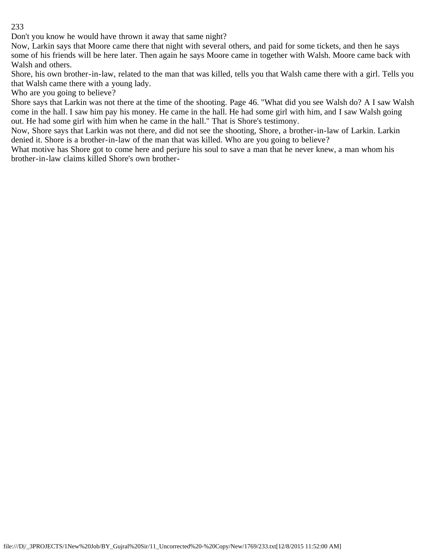Don't you know he would have thrown it away that same night?

Now, Larkin says that Moore came there that night with several others, and paid for some tickets, and then he says some of his friends will be here later. Then again he says Moore came in together with Walsh. Moore came back with Walsh and others.

Shore, his own brother-in-law, related to the man that was killed, tells you that Walsh came there with a girl. Tells you that Walsh came there with a young lady.

Who are you going to believe?

Shore says that Larkin was not there at the time of the shooting. Page 46. "What did you see Walsh do? A I saw Walsh come in the hall. I saw him pay his money. He came in the hall. He had some girl with him, and I saw Walsh going out. He had some girl with him when he came in the hall." That is Shore's testimony.

Now, Shore says that Larkin was not there, and did not see the shooting, Shore, a brother-in-law of Larkin. Larkin denied it. Shore is a brother-in-law of the man that was killed. Who are you going to believe?

What motive has Shore got to come here and perjure his soul to save a man that he never knew, a man whom his brother-in-law claims killed Shore's own brother-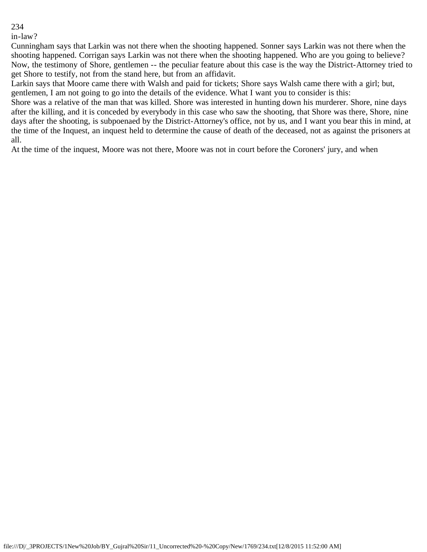in-law?

Cunningham says that Larkin was not there when the shooting happened. Sonner says Larkin was not there when the shooting happened. Corrigan says Larkin was not there when the shooting happened. Who are you going to believe? Now, the testimony of Shore, gentlemen -- the peculiar feature about this case is the way the District-Attorney tried to get Shore to testify, not from the stand here, but from an affidavit.

Larkin says that Moore came there with Walsh and paid for tickets; Shore says Walsh came there with a girl; but, gentlemen, I am not going to go into the details of the evidence. What I want you to consider is this:

Shore was a relative of the man that was killed. Shore was interested in hunting down his murderer. Shore, nine days after the killing, and it is conceded by everybody in this case who saw the shooting, that Shore was there, Shore, nine days after the shooting, is subpoenaed by the District-Attorney's office, not by us, and I want you bear this in mind, at the time of the Inquest, an inquest held to determine the cause of death of the deceased, not as against the prisoners at all.

At the time of the inquest, Moore was not there, Moore was not in court before the Coroners' jury, and when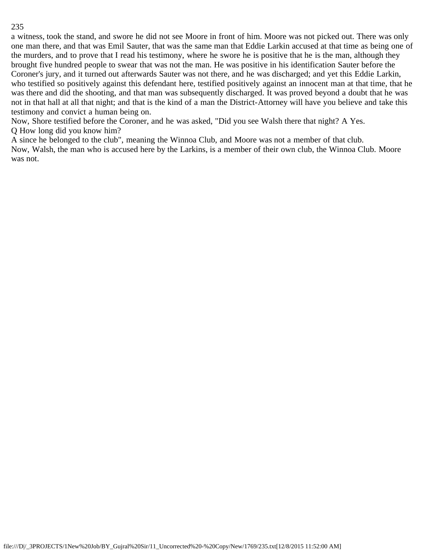a witness, took the stand, and swore he did not see Moore in front of him. Moore was not picked out. There was only one man there, and that was Emil Sauter, that was the same man that Eddie Larkin accused at that time as being one of the murders, and to prove that I read his testimony, where he swore he is positive that he is the man, although they brought five hundred people to swear that was not the man. He was positive in his identification Sauter before the Coroner's jury, and it turned out afterwards Sauter was not there, and he was discharged; and yet this Eddie Larkin, who testified so positively against this defendant here, testified positively against an innocent man at that time, that he was there and did the shooting, and that man was subsequently discharged. It was proved beyond a doubt that he was not in that hall at all that night; and that is the kind of a man the District-Attorney will have you believe and take this testimony and convict a human being on.

Now, Shore testified before the Coroner, and he was asked, "Did you see Walsh there that night? A Yes. Q How long did you know him?

A since he belonged to the club", meaning the Winnoa Club, and Moore was not a member of that club. Now, Walsh, the man who is accused here by the Larkins, is a member of their own club, the Winnoa Club. Moore was not.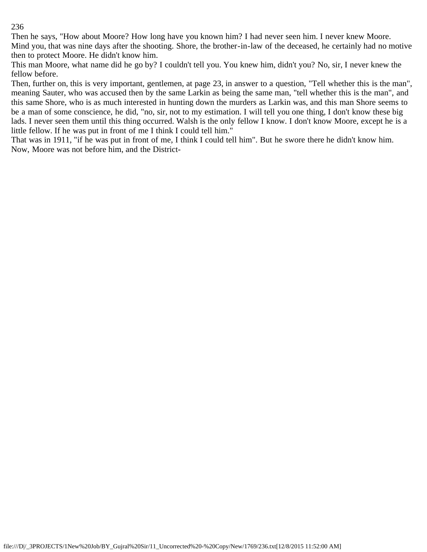Then he says, "How about Moore? How long have you known him? I had never seen him. I never knew Moore. Mind you, that was nine days after the shooting. Shore, the brother-in-law of the deceased, he certainly had no motive then to protect Moore. He didn't know him.

This man Moore, what name did he go by? I couldn't tell you. You knew him, didn't you? No, sir, I never knew the fellow before.

Then, further on, this is very important, gentlemen, at page 23, in answer to a question, "Tell whether this is the man", meaning Sauter, who was accused then by the same Larkin as being the same man, "tell whether this is the man", and this same Shore, who is as much interested in hunting down the murders as Larkin was, and this man Shore seems to be a man of some conscience, he did, "no, sir, not to my estimation. I will tell you one thing, I don't know these big lads. I never seen them until this thing occurred. Walsh is the only fellow I know. I don't know Moore, except he is a little fellow. If he was put in front of me I think I could tell him."

That was in 1911, "if he was put in front of me, I think I could tell him". But he swore there he didn't know him. Now, Moore was not before him, and the District-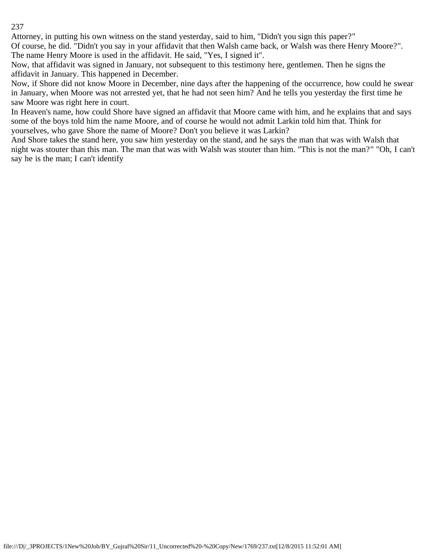Attorney, in putting his own witness on the stand yesterday, said to him, "Didn't you sign this paper?"

Of course, he did. "Didn't you say in your affidavit that then Walsh came back, or Walsh was there Henry Moore?". The name Henry Moore is used in the affidavit. He said, "Yes, I signed it".

Now, that affidavit was signed in January, not subsequent to this testimony here, gentlemen. Then he signs the affidavit in January. This happened in December.

Now, if Shore did not know Moore in December, nine days after the happening of the occurrence, how could he swear in January, when Moore was not arrested yet, that he had not seen him? And he tells you yesterday the first time he saw Moore was right here in court.

In Heaven's name, how could Shore have signed an affidavit that Moore came with him, and he explains that and says some of the boys told him the name Moore, and of course he would not admit Larkin told him that. Think for yourselves, who gave Shore the name of Moore? Don't you believe it was Larkin?

And Shore takes the stand here, you saw him yesterday on the stand, and he says the man that was with Walsh that night was stouter than this man. The man that was with Walsh was stouter than him. "This is not the man?" "Oh, I can't say he is the man; I can't identify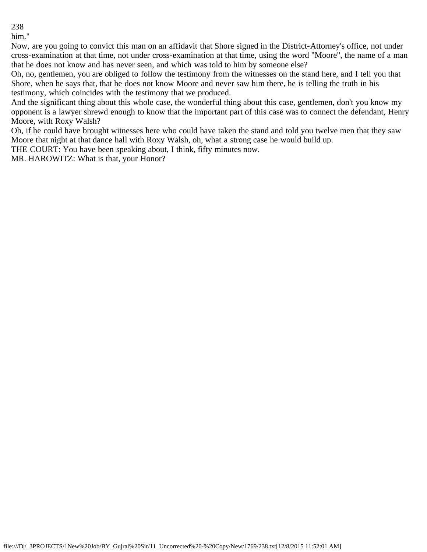him."

Now, are you going to convict this man on an affidavit that Shore signed in the District-Attorney's office, not under cross-examination at that time, not under cross-examination at that time, using the word "Moore", the name of a man that he does not know and has never seen, and which was told to him by someone else?

Oh, no, gentlemen, you are obliged to follow the testimony from the witnesses on the stand here, and I tell you that Shore, when he says that, that he does not know Moore and never saw him there, he is telling the truth in his testimony, which coincides with the testimony that we produced.

And the significant thing about this whole case, the wonderful thing about this case, gentlemen, don't you know my opponent is a lawyer shrewd enough to know that the important part of this case was to connect the defendant, Henry Moore, with Roxy Walsh?

Oh, if he could have brought witnesses here who could have taken the stand and told you twelve men that they saw Moore that night at that dance hall with Roxy Walsh, oh, what a strong case he would build up.

THE COURT: You have been speaking about, I think, fifty minutes now.

MR. HAROWITZ: What is that, your Honor?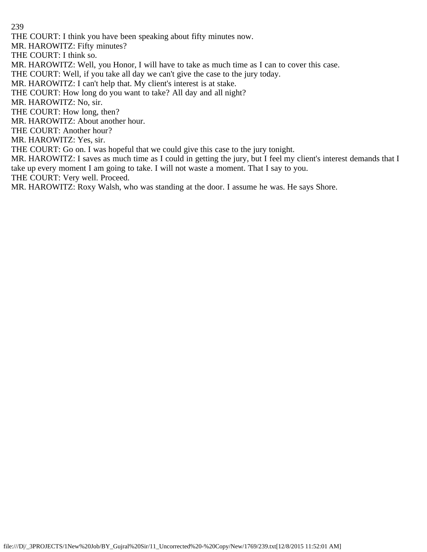THE COURT: I think you have been speaking about fifty minutes now.

MR. HAROWITZ: Fifty minutes?

THE COURT: I think so.

MR. HAROWITZ: Well, you Honor, I will have to take as much time as I can to cover this case.

THE COURT: Well, if you take all day we can't give the case to the jury today.

MR. HAROWITZ: I can't help that. My client's interest is at stake.

THE COURT: How long do you want to take? All day and all night?

MR. HAROWITZ: No, sir.

THE COURT: How long, then?

MR. HAROWITZ: About another hour.

THE COURT: Another hour?

MR. HAROWITZ: Yes, sir.

THE COURT: Go on. I was hopeful that we could give this case to the jury tonight.

MR. HAROWITZ: I saves as much time as I could in getting the jury, but I feel my client's interest demands that I take up every moment I am going to take. I will not waste a moment. That I say to you.

THE COURT: Very well. Proceed.

MR. HAROWITZ: Roxy Walsh, who was standing at the door. I assume he was. He says Shore.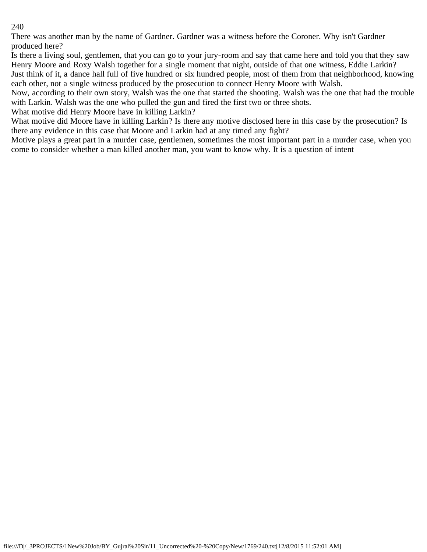There was another man by the name of Gardner. Gardner was a witness before the Coroner. Why isn't Gardner produced here?

Is there a living soul, gentlemen, that you can go to your jury-room and say that came here and told you that they saw Henry Moore and Roxy Walsh together for a single moment that night, outside of that one witness, Eddie Larkin? Just think of it, a dance hall full of five hundred or six hundred people, most of them from that neighborhood, knowing each other, not a single witness produced by the prosecution to connect Henry Moore with Walsh.

Now, according to their own story, Walsh was the one that started the shooting. Walsh was the one that had the trouble with Larkin. Walsh was the one who pulled the gun and fired the first two or three shots.

What motive did Henry Moore have in killing Larkin?

What motive did Moore have in killing Larkin? Is there any motive disclosed here in this case by the prosecution? Is there any evidence in this case that Moore and Larkin had at any timed any fight?

Motive plays a great part in a murder case, gentlemen, sometimes the most important part in a murder case, when you come to consider whether a man killed another man, you want to know why. It is a question of intent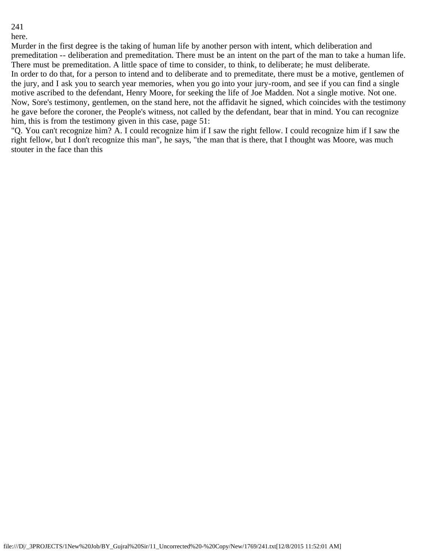here.

Murder in the first degree is the taking of human life by another person with intent, which deliberation and premeditation -- deliberation and premeditation. There must be an intent on the part of the man to take a human life. There must be premeditation. A little space of time to consider, to think, to deliberate; he must deliberate. In order to do that, for a person to intend and to deliberate and to premeditate, there must be a motive, gentlemen of the jury, and I ask you to search year memories, when you go into your jury-room, and see if you can find a single motive ascribed to the defendant, Henry Moore, for seeking the life of Joe Madden. Not a single motive. Not one. Now, Sore's testimony, gentlemen, on the stand here, not the affidavit he signed, which coincides with the testimony he gave before the coroner, the People's witness, not called by the defendant, bear that in mind. You can recognize him, this is from the testimony given in this case, page 51:

"Q. You can't recognize him? A. I could recognize him if I saw the right fellow. I could recognize him if I saw the right fellow, but I don't recognize this man", he says, "the man that is there, that I thought was Moore, was much stouter in the face than this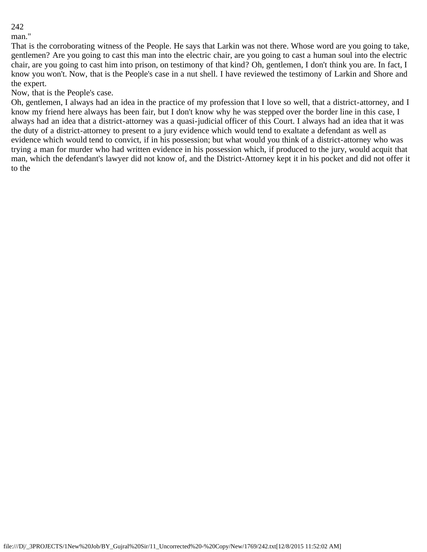man."

That is the corroborating witness of the People. He says that Larkin was not there. Whose word are you going to take, gentlemen? Are you going to cast this man into the electric chair, are you going to cast a human soul into the electric chair, are you going to cast him into prison, on testimony of that kind? Oh, gentlemen, I don't think you are. In fact, I know you won't. Now, that is the People's case in a nut shell. I have reviewed the testimony of Larkin and Shore and the expert.

Now, that is the People's case.

Oh, gentlemen, I always had an idea in the practice of my profession that I love so well, that a district-attorney, and I know my friend here always has been fair, but I don't know why he was stepped over the border line in this case, I always had an idea that a district-attorney was a quasi-judicial officer of this Court. I always had an idea that it was the duty of a district-attorney to present to a jury evidence which would tend to exaltate a defendant as well as evidence which would tend to convict, if in his possession; but what would you think of a district-attorney who was trying a man for murder who had written evidence in his possession which, if produced to the jury, would acquit that man, which the defendant's lawyer did not know of, and the District-Attorney kept it in his pocket and did not offer it to the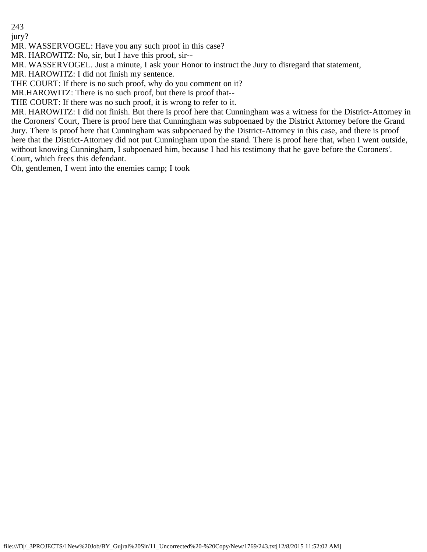jury?

MR. WASSERVOGEL: Have you any such proof in this case?

MR. HAROWITZ: No, sir, but I have this proof, sir--

MR. WASSERVOGEL. Just a minute, I ask your Honor to instruct the Jury to disregard that statement,

MR. HAROWITZ: I did not finish my sentence.

THE COURT: If there is no such proof, why do you comment on it?

MR.HAROWITZ: There is no such proof, but there is proof that--

THE COURT: If there was no such proof, it is wrong to refer to it.

MR. HAROWITZ: I did not finish. But there is proof here that Cunningham was a witness for the District-Attorney in the Coroners' Court, There is proof here that Cunningham was subpoenaed by the District Attorney before the Grand Jury. There is proof here that Cunningham was subpoenaed by the District-Attorney in this case, and there is proof here that the District-Attorney did not put Cunningham upon the stand. There is proof here that, when I went outside, without knowing Cunningham, I subpoenaed him, because I had his testimony that he gave before the Coroners'. Court, which frees this defendant.

Oh, gentlemen, I went into the enemies camp; I took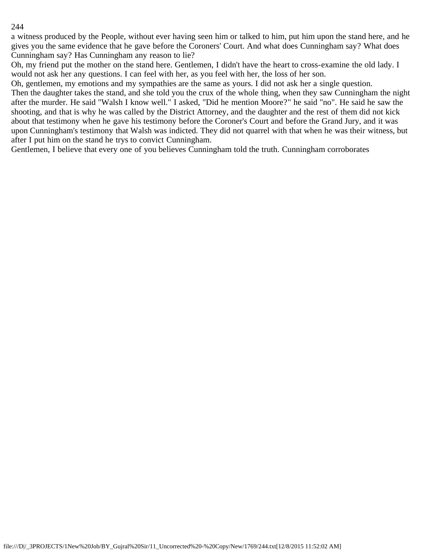a witness produced by the People, without ever having seen him or talked to him, put him upon the stand here, and he gives you the same evidence that he gave before the Coroners' Court. And what does Cunningham say? What does Cunningham say? Has Cunningham any reason to lie?

Oh, my friend put the mother on the stand here. Gentlemen, I didn't have the heart to cross-examine the old lady. I would not ask her any questions. I can feel with her, as you feel with her, the loss of her son.

Oh, gentlemen, my emotions and my sympathies are the same as yours. I did not ask her a single question.

Then the daughter takes the stand, and she told you the crux of the whole thing, when they saw Cunningham the night after the murder. He said "Walsh I know well." I asked, "Did he mention Moore?" he said "no". He said he saw the shooting, and that is why he was called by the District Attorney, and the daughter and the rest of them did not kick about that testimony when he gave his testimony before the Coroner's Court and before the Grand Jury, and it was upon Cunningham's testimony that Walsh was indicted. They did not quarrel with that when he was their witness, but after I put him on the stand he trys to convict Cunningham.

Gentlemen, I believe that every one of you believes Cunningham told the truth. Cunningham corroborates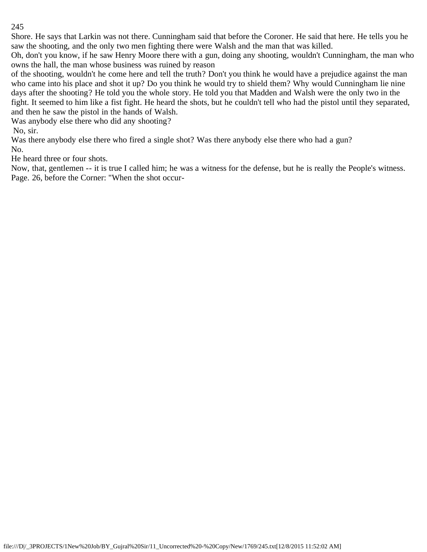Shore. He says that Larkin was not there. Cunningham said that before the Coroner. He said that here. He tells you he saw the shooting, and the only two men fighting there were Walsh and the man that was killed.

Oh, don't you know, if he saw Henry Moore there with a gun, doing any shooting, wouldn't Cunningham, the man who owns the hall, the man whose business was ruined by reason

of the shooting, wouldn't he come here and tell the truth? Don't you think he would have a prejudice against the man who came into his place and shot it up? Do you think he would try to shield them? Why would Cunningham lie nine days after the shooting? He told you the whole story. He told you that Madden and Walsh were the only two in the fight. It seemed to him like a fist fight. He heard the shots, but he couldn't tell who had the pistol until they separated, and then he saw the pistol in the hands of Walsh.

Was anybody else there who did any shooting?

No, sir.

Was there anybody else there who fired a single shot? Was there anybody else there who had a gun? No.

He heard three or four shots.

Now, that, gentlemen -- it is true I called him; he was a witness for the defense, but he is really the People's witness. Page. 26, before the Corner: "When the shot occur-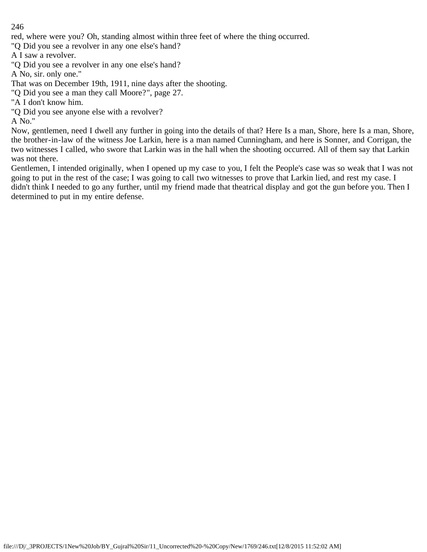red, where were you? Oh, standing almost within three feet of where the thing occurred.

"Q Did you see a revolver in any one else's hand?

A I saw a revolver.

"Q Did you see a revolver in any one else's hand?

A No, sir. only one."

That was on December 19th, 1911, nine days after the shooting.

"Q Did you see a man they call Moore?", page 27.

"A I don't know him.

"Q Did you see anyone else with a revolver?

A No."

Now, gentlemen, need I dwell any further in going into the details of that? Here Is a man, Shore, here Is a man, Shore, the brother-in-law of the witness Joe Larkin, here is a man named Cunningham, and here is Sonner, and Corrigan, the two witnesses I called, who swore that Larkin was in the hall when the shooting occurred. All of them say that Larkin was not there.

Gentlemen, I intended originally, when I opened up my case to you, I felt the People's case was so weak that I was not going to put in the rest of the case; I was going to call two witnesses to prove that Larkin lied, and rest my case. I didn't think I needed to go any further, until my friend made that theatrical display and got the gun before you. Then I determined to put in my entire defense.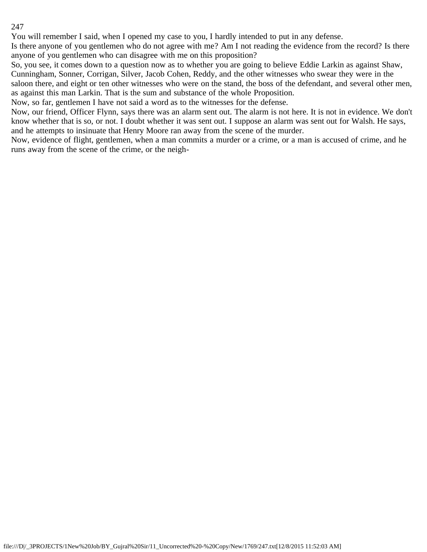You will remember I said, when I opened my case to you, I hardly intended to put in any defense.

Is there anyone of you gentlemen who do not agree with me? Am I not reading the evidence from the record? Is there anyone of you gentlemen who can disagree with me on this proposition?

So, you see, it comes down to a question now as to whether you are going to believe Eddie Larkin as against Shaw, Cunningham, Sonner, Corrigan, Silver, Jacob Cohen, Reddy, and the other witnesses who swear they were in the saloon there, and eight or ten other witnesses who were on the stand, the boss of the defendant, and several other men, as against this man Larkin. That is the sum and substance of the whole Proposition.

Now, so far, gentlemen I have not said a word as to the witnesses for the defense.

Now, our friend, Officer Flynn, says there was an alarm sent out. The alarm is not here. It is not in evidence. We don't know whether that is so, or not. I doubt whether it was sent out. I suppose an alarm was sent out for Walsh. He says, and he attempts to insinuate that Henry Moore ran away from the scene of the murder.

Now, evidence of flight, gentlemen, when a man commits a murder or a crime, or a man is accused of crime, and he runs away from the scene of the crime, or the neigh-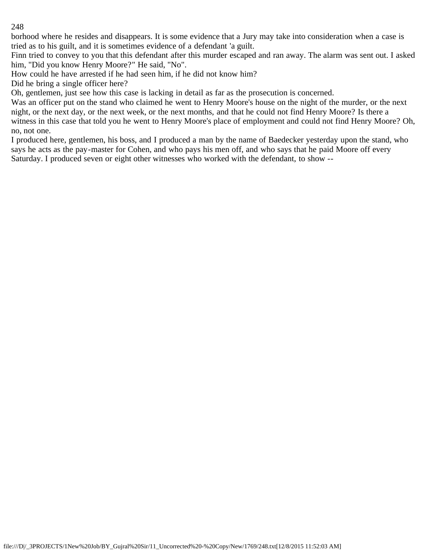borhood where he resides and disappears. It is some evidence that a Jury may take into consideration when a case is tried as to his guilt, and it is sometimes evidence of a defendant 'a guilt.

Finn tried to convey to you that this defendant after this murder escaped and ran away. The alarm was sent out. I asked him, "Did you know Henry Moore?" He said, "No".

How could he have arrested if he had seen him, if he did not know him?

Did he bring a single officer here?

Oh, gentlemen, just see how this case is lacking in detail as far as the prosecution is concerned.

Was an officer put on the stand who claimed he went to Henry Moore's house on the night of the murder, or the next night, or the next day, or the next week, or the next months, and that he could not find Henry Moore? Is there a witness in this case that told you he went to Henry Moore's place of employment and could not find Henry Moore? Oh, no, not one.

I produced here, gentlemen, his boss, and I produced a man by the name of Baedecker yesterday upon the stand, who says he acts as the pay-master for Cohen, and who pays his men off, and who says that he paid Moore off every Saturday. I produced seven or eight other witnesses who worked with the defendant, to show --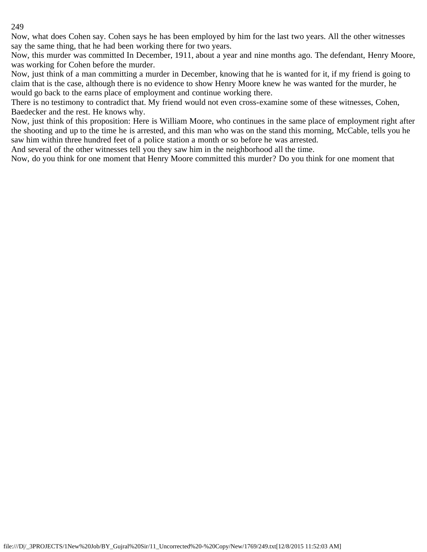Now, what does Cohen say. Cohen says he has been employed by him for the last two years. All the other witnesses say the same thing, that he had been working there for two years.

Now, this murder was committed In December, 1911, about a year and nine months ago. The defendant, Henry Moore, was working for Cohen before the murder.

Now, just think of a man committing a murder in December, knowing that he is wanted for it, if my friend is going to claim that is the case, although there is no evidence to show Henry Moore knew he was wanted for the murder, he would go back to the earns place of employment and continue working there.

There is no testimony to contradict that. My friend would not even cross-examine some of these witnesses, Cohen, Baedecker and the rest. He knows why.

Now, just think of this proposition: Here is William Moore, who continues in the same place of employment right after the shooting and up to the time he is arrested, and this man who was on the stand this morning, McCable, tells you he saw him within three hundred feet of a police station a month or so before he was arrested.

And several of the other witnesses tell you they saw him in the neighborhood all the time.

Now, do you think for one moment that Henry Moore committed this murder? Do you think for one moment that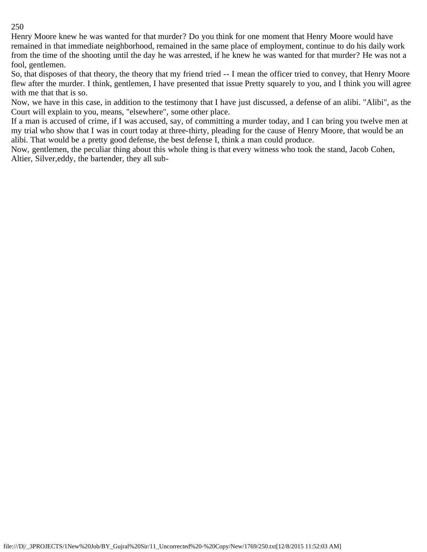Henry Moore knew he was wanted for that murder? Do you think for one moment that Henry Moore would have remained in that immediate neighborhood, remained in the same place of employment, continue to do his daily work from the time of the shooting until the day he was arrested, if he knew he was wanted for that murder? He was not a fool, gentlemen.

So, that disposes of that theory, the theory that my friend tried -- I mean the officer tried to convey, that Henry Moore flew after the murder. I think, gentlemen, I have presented that issue Pretty squarely to you, and I think you will agree with me that that is so.

Now, we have in this case, in addition to the testimony that I have just discussed, a defense of an alibi. "Alibi", as the Court will explain to you, means, "elsewhere", some other place.

If a man is accused of crime, if I was accused, say, of committing a murder today, and I can bring you twelve men at my trial who show that I was in court today at three-thirty, pleading for the cause of Henry Moore, that would be an alibi. That would be a pretty good defense, the best defense I, think a man could produce.

Now, gentlemen, the peculiar thing about this whole thing is that every witness who took the stand, Jacob Cohen, Altier, Silver,eddy, the bartender, they all sub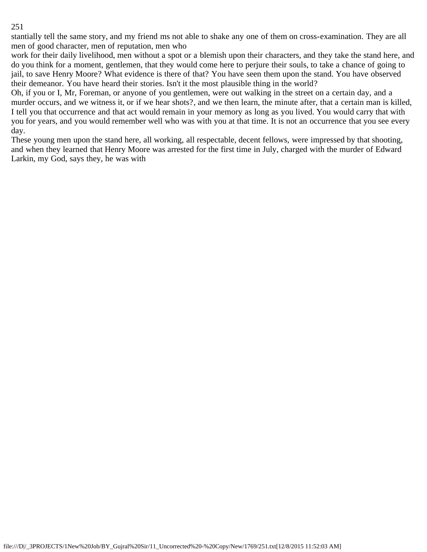stantially tell the same story, and my friend ms not able to shake any one of them on cross-examination. They are all men of good character, men of reputation, men who

work for their daily livelihood, men without a spot or a blemish upon their characters, and they take the stand here, and do you think for a moment, gentlemen, that they would come here to perjure their souls, to take a chance of going to jail, to save Henry Moore? What evidence is there of that? You have seen them upon the stand. You have observed their demeanor. You have heard their stories. Isn't it the most plausible thing in the world?

Oh, if you or I, Mr, Foreman, or anyone of you gentlemen, were out walking in the street on a certain day, and a murder occurs, and we witness it, or if we hear shots?, and we then learn, the minute after, that a certain man is killed, I tell you that occurrence and that act would remain in your memory as long as you lived. You would carry that with you for years, and you would remember well who was with you at that time. It is not an occurrence that you see every day.

These young men upon the stand here, all working, all respectable, decent fellows, were impressed by that shooting, and when they learned that Henry Moore was arrested for the first time in July, charged with the murder of Edward Larkin, my God, says they, he was with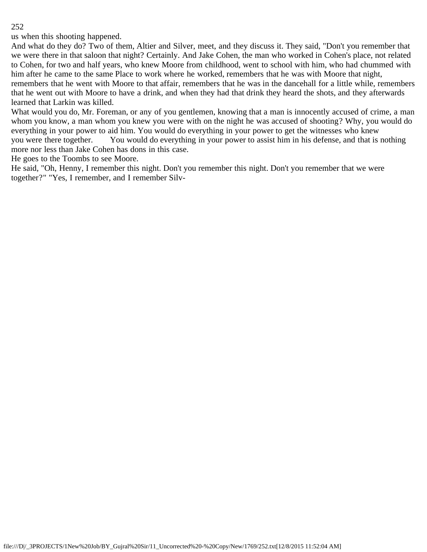us when this shooting happened.

And what do they do? Two of them, Altier and Silver, meet, and they discuss it. They said, "Don't you remember that we were there in that saloon that night? Certainly. And Jake Cohen, the man who worked in Cohen's place, not related to Cohen, for two and half years, who knew Moore from childhood, went to school with him, who had chummed with him after he came to the same Place to work where he worked, remembers that he was with Moore that night, remembers that he went with Moore to that affair, remembers that he was in the dancehall for a little while, remembers that he went out with Moore to have a drink, and when they had that drink they heard the shots, and they afterwards learned that Larkin was killed.

What would you do, Mr. Foreman, or any of you gentlemen, knowing that a man is innocently accused of crime, a man whom you know, a man whom you knew you were with on the night he was accused of shooting? Why, you would do everything in your power to aid him. You would do everything in your power to get the witnesses who knew you were there together. You would do everything in your power to assist him in his defense, and that is nothing more nor less than Jake Cohen has dons in this case.

He goes to the Toombs to see Moore.

He said, "Oh, Henny, I remember this night. Don't you remember this night. Don't you remember that we were together?" "Yes, I remember, and I remember Silv-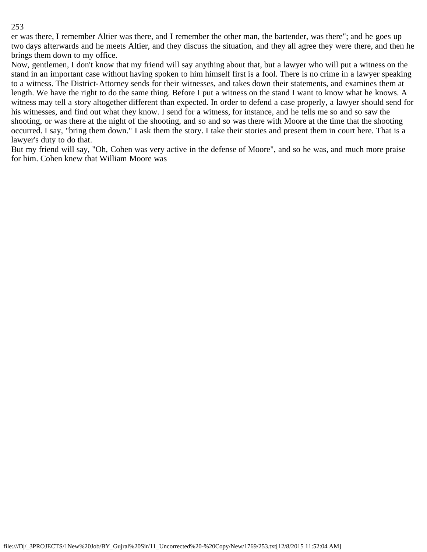er was there, I remember Altier was there, and I remember the other man, the bartender, was there"; and he goes up two days afterwards and he meets Altier, and they discuss the situation, and they all agree they were there, and then he brings them down to my office.

Now, gentlemen, I don't know that my friend will say anything about that, but a lawyer who will put a witness on the stand in an important case without having spoken to him himself first is a fool. There is no crime in a lawyer speaking to a witness. The District-Attorney sends for their witnesses, and takes down their statements, and examines them at length. We have the right to do the same thing. Before I put a witness on the stand I want to know what he knows. A witness may tell a story altogether different than expected. In order to defend a case properly, a lawyer should send for his witnesses, and find out what they know. I send for a witness, for instance, and he tells me so and so saw the shooting, or was there at the night of the shooting, and so and so was there with Moore at the time that the shooting occurred. I say, "bring them down." I ask them the story. I take their stories and present them in court here. That is a lawyer's duty to do that.

But my friend will say, "Oh, Cohen was very active in the defense of Moore", and so he was, and much more praise for him. Cohen knew that William Moore was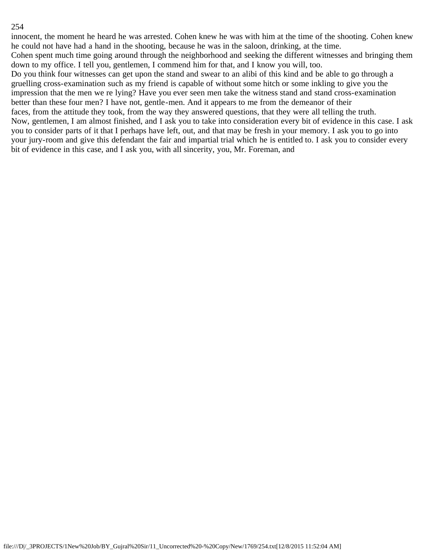innocent, the moment he heard he was arrested. Cohen knew he was with him at the time of the shooting. Cohen knew he could not have had a hand in the shooting, because he was in the saloon, drinking, at the time. Cohen spent much time going around through the neighborhood and seeking the different witnesses and bringing them down to my office. I tell you, gentlemen, I commend him for that, and I know you will, too. Do you think four witnesses can get upon the stand and swear to an alibi of this kind and be able to go through a gruelling cross-examination such as my friend is capable of without some hitch or some inkling to give you the impression that the men we re lying? Have you ever seen men take the witness stand and stand cross-examination better than these four men? I have not, gentle-men. And it appears to me from the demeanor of their faces, from the attitude they took, from the way they answered questions, that they were all telling the truth. Now, gentlemen, I am almost finished, and I ask you to take into consideration every bit of evidence in this case. I ask you to consider parts of it that I perhaps have left, out, and that may be fresh in your memory. I ask you to go into your jury-room and give this defendant the fair and impartial trial which he is entitled to. I ask you to consider every bit of evidence in this case, and I ask you, with all sincerity, you, Mr. Foreman, and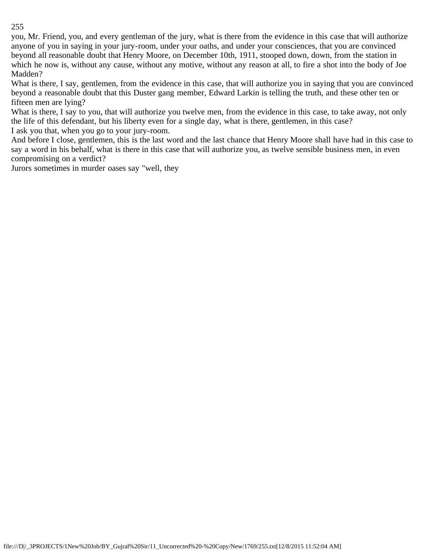you, Mr. Friend, you, and every gentleman of the jury, what is there from the evidence in this case that will authorize anyone of you in saying in your jury-room, under your oaths, and under your consciences, that you are convinced beyond all reasonable doubt that Henry Moore, on December 10th, 1911, stooped down, down, from the station in which he now is, without any cause, without any motive, without any reason at all, to fire a shot into the body of Joe Madden?

What is there, I say, gentlemen, from the evidence in this case, that will authorize you in saying that you are convinced beyond a reasonable doubt that this Duster gang member, Edward Larkin is telling the truth, and these other ten or fifteen men are lying?

What is there, I say to you, that will authorize you twelve men, from the evidence in this case, to take away, not only the life of this defendant, but his liberty even for a single day, what is there, gentlemen, in this case? I ask you that, when you go to your jury-room.

And before I close, gentlemen, this is the last word and the last chance that Henry Moore shall have had in this case to say a word in his behalf, what is there in this case that will authorize you, as twelve sensible business men, in even compromising on a verdict?

Jurors sometimes in murder oases say "well, they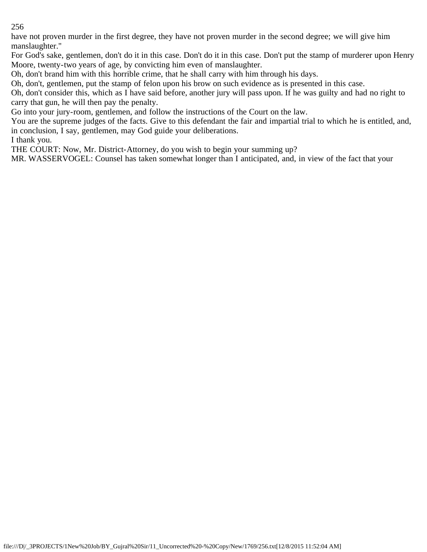have not proven murder in the first degree, they have not proven murder in the second degree; we will give him manslaughter."

For God's sake, gentlemen, don't do it in this case. Don't do it in this case. Don't put the stamp of murderer upon Henry Moore, twenty-two years of age, by convicting him even of manslaughter.

Oh, don't brand him with this horrible crime, that he shall carry with him through his days.

Oh, don't, gentlemen, put the stamp of felon upon his brow on such evidence as is presented in this case.

Oh, don't consider this, which as I have said before, another jury will pass upon. If he was guilty and had no right to carry that gun, he will then pay the penalty.

Go into your jury-room, gentlemen, and follow the instructions of the Court on the law.

You are the supreme judges of the facts. Give to this defendant the fair and impartial trial to which he is entitled, and, in conclusion, I say, gentlemen, may God guide your deliberations.

I thank you.

THE COURT: Now, Mr. District-Attorney, do you wish to begin your summing up?

MR. WASSERVOGEL: Counsel has taken somewhat longer than I anticipated, and, in view of the fact that your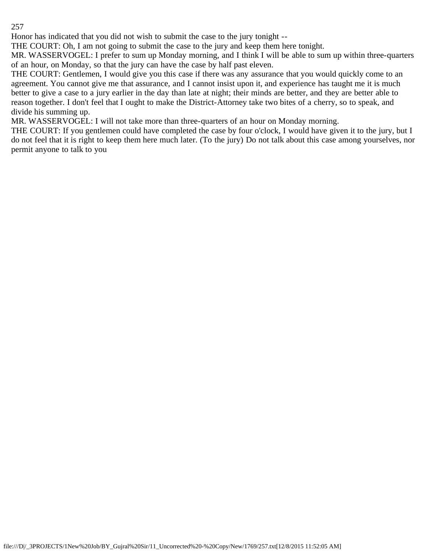Honor has indicated that you did not wish to submit the case to the jury tonight --

THE COURT: Oh, I am not going to submit the case to the jury and keep them here tonight.

MR. WASSERVOGEL: I prefer to sum up Monday morning, and I think I will be able to sum up within three-quarters of an hour, on Monday, so that the jury can have the case by half past eleven.

THE COURT: Gentlemen, I would give you this case if there was any assurance that you would quickly come to an agreement. You cannot give me that assurance, and I cannot insist upon it, and experience has taught me it is much better to give a case to a jury earlier in the day than late at night; their minds are better, and they are better able to reason together. I don't feel that I ought to make the District-Attorney take two bites of a cherry, so to speak, and divide his summing up.

MR. WASSERVOGEL: I will not take more than three-quarters of an hour on Monday morning.

THE COURT: If you gentlemen could have completed the case by four o'clock, I would have given it to the jury, but I do not feel that it is right to keep them here much later. (To the jury) Do not talk about this case among yourselves, nor permit anyone to talk to you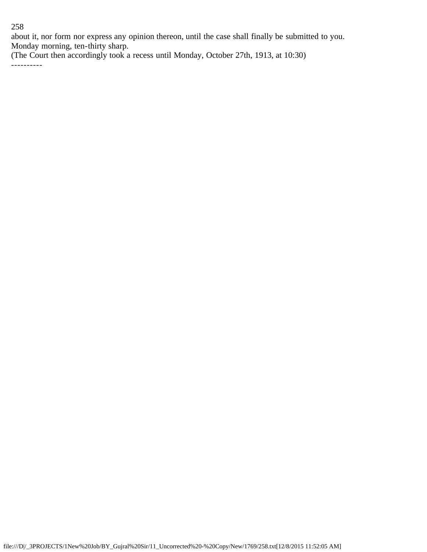about it, nor form nor express any opinion thereon, until the case shall finally be submitted to you. Monday morning, ten-thirty sharp.

(The Court then accordingly took a recess until Monday, October 27th, 1913, at 10:30)

----------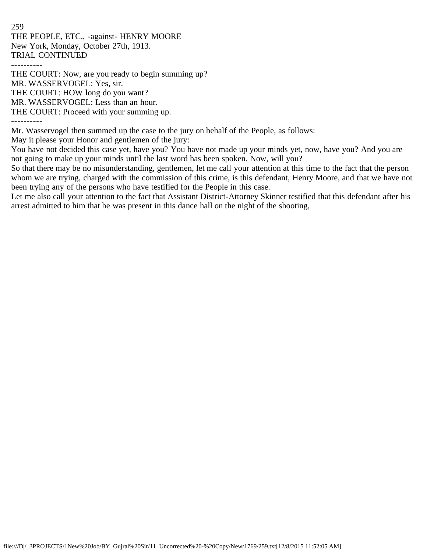259 THE PEOPLE, ETC., -against- HENRY MOORE New York, Monday, October 27th, 1913. TRIAL CONTINUED ----------

THE COURT: Now, are you ready to begin summing up? MR. WASSERVOGEL: Yes, sir. THE COURT: HOW long do you want? MR. WASSERVOGEL: Less than an hour.

THE COURT: Proceed with your summing up.

----------

Mr. Wasservogel then summed up the case to the jury on behalf of the People, as follows:

May it please your Honor and gentlemen of the jury:

You have not decided this case yet, have you? You have not made up your minds yet, now, have you? And you are not going to make up your minds until the last word has been spoken. Now, will you?

So that there may be no misunderstanding, gentlemen, let me call your attention at this time to the fact that the person whom we are trying, charged with the commission of this crime, is this defendant, Henry Moore, and that we have not been trying any of the persons who have testified for the People in this case.

Let me also call your attention to the fact that Assistant District-Attorney Skinner testified that this defendant after his arrest admitted to him that he was present in this dance hall on the night of the shooting,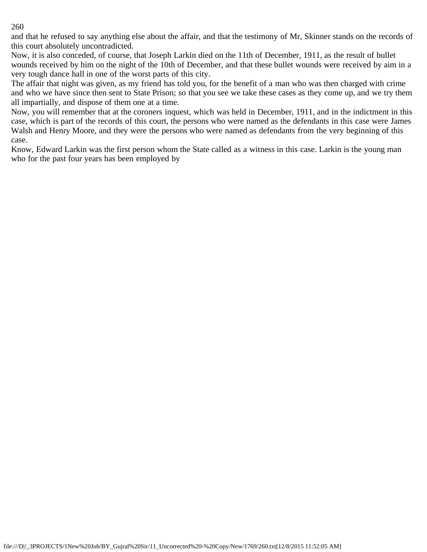and that he refused to say anything else about the affair, and that the testimony of Mr, Skinner stands on the records of this court absolutely uncontradicted.

Now, it is also conceded, of course, that Joseph Larkin died on the 11th of December, 1911, as the result of bullet wounds received by him on the night of the 10th of December, and that these bullet wounds were received by aim in a very tough dance hall in one of the worst parts of this city.

The affair that night was given, as my friend has told you, for the benefit of a man who was then charged with crime and who we have since then sent to State Prison; so that you see we take these cases as they come up, and we try them all impartially, and dispose of them one at a time.

Now, you will remember that at the coroners inquest, which was held in December, 1911, and in the indictment in this case, which is part of the records of this court, the persons who were named as the defendants in this case were James Walsh and Henry Moore, and they were the persons who were named as defendants from the very beginning of this case.

Know, Edward Larkin was the first person whom the State called as a witness in this case. Larkin is the young man who for the past four years has been employed by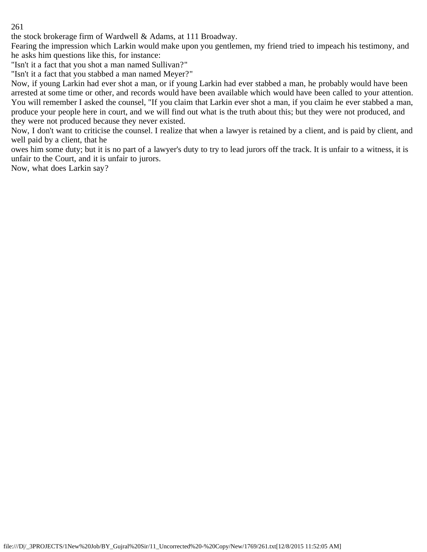the stock brokerage firm of Wardwell & Adams, at 111 Broadway.

Fearing the impression which Larkin would make upon you gentlemen, my friend tried to impeach his testimony, and he asks him questions like this, for instance:

"Isn't it a fact that you shot a man named Sullivan?"

"Isn't it a fact that you stabbed a man named Meyer?"

Now, if young Larkin had ever shot a man, or if young Larkin had ever stabbed a man, he probably would have been arrested at some time or other, and records would have been available which would have been called to your attention. You will remember I asked the counsel, "If you claim that Larkin ever shot a man, if you claim he ever stabbed a man, produce your people here in court, and we will find out what is the truth about this; but they were not produced, and they were not produced because they never existed.

Now, I don't want to criticise the counsel. I realize that when a lawyer is retained by a client, and is paid by client, and well paid by a client, that he

owes him some duty; but it is no part of a lawyer's duty to try to lead jurors off the track. It is unfair to a witness, it is unfair to the Court, and it is unfair to jurors.

Now, what does Larkin say?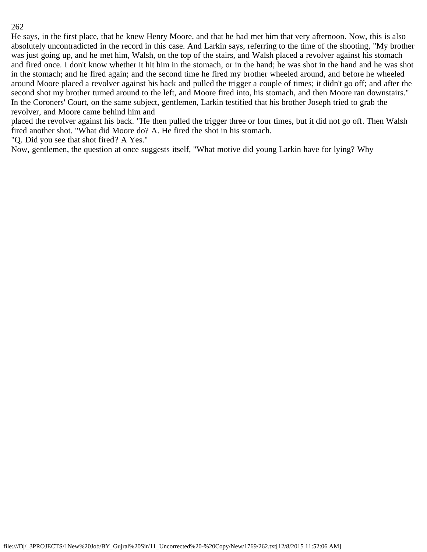He says, in the first place, that he knew Henry Moore, and that he had met him that very afternoon. Now, this is also absolutely uncontradicted in the record in this case. And Larkin says, referring to the time of the shooting, "My brother was just going up, and he met him, Walsh, on the top of the stairs, and Walsh placed a revolver against his stomach and fired once. I don't know whether it hit him in the stomach, or in the hand; he was shot in the hand and he was shot in the stomach; and he fired again; and the second time he fired my brother wheeled around, and before he wheeled around Moore placed a revolver against his back and pulled the trigger a couple of times; it didn't go off; and after the second shot my brother turned around to the left, and Moore fired into, his stomach, and then Moore ran downstairs." In the Coroners' Court, on the same subject, gentlemen, Larkin testified that his brother Joseph tried to grab the revolver, and Moore came behind him and

placed the revolver against his back. "He then pulled the trigger three or four times, but it did not go off. Then Walsh fired another shot. "What did Moore do? A. He fired the shot in his stomach.

"Q. Did you see that shot fired? A Yes."

Now, gentlemen, the question at once suggests itself, "What motive did young Larkin have for lying? Why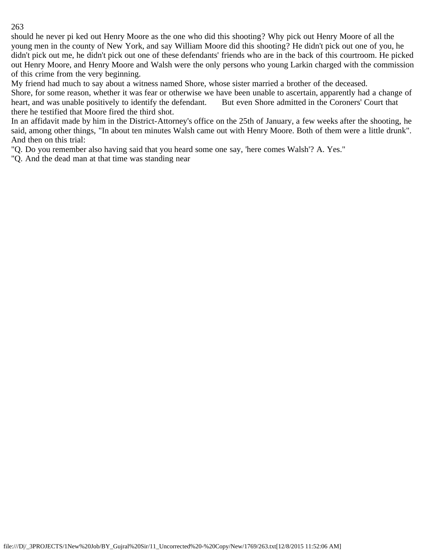should he never pi ked out Henry Moore as the one who did this shooting? Why pick out Henry Moore of all the young men in the county of New York, and say William Moore did this shooting? He didn't pick out one of you, he didn't pick out me, he didn't pick out one of these defendants' friends who are in the back of this courtroom. He picked out Henry Moore, and Henry Moore and Walsh were the only persons who young Larkin charged with the commission of this crime from the very beginning.

My friend had much to say about a witness named Shore, whose sister married a brother of the deceased.

Shore, for some reason, whether it was fear or otherwise we have been unable to ascertain, apparently had a change of heart, and was unable positively to identify the defendant. But even Shore admitted in the Coroners' Court that there he testified that Moore fired the third shot.

In an affidavit made by him in the District-Attorney's office on the 25th of January, a few weeks after the shooting, he said, among other things, "In about ten minutes Walsh came out with Henry Moore. Both of them were a little drunk". And then on this trial:

"Q. Do you remember also having said that you heard some one say, 'here comes Walsh'? A. Yes."

"Q. And the dead man at that time was standing near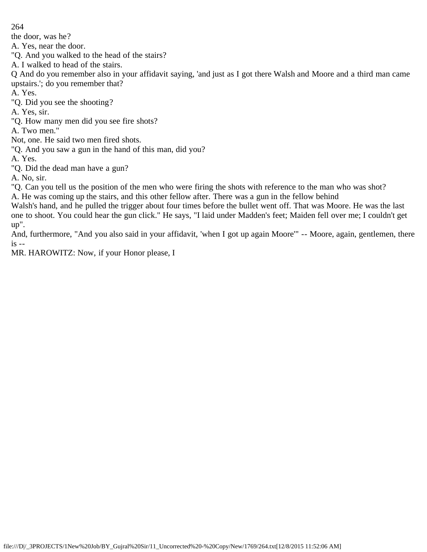the door, was he?

A. Yes, near the door.

"Q. And you walked to the head of the stairs?

A. I walked to head of the stairs.

Q And do you remember also in your affidavit saying, 'and just as I got there Walsh and Moore and a third man came upstairs.'; do you remember that?

A. Yes.

"Q. Did you see the shooting?

A. Yes, sir.

"Q. How many men did you see fire shots?

A. Two men."

Not, one. He said two men fired shots.

"Q. And you saw a gun in the hand of this man, did you?

A. Yes.

"Q. Did the dead man have a gun?

A. No, sir.

"Q. Can you tell us the position of the men who were firing the shots with reference to the man who was shot? A. He was coming up the stairs, and this other fellow after. There was a gun in the fellow behind

Walsh's hand, and he pulled the trigger about four times before the bullet went off. That was Moore. He was the last

one to shoot. You could hear the gun click." He says, "I laid under Madden's feet; Maiden fell over me; I couldn't get up".

And, furthermore, "And you also said in your affidavit, 'when I got up again Moore'" -- Moore, again, gentlemen, there is --

MR. HAROWITZ: Now, if your Honor please, I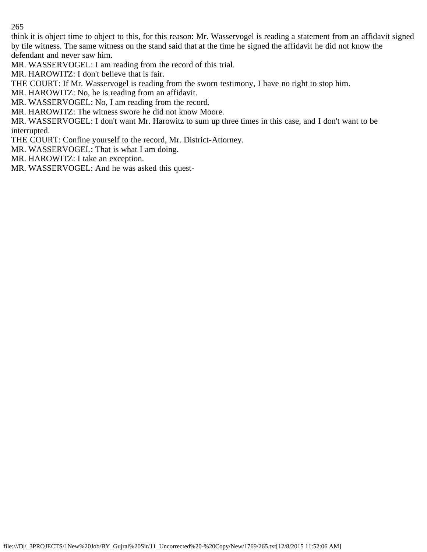think it is object time to object to this, for this reason: Mr. Wasservogel is reading a statement from an affidavit signed by tile witness. The same witness on the stand said that at the time he signed the affidavit he did not know the defendant and never saw him.

MR. WASSERVOGEL: I am reading from the record of this trial.

MR. HAROWITZ: I don't believe that is fair.

THE COURT: If Mr. Wasservogel is reading from the sworn testimony, I have no right to stop him.

MR. HAROWITZ: No, he is reading from an affidavit.

MR. WASSERVOGEL: No, I am reading from the record.

MR. HAROWITZ: The witness swore he did not know Moore.

MR. WASSERVOGEL: I don't want Mr. Harowitz to sum up three times in this case, and I don't want to be interrupted.

THE COURT: Confine yourself to the record, Mr. District-Attorney.

MR. WASSERVOGEL: That is what I am doing.

MR. HAROWITZ: I take an exception.

MR. WASSERVOGEL: And he was asked this quest-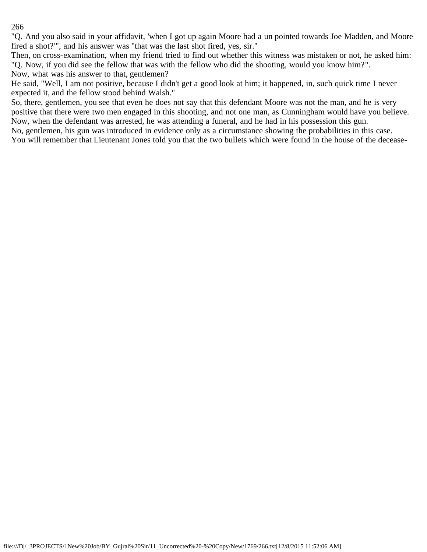"Q. And you also said in your affidavit, 'when I got up again Moore had a un pointed towards Joe Madden, and Moore fired a shot?'", and his answer was "that was the last shot fired, yes, sir."

Then, on cross-examination, when my friend tried to find out whether this witness was mistaken or not, he asked him: "Q. Now, if you did see the fellow that was with the fellow who did the shooting, would you know him?". Now, what was his answer to that, gentlemen?

He said, "Well, I am not positive, because I didn't get a good look at him; it happened, in, such quick time I never expected it, and the fellow stood behind Walsh."

So, there, gentlemen, you see that even he does not say that this defendant Moore was not the man, and he is very positive that there were two men engaged in this shooting, and not one man, as Cunningham would have you believe. Now, when the defendant was arrested, he was attending a funeral, and he had in his possession this gun.

No, gentlemen, his gun was introduced in evidence only as a circumstance showing the probabilities in this case. You will remember that Lieutenant Jones told you that the two bullets which were found in the house of the decease-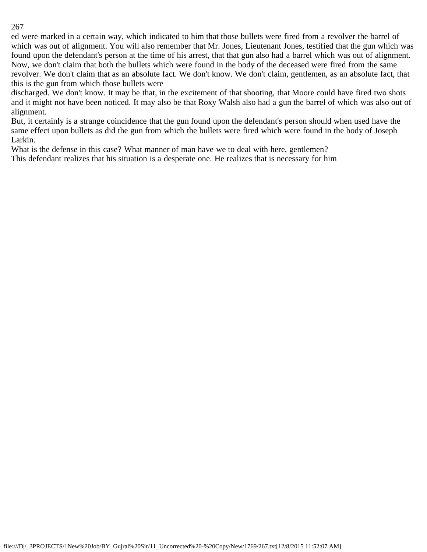ed were marked in a certain way, which indicated to him that those bullets were fired from a revolver the barrel of which was out of alignment. You will also remember that Mr. Jones, Lieutenant Jones, testified that the gun which was found upon the defendant's person at the time of his arrest, that that gun also had a barrel which was out of alignment. Now, we don't claim that both the bullets which were found in the body of the deceased were fired from the same revolver. We don't claim that as an absolute fact. We don't know. We don't claim, gentlemen, as an absolute fact, that this is the gun from which those bullets were

discharged. We don't know. It may be that, in the excitement of that shooting, that Moore could have fired two shots and it might not have been noticed. It may also be that Roxy Walsh also had a gun the barrel of which was also out of alignment.

But, it certainly is a strange coincidence that the gun found upon the defendant's person should when used have the same effect upon bullets as did the gun from which the bullets were fired which were found in the body of Joseph Larkin.

What is the defense in this case? What manner of man have we to deal with here, gentlemen?

This defendant realizes that his situation is a desperate one. He realizes that is necessary for him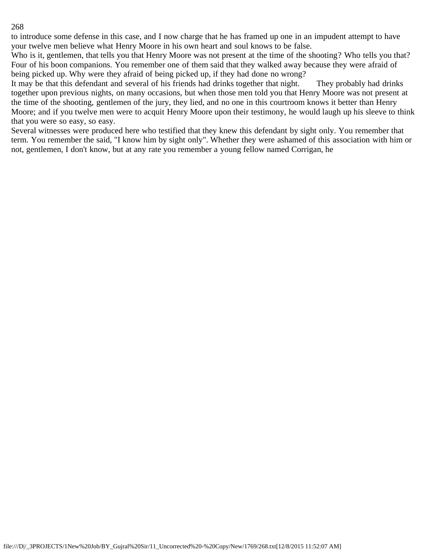to introduce some defense in this case, and I now charge that he has framed up one in an impudent attempt to have your twelve men believe what Henry Moore in his own heart and soul knows to be false.

Who is it, gentlemen, that tells you that Henry Moore was not present at the time of the shooting? Who tells you that? Four of his boon companions. You remember one of them said that they walked away because they were afraid of being picked up. Why were they afraid of being picked up, if they had done no wrong?

It may be that this defendant and several of his friends had drinks together that night. They probably had drinks together upon previous nights, on many occasions, but when those men told you that Henry Moore was not present at the time of the shooting, gentlemen of the jury, they lied, and no one in this courtroom knows it better than Henry Moore; and if you twelve men were to acquit Henry Moore upon their testimony, he would laugh up his sleeve to think that you were so easy, so easy.

Several witnesses were produced here who testified that they knew this defendant by sight only. You remember that term. You remember the said, "I know him by sight only". Whether they were ashamed of this association with him or not, gentlemen, I don't know, but at any rate you remember a young fellow named Corrigan, he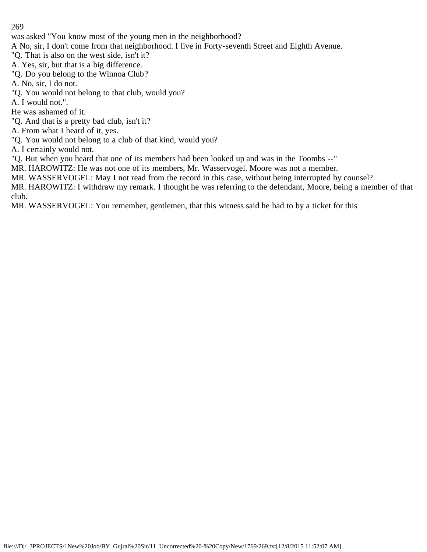was asked "You know most of the young men in the neighborhood?

A No, sir, I don't come from that neighborhood. I live in Forty-seventh Street and Eighth Avenue.

"Q. That is also on the west side, isn't it?

A. Yes, sir, but that is a big difference.

"Q. Do you belong to the Winnoa Club?

A. No, sir, I do not.

"Q. You would not belong to that club, would you?

A. I would not.".

He was ashamed of it.

"Q. And that is a pretty bad club, isn't it?

A. From what I heard of it, yes.

"Q. You would not belong to a club of that kind, would you?

A. I certainly would not.

"Q. But when you heard that one of its members had been looked up and was in the Toombs --"

MR. HAROWITZ: He was not one of its members, Mr. Wasservogel. Moore was not a member.

MR. WASSERVOGEL: May I not read from the record in this case, without being interrupted by counsel?

MR. HAROWITZ: I withdraw my remark. I thought he was referring to the defendant, Moore, being a member of that club.

MR. WASSERVOGEL: You remember, gentlemen, that this witness said he had to by a ticket for this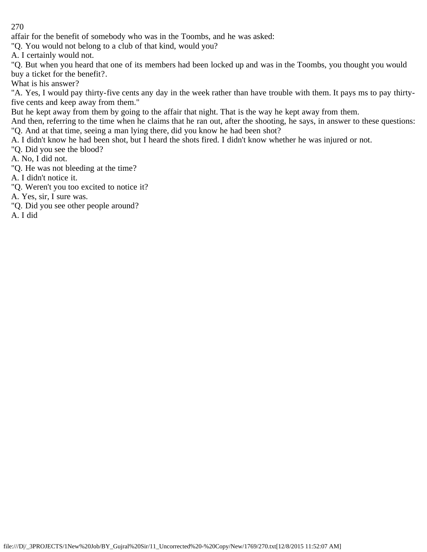affair for the benefit of somebody who was in the Toombs, and he was asked:

"Q. You would not belong to a club of that kind, would you?

A. I certainly would not.

"Q. But when you heard that one of its members had been locked up and was in the Toombs, you thought you would buy a ticket for the benefit?.

What is his answer?

"A. Yes, I would pay thirty-five cents any day in the week rather than have trouble with them. It pays ms to pay thirtyfive cents and keep away from them."

But he kept away from them by going to the affair that night. That is the way he kept away from them.

And then, referring to the time when he claims that he ran out, after the shooting, he says, in answer to these questions: "Q. And at that time, seeing a man lying there, did you know he had been shot?

A. I didn't know he had been shot, but I heard the shots fired. I didn't know whether he was injured or not.

"Q. Did you see the blood?

A. No, I did not.

"Q. He was not bleeding at the time?

A. I didn't notice it.

"Q. Weren't you too excited to notice it?

A. Yes, sir, I sure was.

"Q. Did you see other people around?

A. I did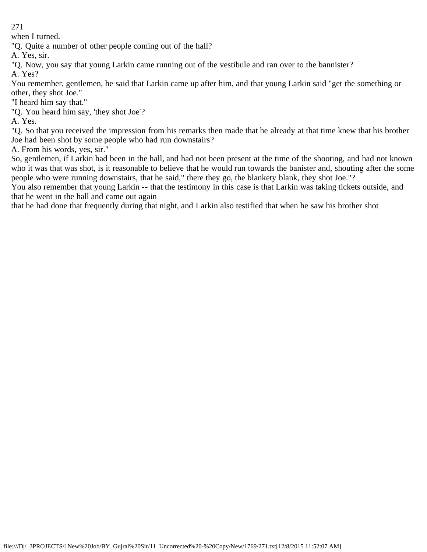when I turned.

"Q. Quite a number of other people coming out of the hall?

A. Yes, sir.

"Q. Now, you say that young Larkin came running out of the vestibule and ran over to the bannister?

A. Yes?

You remember, gentlemen, he said that Larkin came up after him, and that young Larkin said "get the something or other, they shot Joe."

"I heard him say that."

"Q. You heard him say, 'they shot Joe'?

A. Yes.

"Q. So that you received the impression from his remarks then made that he already at that time knew that his brother Joe had been shot by some people who had run downstairs?

A. From his words, yes, sir."

So, gentlemen, if Larkin had been in the hall, and had not been present at the time of the shooting, and had not known who it was that was shot, is it reasonable to believe that he would run towards the banister and, shouting after the some people who were running downstairs, that he said," there they go, the blankety blank, they shot Joe."?

You also remember that young Larkin -- that the testimony in this case is that Larkin was taking tickets outside, and that he went in the hall and came out again

that he had done that frequently during that night, and Larkin also testified that when he saw his brother shot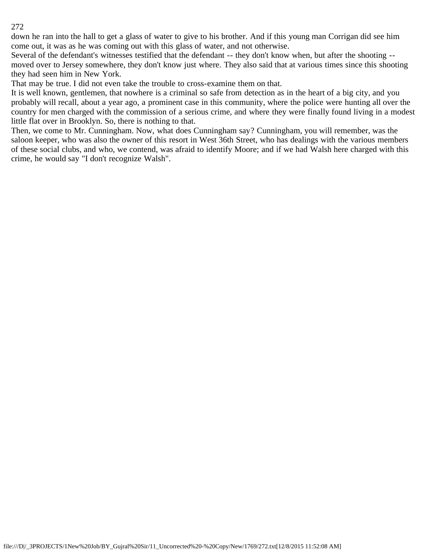down he ran into the hall to get a glass of water to give to his brother. And if this young man Corrigan did see him come out, it was as he was coming out with this glass of water, and not otherwise.

Several of the defendant's witnesses testified that the defendant -- they don't know when, but after the shooting - moved over to Jersey somewhere, they don't know just where. They also said that at various times since this shooting they had seen him in New York.

That may be true. I did not even take the trouble to cross-examine them on that.

It is well known, gentlemen, that nowhere is a criminal so safe from detection as in the heart of a big city, and you probably will recall, about a year ago, a prominent case in this community, where the police were hunting all over the country for men charged with the commission of a serious crime, and where they were finally found living in a modest little flat over in Brooklyn. So, there is nothing to that.

Then, we come to Mr. Cunningham. Now, what does Cunningham say? Cunningham, you will remember, was the saloon keeper, who was also the owner of this resort in West 36th Street, who has dealings with the various members of these social clubs, and who, we contend, was afraid to identify Moore; and if we had Walsh here charged with this crime, he would say "I don't recognize Walsh".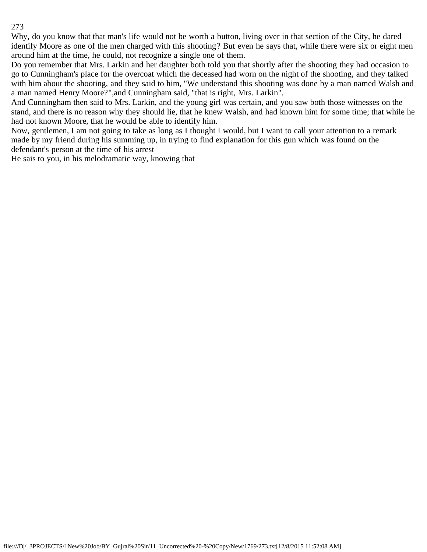Why, do you know that that man's life would not be worth a button, living over in that section of the City, he dared identify Moore as one of the men charged with this shooting? But even he says that, while there were six or eight men around him at the time, he could, not recognize a single one of them.

Do you remember that Mrs. Larkin and her daughter both told you that shortly after the shooting they had occasion to go to Cunningham's place for the overcoat which the deceased had worn on the night of the shooting, and they talked with him about the shooting, and they said to him, "We understand this shooting was done by a man named Walsh and a man named Henry Moore?",and Cunningham said, "that is right, Mrs. Larkin".

And Cunningham then said to Mrs. Larkin, and the young girl was certain, and you saw both those witnesses on the stand, and there is no reason why they should lie, that he knew Walsh, and had known him for some time; that while he had not known Moore, that he would be able to identify him.

Now, gentlemen, I am not going to take as long as I thought I would, but I want to call your attention to a remark made by my friend during his summing up, in trying to find explanation for this gun which was found on the defendant's person at the time of his arrest

He sais to you, in his melodramatic way, knowing that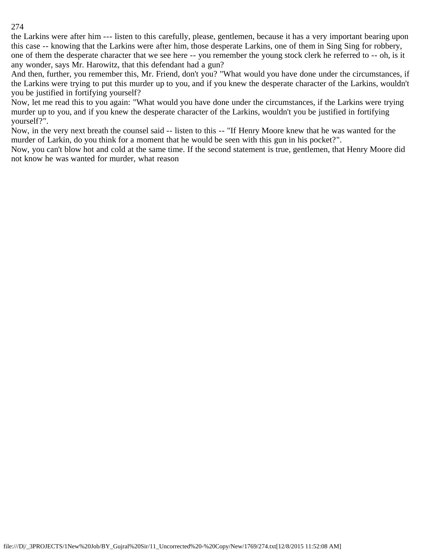the Larkins were after him --- listen to this carefully, please, gentlemen, because it has a very important bearing upon this case -- knowing that the Larkins were after him, those desperate Larkins, one of them in Sing Sing for robbery, one of them the desperate character that we see here -- you remember the young stock clerk he referred to -- oh, is it any wonder, says Mr. Harowitz, that this defendant had a gun?

And then, further, you remember this, Mr. Friend, don't you? "What would you have done under the circumstances, if the Larkins were trying to put this murder up to you, and if you knew the desperate character of the Larkins, wouldn't you be justified in fortifying yourself?

Now, let me read this to you again: "What would you have done under the circumstances, if the Larkins were trying murder up to you, and if you knew the desperate character of the Larkins, wouldn't you be justified in fortifying yourself?".

Now, in the very next breath the counsel said -- listen to this -- "If Henry Moore knew that he was wanted for the murder of Larkin, do you think for a moment that he would be seen with this gun in his pocket?".

Now, you can't blow hot and cold at the same time. If the second statement is true, gentlemen, that Henry Moore did not know he was wanted for murder, what reason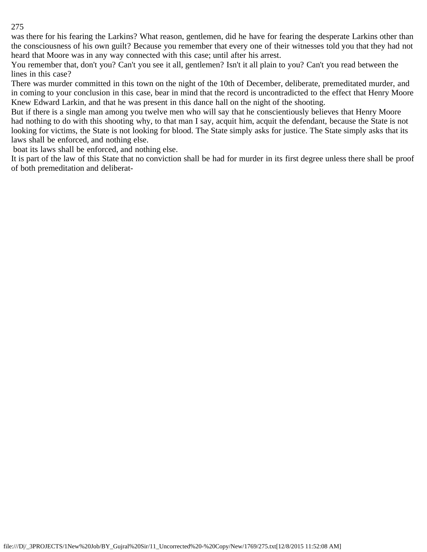was there for his fearing the Larkins? What reason, gentlemen, did he have for fearing the desperate Larkins other than the consciousness of his own guilt? Because you remember that every one of their witnesses told you that they had not heard that Moore was in any way connected with this case; until after his arrest.

You remember that, don't you? Can't you see it all, gentlemen? Isn't it all plain to you? Can't you read between the lines in this case?

There was murder committed in this town on the night of the 10th of December, deliberate, premeditated murder, and in coming to your conclusion in this case, bear in mind that the record is uncontradicted to the effect that Henry Moore Knew Edward Larkin, and that he was present in this dance hall on the night of the shooting.

But if there is a single man among you twelve men who will say that he conscientiously believes that Henry Moore had nothing to do with this shooting why, to that man I say, acquit him, acquit the defendant, because the State is not looking for victims, the State is not looking for blood. The State simply asks for justice. The State simply asks that its laws shall be enforced, and nothing else.

boat its laws shall be enforced, and nothing else.

It is part of the law of this State that no conviction shall be had for murder in its first degree unless there shall be proof of both premeditation and deliberat-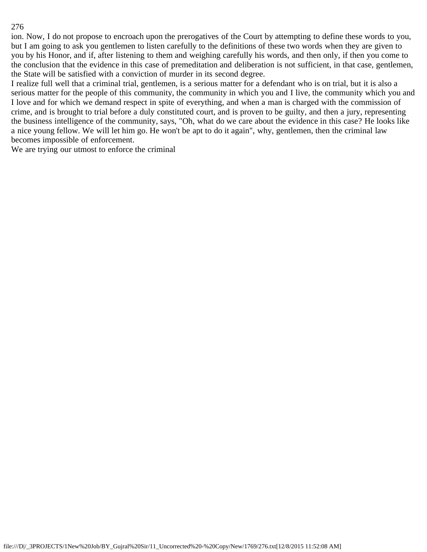ion. Now, I do not propose to encroach upon the prerogatives of the Court by attempting to define these words to you, but I am going to ask you gentlemen to listen carefully to the definitions of these two words when they are given to you by his Honor, and if, after listening to them and weighing carefully his words, and then only, if then you come to the conclusion that the evidence in this case of premeditation and deliberation is not sufficient, in that case, gentlemen, the State will be satisfied with a conviction of murder in its second degree.

I realize full well that a criminal trial, gentlemen, is a serious matter for a defendant who is on trial, but it is also a serious matter for the people of this community, the community in which you and I live, the community which you and I love and for which we demand respect in spite of everything, and when a man is charged with the commission of crime, and is brought to trial before a duly constituted court, and is proven to be guilty, and then a jury, representing the business intelligence of the community, says, "Oh, what do we care about the evidence in this case? He looks like a nice young fellow. We will let him go. He won't be apt to do it again", why, gentlemen, then the criminal law becomes impossible of enforcement.

We are trying our utmost to enforce the criminal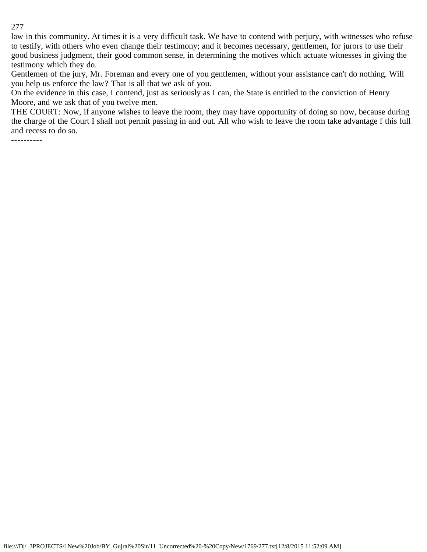law in this community. At times it is a very difficult task. We have to contend with perjury, with witnesses who refuse to testify, with others who even change their testimony; and it becomes necessary, gentlemen, for jurors to use their good business judgment, their good common sense, in determining the motives which actuate witnesses in giving the testimony which they do.

Gentlemen of the jury, Mr. Foreman and every one of you gentlemen, without your assistance can't do nothing. Will you help us enforce the law? That is all that we ask of you.

On the evidence in this case, I contend, just as seriously as I can, the State is entitled to the conviction of Henry Moore, and we ask that of you twelve men.

THE COURT: Now, if anyone wishes to leave the room, they may have opportunity of doing so now, because during the charge of the Court I shall not permit passing in and out. All who wish to leave the room take advantage f this lull and recess to do so.

----------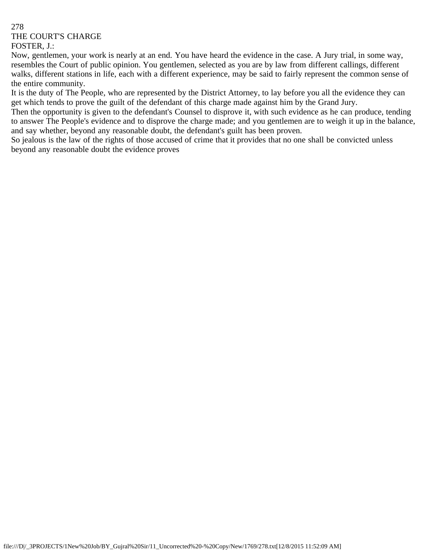# 278 THE COURT'S CHARGE FOSTER, J.:

Now, gentlemen, your work is nearly at an end. You have heard the evidence in the case. A Jury trial, in some way, resembles the Court of public opinion. You gentlemen, selected as you are by law from different callings, different walks, different stations in life, each with a different experience, may be said to fairly represent the common sense of the entire community.

It is the duty of The People, who are represented by the District Attorney, to lay before you all the evidence they can get which tends to prove the guilt of the defendant of this charge made against him by the Grand Jury.

Then the opportunity is given to the defendant's Counsel to disprove it, with such evidence as he can produce, tending to answer The People's evidence and to disprove the charge made; and you gentlemen are to weigh it up in the balance, and say whether, beyond any reasonable doubt, the defendant's guilt has been proven.

So jealous is the law of the rights of those accused of crime that it provides that no one shall be convicted unless beyond any reasonable doubt the evidence proves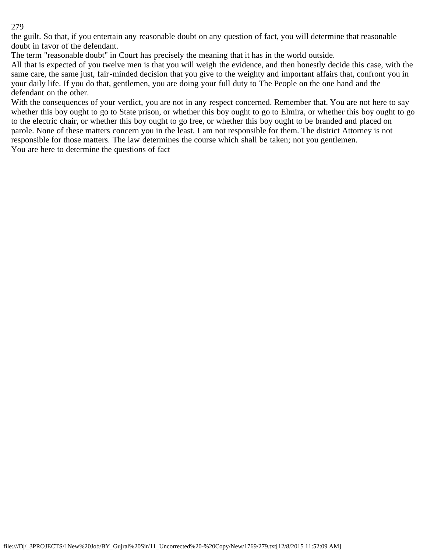the guilt. So that, if you entertain any reasonable doubt on any question of fact, you will determine that reasonable doubt in favor of the defendant.

The term "reasonable doubt" in Court has precisely the meaning that it has in the world outside.

All that is expected of you twelve men is that you will weigh the evidence, and then honestly decide this case, with the same care, the same just, fair-minded decision that you give to the weighty and important affairs that, confront you in your daily life. If you do that, gentlemen, you are doing your full duty to The People on the one hand and the defendant on the other.

With the consequences of your verdict, you are not in any respect concerned. Remember that. You are not here to say whether this boy ought to go to State prison, or whether this boy ought to go to Elmira, or whether this boy ought to go to the electric chair, or whether this boy ought to go free, or whether this boy ought to be branded and placed on parole. None of these matters concern you in the least. I am not responsible for them. The district Attorney is not responsible for those matters. The law determines the course which shall be taken; not you gentlemen. You are here to determine the questions of fact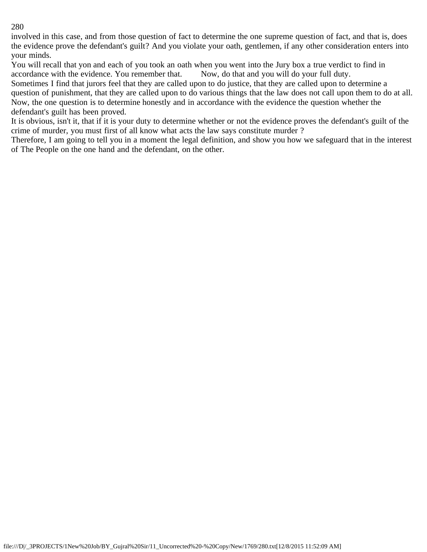involved in this case, and from those question of fact to determine the one supreme question of fact, and that is, does the evidence prove the defendant's guilt? And you violate your oath, gentlemen, if any other consideration enters into your minds.

You will recall that yon and each of you took an oath when you went into the Jury box a true verdict to find in accordance with the evidence. You remember that. Now, do that and you will do your full duty.

Sometimes I find that jurors feel that they are called upon to do justice, that they are called upon to determine a question of punishment, that they are called upon to do various things that the law does not call upon them to do at all. Now, the one question is to determine honestly and in accordance with the evidence the question whether the defendant's guilt has been proved.

It is obvious, isn't it, that if it is your duty to determine whether or not the evidence proves the defendant's guilt of the crime of murder, you must first of all know what acts the law says constitute murder ?

Therefore, I am going to tell you in a moment the legal definition, and show you how we safeguard that in the interest of The People on the one hand and the defendant, on the other.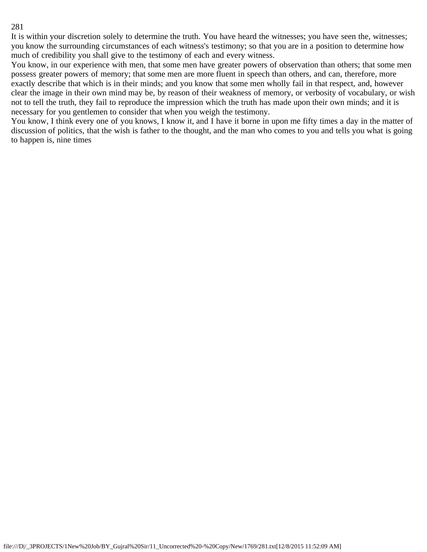It is within your discretion solely to determine the truth. You have heard the witnesses; you have seen the, witnesses; you know the surrounding circumstances of each witness's testimony; so that you are in a position to determine how much of credibility you shall give to the testimony of each and every witness.

You know, in our experience with men, that some men have greater powers of observation than others; that some men possess greater powers of memory; that some men are more fluent in speech than others, and can, therefore, more exactly describe that which is in their minds; and you know that some men wholly fail in that respect, and, however clear the image in their own mind may be, by reason of their weakness of memory, or verbosity of vocabulary, or wish not to tell the truth, they fail to reproduce the impression which the truth has made upon their own minds; and it is necessary for you gentlemen to consider that when you weigh the testimony.

You know, I think every one of you knows, I know it, and I have it borne in upon me fifty times a day in the matter of discussion of politics, that the wish is father to the thought, and the man who comes to you and tells you what is going to happen is, nine times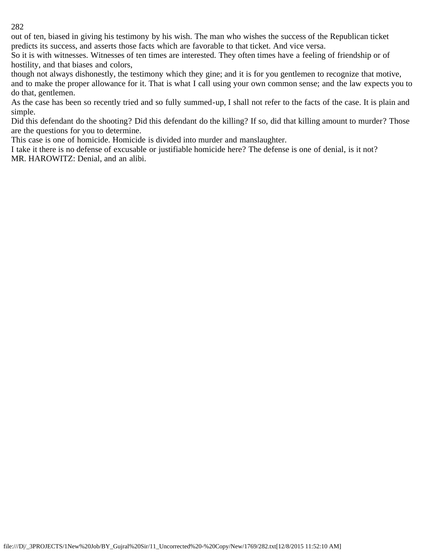out of ten, biased in giving his testimony by his wish. The man who wishes the success of the Republican ticket predicts its success, and asserts those facts which are favorable to that ticket. And vice versa.

So it is with witnesses. Witnesses of ten times are interested. They often times have a feeling of friendship or of hostility, and that biases and colors,

though not always dishonestly, the testimony which they gine; and it is for you gentlemen to recognize that motive, and to make the proper allowance for it. That is what I call using your own common sense; and the law expects you to do that, gentlemen.

As the case has been so recently tried and so fully summed-up, I shall not refer to the facts of the case. It is plain and simple.

Did this defendant do the shooting? Did this defendant do the killing? If so, did that killing amount to murder? Those are the questions for you to determine.

This case is one of homicide. Homicide is divided into murder and manslaughter.

I take it there is no defense of excusable or justifiable homicide here? The defense is one of denial, is it not? MR. HAROWITZ: Denial, and an alibi.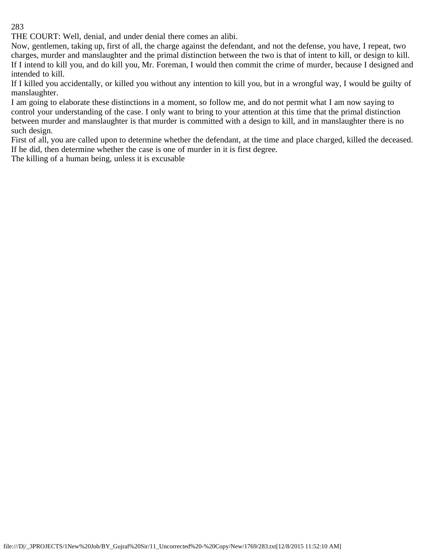THE COURT: Well, denial, and under denial there comes an alibi.

Now, gentlemen, taking up, first of all, the charge against the defendant, and not the defense, you have, I repeat, two charges, murder and manslaughter and the primal distinction between the two is that of intent to kill, or design to kill. If I intend to kill you, and do kill you, Mr. Foreman, I would then commit the crime of murder, because I designed and intended to kill.

If I killed you accidentally, or killed you without any intention to kill you, but in a wrongful way, I would be guilty of manslaughter.

I am going to elaborate these distinctions in a moment, so follow me, and do not permit what I am now saying to control your understanding of the case. I only want to bring to your attention at this time that the primal distinction between murder and manslaughter is that murder is committed with a design to kill, and in manslaughter there is no such design.

First of all, you are called upon to determine whether the defendant, at the time and place charged, killed the deceased. If he did, then determine whether the case is one of murder in it is first degree.

The killing of a human being, unless it is excusable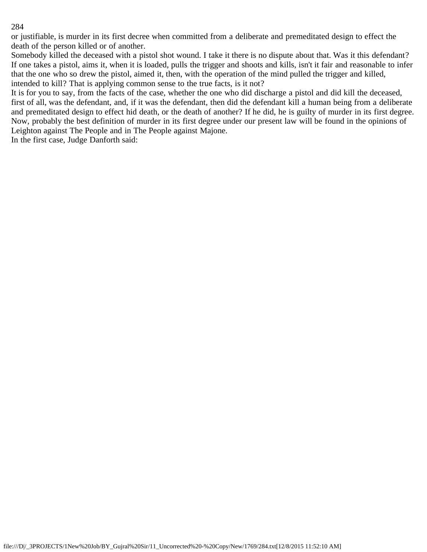or justifiable, is murder in its first decree when committed from a deliberate and premeditated design to effect the death of the person killed or of another.

Somebody killed the deceased with a pistol shot wound. I take it there is no dispute about that. Was it this defendant? If one takes a pistol, aims it, when it is loaded, pulls the trigger and shoots and kills, isn't it fair and reasonable to infer that the one who so drew the pistol, aimed it, then, with the operation of the mind pulled the trigger and killed, intended to kill? That is applying common sense to the true facts, is it not?

It is for you to say, from the facts of the case, whether the one who did discharge a pistol and did kill the deceased, first of all, was the defendant, and, if it was the defendant, then did the defendant kill a human being from a deliberate and premeditated design to effect hid death, or the death of another? If he did, he is guilty of murder in its first degree. Now, probably the best definition of murder in its first degree under our present law will be found in the opinions of Leighton against The People and in The People against Majone.

In the first case, Judge Danforth said: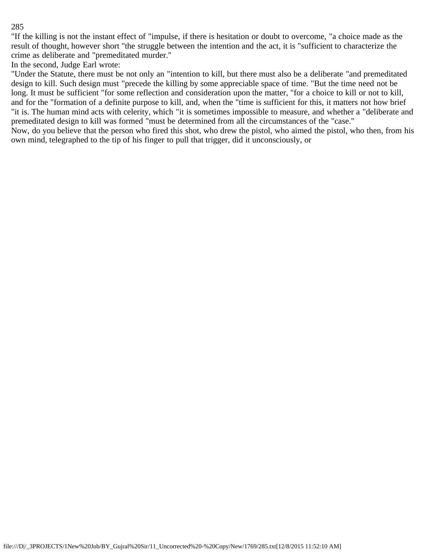"If the killing is not the instant effect of "impulse, if there is hesitation or doubt to overcome, "a choice made as the result of thought, however short "the struggle between the intention and the act, it is "sufficient to characterize the crime as deliberate and "premeditated murder."

In the second, Judge Earl wrote:

"Under the Statute, there must be not only an "intention to kill, but there must also be a deliberate "and premeditated design to kill. Such design must "precede the killing by some appreciable space of time. "But the time need not be long. It must be sufficient "for some reflection and consideration upon the matter, "for a choice to kill or not to kill, and for the "formation of a definite purpose to kill, and, when the "time is sufficient for this, it matters not how brief "it is. The human mind acts with celerity, which "it is sometimes impossible to measure, and whether a "deliberate and premeditated design to kill was formed "must be determined from all the circumstances of the "case."

Now, do you believe that the person who fired this shot, who drew the pistol, who aimed the pistol, who then, from his own mind, telegraphed to the tip of his finger to pull that trigger, did it unconsciously, or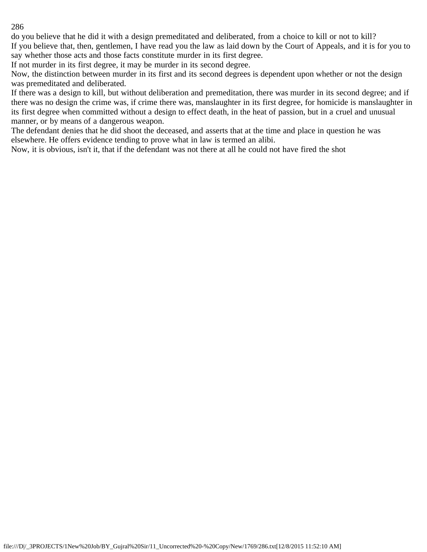do you believe that he did it with a design premeditated and deliberated, from a choice to kill or not to kill? If you believe that, then, gentlemen, I have read you the law as laid down by the Court of Appeals, and it is for you to say whether those acts and those facts constitute murder in its first degree.

If not murder in its first degree, it may be murder in its second degree.

Now, the distinction between murder in its first and its second degrees is dependent upon whether or not the design was premeditated and deliberated.

If there was a design to kill, but without deliberation and premeditation, there was murder in its second degree; and if there was no design the crime was, if crime there was, manslaughter in its first degree, for homicide is manslaughter in its first degree when committed without a design to effect death, in the heat of passion, but in a cruel and unusual manner, or by means of a dangerous weapon.

The defendant denies that he did shoot the deceased, and asserts that at the time and place in question he was elsewhere. He offers evidence tending to prove what in law is termed an alibi.

Now, it is obvious, isn't it, that if the defendant was not there at all he could not have fired the shot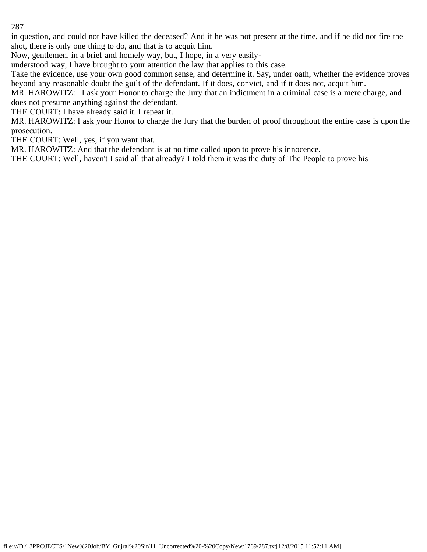in question, and could not have killed the deceased? And if he was not present at the time, and if he did not fire the shot, there is only one thing to do, and that is to acquit him.

Now, gentlemen, in a brief and homely way, but, I hope, in a very easily-

understood way, I have brought to your attention the law that applies to this case.

Take the evidence, use your own good common sense, and determine it. Say, under oath, whether the evidence proves beyond any reasonable doubt the guilt of the defendant. If it does, convict, and if it does not, acquit him.

MR. HAROWITZ: I ask your Honor to charge the Jury that an indictment in a criminal case is a mere charge, and does not presume anything against the defendant.

THE COURT: I have already said it. I repeat it.

MR. HAROWITZ: I ask your Honor to charge the Jury that the burden of proof throughout the entire case is upon the prosecution.

THE COURT: Well, yes, if you want that.

MR. HAROWITZ: And that the defendant is at no time called upon to prove his innocence.

THE COURT: Well, haven't I said all that already? I told them it was the duty of The People to prove his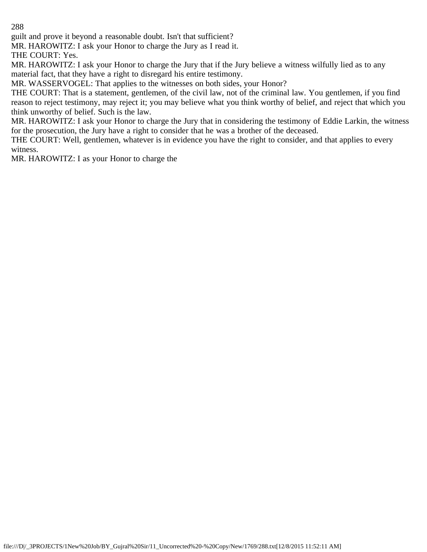guilt and prove it beyond a reasonable doubt. Isn't that sufficient?

MR. HAROWITZ: I ask your Honor to charge the Jury as I read it.

THE COURT: Yes.

MR. HAROWITZ: I ask your Honor to charge the Jury that if the Jury believe a witness wilfully lied as to any material fact, that they have a right to disregard his entire testimony.

MR. WASSERVOGEL: That applies to the witnesses on both sides, your Honor?

THE COURT: That is a statement, gentlemen, of the civil law, not of the criminal law. You gentlemen, if you find reason to reject testimony, may reject it; you may believe what you think worthy of belief, and reject that which you think unworthy of belief. Such is the law.

MR. HAROWITZ: I ask your Honor to charge the Jury that in considering the testimony of Eddie Larkin, the witness for the prosecution, the Jury have a right to consider that he was a brother of the deceased.

THE COURT: Well, gentlemen, whatever is in evidence you have the right to consider, and that applies to every witness.

MR. HAROWITZ: I as your Honor to charge the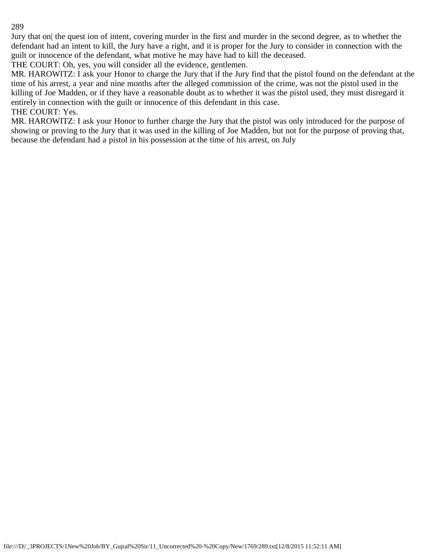Jury that on| the quest ion of intent, covering murder in the first and murder in the second degree, as to whether the defendant had an intent to kill, the Jury have a right, and it is proper for the Jury to consider in connection with the guilt or innocence of the defendant, what motive he may have had to kill the deceased.

THE COURT: Oh, yes, you will consider all the evidence, gentlemen.

MR. HAROWITZ: I ask your Honor to charge the Jury that if the Jury find that the pistol found on the defendant at the time of his arrest, a year and nine months after the alleged commission of the crime, was not the pistol used in the killing of Joe Madden, or if they have a reasonable doubt as to whether it was the pistol used, they must disregard it entirely in connection with the guilt or innocence of this defendant in this case. THE COURT: Yes.

MR. HAROWITZ: I ask your Honor to further charge the Jury that the pistol was only introduced for the purpose of showing or proving to the Jury that it was used in the killing of Joe Madden, but not for the purpose of proving that, because the defendant had a pistol in his possession at the time of his arrest, on July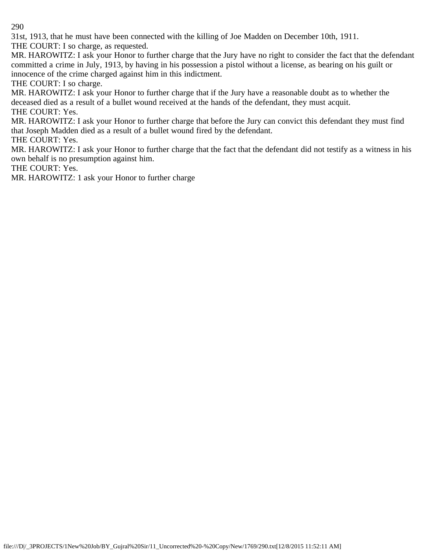31st, 1913, that he must have been connected with the killing of Joe Madden on December 10th, 1911.

THE COURT: I so charge, as requested.

MR. HAROWITZ: I ask your Honor to further charge that the Jury have no right to consider the fact that the defendant committed a crime in July, 1913, by having in his possession a pistol without a license, as bearing on his guilt or innocence of the crime charged against him in this indictment.

THE COURT: I so charge.

MR. HAROWITZ: I ask your Honor to further charge that if the Jury have a reasonable doubt as to whether the deceased died as a result of a bullet wound received at the hands of the defendant, they must acquit. THE COURT: Yes.

MR. HAROWITZ: I ask your Honor to further charge that before the Jury can convict this defendant they must find that Joseph Madden died as a result of a bullet wound fired by the defendant.

THE COURT: Yes.

MR. HAROWITZ: I ask your Honor to further charge that the fact that the defendant did not testify as a witness in his own behalf is no presumption against him.

THE COURT: Yes.

MR. HAROWITZ: 1 ask your Honor to further charge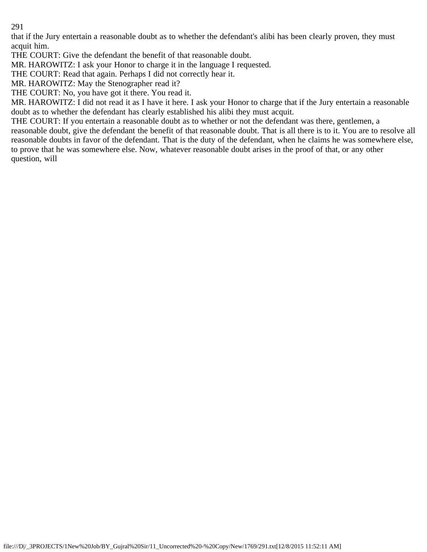that if the Jury entertain a reasonable doubt as to whether the defendant's alibi has been clearly proven, they must acquit him.

THE COURT: Give the defendant the benefit of that reasonable doubt.

MR. HAROWITZ: I ask your Honor to charge it in the language I requested.

THE COURT: Read that again. Perhaps I did not correctly hear it.

MR. HAROWITZ: May the Stenographer read it?

THE COURT: No, you have got it there. You read it.

MR. HAROWITZ: I did not read it as I have it here. I ask your Honor to charge that if the Jury entertain a reasonable doubt as to whether the defendant has clearly established his alibi they must acquit.

THE COURT: If you entertain a reasonable doubt as to whether or not the defendant was there, gentlemen, a reasonable doubt, give the defendant the benefit of that reasonable doubt. That is all there is to it. You are to resolve all reasonable doubts in favor of the defendant. That is the duty of the defendant, when he claims he was somewhere else, to prove that he was somewhere else. Now, whatever reasonable doubt arises in the proof of that, or any other question, will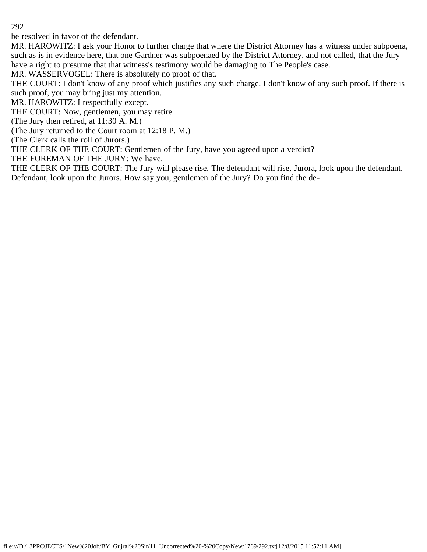be resolved in favor of the defendant.

MR. HAROWITZ: I ask your Honor to further charge that where the District Attorney has a witness under subpoena, such as is in evidence here, that one Gardner was subpoenaed by the District Attorney, and not called, that the Jury have a right to presume that that witness's testimony would be damaging to The People's case.

MR. WASSERVOGEL: There is absolutely no proof of that.

THE COURT: I don't know of any proof which justifies any such charge. I don't know of any such proof. If there is such proof, you may bring just my attention.

MR. HAROWITZ: I respectfully except.

THE COURT: Now, gentlemen, you may retire.

(The Jury then retired, at 11:30 A. M.)

(The Jury returned to the Court room at 12:18 P. M.)

(The Clerk calls the roll of Jurors.)

THE CLERK OF THE COURT: Gentlemen of the Jury, have you agreed upon a verdict?

THE FOREMAN OF THE JURY: We have.

THE CLERK OF THE COURT: The Jury will please rise. The defendant will rise, Jurora, look upon the defendant. Defendant, look upon the Jurors. How say you, gentlemen of the Jury? Do you find the de-